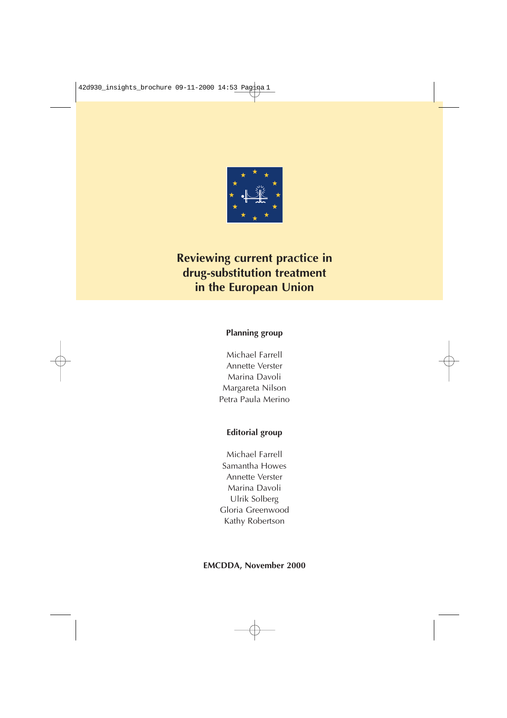

# **Reviewing current practice in drug-substitution treatment in the European Union**

## **Planning group**

Michael Farrell Annette Verster Marina Davoli Margareta Nilson Petra Paula Merino

## **Editorial group**

Michael Farrell Samantha Howes Annette Verster Marina Davoli Ulrik Solberg Gloria Greenwood Kathy Robertson

**EMCDDA, November 2000**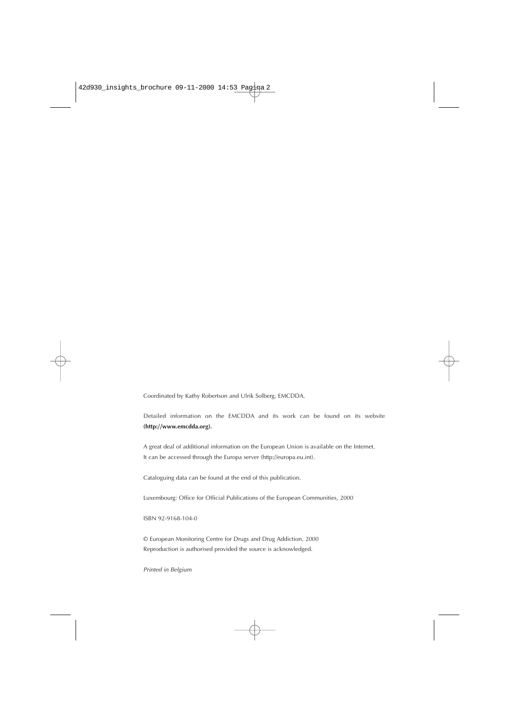Coordinated by Kathy Robertson and Ulrik Solberg, EMCDDA.

Detailed information on the EMCDDA and its work can be found on its website **(http://www.emcdda.org).**

A great deal of additional information on the European Union is available on the Internet. It can be accessed through the Europa server (http://europa.eu.int).

Cataloguing data can be found at the end of this publication.

Luxembourg: Office for Official Publications of the European Communities, 2000

ISBN 92-9168-104-0

© European Monitoring Centre for Drugs and Drug Addiction, 2000 Reproduction is authorised provided the source is acknowledged.

Printed in Belgium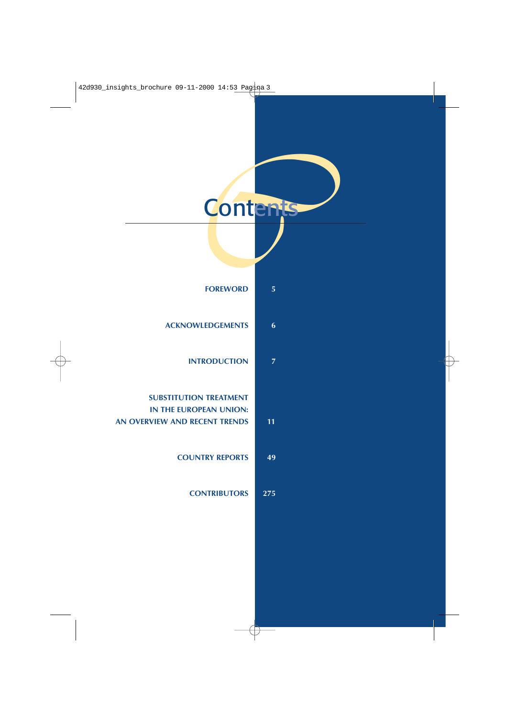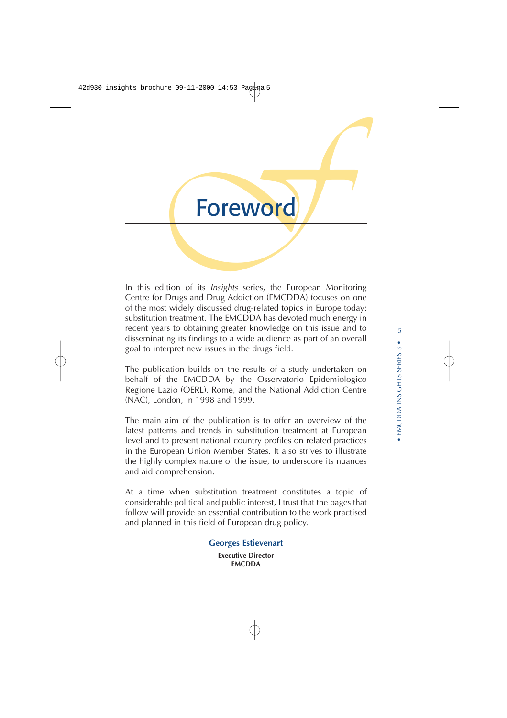

In this edition of its Insights series, the European Monitoring Centre for Drugs and Drug Addiction (EMCDDA) focuses on one of the most widely discussed drug-related topics in Europe today: substitution treatment. The EMCDDA has devoted much energy in recent years to obtaining greater knowledge on this issue and to disseminating its findings to a wide audience as part of an overall goal to interpret new issues in the drugs field.

The publication builds on the results of a study undertaken on behalf of the EMCDDA by the Osservatorio Epidemiologico Regione Lazio (OERL), Rome, and the National Addiction Centre (NAC), London, in 1998 and 1999.

The main aim of the publication is to offer an overview of the latest patterns and trends in substitution treatment at European level and to present national country profiles on related practices in the European Union Member States. It also strives to illustrate the highly complex nature of the issue, to underscore its nuances and aid comprehension.

At a time when substitution treatment constitutes a topic of considerable political and public interest, I trust that the pages that follow will provide an essential contribution to the work practised and planned in this field of European drug policy .

#### **Georges Estievenart**

**Executive Director EMCDDA**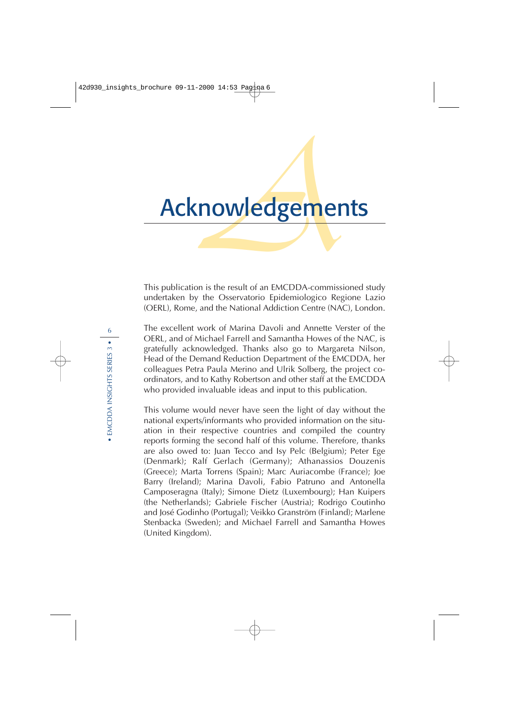# Acknowledgements

This publication is the result of an EMCDDA-commissioned study undertaken by the Osservatorio Epidemiologico Regione Lazio (OERL), Rome, and the National Addiction Centre (NAC), London.

The excellent work of Marina Davoli and Annette Verster of the OERL, and of Michael Farrell and Samantha Howes of the NAC, is gratefully acknowledged. Thanks also go to Margareta Nilson, Head of the Demand Reduction Department of the EMCDDA, her colleagues Petra Paula Merino and Ulrik Solberg, the project coordinators, and to Kathy Robertson and other staff at the EMCDDA who provided invaluable ideas and input to this publication.

This volume would never have seen the light of day without the national experts/informants who provided information on the situation in their respective countries and compiled the country reports forming the second half of this volume. Therefore, thanks are also owed to: Juan Tecco and Isy Pelc (Belgium); Peter Ege (Denmark); Ralf Gerlach (Germany); Athanassios Douzenis (Greece); Marta Torrens (Spain); Marc Auriacombe (France); Joe Barry (Ireland); Marina Davoli, Fabio Patruno and Antonella Camposeragna (Italy); Simone Dietz (Luxembourg); Han Kuipers (the Netherlands); Gabriele Fischer (Austria); Rodrigo Coutinho and José Godinho (Portugal); Veikko Granström (Finland); Marlene Stenbacka (Sweden); and Michael Farrell and Samantha Howes (United Kingdom).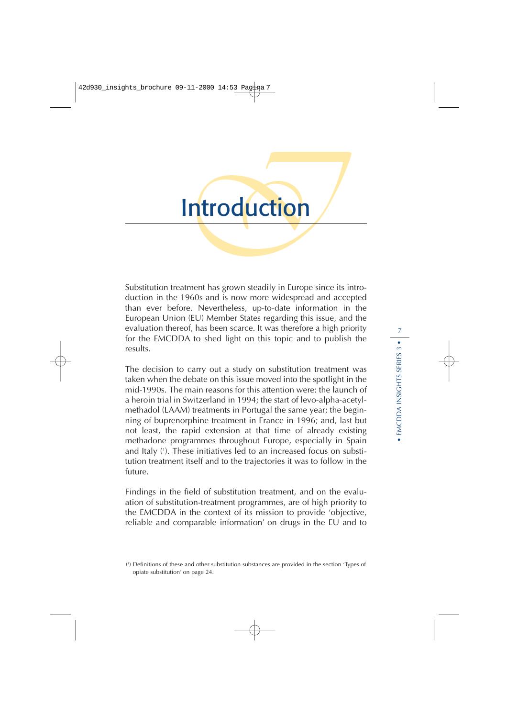# Introduction

Substitution treatment has grown steadily in Europe since its introduction in the 1960s and is now more widespread and accepted than ever before. Nevertheless, up-to-date information in the European Union (EU) Member States regarding this issue, and the evaluation thereof, has been scarce. It was therefore a high priority for the EMCDDA to shed light on this topic and to publish the results.

The decision to carry out a study on substitution treatment was taken when the debate on this issue moved into the spotlight in the mid-1990s. The main reasons for this attention were: the launch of a heroin trial in Switzerland in 1994; the start of levo-alpha-acetylmethadol (LAAM) treatments in Portugal the same year; the beginning of buprenorphine treatment in France in 1996; and, last but not least, the rapid extension at that time of already existing methadone programmes throughout Europe, especially in Spain and Italy ( 1 ). These initiatives led to an increased focus on substitution treatment itself and to the trajectories it was to follow in the future.

Findings in the field of substitution treatment, and on the evaluation of substitution-treatment programmes, are of high priority to the EMCDDA in the context of its mission to provide 'objective, reliable and comparable information' on drugs in the EU and to

<sup>(</sup> 1 ) Definitions of these and other substitution substances are provided in the section 'Types of opiate substitution' on page 24.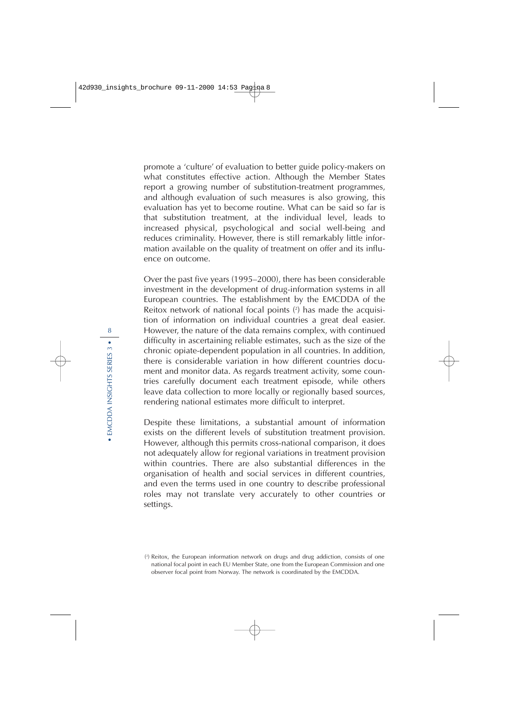promote a 'culture' of evaluation to better guide policy-makers on what constitutes effective action. Although the Member States report a growing number of substitution-treatment programmes, and although evaluation of such measures is also growing, this evaluation has yet to become routine. What can be said so far is that substitution treatment, at the individual level, leads to increased physical, psychological and social well-being and reduces criminality. However, there is still remarkably little information available on the quality of treatment on offer and its influence on outcome.

Over the past five years (1995–2000), there has been considerable investment in the development of drug-information systems in all European countries. The establishment by the EMCDDA of the Reitox network of national focal points ( 2 ) has made the acquisition of information on individual countries a great deal easier. However, the nature of the data remains complex, with continued difficulty in ascertaining reliable estimates, such as the size of the chronic opiate-dependent population in all countries. In addition, there is considerable variation in how different countries document and monitor data. As regards treatment activity, some countries carefully document each treatment episode, while others leave data collection to more locally or regionally based sources, rendering national estimates more difficult to interpret.

Despite these limitations, a substantial amount of information exists on the different levels of substitution treatment provision. However, although this permits cross-national comparison, it does not adequately allow for regional variations in treatment provision within countries. There are also substantial differences in the organisation of health and social services in different countries, and even the terms used in one country to describe professional roles may not translate very accurately to other countries or settings.

<sup>(</sup> 2 ) Reitox, the European information network on drugs and drug addiction, consists of one national focal point in each EU Member State, one from the European Commission and one observer focal point from Norway. The network is coordinated by the EMCDDA.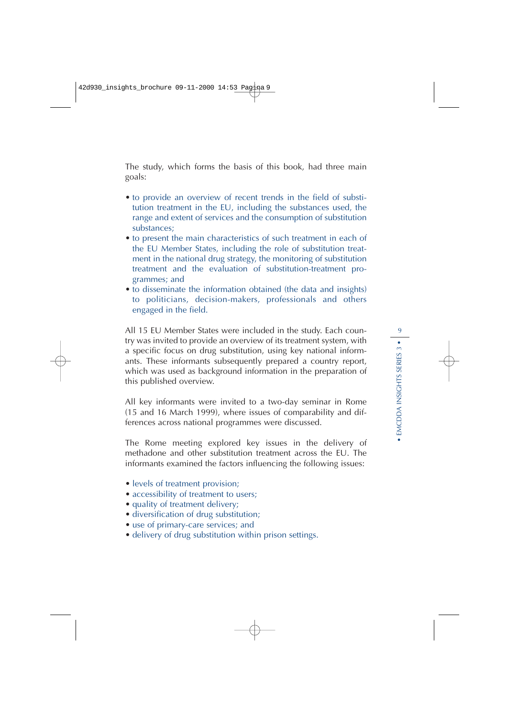The study, which forms the basis of this book, had three main goals:

- to provide an overview of recent trends in the field of substitution treatment in the EU, including the substances used, the range and extent of services and the consumption of substitution substances;
- to present the main characteristics of such treatment in each of the EU Member States, including the role of substitution treatment in the national drug strategy, the monitoring of substitution treatment and the evaluation of substitution-treatment programmes; and
- to disseminate the information obtained (the data and insights) to politicians, decision-makers, professionals and others engaged in the field.

All 15 EU Member States were included in the study. Each country was invited to provide an overview of its treatment system, with a specific focus on drug substitution, using key national informants. These informants subsequently prepared a country report, which was used as background information in the preparation of this published overview.

All key informants were invited to a two-day seminar in Rome (15 and 16 March 1999), where issues of comparability and differences across national programmes were discussed.

The Rome meeting explored key issues in the delivery of methadone and other substitution treatment across the EU. The informants examined the factors influencing the following issues:

- levels of treatment provision;
- accessibility of treatment to users;
- quality of treatment delivery;
- diversification of drug substitution;
- use of primary-care services; and
- delivery of drug substitution within prison settings.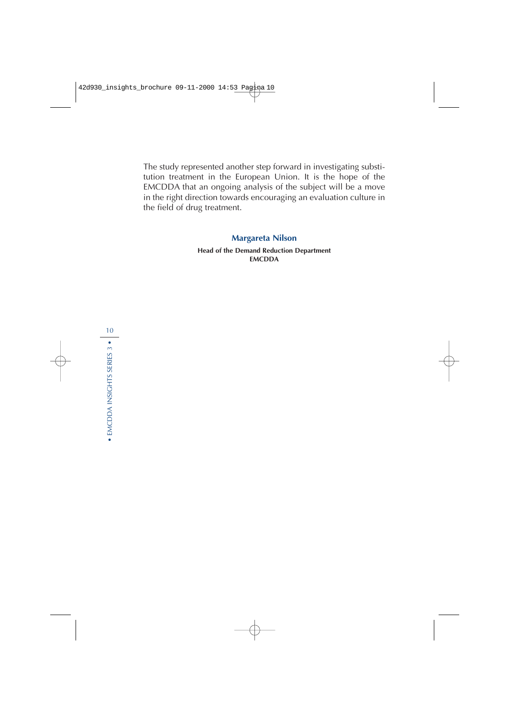The study represented another step forward in investigating substitution treatment in the European Union. It is the hope of the EMCDDA that an ongoing analysis of the subject will be a move in the right direction towards encouraging an evaluation culture in the field of drug treatment.

#### **Margareta Nilson**

**Head of the Demand Reduction Department EMCDDA**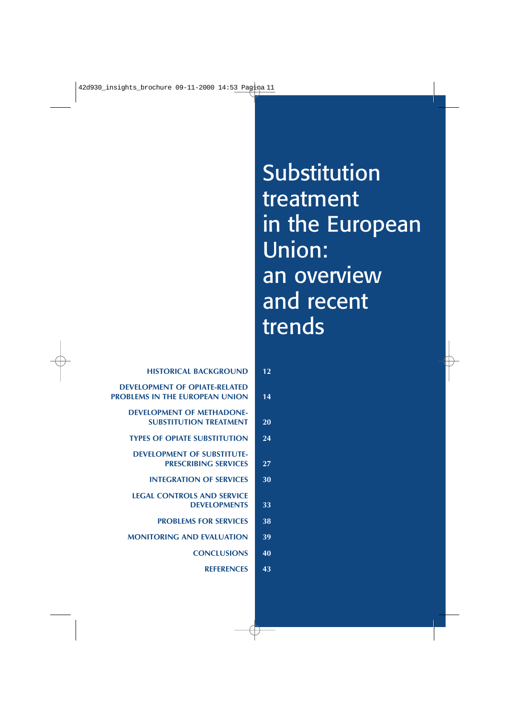# Substitution treatment in the European Union: an overview and recent trends

| 12 | <b>HISTORICAL BACKGROUND</b>                                                  |
|----|-------------------------------------------------------------------------------|
| 14 | <b>DEVELOPMENT OF OPIATE-RELATED</b><br><b>PROBLEMS IN THE EUROPEAN UNION</b> |
| 20 | <b>DEVELOPMENT OF METHADONE-</b><br><b>SUBSTITUTION TREATMENT</b>             |
| 24 | <b>TYPES OF OPIATE SUBSTITUTION</b>                                           |
| 27 | <b>DEVELOPMENT OF SUBSTITUTE-</b><br><b>PRESCRIBING SERVICES</b>              |
| 30 | <b>INTEGRATION OF SERVICES</b>                                                |
| 33 | <b>LEGAL CONTROLS AND SERVICE</b><br><b>DEVELOPMENTS</b>                      |
| 38 | <b>PROBLEMS FOR SERVICES</b>                                                  |
| 39 | <b>MONITORING AND EVALUATION</b>                                              |
| 40 | <b>CONCLUSIONS</b>                                                            |
| 43 | <b>REFERENCES</b>                                                             |
|    |                                                                               |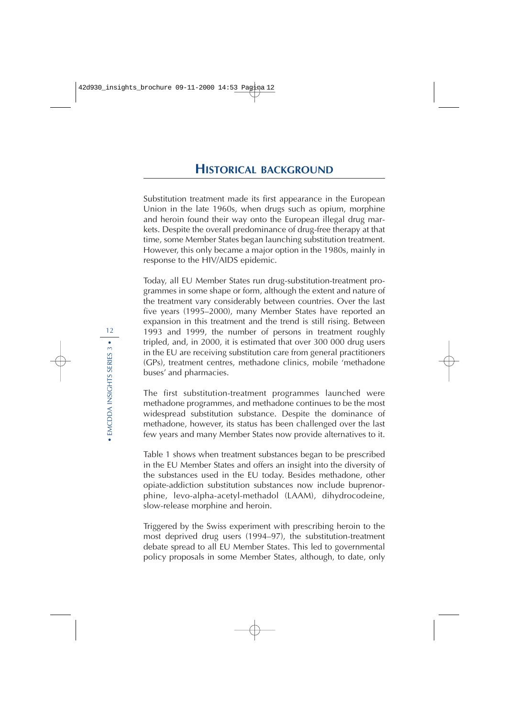Substitution treatment made its first appearance in the European Union in the late 1960s, when drugs such as opium, morphine and heroin found their way onto the European illegal drug markets. Despite the overall predominance of drug-free therapy at that time, some Member States began launching substitution treatment. However, this only became a major option in the 1980s, mainly in response to the HIV/AIDS epidemic.

Today, all EU Member States run drug-substitution-treatment programmes in some shape or form, although the extent and nature of the treatment vary considerably between countries. Over the last five years (1995–2000), many Member States have reported an expansion in this treatment and the trend is still rising. Between 1993 and 1999, the number of persons in treatment roughly tripled, and, in 2000, it is estimated that over 300 000 drug users in the EU are receiving substitution care from general practitioners (GPs), treatment centres, methadone clinics, mobile 'methadone buses' and pharmacies.

The first substitution-treatment programmes launched were methadone programmes, and methadone continues to be the most widespread substitution substance. Despite the dominance of methadone, however, its status has been challenged over the last few years and many Member States now provide alternatives to it.

Table 1 shows when treatment substances began to be prescribed in the EU Member States and offers an insight into the diversity of the substances used in the EU today. Besides methadone, other opiate-addiction substitution substances now include buprenorphine, levo-alpha-acetyl-methadol (LAAM), dihydrocodeine, slow-release morphine and heroin.

Triggered by the Swiss experiment with prescribing heroin to the most deprived drug users (1994–97), the substitution-treatment debate spread to all EU Member States. This led to governmental policy proposals in some Member States, although, to date, only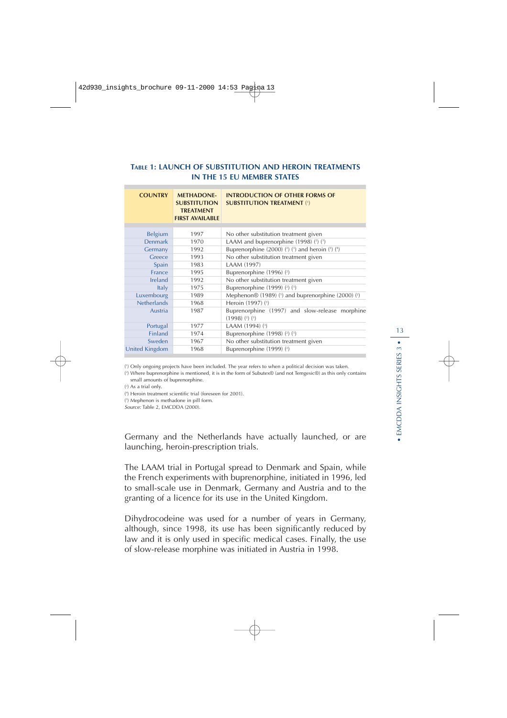### **TABLE 1: LAUNCH OF SUBSTITUTION AND HEROIN TREATMENTS IN THE 15 EU MEMBER STATES**

| <b>COUNTRY</b>     | <b>METHADONE-</b><br><b>SUBSTITUTION</b><br><b>TREATMENT</b><br><b>FIRST AVAILABLE</b> | <b>INTRODUCTION OF OTHER FORMS OF</b><br><b>SUBSTITUTION TREATMENT (1)</b> |
|--------------------|----------------------------------------------------------------------------------------|----------------------------------------------------------------------------|
|                    |                                                                                        |                                                                            |
| <b>Belgium</b>     | 1997                                                                                   | No other substitution treatment given                                      |
| <b>Denmark</b>     | 1970                                                                                   | LAAM and buprenorphine (1998) (2) (3)                                      |
| Germany            | 1992                                                                                   | Buprenorphine (2000) $(2)$ (3) and heroin (3) (4)                          |
| Greece             | 1993                                                                                   | No other substitution treatment given                                      |
| Spain              | 1983                                                                                   | LAAM (1997)                                                                |
| France             | 1995                                                                                   | Buprenorphine (1996) (2)                                                   |
| Ireland            | 1992                                                                                   | No other substitution treatment given                                      |
| Italy              | 1975                                                                                   | Buprenorphine (1999) (2) (3)                                               |
| Luxembourg         | 1989                                                                                   | Mephenon $\otimes$ (1989) (5) and buprenorphine (2000) (2)                 |
| <b>Netherlands</b> | 1968                                                                                   | Heroin (1997) (3)                                                          |
| Austria            | 1987                                                                                   | Buprenorphine (1997) and slow-release morphine<br>$(1998)$ $(2)$ $(3)$     |
| Portugal           | 1977                                                                                   | LAAM (1994) (3)                                                            |
| <b>Finland</b>     | 1974                                                                                   | Buprenorphine (1998) (2) (3)                                               |
| Sweden             | 1967                                                                                   | No other substitution treatment given                                      |
| United Kingdom     | 1968                                                                                   | Buprenorphine (1999) (2)                                                   |

( 1 ) Only ongoing projects have been included. The year refers to when a political decision was taken.

( 2 ) Where buprenorphine is mentioned, it is in the form of Subutex® (and not Temgesic®) as this only contains small amounts of buprenorphine.

( 3 ) As a trial only.

( 4 ) Heroin treatment scientific trial (foreseen for 2001).

( 5 ) Mephenon is methadone in pill form.

Source: Table 2, EMCDDA (2000).

Germany and the Netherlands have actually launched, or are launching, heroin-prescription trials.

The LAAM trial in Portugal spread to Denmark and Spain, while the French experiments with buprenorphine, initiated in 1996, led to small-scale use in Denmark, Germany and Austria and to the granting of a licence for its use in the United Kingdom.

Dihydrocodeine was used for a number of years in Germany, although, since 1998, its use has been significantly reduced by law and it is only used in specific medical cases. Finally, the use of slow-release morphine was initiated in Austria in 1998.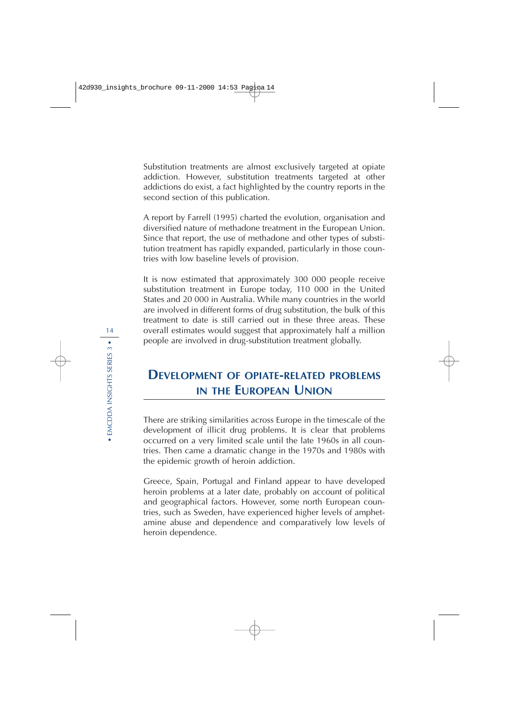Substitution treatments are almost exclusively targeted at opiate addiction. However, substitution treatments targeted at other addictions do exist, a fact highlighted by the country reports in the second section of this publication.

A report by Farrell (1995) charted the evolution, organisation and diversified nature of methadone treatment in the European Union. Since that report, the use of methadone and other types of substitution treatment has rapidly expanded, particularly in those countries with low baseline levels of provision.

It is now estimated that approximately 300 000 people receive substitution treatment in Europe today, 110 000 in the United States and 20 000 in Australia. While many countries in the world are involved in different forms of drug substitution, the bulk of this treatment to date is still carried out in these three areas. These overall estimates would suggest that approximately half a million people are involved in drug-substitution treatment globally.

# **DEVELOPMENT OF OPIATE-RELATED PROBLEMS IN THE EUROPEAN UNION**

There are striking similarities across Europe in the timescale of the development of illicit drug problems. It is clear that problems occurred on a very limited scale until the late 1960s in all countries. Then came a dramatic change in the 1970s and 1980s with the epidemic growth of heroin addiction.

Greece, Spain, Portugal and Finland appear to have developed heroin problems at a later date, probably on account of political and geographical factors. However, some north European countries, such as Sweden, have experienced higher levels of amphetamine abuse and dependence and comparatively low levels of heroin dependence.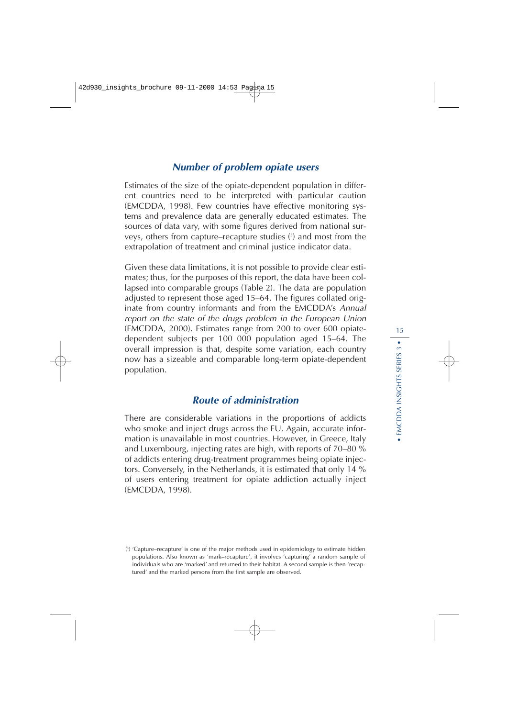# **Number of problem opiate users**

Estimates of the size of the opiate-dependent population in different countries need to be interpreted with particular caution (EMCDDA, 1998). Few countries have effective monitoring systems and prevalence data are generally educated estimates. The sources of data vary, with some figures derived from national surveys, others from capture–recapture studies ( 3 ) and most from the extrapolation of treatment and criminal justice indicator data.

Given these data limitations, it is not possible to provide clear estimates; thus, for the purposes of this report, the data have been collapsed into comparable groups (Table 2). The data are population adjusted to represent those aged 15–64. The figures collated originate from country informants and from the EMCDDA's Annual report on the state of the drugs problem in the European Union (EMCDDA, 2000). Estimates range from 200 to over 600 opiatedependent subjects per 100 000 population aged 15–64. The overall impression is that, despite some variation, each country now has a sizeable and comparable long-term opiate-dependent population.

## **Route of administration**

There are considerable variations in the proportions of addicts who smoke and inject drugs across the EU. Again, accurate information is unavailable in most countries. However, in Greece, Italy and Luxembourg, injecting rates are high, with reports of 70–80 % of addicts entering drug-treatment programmes being opiate injectors. Conversely, in the Netherlands, it is estimated that only 14 % of users entering treatment for opiate addiction actually inject (EMCDDA, 1998).

<sup>(</sup> 3 ) 'Capture–recapture' is one of the major methods used in epidemiology to estimate hidden populations. Also known as 'mark–recapture', it involves 'capturing' a random sample of individuals who are 'marked' and returned to their habitat. A second sample is then 'recaptured' and the marked persons from the first sample are observed.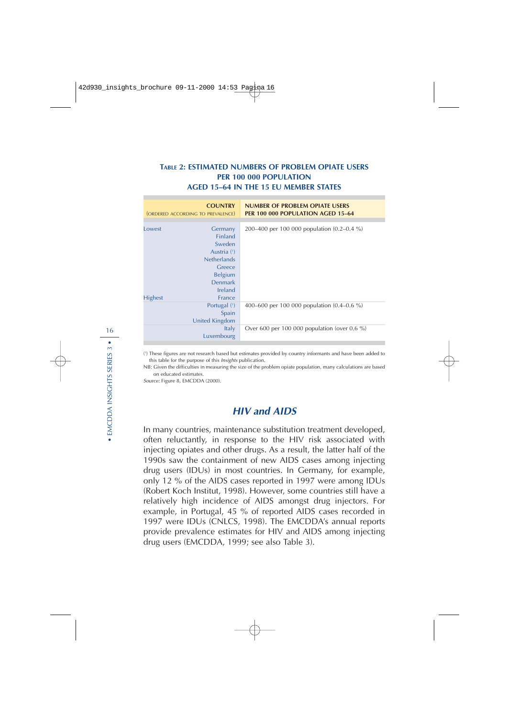### **TABLE 2: ESTIMATED NUMBERS OF PROBLEM OPIATE USERS PER 100 000 POPULATION AGED 15–64 IN THE 15 EU MEMBER STATES**

|                | <b>COUNTRY</b><br>(ORDERED ACCORDING TO PREVALENCE) | <b>NUMBER OF PROBLEM OPIATE USERS</b><br>PER 100 000 POPULATION AGED 15-64 |
|----------------|-----------------------------------------------------|----------------------------------------------------------------------------|
|                |                                                     |                                                                            |
| Lowest         | Germany                                             | 200–400 per 100 000 population (0.2–0.4 %)                                 |
|                | <b>Finland</b>                                      |                                                                            |
|                | Sweden                                              |                                                                            |
|                | Austria (1)                                         |                                                                            |
|                | <b>Netherlands</b>                                  |                                                                            |
|                | Greece                                              |                                                                            |
|                | <b>Belgium</b>                                      |                                                                            |
|                | <b>Denmark</b>                                      |                                                                            |
|                | Ireland                                             |                                                                            |
| <b>Highest</b> | France                                              |                                                                            |
|                | Portugal (1)                                        | 400–600 per 100 000 population (0.4–0.6 %)                                 |
|                | Spain                                               |                                                                            |
|                | United Kingdom                                      |                                                                            |
|                | Italy                                               | Over 600 per 100 000 population (over 0.6 %)                               |
|                | Luxembourg                                          |                                                                            |
|                |                                                     |                                                                            |

( 1 ) These figures are not research based but estimates provided by country informants and have been added to this table for the purpose of this Insights publication.

NB: Given the difficulties in measuring the size of the problem opiate population, many calculations are based on educated estimates.

Source: Figure 8, EMCDDA (2000).

## **HIV and AIDS**

In many countries, maintenance substitution treatment developed, often reluctantly, in response to the HIV risk associated with injecting opiates and other drugs. As a result, the latter half of the 1990s saw the containment of new AIDS cases among injecting drug users (IDUs) in most countries. In Germany, for example, only 12 % of the AIDS cases reported in 1997 were among IDUs (Robert Koch Institut, 1998). However, some countries still have a relatively high incidence of AIDS amongst drug injectors. For example, in Portugal, 45 % of reported AIDS cases recorded in 1997 were IDUs (CNLCS, 1998). The EMCDDA's annual reports provide prevalence estimates for HIV and AIDS among injecting drug users (EMCDDA, 1999; see also Table 3).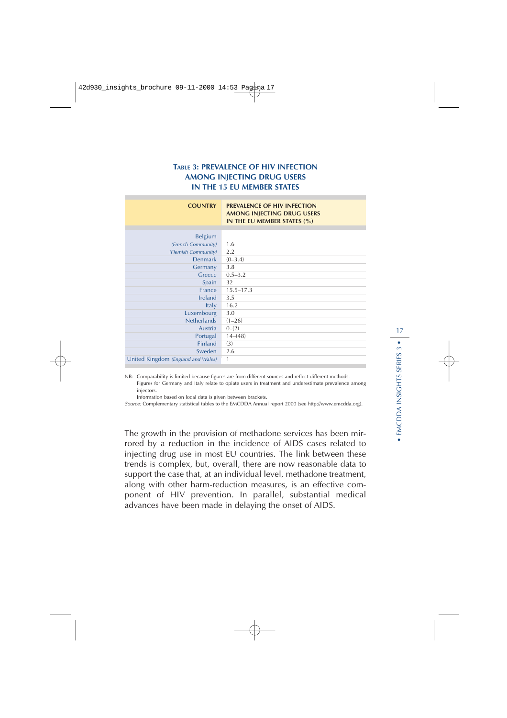### **TABLE 3: PREVALENCE OF HIV INFECTION AMONG INJECTING DRUG USERS IN THE 15 EU MEMBER STATES**

| <b>COUNTRY</b>                     | <b>PREVALENCE OF HIV INFECTION</b><br>AMONG INJECTING DRUG USERS<br>IN THE EU MEMBER STATES (%) |
|------------------------------------|-------------------------------------------------------------------------------------------------|
|                                    |                                                                                                 |
| <b>Belgium</b>                     |                                                                                                 |
| (French Community)                 | 1.6                                                                                             |
| (Flemish Community)                | 2.2                                                                                             |
| <b>Denmark</b>                     | $(0-3.4)$                                                                                       |
| Germany                            | 3.8                                                                                             |
| Greece                             | $0.5 - 3.2$                                                                                     |
| Spain                              | 32                                                                                              |
| France                             | $15.5 - 17.3$                                                                                   |
| <b>Ireland</b>                     | 3.5                                                                                             |
| <b>Italy</b>                       | 16.2                                                                                            |
| Luxembourg                         | 3.0                                                                                             |
| <b>Netherlands</b>                 | $(1 - 26)$                                                                                      |
| Austria                            | $0-(2)$                                                                                         |
| Portugal                           | $14-(48)$                                                                                       |
| <b>Finland</b>                     | (3)                                                                                             |
| Sweden                             | 2.6                                                                                             |
| United Kingdom (England and Wales) | 1                                                                                               |

NB: Comparability is limited because figures are from different sources and reflect different methods. Figures for Germany and Italy relate to opiate users in treatment and underestimate prevalence among injectors.

Information based on local data is given between brackets.

Source: Complementary statistical tables to the EMCDDA Annual report 2000 (see http://www.emcdda.org).

The growth in the provision of methadone services has been mirrored by a reduction in the incidence of AIDS cases related to injecting drug use in most EU countries. The link between these trends is complex, but, overall, there are now reasonable data to support the case that, at an individual level, methadone treatment, along with other harm-reduction measures, is an effective component of HIV prevention. In parallel, substantial medical advances have been made in delaying the onset of AIDS.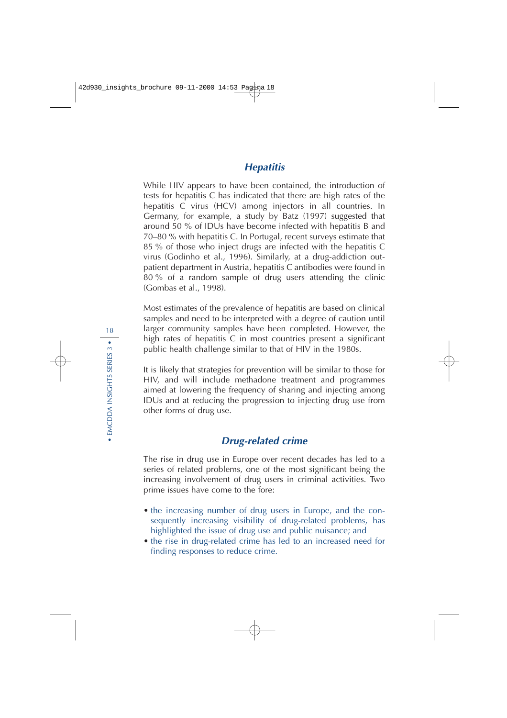# **Hepatitis**

While HIV appears to have been contained, the introduction of tests for hepatitis C has indicated that there are high rates of the hepatitis C virus (HCV) among injectors in all countries. In Germany, for example, a study by Batz (1997) suggested that around 50 % of IDUs have become infected with hepatitis B and 70–80 % with hepatitis C. In Portugal, recent surveys estimate that 85 % of those who inject drugs are infected with the hepatitis C virus (Godinho et al., 1996). Similarly, at a drug-addiction outpatient department in Austria, hepatitis C antibodies were found in 80 % of a random sample of drug users attending the clinic (Gombas et al., 1998).

Most estimates of the prevalence of hepatitis are based on clinical samples and need to be interpreted with a degree of caution until larger community samples have been completed. However, the high rates of hepatitis C in most countries present a significant public health challenge similar to that of HIV in the 1980s.

It is likely that strategies for prevention will be similar to those for HIV, and will include methadone treatment and programmes aimed at lowering the frequency of sharing and injecting among IDUs and at reducing the progression to injecting drug use from other forms of drug use.

# **Drug-related crime**

The rise in drug use in Europe over recent decades has led to a series of related problems, one of the most significant being the increasing involvement of drug users in criminal activities. Two prime issues have come to the fore:

- the increasing number of drug users in Europe, and the consequently increasing visibility of drug-related problems, has highlighted the issue of drug use and public nuisance; and
- the rise in drug-related crime has led to an increased need for finding responses to reduce crime.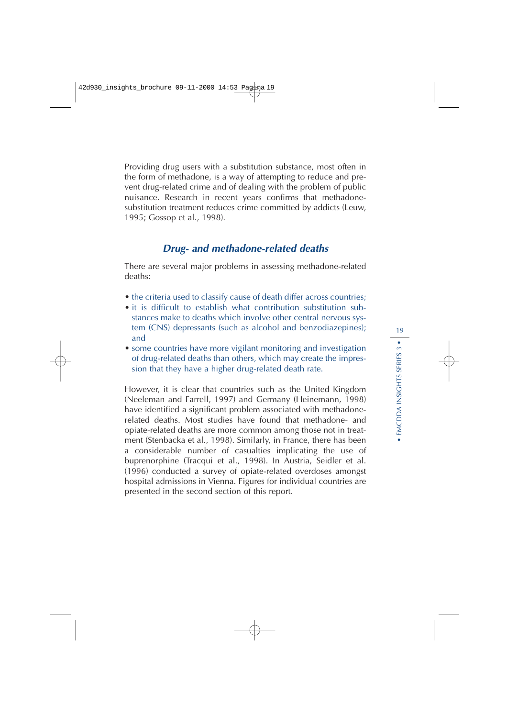Providing drug users with a substitution substance, most often in the form of methadone, is a way of attempting to reduce and prevent drug-related crime and of dealing with the problem of public nuisance. Research in recent years confirms that methadonesubstitution treatment reduces crime committed by addicts (Leuw, 1995; Gossop et al., 1998).

## **Drug- and methadone-related deaths**

There are several major problems in assessing methadone-related deaths:

- the criteria used to classify cause of death differ across countries;
- it is difficult to establish what contribution substitution substances make to deaths which involve other central nervous system (CNS) depressants (such as alcohol and benzodiazepines); and
- some countries have more vigilant monitoring and investigation of drug-related deaths than others, which may create the impression that they have a higher drug-related death rate.

However, it is clear that countries such as the United Kingdom (Neeleman and Farrell, 1997) and Germany (Heinemann, 1998) have identified a significant problem associated with methadonerelated deaths. Most studies have found that methadone- and opiate-related deaths are more common among those not in treatment (Stenbacka et al., 1998). Similarly, in France, there has been a considerable number of casualties implicating the use of buprenorphine (Tracqui et al., 1998). In Austria, Seidler et al. (1996) conducted a survey of opiate-related overdoses amongst hospital admissions in Vienna. Figures for individual countries are presented in the second section of this report.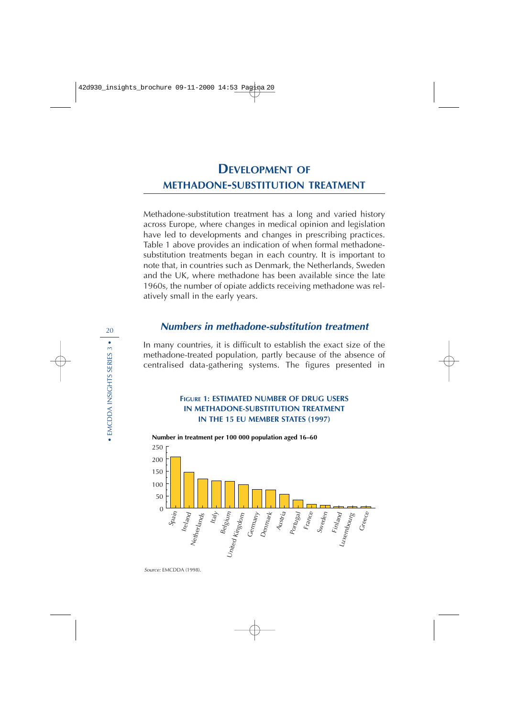# **DEVELOPMENT OF METHADONE-SUBSTITUTION TREATMENT**

Methadone-substitution treatment has a long and varied history across Europe, where changes in medical opinion and legislation have led to developments and changes in prescribing practices. Table 1 above provides an indication of when formal methadonesubstitution treatments began in each country. It is important to note that, in countries such as Denmark, the Netherlands, Sweden and the UK, where methadone has been available since the late 1960s, the number of opiate addicts receiving methadone was relatively small in the early years.

## **Numbers in methadone-substitution treatment**

In many countries, it is difficult to establish the exact size of the methadone-treated population, partly because of the absence of centralised data-gathering systems. The figures presented in

### **FIGURE 1: ESTIMATED NUMBER OF DRUG USERS IN METHADONE-SUBSTITUTION TREATMENT IN THE 15 EU MEMBER STATES (1997)**

**Number in treatment per 100 000 population aged 16–60**



Source: EMCDDA (1998).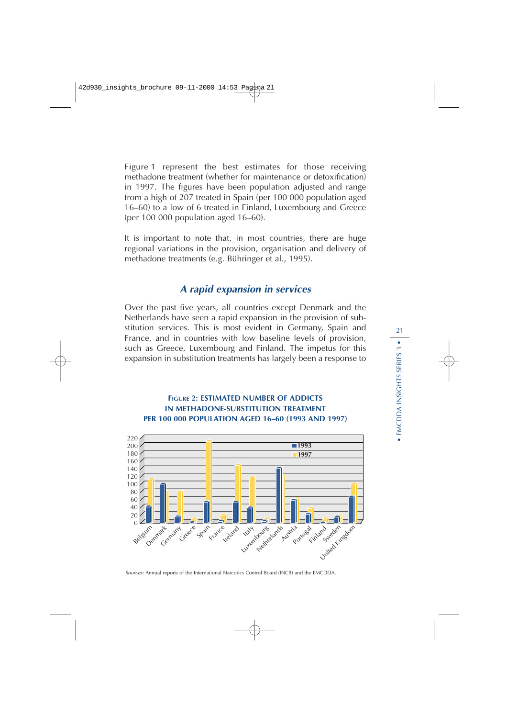Figure 1 represent the best estimates for those receiving methadone treatment (whether for maintenance or detoxification) in 1997. The figures have been population adjusted and range from a high of 207 treated in Spain (per 100 000 population aged 16–60) to a low of 6 treated in Finland, Luxembourg and Greece (per 100 000 population aged 16–60).

It is important to note that, in most countries, there are huge regional variations in the provision, organisation and delivery of methadone treatments (e.g. Bühringer et al., 1995).

# **<sup>A</sup> rapid expansion in services**

Over the past five years, all countries except Denmark and the Netherlands have seen a rapid expansion in the provision of substitution services. This is most evident in Germany, Spain and France, and in countries with low baseline levels of provision, such as Greece, Luxembourg and Finland. The impetus for this expansion in substitution treatments has largely been a response to

## **FIGURE 2: ESTIMATED NUMBER OF ADDICTS IN METHADONE-SUBSTITUTION TREATMENT PER 100 000 POPULATION AGED 16–60 (1993 AND 1997)**



Sources: Annual reports of the International Narcotics Control Board (INCB) and the EMCDDA.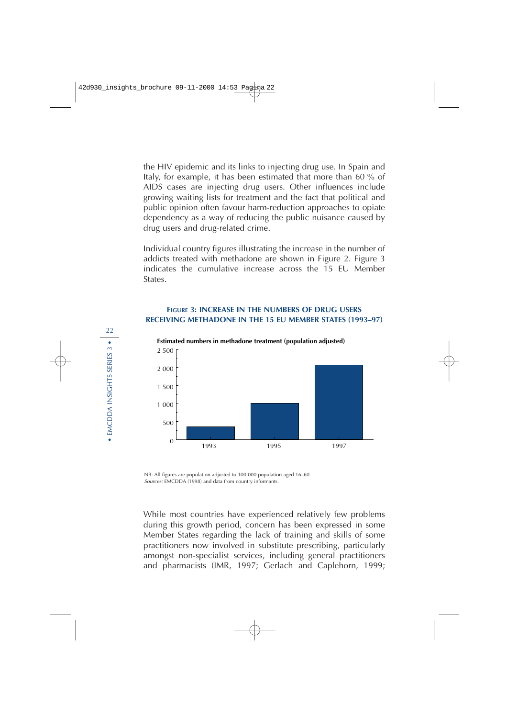the HIV epidemic and its links to injecting drug use. In Spain and Italy, for example, it has been estimated that more than 60 % of AIDS cases are injecting drug users. Other influences include growing waiting lists for treatment and the fact that political and public opinion often favour harm-reduction approaches to opiate dependency as a way of reducing the public nuisance caused by drug users and drug-related crime.

Individual country figures illustrating the increase in the number of addicts treated with methadone are shown in Figure 2. Figure 3 indicates the cumulative increase across the 15 EU Member States.

### **FIGURE 3: INCREASE IN THE NUMBERS OF DRUG USERS RECEIVING METHADONE IN THE 15 EU MEMBER STATES (1993–97)**



**Estimated numbers in methadone treatment (population adjusted)**

NB: All figures are population adjusted to 100 000 population aged 16–60. Sources: EMCDDA (1998) and data from country informants.

While most countries have experienced relatively few problems during this growth period, concern has been expressed in some Member States regarding the lack of training and skills of some practitioners now involved in substitute prescribing, particularly amongst non-specialist services, including general practitioners and pharmacists (IMR, 1997; Gerlach and Caplehorn, 1999;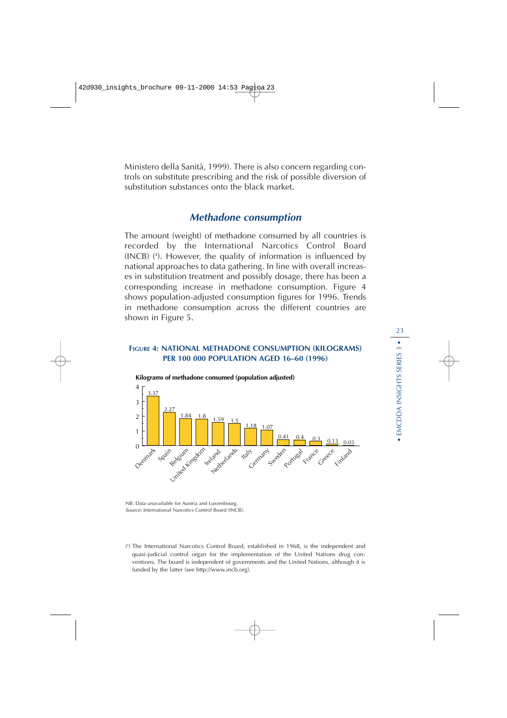Ministero della Sanità, 1999). There is also concern regarding controls on substitute prescribing and the risk of possible diversion of substitution substances onto the black market.

## **Methadone consumption**

The amount (weight) of methadone consumed by all countries is recorded by the International Narcotics Control Board (INCB) ( 4 ). However, the quality of information is influenced by national approaches to data gathering. In line with overall increases in substitution treatment and possibly dosage, there has been a corresponding increase in methadone consumption. Figure 4 shows population-adjusted consumption figures for 1996. Trends in methadone consumption across the different countries are shown in Figure 5.

#### **FIGURE 4: NATIONAL METHADONE CONSUMPTION (KILOGRAMS) PER 100 000 POPULATION AGED 16–60 (1996)**



**Kilograms of methadone consumed (population adjusted)**

NB: Data unavailable for Austria and Luxembourg. Source: International Narcotics Control Board (INCB).

( 4 ) The International Narcotics Control Board, established in 1968, is the independent and quasi-judicial control organ for the implementation of the United Nations drug conventions. The board is independent of governments and the United Nations, although it is funded by the latter (see http://www.incb.org).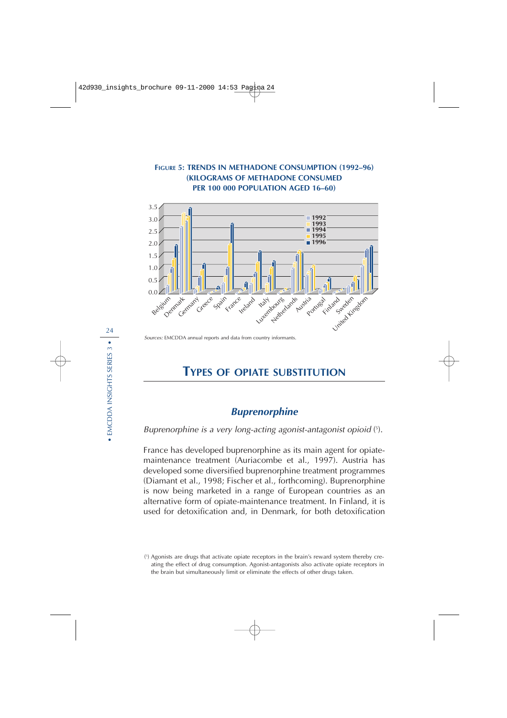

Sources: EMCDDA annual reports and data from country informants.

# **TYPES OF OPIATE SUBSTITUTION**

## **Buprenorphine**

Buprenorphine is a very long-acting agonist-antagonist opioid ( 5 ).

France has developed buprenorphine as its main agent for opiatemaintenance treatment (Auriacombe et al., 1997). Austria has developed some diversified buprenorphine treatment programmes (Diamant et al., 1998; Fischer et al., forthcoming). Buprenorphine is now being marketed in a range of European countries as an alternative form of opiate-maintenance treatment. In Finland, it is used for detoxification and, in Denmark, for both detoxification

<sup>(</sup> 5 ) Agonists are drugs that activate opiate receptors in the brain's reward system thereby creating the effect of drug consumption. Agonist-antagonists also activate opiate receptors in the brain but simultaneously limit or eliminate the effects of other drugs taken.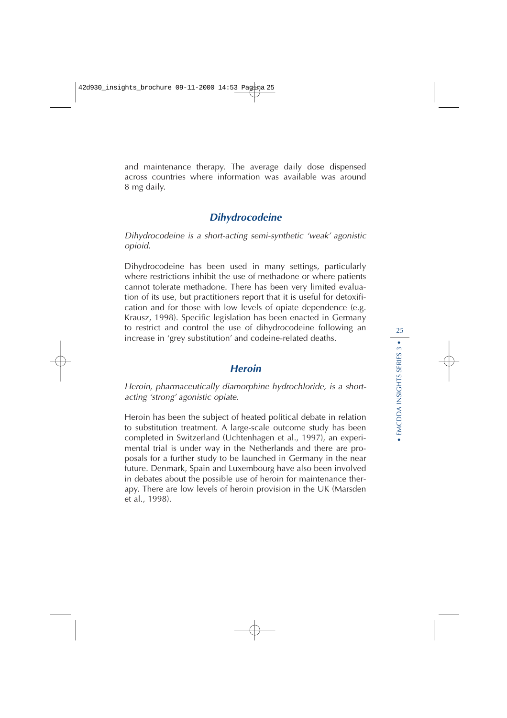and maintenance therapy. The average daily dose dispensed across countries where information was available was around 8 mg daily.

## **Dihydrocodeine**

Dihydrocodeine is a short-acting semi-synthetic 'weak' agonistic opioid.

Dihydrocodeine has been used in many settings, particularly where restrictions inhibit the use of methadone or where patients cannot tolerate methadone. There has been very limited evaluation of its use, but practitioners report that it is useful for detoxification and for those with low levels of opiate dependence (e.g. Krausz, 1998). Specific legislation has been enacted in Germany to restrict and control the use of dihydrocodeine following an increase in 'grey substitution' and codeine-related deaths.

## **Heroin**

Heroin, pharmaceutically diamorphine hydrochloride, is a shortacting 'strong' agonistic opiate.

Heroin has been the subject of heated political debate in relation to substitution treatment. A large-scale outcome study has been completed in Switzerland (Uchtenhagen et al., 1997), an experimental trial is under way in the Netherlands and there are proposals for a further study to be launched in Germany in the near future. Denmark, Spain and Luxembourg have also been involved in debates about the possible use of heroin for maintenance therapy. There are low levels of heroin provision in the UK (Marsden et al., 1998).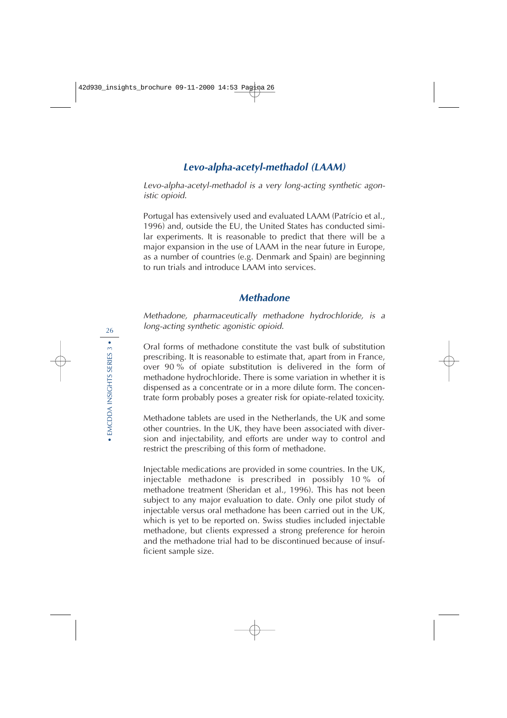# **Levo-alpha-acetyl-methadol (LAAM)**

Levo-alpha-acetyl-methadol is a very long-acting synthetic agonistic opioid.

Portugal has extensively used and evaluated LAAM (Patrício et al., 1996) and, outside the EU, the United States has conducted similar experiments. It is reasonable to predict that there will be a major expansion in the use of LAAM in the near future in Europe, as a number of countries (e.g. Denmark and Spain) are beginning to run trials and introduce LAAM into services.

## **Methadone**

Methadone, pharmaceutically methadone hydrochloride, is a long-acting synthetic agonistic opioid.

Oral forms of methadone constitute the vast bulk of substitution prescribing. It is reasonable to estimate that, apart from in France, over 90 % of opiate substitution is delivered in the form of methadone hydrochloride. There is some variation in whether it is dispensed as a concentrate or in a more dilute form. The concentrate form probably poses a greater risk for opiate-related toxicity.

Methadone tablets are used in the Netherlands, the UK and some other countries. In the UK, they have been associated with diversion and injectability, and efforts are under way to control and restrict the prescribing of this form of methadone.

Injectable medications are provided in some countries. In the UK, injectable methadone is prescribed in possibly 10 % of methadone treatment (Sheridan et al., 1996). This has not been subject to any major evaluation to date. Only one pilot study of injectable versus oral methadone has been carried out in the UK, which is yet to be reported on. Swiss studies included injectable methadone, but clients expressed a strong preference for heroin and the methadone trial had to be discontinued because of insufficient sample size.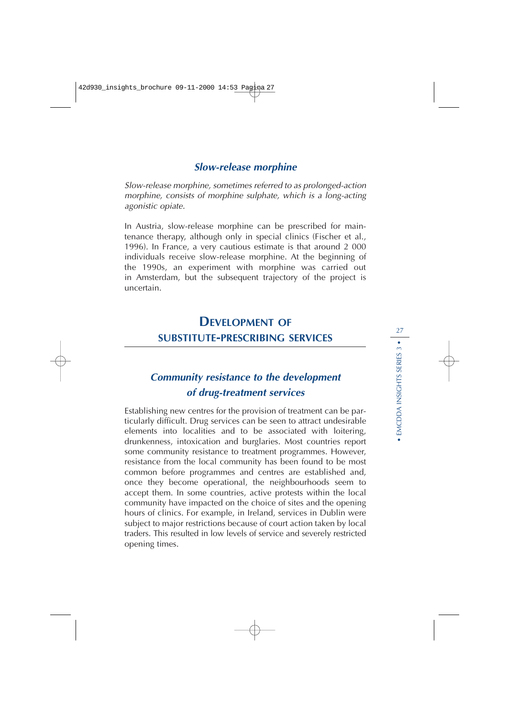# **Slow-release morphine**

Slow-release morphine, sometimes referred to as prolonged-action morphine, consists of morphine sulphate, which is a long-acting agonistic opiate.

In Austria, slow-release morphine can be prescribed for maintenance therapy, although only in special clinics (Fischer et al., 1996). In France, a very cautious estimate is that around 2 000 individuals receive slow-release morphine. At the beginning of the 1990s, an experiment with morphine was carried out in Amsterdam, but the subsequent trajectory of the project is uncertain.

# **DEVELOPMENT OF SUBSTITUTE-PRESCRIBING SERVICES**

# **Community resistance to the development of drug-treatment services**

Establishing new centres for the provision of treatment can be particularly difficult. Drug services can be seen to attract undesirable elements into localities and to be associated with loitering, drunkenness, intoxication and burglaries. Most countries report some community resistance to treatment programmes. However, resistance from the local community has been found to be most common before programmes and centres are established and, once they become operational, the neighbourhoods seem to accept them. In some countries, active protests within the local community have impacted on the choice of sites and the opening hours of clinics. For example, in Ireland, services in Dublin were subject to major restrictions because of court action taken by local traders. This resulted in low levels of service and severely restricted opening times.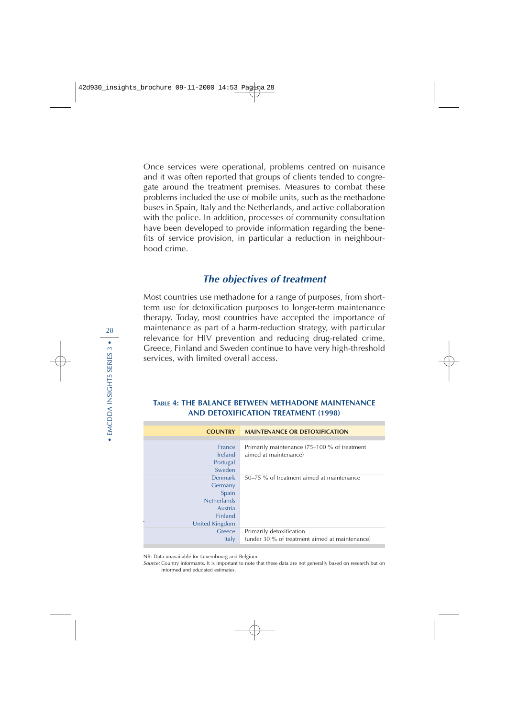Once services were operational, problems centred on nuisance and it was often reported that groups of clients tended to congregate around the treatment premises. Measures to combat these problems included the use of mobile units, such as the methadone buses in Spain, Italy and the Netherlands, and active collaboration with the police. In addition, processes of community consultation have been developed to provide information regarding the benefits of service provision, in particular a reduction in neighbourhood crime.

# **The objectives of treatment**

Most countries use methadone for a range of purposes, from shortterm use for detoxification purposes to longer-term maintenance therapy. Today, most countries have accepted the importance of maintenance as part of a harm-reduction strategy, with particular relevance for HIV prevention and reducing drug-related crime. Greece, Finland and Sweden continue to have very high-threshold services, with limited overall access.

#### **TABLE 4: THE BALANCE BETWEEN METHADONE MAINTENANCE AND DETOXIFICATION TREATMENT (1998)**

| <b>COUNTRY</b>     | <b>MAINTENANCE OR DETOXIFICATION</b>           |
|--------------------|------------------------------------------------|
|                    |                                                |
| France             | Primarily maintenance (75–100 % of treatment   |
| Ireland            | aimed at maintenance)                          |
| Portugal           |                                                |
| Sweden             |                                                |
| <b>Denmark</b>     | 50–75 % of treatment aimed at maintenance      |
| Germany            |                                                |
| Spain              |                                                |
| <b>Netherlands</b> |                                                |
| Austria            |                                                |
| <b>Finland</b>     |                                                |
| United Kingdom     |                                                |
| Greece             | Primarily detoxification                       |
| <b>Italy</b>       | (under 30 % of treatment aimed at maintenance) |
|                    |                                                |

NB: Data unavailable for Luxembourg and Belgium.

Source: Country informants. It is important to note that these data are not generally based on research but on informed and educated estimates.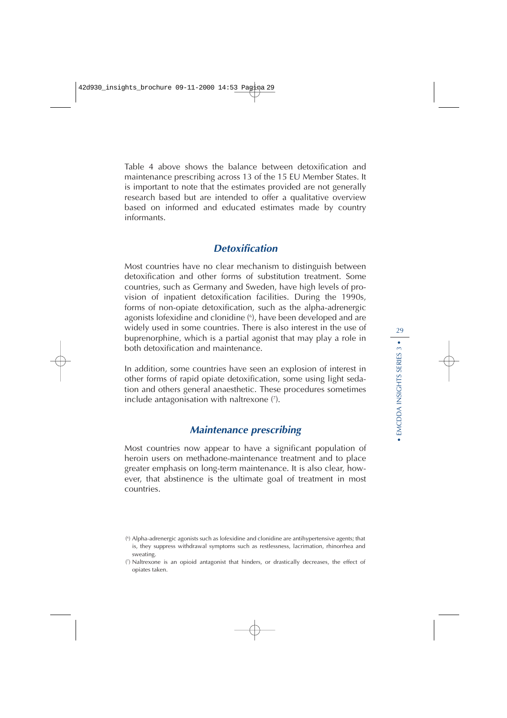Table 4 above shows the balance between detoxification and maintenance prescribing across 13 of the 15 EU Member States. It is important to note that the estimates provided are not generally research based but are intended to offer a qualitative overview based on informed and educated estimates made by country informants.

# **Detoxification**

Most countries have no clear mechanism to distinguish between detoxification and other forms of substitution treatment. Some countries, such as Germany and Sweden, have high levels of provision of inpatient detoxification facilities. During the 1990s, forms of non-opiate detoxification, such as the alpha-adrenergic agonists lofexidine and clonidine ( 6 ), have been developed and are widely used in some countries. There is also interest in the use of buprenorphine, which is a partial agonist that may play a role in both detoxification and maintenance.

In addition, some countries have seen an explosion of interest in other forms of rapid opiate detoxification, some using light sedation and others general anaesthetic. These procedures sometimes include antagonisation with naltrexone ( 7 ).

# **Maintenance prescribing**

Most countries now appear to have a significant population of heroin users on methadone-maintenance treatment and to place greater emphasis on long-term maintenance. It is also clear, however, that abstinence is the ultimate goal of treatment in most countries.

<sup>(</sup> 6 ) Alpha-adrenergic agonists such as lofexidine and clonidine are antihypertensive agents; that is, they suppress withdrawal symptoms such as restlessness, lacrimation, rhinorrhea and sweating.

<sup>(</sup> 7 ) Naltrexone is an opioid antagonist that hinders, or drastically decreases, the effect of opiates taken.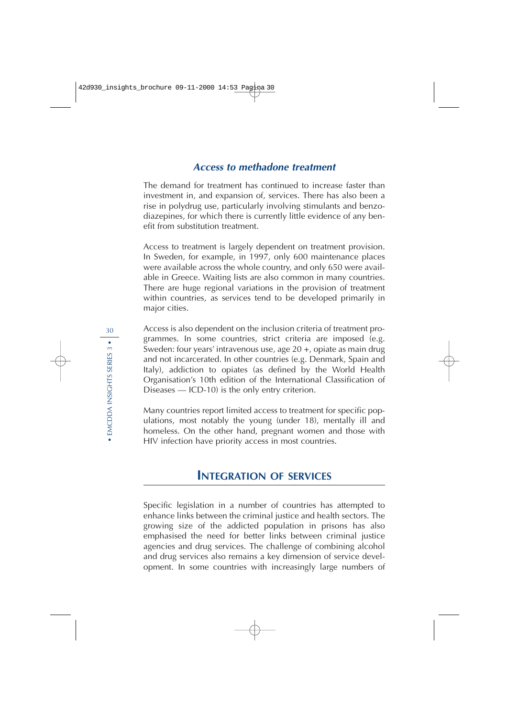## **Access to methadone treatment**

The demand for treatment has continued to increase faster than investment in, and expansion of, services. There has also been a rise in polydrug use, particularly involving stimulants and benzodiazepines, for which there is currently little evidence of any benefit from substitution treatment.

Access to treatment is largely dependent on treatment provision. In Sweden, for example, in 1997, only 600 maintenance places were available across the whole country, and only 650 were available in Greece. Waiting lists are also common in many countries. There are huge regional variations in the provision of treatment within countries, as services tend to be developed primarily in major cities.

Access is also dependent on the inclusion criteria of treatment programmes. In some countries, strict criteria are imposed (e.g. Sweden: four years' intravenous use, age 20 +, opiate as main drug and not incarcerated. In other countries (e.g. Denmark, Spain and Italy), addiction to opiates (as defined by the World Health Organisation's 10th edition of the International Classification of Diseases — ICD-10) is the only entry criterion.

Many countries report limited access to treatment for specific populations, most notably the young (under 18), mentally ill and homeless. On the other hand, pregnant women and those with HIV infection have priority access in most countries.

# **INTEGRATION OF SERVICES**

Specific legislation in a number of countries has attempted to enhance links between the criminal justice and health sectors. The growing size of the addicted population in prisons has also emphasised the need for better links between criminal justice agencies and drug services. The challenge of combining alcohol and drug services also remains a key dimension of service development. In some countries with increasingly large numbers of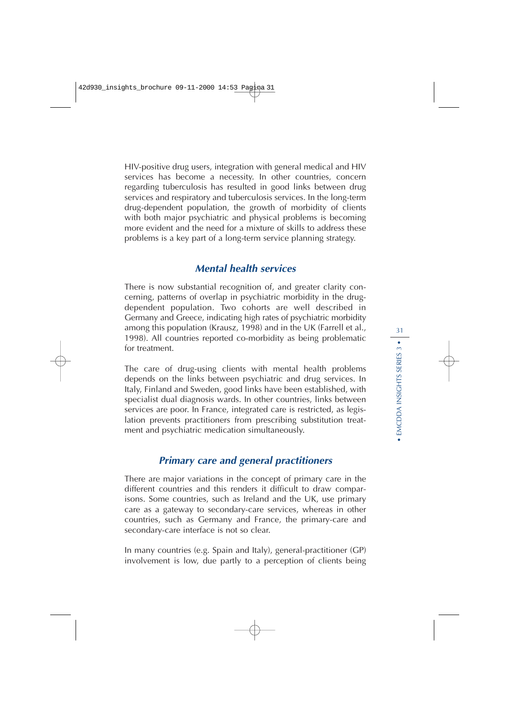HIV-positive drug users, integration with general medical and HIV services has become a necessity. In other countries, concern regarding tuberculosis has resulted in good links between drug services and respiratory and tuberculosis services. In the long-term drug-dependent population, the growth of morbidity of clients with both major psychiatric and physical problems is becoming more evident and the need for a mixture of skills to address these problems is a key part of a long-term service planning strategy.

## **Mental health services**

There is now substantial recognition of, and greater clarity concerning, patterns of overlap in psychiatric morbidity in the drugdependent population. Two cohorts are well described in Germany and Greece, indicating high rates of psychiatric morbidity among this population (Krausz, 1998) and in the UK (Farrell et al., 1998). All countries reported co-morbidity as being problematic for treatment.

The care of drug-using clients with mental health problems depends on the links between psychiatric and drug services. In Italy, Finland and Sweden, good links have been established, with specialist dual diagnosis wards. In other countries, links between services are poor. In France, integrated care is restricted, as legislation prevents practitioners from prescribing substitution treatment and psychiatric medication simultaneously.

# **Primary care and general practitioners**

There are major variations in the concept of primary care in the different countries and this renders it difficult to draw comparisons. Some countries, such as Ireland and the UK, use primary care as a gateway to secondary-care services, whereas in other countries, such as Germany and France, the primary-care and secondary-care interface is not so clear.

In many countries (e.g. Spain and Italy), general-practitioner (GP) involvement is low, due partly to a perception of clients being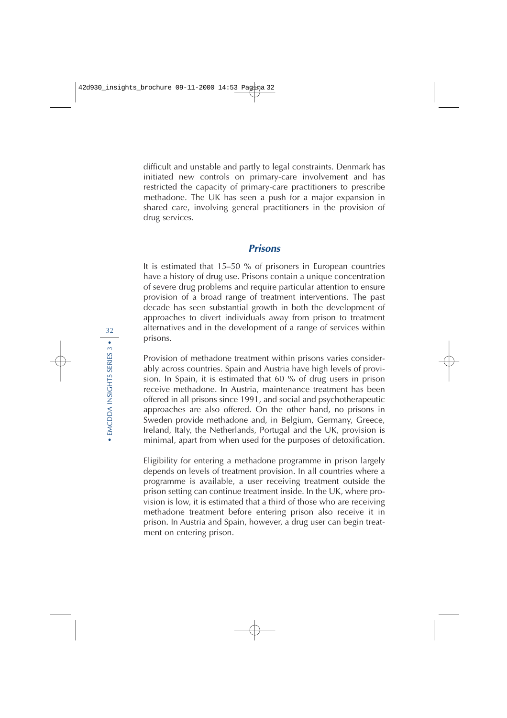difficult and unstable and partly to legal constraints. Denmark has initiated new controls on primary-care involvement and has restricted the capacity of primary-care practitioners to prescribe methadone. The UK has seen a push for a major expansion in shared care, involving general practitioners in the provision of drug services.

## **Prisons**

It is estimated that 15–50 % of prisoners in European countries have a history of drug use. Prisons contain a unique concentration of severe drug problems and require particular attention to ensure provision of a broad range of treatment interventions. The past decade has seen substantial growth in both the development of approaches to divert individuals away from prison to treatment alternatives and in the development of a range of services within prisons.

Provision of methadone treatment within prisons varies considerably across countries. Spain and Austria have high levels of provision. In Spain, it is estimated that 60 % of drug users in prison receive methadone. In Austria, maintenance treatment has been offered in all prisons since 1991, and social and psychotherapeutic approaches are also offered. On the other hand, no prisons in Sweden provide methadone and, in Belgium, Germany, Greece, Ireland, Italy, the Netherlands, Portugal and the UK, provision is minimal, apart from when used for the purposes of detoxification.

Eligibility for entering a methadone programme in prison largely depends on levels of treatment provision. In all countries where a programme is available, a user receiving treatment outside the prison setting can continue treatment inside. In the UK, where provision is low, it is estimated that a third of those who are receiving methadone treatment before entering prison also receive it in prison. In Austria and Spain, however, a drug user can begin treatment on entering prison.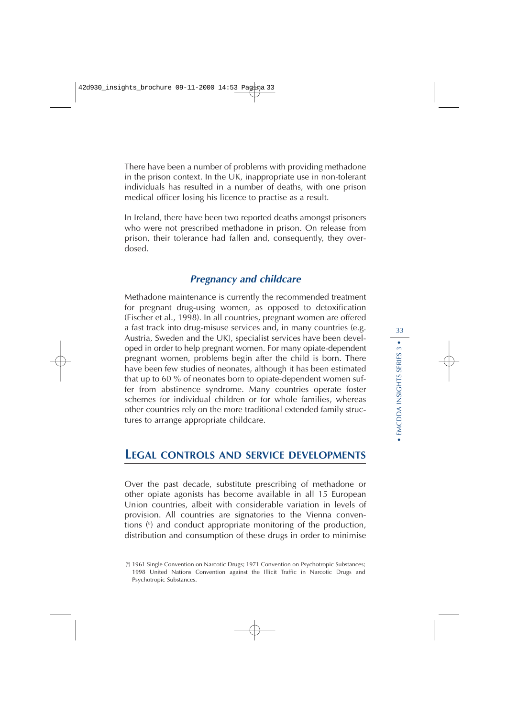There have been a number of problems with providing methadone in the prison context. In the UK, inappropriate use in non-tolerant individuals has resulted in a number of deaths, with one prison medical officer losing his licence to practise as a result.

In Ireland, there have been two reported deaths amongst prisoners who were not prescribed methadone in prison. On release from prison, their tolerance had fallen and, consequently, they overdosed.

## **Pregnancy and childcare**

Methadone maintenance is currently the recommended treatment for pregnant drug-using women, as opposed to detoxification (Fischer et al., 1998). In all countries, pregnant women are offered a fast track into drug-misuse services and, in many countries (e.g. Austria, Sweden and the UK), specialist services have been developed in order to help pregnant women. For many opiate-dependent pregnant women, problems begin after the child is born. There have been few studies of neonates, although it has been estimated that up to 60 % of neonates born to opiate-dependent women suffer from abstinence syndrome. Many countries operate foster schemes for individual children or for whole families, whereas other countries rely on the more traditional extended family structures to arrange appropriate childcare.

# **LEGAL CONTROLS AND SERVICE DEVELOPMENTS**

Over the past decade, substitute prescribing of methadone or other opiate agonists has become available in all 15 European Union countries, albeit with considerable variation in levels of provision. All countries are signatories to the Vienna conventions ( 8 ) and conduct appropriate monitoring of the production, distribution and consumption of these drugs in order to minimise

<sup>(</sup> 8 ) 1961 Single Convention on Narcotic Drugs; 1971 Convention on Psychotropic Substances; 1998 United Nations Convention against the Illicit Traffic in Narcotic Drugs and Psychotropic Substances.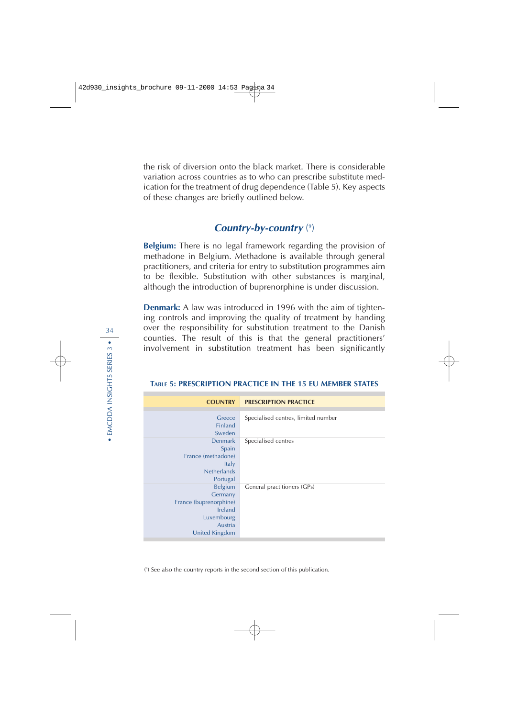the risk of diversion onto the black market. There is considerable variation across countries as to who can prescribe substitute medication for the treatment of drug dependence (Table 5). Key aspects of these changes are briefly outlined below.

## **Country-by-country** (9)

**Belgium:** There is no legal framework regarding the provision of methadone in Belgium. Methadone is available through general practitioners, and criteria for entry to substitution programmes aim to be flexible. Substitution with other substances is marginal, although the introduction of buprenorphine is under discussion.

**Denmark:** A law was introduced in 1996 with the aim of tightening controls and improving the quality of treatment by handing over the responsibility for substitution treatment to the Danish counties. The result of this is that the general practitioners' involvement in substitution treatment has been significantly

| <b>COUNTRY</b>                                                                                     | <b>PRESCRIPTION PRACTICE</b>        |
|----------------------------------------------------------------------------------------------------|-------------------------------------|
| Greece<br>Finland<br>Sweden                                                                        | Specialised centres, limited number |
| <b>Denmark</b><br>Spain<br>France (methadone)<br><b>Italy</b><br><b>Netherlands</b><br>Portugal    | Specialised centres                 |
| Belgium<br>Germany<br>France (buprenorphine)<br>Ireland<br>Luxembourg<br>Austria<br>United Kingdom | General practitioners (GPs)         |

#### **TABLE 5: PRESCRIPTION PRACTICE IN THE 15 EU MEMBER STATES**

( 9 ) See also the country reports in the second section of this publication.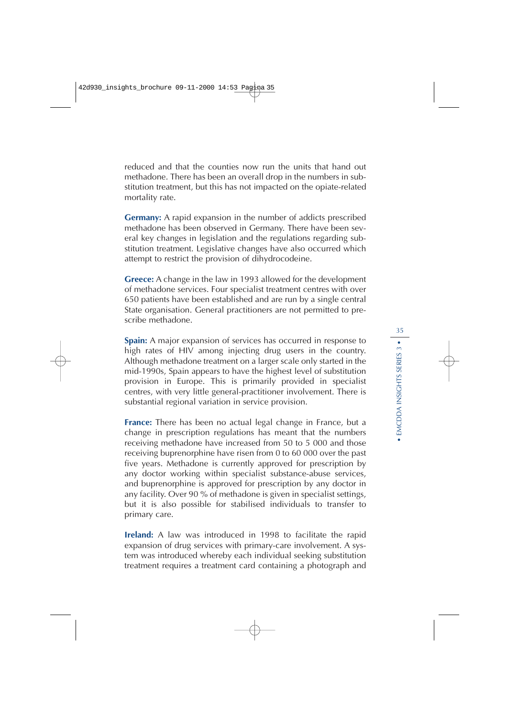reduced and that the counties now run the units that hand out methadone. There has been an overall drop in the numbers in substitution treatment, but this has not impacted on the opiate-related mortality rate.

**Germany:** A rapid expansion in the number of addicts prescribed methadone has been observed in Germany. There have been several key changes in legislation and the regulations regarding substitution treatment. Legislative changes have also occurred which attempt to restrict the provision of dihydrocodeine.

**Greece:** A change in the law in 1993 allowed for the development of methadone services. Four specialist treatment centres with over 650 patients have been established and are run by a single central State organisation. General practitioners are not permitted to prescribe methadone.

**Spain:** A major expansion of services has occurred in response to high rates of HIV among injecting drug users in the country. Although methadone treatment on a larger scale only started in the mid-1990s, Spain appears to have the highest level of substitution provision in Europe. This is primarily provided in specialist centres, with very little general-practitioner involvement. There is substantial regional variation in service provision.

**France:** There has been no actual legal change in France, but a change in prescription regulations has meant that the numbers receiving methadone have increased from 50 to 5 000 and those receiving buprenorphine have risen from 0 to 60 000 over the past five years. Methadone is currently approved for prescription by any doctor working within specialist substance-abuse services, and buprenorphine is approved for prescription by any doctor in any facility. Over 90 % of methadone is given in specialist settings, but it is also possible for stabilised individuals to transfer to primary care.

**Ireland:** A law was introduced in 1998 to facilitate the rapid expansion of drug services with primary-care involvement. A system was introduced whereby each individual seeking substitution treatment requires a treatment card containing a photograph and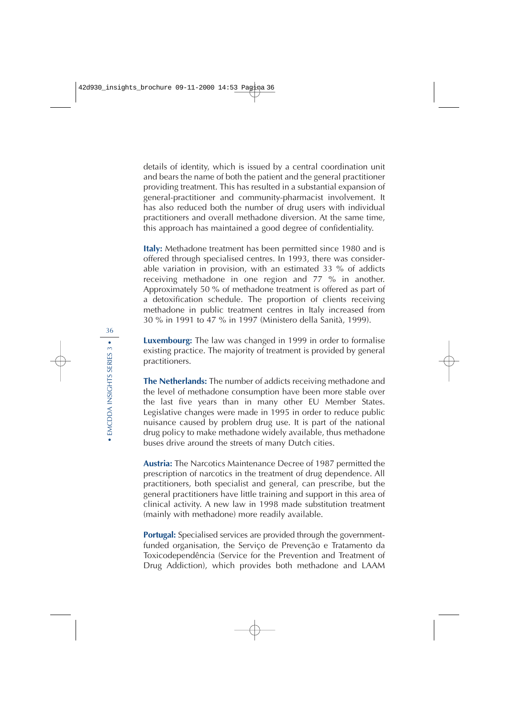details of identity, which is issued by a central coordination unit and bears the name of both the patient and the general practitioner providing treatment. This has resulted in a substantial expansion of general-practitioner and community-pharmacist involvement. It has also reduced both the number of drug users with individual practitioners and overall methadone diversion. At the same time, this approach has maintained a good degree of confidentiality.

**Italy:** Methadone treatment has been permitted since 1980 and is offered through specialised centres. In 1993, there was considerable variation in provision, with an estimated 33 % of addicts receiving methadone in one region and 77 % in another. Approximately 50 % of methadone treatment is offered as part of a detoxification schedule. The proportion of clients receiving methadone in public treatment centres in Italy increased from 30 % in 1991 to 47 % in 1997 (Ministero della Sanità, 1999).

**Luxembourg:** The law was changed in 1999 in order to formalise existing practice. The majority of treatment is provided by general practitioners.

**The Netherlands:** The number of addicts receiving methadone and the level of methadone consumption have been more stable over the last five years than in many other EU Member States. Legislative changes were made in 1995 in order to reduce public nuisance caused by problem drug use. It is part of the national drug policy to make methadone widely available, thus methadone buses drive around the streets of many Dutch cities.

**Austria:** The Narcotics Maintenance Decree of 1987 permitted the prescription of narcotics in the treatment of drug dependence. All practitioners, both specialist and general, can prescribe, but the general practitioners have little training and support in this area of clinical activity. A new law in 1998 made substitution treatment (mainly with methadone) more readily available.

**Portugal:** Specialised services are provided through the governmentfunded organisation, the Serviço de Prevenção e Tratamento da Toxicodependência (Service for the Prevention and Treatment of Drug Addiction), which provides both methadone and LAAM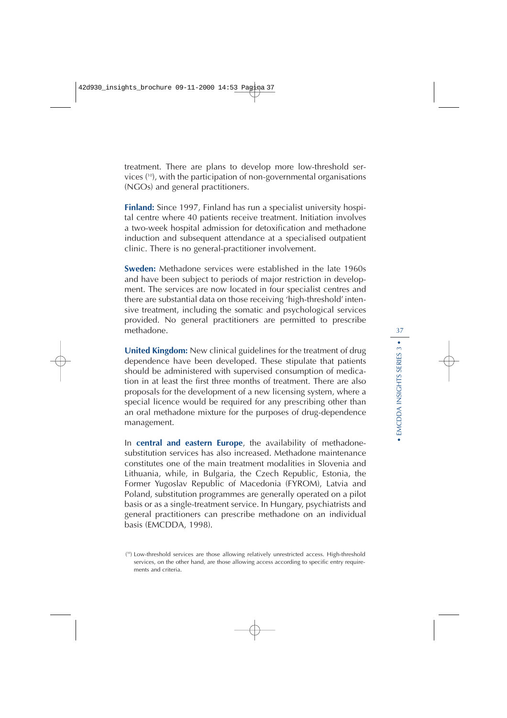treatment. There are plans to develop more low-threshold services ( 10), with the participation of non-governmental organisations (NGOs) and general practitioners.

**Finland:** Since 1997, Finland has run a specialist university hospital centre where 40 patients receive treatment. Initiation involves a two-week hospital admission for detoxification and methadone induction and subsequent attendance at a specialised outpatient clinic. There is no general-practitioner involvement.

**Sweden:** Methadone services were established in the late 1960s and have been subject to periods of major restriction in development. The services are now located in four specialist centres and there are substantial data on those receiving 'high-threshold' intensive treatment, including the somatic and psychological services provided. No general practitioners are permitted to prescribe methadone.

**United Kingdom:** New clinical guidelines for the treatment of drug dependence have been developed. These stipulate that patients should be administered with supervised consumption of medication in at least the first three months of treatment. There are also proposals for the development of a new licensing system, where a special licence would be required for any prescribing other than an oral methadone mixture for the purposes of drug-dependence management.

In **central and eastern Europe**, the availability of methadonesubstitution services has also increased. Methadone maintenance constitutes one of the main treatment modalities in Slovenia and Lithuania, while, in Bulgaria, the Czech Republic, Estonia, the Former Yugoslav Republic of Macedonia (FYROM), Latvia and Poland, substitution programmes are generally operated on a pilot basis or as a single-treatment service. In Hungary, psychiatrists and general practitioners can prescribe methadone on an individual basis (EMCDDA, 1998).

<sup>(&</sup>lt;sup>10</sup>) Low-threshold services are those allowing relatively unrestricted access. High-threshold services, on the other hand, are those allowing access according to specific entry requirements and criteria.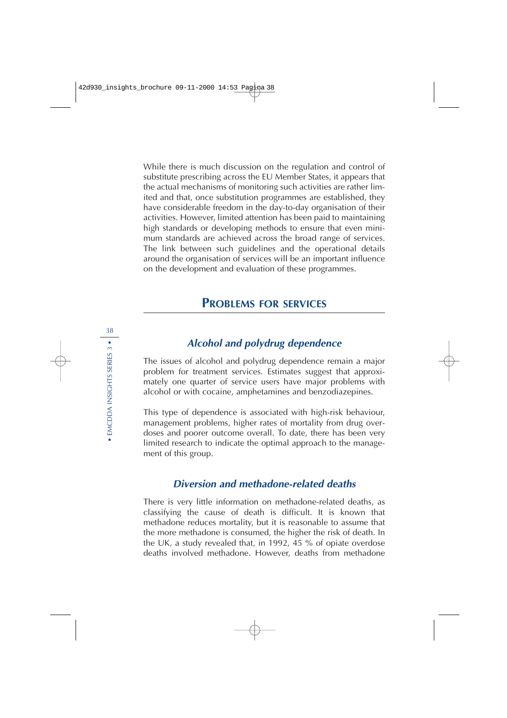While there is much discussion on the regulation and control of substitute prescribing across the EU Member States, it appears that the actual mechanisms of monitoring such activities are rather limited and that, once substitution programmes are established, they have considerable freedom in the day-to-day organisation of their activities. However, limited attention has been paid to maintaining high standards or developing methods to ensure that even minimum standards are achieved across the broad range of services. The link between such guidelines and the operational details around the organisation of services will be an important influence on the development and evaluation of these programmes.

# **PROBLEMS FOR SERVICES**

## **Alcohol and polydrug dependence**

The issues of alcohol and polydrug dependence remain a major problem for treatment services. Estimates suggest that approximately one quarter of service users have major problems with alcohol or with cocaine, amphetamines and benzodiazepines.

This type of dependence is associated with high-risk behaviour, management problems, higher rates of mortality from drug overdoses and poorer outcome overall. To date, there has been very limited research to indicate the optimal approach to the management of this group.

## **Diversion and methadone-related deaths**

There is very little information on methadone-related deaths, as classifying the cause of death is difficult. It is known that methadone reduces mortality, but it is reasonable to assume that the more methadone is consumed, the higher the risk of death. In the UK, a study revealed that, in 1992, 45 % of opiate overdose deaths involved methadone. However, deaths from methadone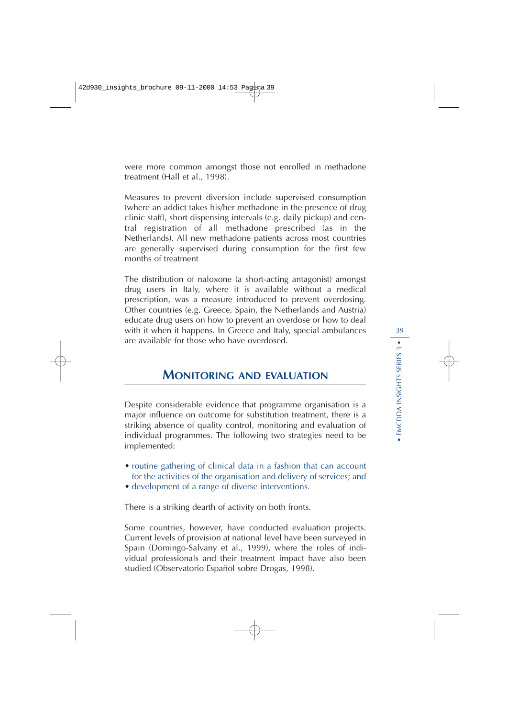were more common amongst those not enrolled in methadone treatment (Hall et al., 1998).

Measures to prevent diversion include supervised consumption (where an addict takes his/her methadone in the presence of drug clinic staff), short dispensing intervals (e.g. daily pickup) and central registration of all methadone prescribed (as in the Netherlands). All new methadone patients across most countries are generally supervised during consumption for the first few months of treatment

The distribution of naloxone (a short-acting antagonist) amongst drug users in Italy, where it is available without a medical prescription, was a measure introduced to prevent overdosing. Other countries (e.g. Greece, Spain, the Netherlands and Austria) educate drug users on how to prevent an overdose or how to deal with it when it happens. In Greece and Italy, special ambulances are available for those who have overdosed.

# **MONITORING AND EVALUATION**

Despite considerable evidence that programme organisation is a major influence on outcome for substitution treatment, there is a striking absence of quality control, monitoring and evaluation of individual programmes. The following two strategies need to be implemented:

- routine gathering of clinical data in a fashion that can account for the activities of the organisation and delivery of services; and
- development of a range of diverse interventions.

There is a striking dearth of activity on both fronts.

Some countries, however, have conducted evaluation projects. Current levels of provision at national level have been surveyed in Spain (Domingo-Salvany et al., 1999), where the roles of individual professionals and their treatment impact have also been studied (Observatorio Español sobre Drogas, 1998).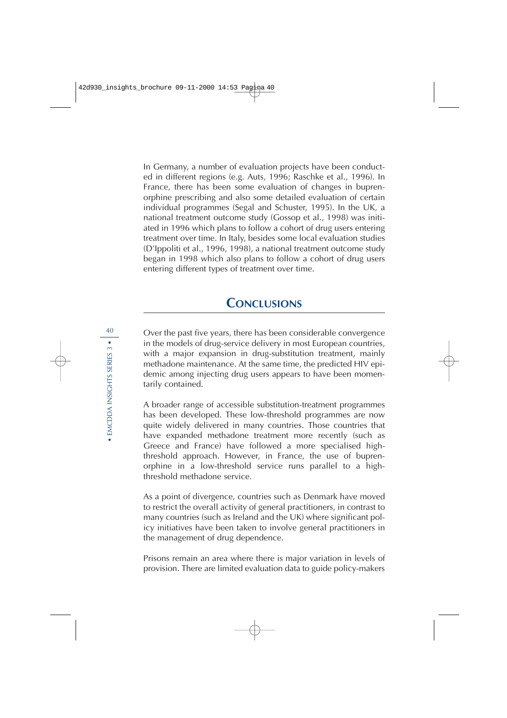In Germany, a number of evaluation projects have been conducted in different regions (e.g. Auts, 1996; Raschke et al., 1996). In France, there has been some evaluation of changes in buprenorphine prescribing and also some detailed evaluation of certain individual programmes (Segal and Schuster, 1995). In the UK, a national treatment outcome study (Gossop et al., 1998) was initiated in 1996 which plans to follow a cohort of drug users entering treatment over time. In Italy, besides some local evaluation studies (D'Ippoliti et al., 1996, 1998), a national treatment outcome study began in 1998 which also plans to follow a cohort of drug users entering different types of treatment over time.

## **CONCLUSIONS**

Over the past five years, there has been considerable convergence in the models of drug-service delivery in most European countries, with a major expansion in drug-substitution treatment, mainly methadone maintenance. At the same time, the predicted HIV epidemic among injecting drug users appears to have been momentarily contained.

A broader range of accessible substitution-treatment programmes has been developed. These low-threshold programmes are now quite widely delivered in many countries. Those countries that have expanded methadone treatment more recently (such as Greece and France) have followed a more specialised highthreshold approach. However, in France, the use of buprenorphine in a low-threshold service runs parallel to a highthreshold methadone service.

As a point of divergence, countries such as Denmark have moved to restrict the overall activity of general practitioners, in contrast to many countries (such as Ireland and the UK) where significant policy initiatives have been taken to involve general practitioners in the management of drug dependence.

Prisons remain an area where there is major variation in levels of provision. There are limited evaluation data to guide policy-makers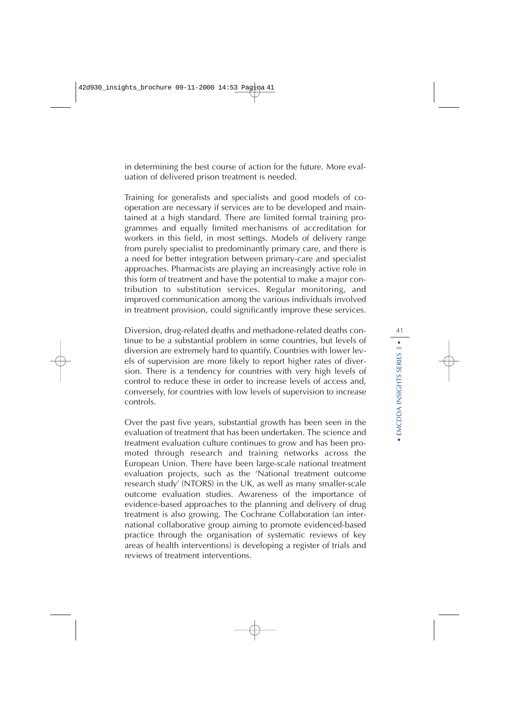in determining the best course of action for the future. More evaluation of delivered prison treatment is needed.

Training for generalists and specialists and good models of cooperation are necessary if services are to be developed and maintained at a high standard. There are limited formal training programmes and equally limited mechanisms of accreditation for workers in this field, in most settings. Models of delivery range from purely specialist to predominantly primary care, and there is a need for better integration between primary-care and specialist approaches. Pharmacists are playing an increasingly active role in this form of treatment and have the potential to make a major contribution to substitution services. Regular monitoring, and improved communication among the various individuals involved in treatment provision, could significantly improve these services.

Diversion, drug-related deaths and methadone-related deaths continue to be a substantial problem in some countries, but levels of diversion are extremely hard to quantify. Countries with lower levels of supervision are more likely to report higher rates of diversion. There is a tendency for countries with very high levels of control to reduce these in order to increase levels of access and, conversely, for countries with low levels of supervision to increase controls.

Over the past five years, substantial growth has been seen in the evaluation of treatment that has been undertaken. The science and treatment evaluation culture continues to grow and has been promoted through research and training networks across the European Union. There have been large-scale national treatment evaluation projects, such as the 'National treatment outcome research study' (NTORS) in the UK, as well as many smaller-scale outcome evaluation studies. Awareness of the importance of evidence-based approaches to the planning and delivery of drug treatment is also growing. The Cochrane Collaboration (an international collaborative group aiming to promote evidenced-based practice through the organisation of systematic reviews of key areas of health interventions) is developing a register of trials and reviews of treatment interventions.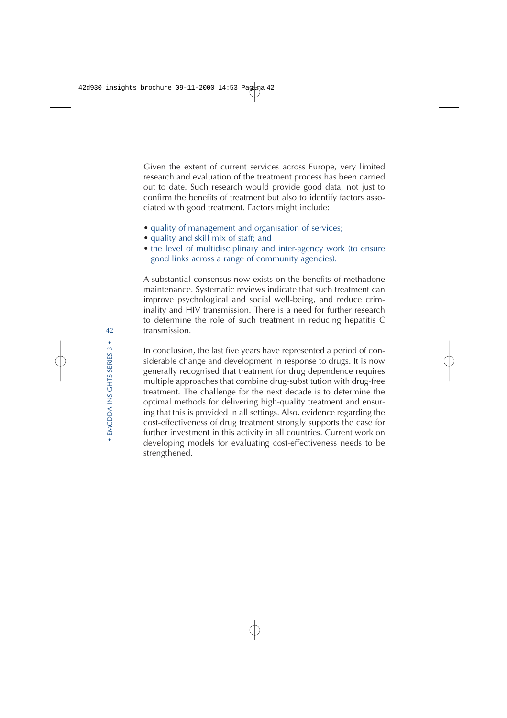Given the extent of current services across Europe, very limited research and evaluation of the treatment process has been carried out to date. Such research would provide good data, not just to confirm the benefits of treatment but also to identify factors associated with good treatment. Factors might include:

- quality of management and organisation of services;
- quality and skill mix of staff; and
- the level of multidisciplinary and inter-agency work (to ensure good links across a range of community agencies).

A substantial consensus now exists on the benefits of methadone maintenance. Systematic reviews indicate that such treatment can improve psychological and social well-being, and reduce criminality and HIV transmission. There is a need for further research to determine the role of such treatment in reducing hepatitis C transmission.

In conclusion, the last five years have represented a period of considerable change and development in response to drugs. It is now generally recognised that treatment for drug dependence requires multiple approaches that combine drug-substitution with drug-free treatment. The challenge for the next decade is to determine the optimal methods for delivering high-quality treatment and ensuring that this is provided in all settings. Also, evidence regarding the cost-effectiveness of drug treatment strongly supports the case for further investment in this activity in all countries. Current work on developing models for evaluating cost-effectiveness needs to be strengthened.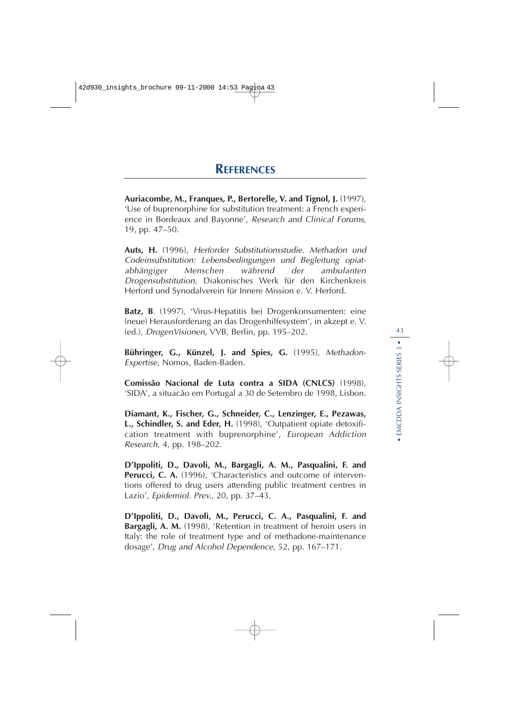**Auriacombe, M., Franques, P., Bertorelle, V. and Tignol, J.** (1997), 'Use of buprenorphine for substitution treatment: a French experience in Bordeaux and Bayonne', Research and Clinical Forums, 19, pp. 47–50.

**Auts, H.** (1996), Herforder Substitutionsstudie. Methadon und Codeinsubstitution: Lebensbedingungen und Begleitung opiatabhängiger Menschen während der ambulanten Drogensubstitution, Diakonisches Werk für den Kirchenkreis Herford und Synodalverein für Innere Mission e. V. Herford.

**Batz, B**. (1997), 'Virus-Hepatitis bei Drogenkonsumenten: eine (neue) Herausforderung an das Drogenhilfesystem', in akzept e. V. (ed.), DrogenVisionen, VVB, Berlin, pp. 195–202.

**Bühringer, G., Künzel, J. and Spies, G.** (1995), Methadon-Expertise, Nomos, Baden-Baden.

**Comissão Nacional de Luta contra a SIDA (CNLCS)** (1998), 'SIDA', a situacão em Portugal a 30 de Setembro de 1998, Lisbon.

**Diamant, K., Fischer, G., Schneider, C., Lenzinger, E., Pezawas, L., Schindler, S. and Eder, H.** (1998), 'Outpatient opiate detoxification treatment with buprenorphine', European Addiction Research, 4, pp. 198–202.

**D'Ippoliti, D., Davoli, M., Bargagli, A. M., Pasqualini, F. and Perucci, C. A.** (1996), 'Characteristics and outcome of interventions offered to drug users attending public treatment centres in Lazio', Epidemiol. Prev., 20, pp. 37–43.

**D'Ippoliti, D., Davoli, M., Perucci, C. A., Pasqualini, F. and Bargagli, A. M.** (1998), 'Retention in treatment of heroin users in Italy: the role of treatment type and of methadone-maintenance dosage', Drug and Alcohol Dependence, 52, pp. 167–171.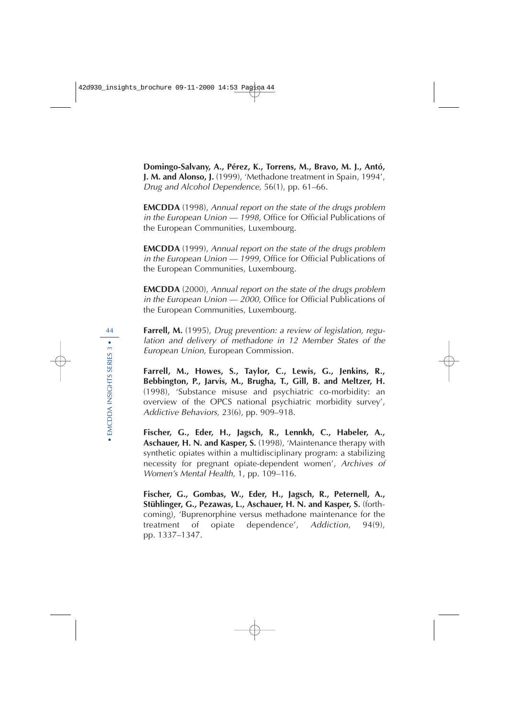**Domingo-Salvany, A., Pérez, K., Torrens, M., Bravo, M. J., Antó, J. M. and Alonso, J.** (1999), 'Methadone treatment in Spain, 1994', Drug and Alcohol Dependence, 56(1), pp. 61–66.

**EMCDDA** (1998), Annual report on the state of the drugs problem in the European Union — 1998, Office for Official Publications of the European Communities, Luxembourg.

**EMCDDA** (1999), Annual report on the state of the drugs problem in the European Union — 1999, Office for Official Publications of the European Communities, Luxembourg.

**EMCDDA** (2000), Annual report on the state of the drugs problem in the European Union — 2000, Office for Official Publications of the European Communities, Luxembourg.

Farrell, M. (1995), Drug prevention: a review of legislation, regulation and delivery of methadone in 12 Member States of the European Union, European Commission.

**Farrell, M., Howes, S., Taylor, C., Lewis, G., Jenkins, R., Bebbington, P., Jarvis, M., Brugha, T., Gill, B. and Meltzer, H.** (1998), 'Substance misuse and psychiatric co-morbidity: an overview of the OPCS national psychiatric morbidity survey', Addictive Behaviors, 23(6), pp. 909–918.

**Fischer, G., Eder, H., Jagsch, R., Lennkh, C., Habeler, A., Aschauer, H. N. and Kasper, S.** (1998), 'Maintenance therapy with synthetic opiates within a multidisciplinary program: a stabilizing necessity for pregnant opiate-dependent women', Archives of Women's Mental Health, 1, pp. 109–116.

**Fischer, G., Gombas, W., Eder, H., Jagsch, R., Peternell, A., Stühlinger, G., Pezawas, L., Aschauer, H. N. and Kasper, S.** (forthcoming), 'Buprenorphine versus methadone maintenance for the treatment of opiate dependence', Addiction, 94(9), pp. 1337–1347.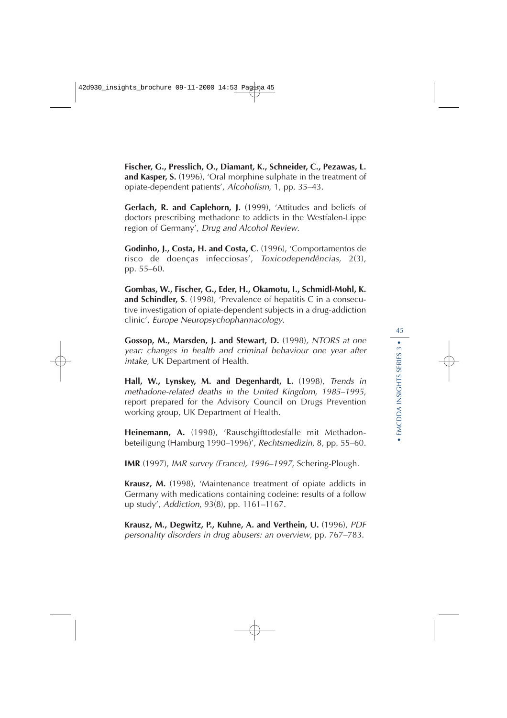**Fischer, G., Presslich, O., Diamant, K., Schneider, C., Pezawas, L. and Kasper, S.** (1996), 'Oral morphine sulphate in the treatment of opiate-dependent patients', Alcoholism, 1, pp. 35–43.

**Gerlach, R. and Caplehorn, J.** (1999), 'Attitudes and beliefs of doctors prescribing methadone to addicts in the Westfalen-Lippe region of Germany', Drug and Alcohol Review.

**Godinho, J., Costa, H. and Costa, C**. (1996), 'Comportamentos de risco de doenças infecciosas', Toxicodependências, 2(3), pp. 55–60.

**Gombas, W., Fischer, G., Eder, H., Okamotu, I., Schmidl-Mohl, K. and Schindler, S**. (1998), 'Prevalence of hepatitis C in a consecutive investigation of opiate-dependent subjects in a drug-addiction clinic', Europe Neuropsychopharmacology.

**Gossop, M., Marsden, J. and Stewart, D.** (1998), NTORS at one year: changes in health and criminal behaviour one year after intake, UK Department of Health.

**Hall, W., Lynskey, M. and Degenhardt, L.** (1998), Trends in methadone-related deaths in the United Kingdom, 1985–1995, report prepared for the Advisory Council on Drugs Prevention working group, UK Department of Health.

**Heinemann, A.** (1998), 'Rauschgifttodesfalle mit Methadonbeteiligung (Hamburg 1990–1996)', Rechtsmedizin, 8, pp. 55–60.

**IMR** (1997), IMR survey (France), 1996–1997, Schering-Plough.

**Krausz, M.** (1998), 'Maintenance treatment of opiate addicts in Germany with medications containing codeine: results of a follow up study', Addiction, 93(8), pp. 1161–1167.

**Krausz, M., Degwitz, P., Kuhne, A. and Verthein, U.** (1996), PDF personality disorders in drug abusers: an overview, pp. 767–783.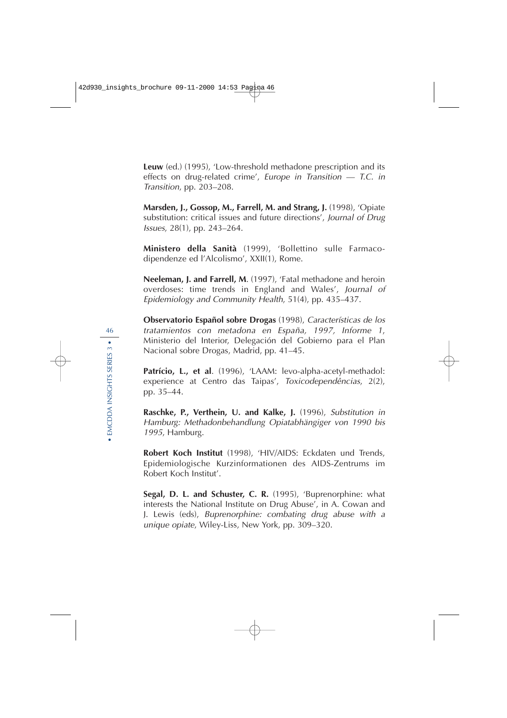**Leuw** (ed.) (1995), 'Low-threshold methadone prescription and its effects on drug-related crime', Europe in Transition — T.C. in Transition, pp. 203–208.

**Marsden, J., Gossop, M., Farrell, M. and Strang, J.** (1998), 'Opiate substitution: critical issues and future directions', Journal of Drug Issues, 28(1), pp. 243–264.

**Ministero della Sanità** (1999), 'Bollettino sulle Farmacodipendenze ed l'Alcolismo', XXII(1), Rome.

**Neeleman, J. and Farrell, M**. (1997), 'Fatal methadone and heroin overdoses: time trends in England and Wales', Journal of Epidemiology and Community Health, 51(4), pp. 435–437.

**Observatorio Español sobre Drogas** (1998), Características de los tratamientos con metadona en España, 1997, Informe 1, Ministerio del Interior, Delegación del Gobierno para el Plan Nacional sobre Drogas, Madrid, pp. 41–45.

**Patrício, L., et al**. (1996), 'LAAM: levo-alpha-acetyl-methadol: experience at Centro das Taipas', Toxicodependências, 2(2), pp. 35–44.

**Raschke, P., Verthein, U. and Kalke, J.** (1996), Substitution in Hamburg: Methadonbehandlung Opiatabhängiger von 1990 bis <sup>1995</sup>, Hamburg.

**Robert Koch Institut** (1998), 'HIV/AIDS: Eckdaten und Trends, Epidemiologische Kurzinformationen des AIDS-Zentrums im Robert Koch Institut'.

**Segal, D. L. and Schuster, C. R.** (1995), 'Buprenorphine: what interests the National Institute on Drug Abuse', in A. Cowan and J. Lewis (eds), Buprenorphine: combating drug abuse with a unique opiate, Wiley-Liss, New York, pp. 309–320.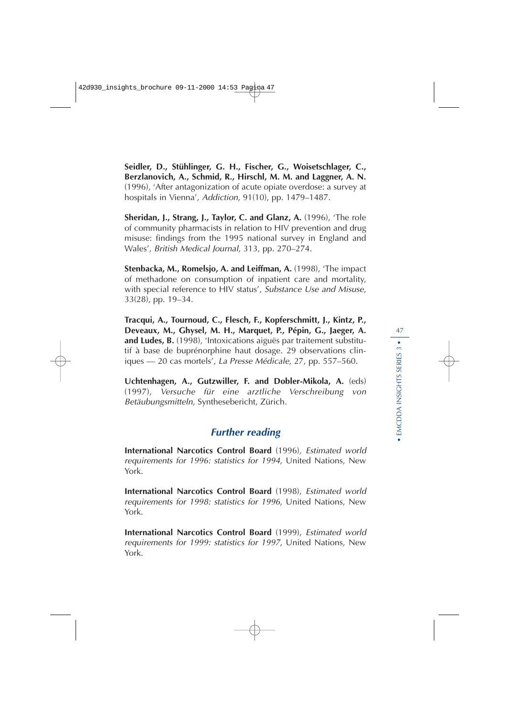**Seidler, D., Stühlinger, G. H., Fischer, G., Woisetschlager, C., Berzlanovich, A., Schmid, R., Hirschl, M. M. and Laggner, A. N.** (1996), 'After antagonization of acute opiate overdose: a survey at hospitals in Vienna', Addiction, 91(10), pp. 1479–1487.

**Sheridan, J., Strang, J., Taylor, C. and Glanz, A.** (1996), 'The role of community pharmacists in relation to HIV prevention and drug misuse: findings from the 1995 national survey in England and Wales', British Medical Journal, 313, pp. 270–274.

**Stenbacka, M., Romelsjo, A. and Leiffman, A.** (1998), 'The impact of methadone on consumption of inpatient care and mortality, with special reference to HIV status', Substance Use and Misuse, 33(28), pp. 19–34.

**Tracqui, A., Tournoud, C., Flesch, F., Kopferschmitt, J., Kintz, P., Deveaux, M., Ghysel, M. H., Marquet, P., Pépin, G., Jaeger, A. and Ludes, B.** (1998), 'Intoxications aiguës par traitement substitutif à base de buprénorphine haut dosage. 29 observations cliniques — 20 cas mortels', La Presse Médicale, 27, pp. 557–560.

**Uchtenhagen, A., Gutzwiller, F. and Dobler-Mikola, A.** (eds) (1997), Versuche für eine arztliche Verschreibung von Betäubungsmitteln, Synthesebericht, Zürich.

## **Further reading**

**International Narcotics Control Board** (1996), Estimated world requirements for 1996: statistics for 1994, United Nations, New York.

**International Narcotics Control Board** (1998), Estimated world requirements for 1998: statistics for 1996, United Nations, New York.

**International Narcotics Control Board** (1999), Estimated world requirements for 1999: statistics for 1997, United Nations, New York.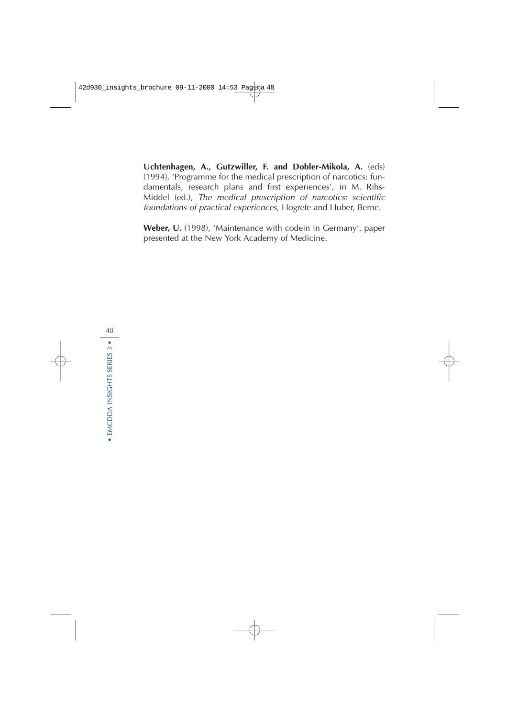**Uchtenhagen, A., Gutzwiller, F. and Dobler-Mikola, A.** (eds) (1994), 'Programme for the medical prescription of narcotics: fundamentals, research plans and first experiences', in M. Rihs-Middel (ed.), The medical prescription of narcotics: scientific foundations of practical experiences, Hogrefe and Huber, Berne.

**Weber, U.** (1998), 'Maintenance with codein in Germany', paper presented at the New York Academy of Medicine.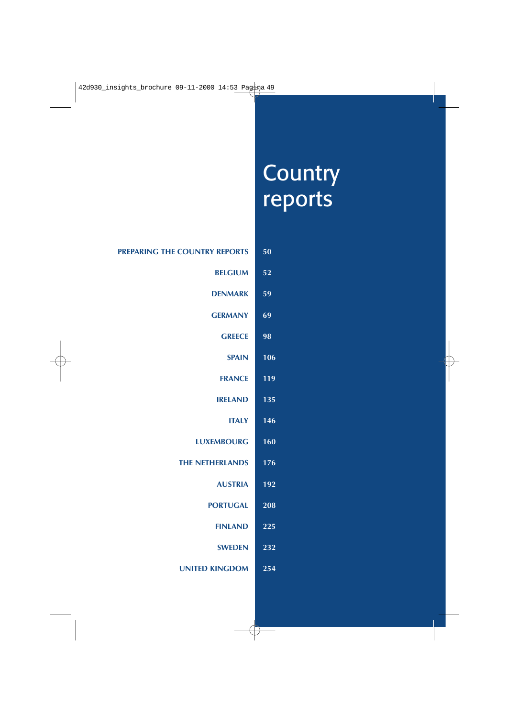# **Country** reports

| 50  | PREPARING THE COUNTRY REPORTS |
|-----|-------------------------------|
| 52  | <b>BELGIUM</b>                |
| 59  | <b>DENMARK</b>                |
| 69  | <b>GERMANY</b>                |
| 98  | <b>GREECE</b>                 |
| 106 | <b>SPAIN</b>                  |
| 119 | <b>FRANCE</b>                 |
| 135 | <b>IRELAND</b>                |
| 146 | <b>ITALY</b>                  |
| 160 | <b>LUXEMBOURG</b>             |
| 176 | <b>THE NETHERLANDS</b>        |
| 192 | <b>AUSTRIA</b>                |
| 208 | <b>PORTUGAL</b>               |
| 225 | <b>FINLAND</b>                |
| 232 | <b>SWEDEN</b>                 |
| 254 | <b>UNITED KINGDOM</b>         |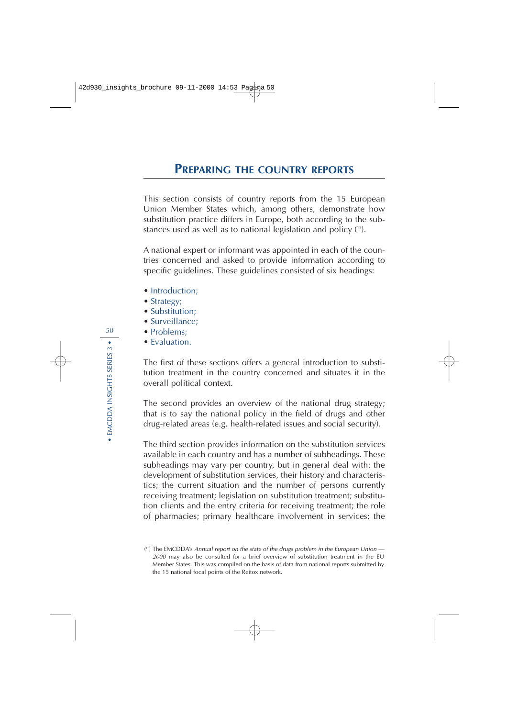This section consists of country reports from the 15 European Union Member States which, among others, demonstrate how substitution practice differs in Europe, both according to the substances used as well as to national legislation and policy (11).

A national expert or informant was appointed in each of the countries concerned and asked to provide information according to specific guidelines. These guidelines consisted of six headings:

- Introduction:
- Strategy;
- Substitution:
- Surveillance;
- Problems:
- Evaluation.

The first of these sections offers a general introduction to substitution treatment in the country concerned and situates it in the overall political context.

The second provides an overview of the national drug strategy; that is to say the national policy in the field of drugs and other drug-related areas (e.g. health-related issues and social security).

The third section provides information on the substitution services available in each country and has a number of subheadings. These subheadings may vary per country, but in general deal with: the development of substitution services, their history and characteristics; the current situation and the number of persons currently receiving treatment; legislation on substitution treatment; substitution clients and the entry criteria for receiving treatment; the role of pharmacies; primary healthcare involvement in services; the

<sup>(</sup> 11 ) The EMCDDA's Annual report on the state of the drugs problem in the European Union — <sup>2000</sup> may also be consulted for a brief overview of substitution treatment in the EU Member States. This was compiled on the basis of data from national reports submitted by the 15 national focal points of the Reitox network.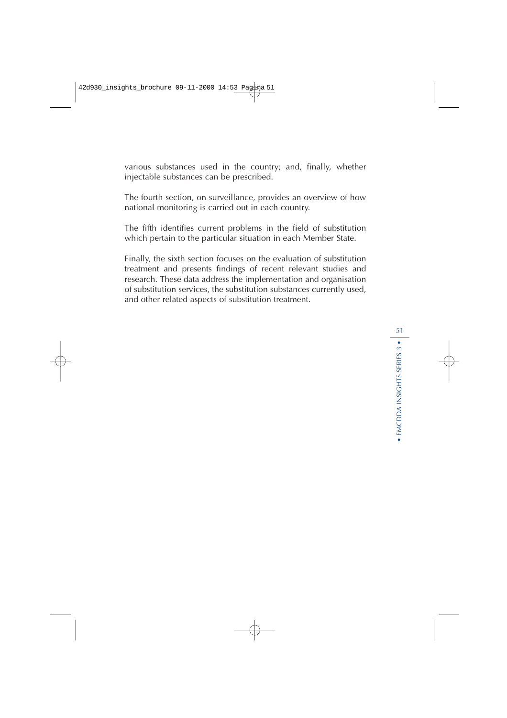various substances used in the country; and, finally, whether injectable substances can be prescribed.

The fourth section, on surveillance, provides an overview of how national monitoring is carried out in each country.

The fifth identifies current problems in the field of substitution which pertain to the particular situation in each Member State.

Finally, the sixth section focuses on the evaluation of substitution treatment and presents findings of recent relevant studies and research. These data address the implementation and organisation of substitution services, the substitution substances currently used, and other related aspects of substitution treatment.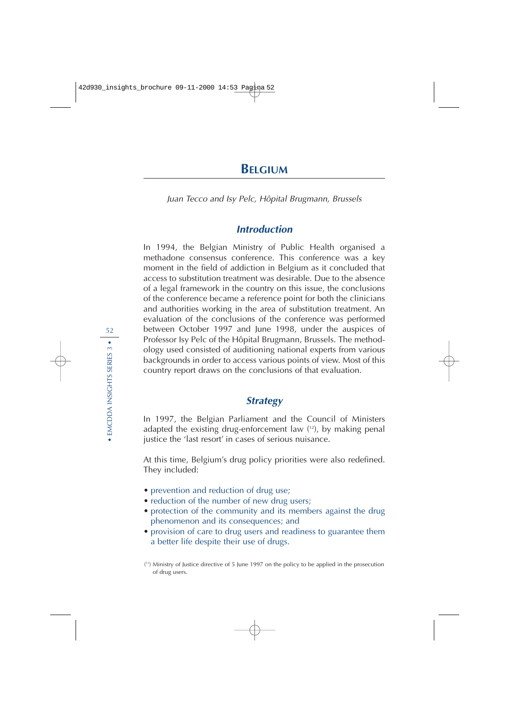Juan Tecco and Isy Pelc, Hôpital Brugmann, Brussels

## **Introduction**

In 1994, the Belgian Ministry of Public Health organised a methadone consensus conference. This conference was a key moment in the field of addiction in Belgium as it concluded that access to substitution treatment was desirable. Due to the absence of a legal framework in the country on this issue, the conclusions of the conference became a reference point for both the clinicians and authorities working in the area of substitution treatment. An evaluation of the conclusions of the conference was performed between October 1997 and June 1998, under the auspices of Professor Isy Pelc of the Hôpital Brugmann, Brussels. The methodology used consisted of auditioning national experts from various backgrounds in order to access various points of view. Most of this country report draws on the conclusions of that evaluation.

## **Strategy**

In 1997, the Belgian Parliament and the Council of Ministers adapted the existing drug-enforcement law ( 12), by making penal justice the 'last resort' in cases of serious nuisance.

At this time, Belgium's drug policy priorities were also redefined. They included:

- prevention and reduction of drug use;
- reduction of the number of new drug users;
- protection of the community and its members against the drug phenomenon and its consequences; and
- provision of care to drug users and readiness to guarantee them a better life despite their use of drugs.

<sup>(</sup> 12) Ministry of Justice directive of 5 June 1997 on the policy to be applied in the prosecution of drug users.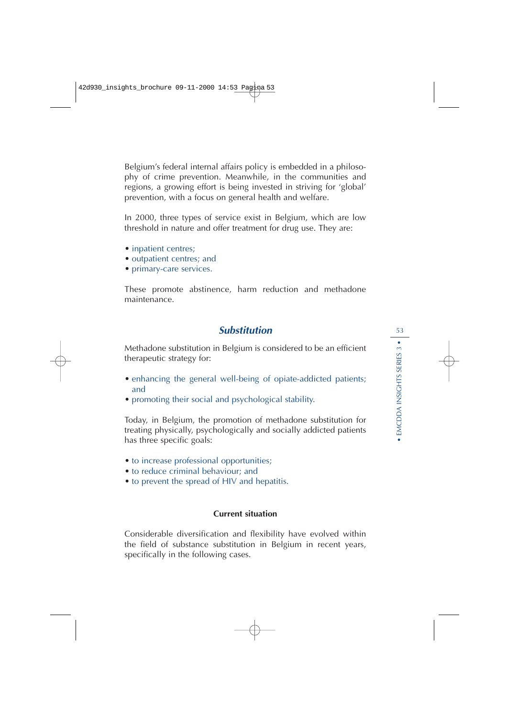Belgium's federal internal affairs policy is embedded in a philosophy of crime prevention. Meanwhile, in the communities and regions, a growing effort is being invested in striving for 'global' prevention, with a focus on general health and welfare.

In 2000, three types of service exist in Belgium, which are low threshold in nature and offer treatment for drug use. They are:

- inpatient centres;
- outpatient centres; and
- primary-care services.

These promote abstinence, harm reduction and methadone maintenance.

## **Substitution**

Methadone substitution in Belgium is considered to be an efficient therapeutic strategy for:

- enhancing the general well-being of opiate-addicted patients; and
- promoting their social and psychological stability.

Today, in Belgium, the promotion of methadone substitution for treating physically, psychologically and socially addicted patients has three specific goals:

- to increase professional opportunities;
- to reduce criminal behaviour; and
- to prevent the spread of HIV and hepatitis.

#### **Current situation**

Considerable diversification and flexibility have evolved within the field of substance substitution in Belgium in recent years, specifically in the following cases.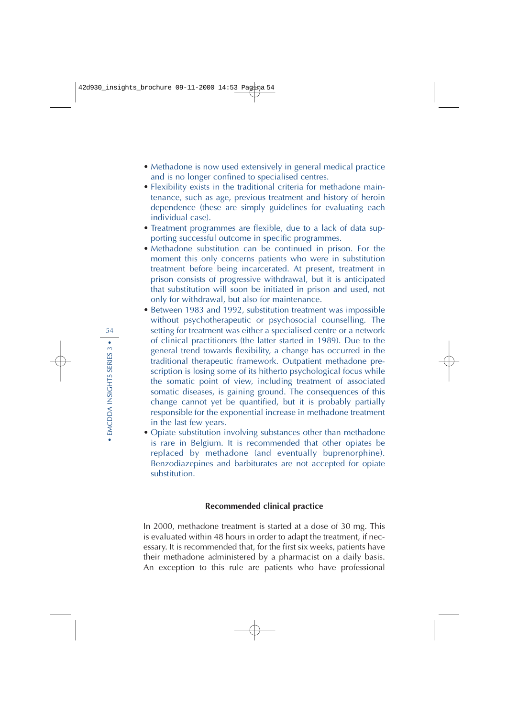- Methadone is now used extensively in general medical practice and is no longer confined to specialised centres.
- Flexibility exists in the traditional criteria for methadone maintenance, such as age, previous treatment and history of heroin dependence (these are simply guidelines for evaluating each individual case).
- Treatment programmes are flexible, due to a lack of data supporting successful outcome in specific programmes.
- Methadone substitution can be continued in prison. For the moment this only concerns patients who were in substitution treatment before being incarcerated. At present, treatment in prison consists of progressive withdrawal, but it is anticipated that substitution will soon be initiated in prison and used, not only for withdrawal, but also for maintenance.
- Between 1983 and 1992, substitution treatment was impossible without psychotherapeutic or psychosocial counselling. The setting for treatment was either a specialised centre or a network of clinical practitioners (the latter started in 1989). Due to the general trend towards flexibility, a change has occurred in the traditional therapeutic framework. Outpatient methadone prescription is losing some of its hitherto psychological focus while the somatic point of view, including treatment of associated somatic diseases, is gaining ground. The consequences of this change cannot yet be quantified, but it is probably partially responsible for the exponential increase in methadone treatment in the last few years.
- Opiate substitution involving substances other than methadone is rare in Belgium. It is recommended that other opiates be replaced by methadone (and eventually buprenorphine). Benzodiazepines and barbiturates are not accepted for opiate substitution.

#### **Recommended clinical practice**

In 2000, methadone treatment is started at a dose of 30 mg. This is evaluated within 48 hours in order to adapt the treatment, if necessary. It is recommended that, for the first six weeks, patients have their methadone administered by a pharmacist on a daily basis. An exception to this rule are patients who have professional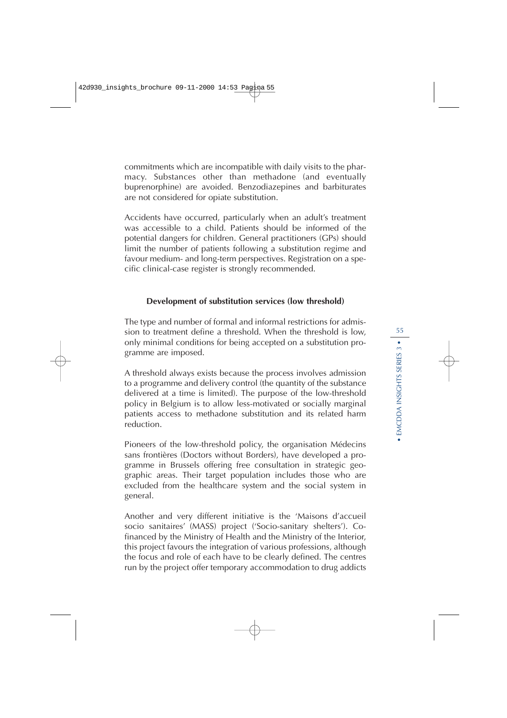commitments which are incompatible with daily visits to the pharmacy. Substances other than methadone (and eventually buprenorphine) are avoided. Benzodiazepines and barbiturates are not considered for opiate substitution.

Accidents have occurred, particularly when an adult's treatment was accessible to a child. Patients should be informed of the potential dangers for children. General practitioners (GPs) should limit the number of patients following a substitution regime and favour medium- and long-term perspectives. Registration on a specific clinical-case register is strongly recommended.

#### **Development of substitution services (low threshold)**

The type and number of formal and informal restrictions for admission to treatment define a threshold. When the threshold is low, only minimal conditions for being accepted on a substitution programme are imposed.

A threshold always exists because the process involves admission to a programme and delivery control (the quantity of the substance delivered at a time is limited). The purpose of the low-threshold policy in Belgium is to allow less-motivated or socially marginal patients access to methadone substitution and its related harm reduction.

Pioneers of the low-threshold policy, the organisation Médecins sans frontières (Doctors without Borders), have developed a programme in Brussels offering free consultation in strategic geographic areas. Their target population includes those who are excluded from the healthcare system and the social system in general.

Another and very different initiative is the 'Maisons d'accueil socio sanitaires' (MASS) project ('Socio-sanitary shelters'). Cofinanced by the Ministry of Health and the Ministry of the Interior, this project favours the integration of various professions, although the focus and role of each have to be clearly defined. The centres run by the project offer temporary accommodation to drug addicts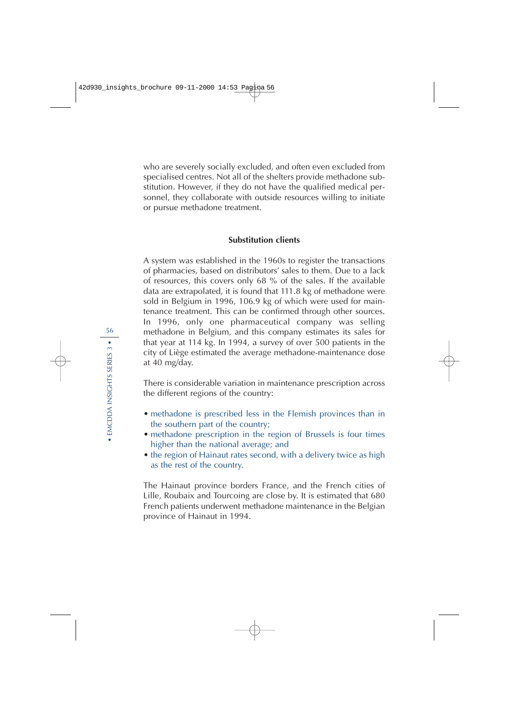who are severely socially excluded, and often even excluded from specialised centres. Not all of the shelters provide methadone substitution. However, if they do not have the qualified medical personnel, they collaborate with outside resources willing to initiate or pursue methadone treatment.

#### **Substitution clients**

A system was established in the 1960s to register the transactions of pharmacies, based on distributors' sales to them. Due to a lack of resources, this covers only 68 % of the sales. If the available data are extrapolated, it is found that 111.8 kg of methadone were sold in Belgium in 1996, 106.9 kg of which were used for maintenance treatment. This can be confirmed through other sources. In 1996, only one pharmaceutical company was selling methadone in Belgium, and this company estimates its sales for that year at 114 kg. In 1994, a survey of over 500 patients in the city of Liège estimated the average methadone-maintenance dose at 40 mg/day.

There is considerable variation in maintenance prescription across the different regions of the country:

- methadone is prescribed less in the Flemish provinces than in the southern part of the country;
- methadone prescription in the region of Brussels is four times higher than the national average; and
- the region of Hainaut rates second, with a delivery twice as high as the rest of the country.

The Hainaut province borders France, and the French cities of Lille, Roubaix and Tourcoing are close by. It is estimated that 680 French patients underwent methadone maintenance in the Belgian province of Hainaut in 1994.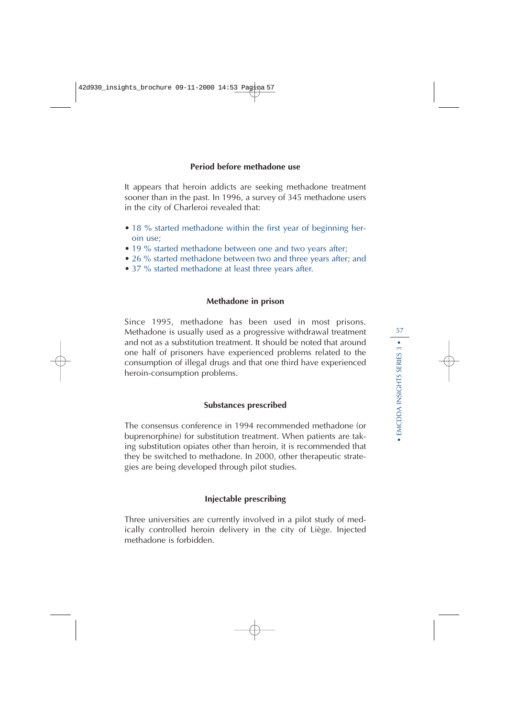#### **Period before methadone use**

It appears that heroin addicts are seeking methadone treatment sooner than in the past. In 1996, a survey of 345 methadone users in the city of Charleroi revealed that:

- 18 % started methadone within the first year of beginning heroin use;
- 19 % started methadone between one and two years after;
- 26 % started methadone between two and three years after; and
- 37 % started methadone at least three years after.

#### **Methadone in prison**

Since 1995, methadone has been used in most prisons. Methadone is usually used as a progressive withdrawal treatment and not as a substitution treatment. It should be noted that around one half of prisoners have experienced problems related to the consumption of illegal drugs and that one third have experienced heroin-consumption problems.

#### **Substances prescribed**

The consensus conference in 1994 recommended methadone (or buprenorphine) for substitution treatment. When patients are taking substitution opiates other than heroin, it is recommended that they be switched to methadone. In 2000, other therapeutic strategies are being developed through pilot studies.

#### **Injectable prescribing**

Three universities are currently involved in a pilot study of medically controlled heroin delivery in the city of Liège. Injected methadone is forbidden.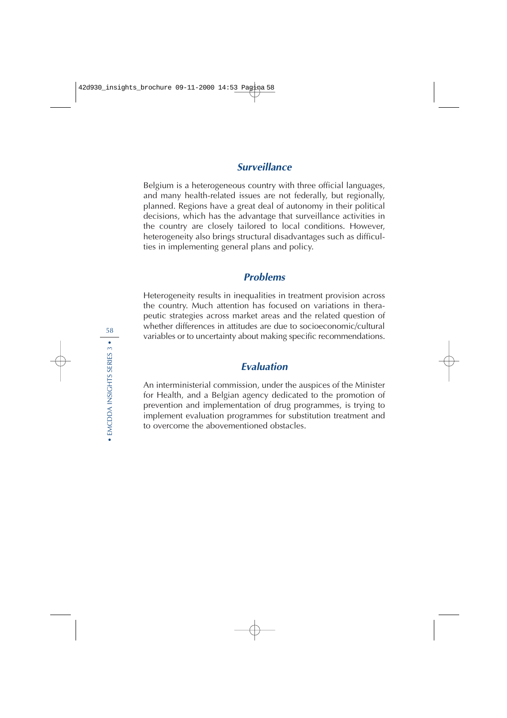## **Surveillance**

Belgium is a heterogeneous country with three official languages, and many health-related issues are not federally, but regionally, planned. Regions have a great deal of autonomy in their political decisions, which has the advantage that surveillance activities in the country are closely tailored to local conditions. However, heterogeneity also brings structural disadvantages such as difficulties in implementing general plans and policy.

#### **Problems**

Heterogeneity results in inequalities in treatment provision across the country. Much attention has focused on variations in therapeutic strategies across market areas and the related question of whether differences in attitudes are due to socioeconomic/cultural variables or to uncertainty about making specific recommendations.

## **Evaluation**

An interministerial commission, under the auspices of the Minister for Health, and a Belgian agency dedicated to the promotion of prevention and implementation of drug programmes, is trying to implement evaluation programmes for substitution treatment and to overcome the abovementioned obstacles.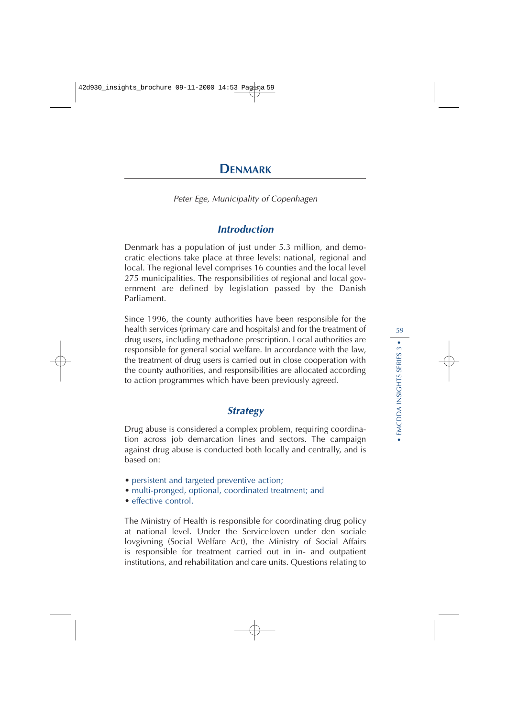# **DENMARK**

Peter Ege, Municipality of Copenhagen

## **Introduction**

Denmark has a population of just under 5.3 million, and democratic elections take place at three levels: national, regional and local. The regional level comprises 16 counties and the local level 275 municipalities. The responsibilities of regional and local government are defined by legislation passed by the Danish Parliament.

Since 1996, the county authorities have been responsible for the health services (primary care and hospitals) and for the treatment of drug users, including methadone prescription. Local authorities are responsible for general social welfare. In accordance with the law, the treatment of drug users is carried out in close cooperation with the county authorities, and responsibilities are allocated according to action programmes which have been previously agreed.

## **Strategy**

Drug abuse is considered a complex problem, requiring coordination across job demarcation lines and sectors. The campaign against drug abuse is conducted both locally and centrally, and is based on:

- persistent and targeted preventive action;
- multi-pronged, optional, coordinated treatment; and
- effective control.

The Ministry of Health is responsible for coordinating drug policy at national level. Under the Serviceloven under den sociale lovgivning (Social Welfare Act), the Ministry of Social Affairs is responsible for treatment carried out in in- and outpatient institutions, and rehabilitation and care units. Questions relating to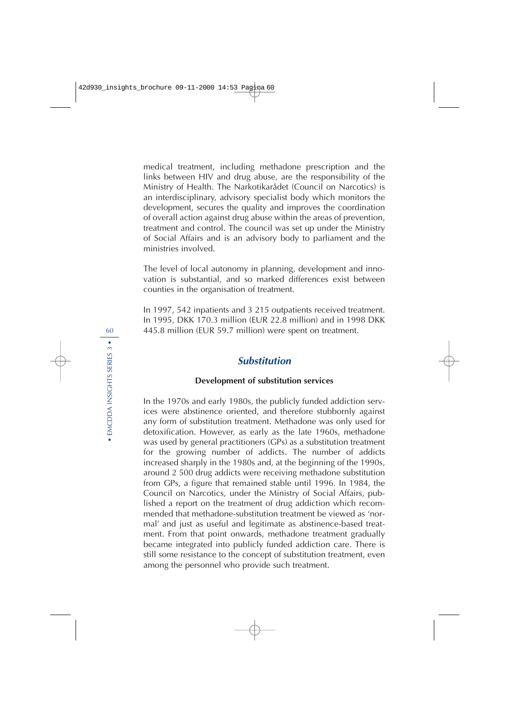medical treatment, including methadone prescription and the links between HIV and drug abuse, are the responsibility of the Ministry of Health. The Narkotikarådet (Council on Narcotics) is an interdisciplinary, advisory specialist body which monitors the development, secures the quality and improves the coordination of overall action against drug abuse within the areas of prevention, treatment and control. The council was set up under the Ministry of Social Affairs and is an advisory body to parliament and the ministries involved.

The level of local autonomy in planning, development and innovation is substantial, and so marked differences exist between counties in the organisation of treatment.

In 1997, 542 inpatients and 3 215 outpatients received treatment. In 1995, DKK 170.3 million (EUR 22.8 million) and in 1998 DKK 445.8 million (EUR 59.7 million) were spent on treatment.

## **Substitution**

#### **Development of substitution services**

In the 1970s and early 1980s, the publicly funded addiction services were abstinence oriented, and therefore stubbornly against any form of substitution treatment. Methadone was only used for detoxification. However, as early as the late 1960s, methadone was used by general practitioners (GPs) as a substitution treatment for the growing number of addicts. The number of addicts increased sharply in the 1980s and, at the beginning of the 1990s, around 2 500 drug addicts were receiving methadone substitution from GPs, a figure that remained stable until 1996. In 1984, the Council on Narcotics, under the Ministry of Social Affairs, published a report on the treatment of drug addiction which recommended that methadone-substitution treatment be viewed as 'normal' and just as useful and legitimate as abstinence-based treatment. From that point onwards, methadone treatment gradually became integrated into publicly funded addiction care. There is still some resistance to the concept of substitution treatment, even among the personnel who provide such treatment.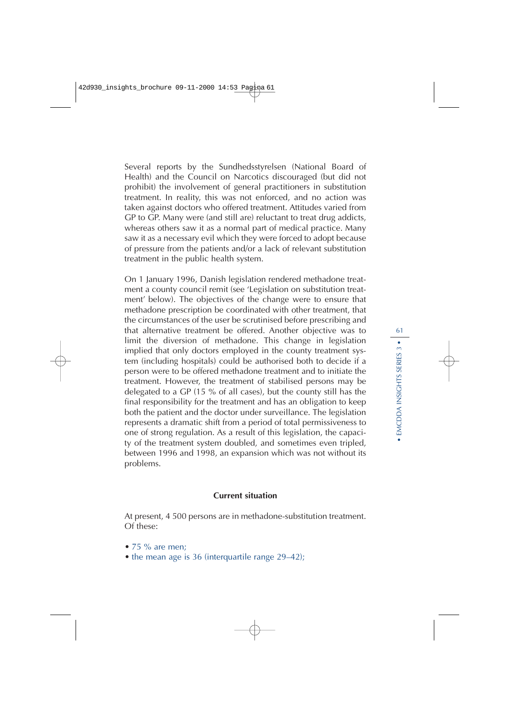Several reports by the Sundhedsstyrelsen (National Board of Health) and the Council on Narcotics discouraged (but did not prohibit) the involvement of general practitioners in substitution treatment. In reality, this was not enforced, and no action was taken against doctors who offered treatment. Attitudes varied from GP to GP. Many were (and still are) reluctant to treat drug addicts, whereas others saw it as a normal part of medical practice. Many saw it as a necessary evil which they were forced to adopt because of pressure from the patients and/or a lack of relevant substitution treatment in the public health system.

On 1 January 1996, Danish legislation rendered methadone treatment a county council remit (see 'Legislation on substitution treatment' below). The objectives of the change were to ensure that methadone prescription be coordinated with other treatment, that the circumstances of the user be scrutinised before prescribing and that alternative treatment be offered. Another objective was to limit the diversion of methadone. This change in legislation implied that only doctors employed in the county treatment system (including hospitals) could be authorised both to decide if a person were to be offered methadone treatment and to initiate the treatment. However, the treatment of stabilised persons may be delegated to a GP (15 % of all cases), but the county still has the final responsibility for the treatment and has an obligation to keep both the patient and the doctor under surveillance. The legislation represents a dramatic shift from a period of total permissiveness to one of strong regulation. As a result of this legislation, the capacity of the treatment system doubled, and sometimes even tripled, between 1996 and 1998, an expansion which was not without its problems.

#### **Current situation**

At present, 4 500 persons are in methadone-substitution treatment. Of these:

- $\bullet$  75 % are men;
- the mean age is 36 (interquartile range 29–42);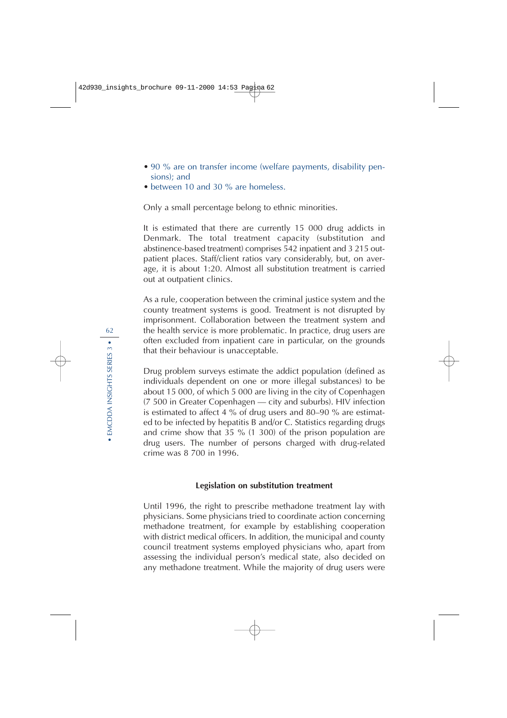- 90 % are on transfer income (welfare payments, disability pensions); and
- between 10 and 30 % are homeless.

Only a small percentage belong to ethnic minorities.

It is estimated that there are currently 15 000 drug addicts in Denmark. The total treatment capacity (substitution and abstinence-based treatment) comprises 542 inpatient and 3 215 outpatient places. Staff/client ratios vary considerably, but, on average, it is about 1:20. Almost all substitution treatment is carried out at outpatient clinics.

As a rule, cooperation between the criminal justice system and the county treatment systems is good. Treatment is not disrupted by imprisonment. Collaboration between the treatment system and the health service is more problematic. In practice, drug users are often excluded from inpatient care in particular, on the grounds that their behaviour is unacceptable.

Drug problem surveys estimate the addict population (defined as individuals dependent on one or more illegal substances) to be about 15 000, of which 5 000 are living in the city of Copenhagen (7 500 in Greater Copenhagen — city and suburbs). HIV infection is estimated to affect 4 % of drug users and 80–90 % are estimated to be infected by hepatitis B and/or C. Statistics regarding drugs and crime show that 35 % (1 300) of the prison population are drug users. The number of persons charged with drug-related crime was 8 700 in 1996.

#### **Legislation on substitution treatment**

Until 1996, the right to prescribe methadone treatment lay with physicians. Some physicians tried to coordinate action concerning methadone treatment, for example by establishing cooperation with district medical officers. In addition, the municipal and county council treatment systems employed physicians who, apart from assessing the individual person's medical state, also decided on any methadone treatment. While the majority of drug users were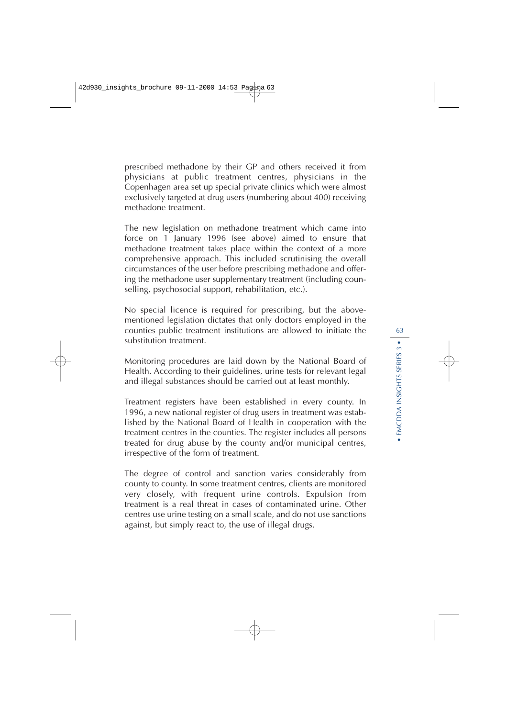prescribed methadone by their GP and others received it from physicians at public treatment centres, physicians in the Copenhagen area set up special private clinics which were almost exclusively targeted at drug users (numbering about 400) receiving methadone treatment.

The new legislation on methadone treatment which came into force on 1 January 1996 (see above) aimed to ensure that methadone treatment takes place within the context of a more comprehensive approach. This included scrutinising the overall circumstances of the user before prescribing methadone and offering the methadone user supplementary treatment (including counselling, psychosocial support, rehabilitation, etc.).

No special licence is required for prescribing, but the abovementioned legislation dictates that only doctors employed in the counties public treatment institutions are allowed to initiate the substitution treatment.

Monitoring procedures are laid down by the National Board of Health. According to their guidelines, urine tests for relevant legal and illegal substances should be carried out at least monthly.

Treatment registers have been established in every county. In 1996, a new national register of drug users in treatment was established by the National Board of Health in cooperation with the treatment centres in the counties. The register includes all persons treated for drug abuse by the county and/or municipal centres, irrespective of the form of treatment.

The degree of control and sanction varies considerably from county to county. In some treatment centres, clients are monitored very closely, with frequent urine controls. Expulsion from treatment is a real threat in cases of contaminated urine. Other centres use urine testing on a small scale, and do not use sanctions against, but simply react to, the use of illegal drugs.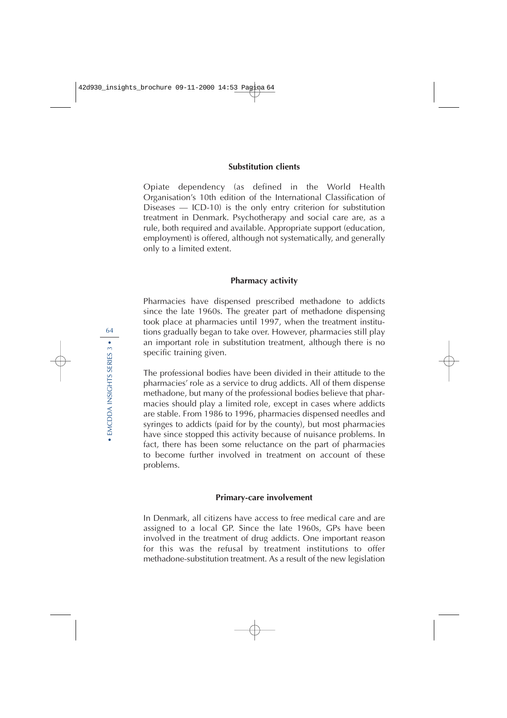#### **Substitution clients**

Opiate dependency (as defined in the World Health Organisation's 10th edition of the International Classification of Diseases — ICD-10) is the only entry criterion for substitution treatment in Denmark. Psychotherapy and social care are, as a rule, both required and available. Appropriate support (education, employment) is offered, although not systematically, and generally only to a limited extent.

#### **Pharmacy activity**

Pharmacies have dispensed prescribed methadone to addicts since the late 1960s. The greater part of methadone dispensing took place at pharmacies until 1997, when the treatment institutions gradually began to take over. However, pharmacies still play an important role in substitution treatment, although there is no specific training given.

The professional bodies have been divided in their attitude to the pharmacies' role as a service to drug addicts. All of them dispense methadone, but many of the professional bodies believe that pharmacies should play a limited role, except in cases where addicts are stable. From 1986 to 1996, pharmacies dispensed needles and syringes to addicts (paid for by the county), but most pharmacies have since stopped this activity because of nuisance problems. In fact, there has been some reluctance on the part of pharmacies to become further involved in treatment on account of these problems.

#### **Primary-care involvement**

In Denmark, all citizens have access to free medical care and are assigned to a local GP. Since the late 1960s, GPs have been involved in the treatment of drug addicts. One important reason for this was the refusal by treatment institutions to offer methadone-substitution treatment. As a result of the new legislation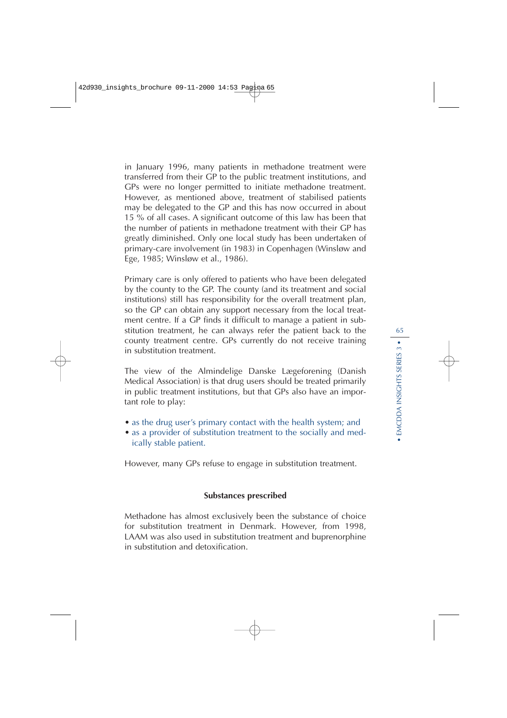in January 1996, many patients in methadone treatment were transferred from their GP to the public treatment institutions, and GPs were no longer permitted to initiate methadone treatment. However, as mentioned above, treatment of stabilised patients may be delegated to the GP and this has now occurred in about 15 % of all cases. A significant outcome of this law has been that the number of patients in methadone treatment with their GP has greatly diminished. Only one local study has been undertaken of primary-care involvement (in 1983) in Copenhagen (Winsløw and Ege, 1985; Winsløw et al., 1986).

Primary care is only offered to patients who have been delegated by the county to the GP. The county (and its treatment and social institutions) still has responsibility for the overall treatment plan, so the GP can obtain any support necessary from the local treatment centre. If a GP finds it difficult to manage a patient in substitution treatment, he can always refer the patient back to the county treatment centre. GPs currently do not receive training in substitution treatment.

The view of the Almindelige Danske Lægeforening (Danish Medical Association) is that drug users should be treated primarily in public treatment institutions, but that GPs also have an important role to play:

- as the drug user's primary contact with the health system; and
- as a provider of substitution treatment to the socially and medically stable patient.

However, many GPs refuse to engage in substitution treatment.

#### **Substances prescribed**

Methadone has almost exclusively been the substance of choice for substitution treatment in Denmark. However, from 1998, LAAM was also used in substitution treatment and buprenorphine in substitution and detoxification.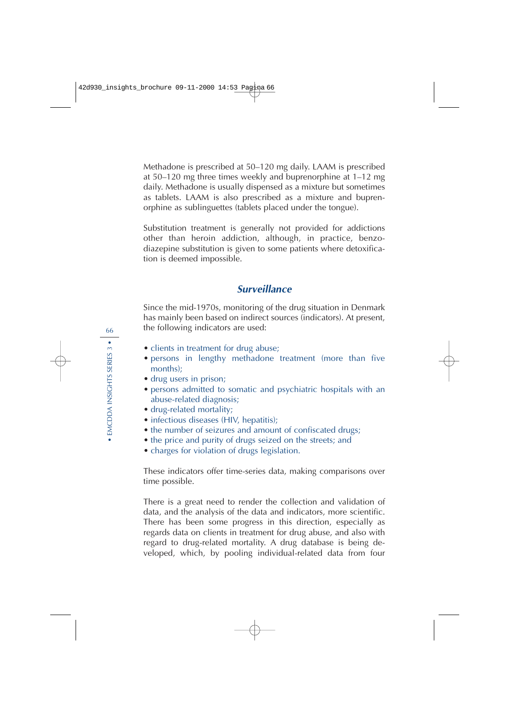Methadone is prescribed at 50–120 mg daily. LAAM is prescribed at 50–120 mg three times weekly and buprenorphine at 1–12 mg daily. Methadone is usually dispensed as a mixture but sometimes as tablets. LAAM is also prescribed as a mixture and buprenorphine as sublinguettes (tablets placed under the tongue).

Substitution treatment is generally not provided for addictions other than heroin addiction, although, in practice, benzodiazepine substitution is given to some patients where detoxification is deemed impossible.

## **Surveillance**

Since the mid-1970s, monitoring of the drug situation in Denmark has mainly been based on indirect sources (indicators). At present, the following indicators are used:

- clients in treatment for drug abuse;
- persons in lengthy methadone treatment (more than five months);
- drug users in prison;
- persons admitted to somatic and psychiatric hospitals with an abuse-related diagnosis;
- drug-related mortality;
- infectious diseases (HIV, hepatitis);
- the number of seizures and amount of confiscated drugs;
- the price and purity of drugs seized on the streets; and
- charges for violation of drugs legislation.

These indicators offer time-series data, making comparisons over time possible.

There is a great need to render the collection and validation of data, and the analysis of the data and indicators, more scientific. There has been some progress in this direction, especially as regards data on clients in treatment for drug abuse, and also with regard to drug-related mortality. A drug database is being developed, which, by pooling individual-related data from four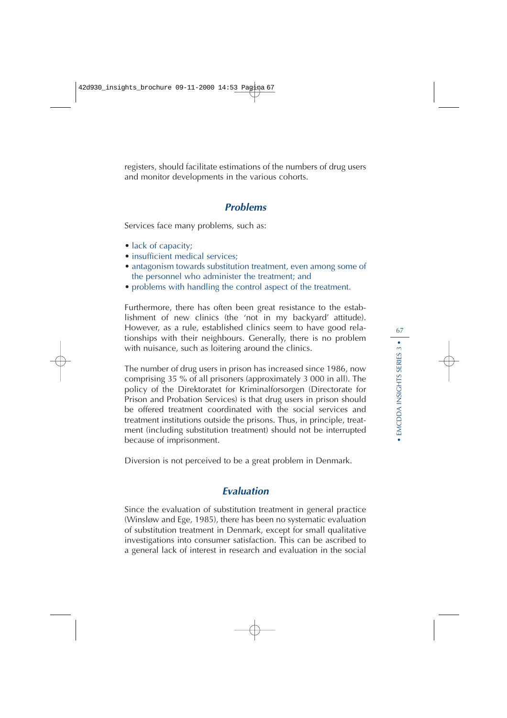registers, should facilitate estimations of the numbers of drug users and monitor developments in the various cohorts.

#### **Problems**

Services face many problems, such as:

- lack of capacity;
- insufficient medical services:
- antagonism towards substitution treatment, even among some of the personnel who administer the treatment; and
- problems with handling the control aspect of the treatment.

Furthermore, there has often been great resistance to the establishment of new clinics (the 'not in my backyard' attitude). However, as a rule, established clinics seem to have good relationships with their neighbours. Generally, there is no problem with nuisance, such as loitering around the clinics.

The number of drug users in prison has increased since 1986, now comprising 35 % of all prisoners (approximately 3 000 in all). The policy of the Direktoratet for Kriminalforsorgen (Directorate for Prison and Probation Services) is that drug users in prison should be offered treatment coordinated with the social services and treatment institutions outside the prisons. Thus, in principle, treatment (including substitution treatment) should not be interrupted because of imprisonment.

Diversion is not perceived to be a great problem in Denmark.

## **Evaluation**

Since the evaluation of substitution treatment in general practice (Winsløw and Ege, 1985), there has been no systematic evaluation of substitution treatment in Denmark, except for small qualitative investigations into consumer satisfaction. This can be ascribed to a general lack of interest in research and evaluation in the social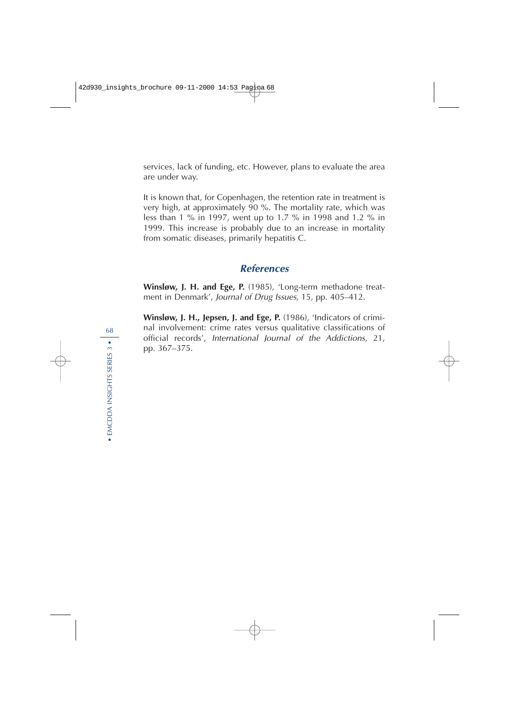services, lack of funding, etc. However, plans to evaluate the area are under way.

It is known that, for Copenhagen, the retention rate in treatment is very high, at approximately 90 %. The mortality rate, which was less than 1 % in 1997, went up to 1.7 % in 1998 and 1.2 % in 1999. This increase is probably due to an increase in mortality from somatic diseases, primarily hepatitis C.

## **References**

**Winsløw, J. H. and Ege, P.** (1985), 'Long-term methadone treatment in Denmark', Journal of Drug Issues, 15, pp. 405–412.

**Winsløw, J. H., Jepsen, J. and Ege, P.** (1986), 'Indicators of criminal involvement: crime rates versus qualitative classifications of official records', International Journal of the Addictions, 21, pp. 367–375.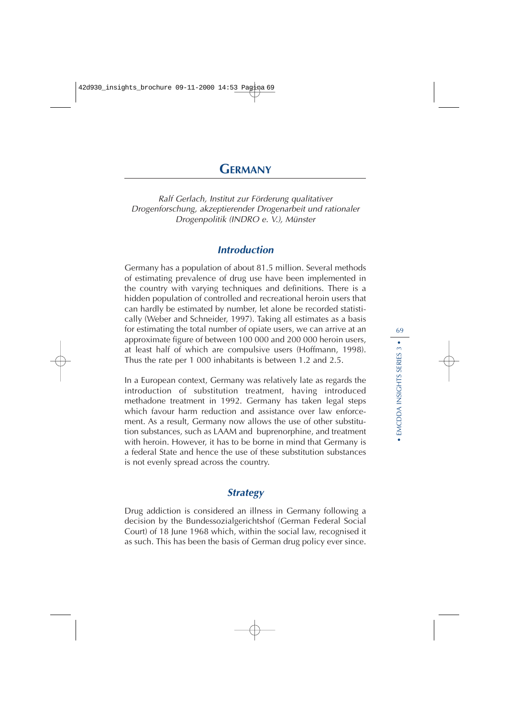# **GERMANY**

Ralf Gerlach, Institut zur Förderung qualitativer Drogenforschung, akzeptierender Drogenarbeit und rationaler Drogenpolitik (INDRO e. V.), Münster

## **Introduction**

Germany has a population of about 81.5 million. Several methods of estimating prevalence of drug use have been implemented in the country with varying techniques and definitions. There is a hidden population of controlled and recreational heroin users that can hardly be estimated by number, let alone be recorded statistically (Weber and Schneider, 1997). Taking all estimates as a basis for estimating the total number of opiate users, we can arrive at an approximate figure of between 100 000 and 200 000 heroin users, at least half of which are compulsive users (Hoffmann, 1998). Thus the rate per 1 000 inhabitants is between 1.2 and 2.5.

In a European context, Germany was relatively late as regards the introduction of substitution treatment, having introduced methadone treatment in 1992. Germany has taken legal steps which favour harm reduction and assistance over law enforcement. As a result, Germany now allows the use of other substitution substances, such as LAAM and buprenorphine, and treatment with heroin. However, it has to be borne in mind that Germany is a federal State and hence the use of these substitution substances is not evenly spread across the country.

## **Strategy**

Drug addiction is considered an illness in Germany following a decision by the Bundessozialgerichtshof (German Federal Social Court) of 18 June 1968 which, within the social law, recognised it as such. This has been the basis of German drug policy ever since.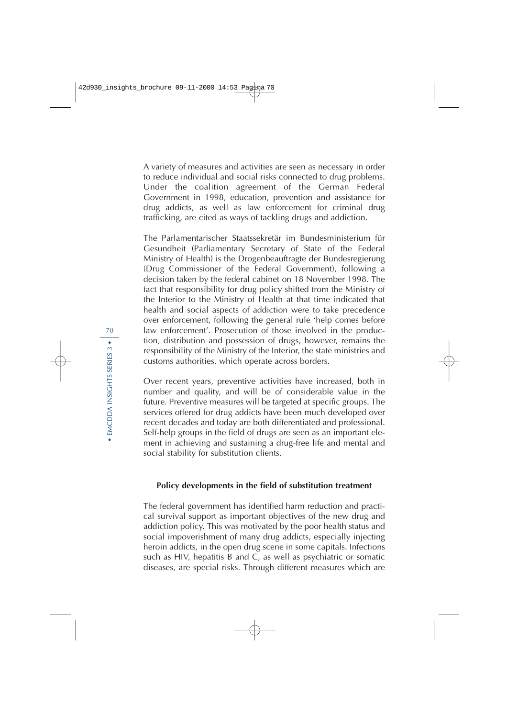A variety of measures and activities are seen as necessary in order to reduce individual and social risks connected to drug problems. Under the coalition agreement of the German Federal Government in 1998, education, prevention and assistance for drug addicts, as well as law enforcement for criminal drug trafficking, are cited as ways of tackling drugs and addiction.

The Parlamentarischer Staatssekretär im Bundesministerium für Gesundheit (Parliamentary Secretary of State of the Federal Ministry of Health) is the Drogenbeauftragte der Bundesregierung (Drug Commissioner of the Federal Government), following a decision taken by the federal cabinet on 18 November 1998. The fact that responsibility for drug policy shifted from the Ministry of the Interior to the Ministry of Health at that time indicated that health and social aspects of addiction were to take precedence over enforcement, following the general rule 'help comes before law enforcement'. Prosecution of those involved in the production, distribution and possession of drugs, however, remains the responsibility of the Ministry of the Interior, the state ministries and customs authorities, which operate across borders.

Over recent years, preventive activities have increased, both in number and quality, and will be of considerable value in the future. Preventive measures will be targeted at specific groups. The services offered for drug addicts have been much developed over recent decades and today are both differentiated and professional. Self-help groups in the field of drugs are seen as an important element in achieving and sustaining a drug-free life and mental and social stability for substitution clients.

#### **Policy developments in the field of substitution treatment**

The federal government has identified harm reduction and practical survival support as important objectives of the new drug and addiction policy. This was motivated by the poor health status and social impoverishment of many drug addicts, especially injecting heroin addicts, in the open drug scene in some capitals. Infections such as HIV, hepatitis B and C, as well as psychiatric or somatic diseases, are special risks. Through different measures which are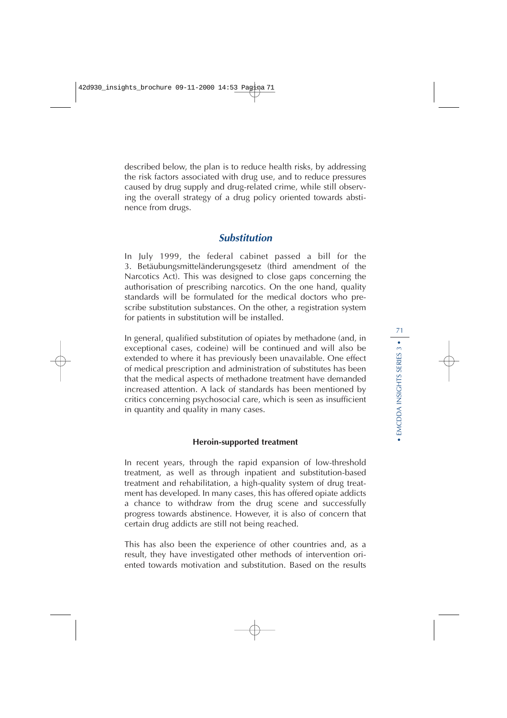described below, the plan is to reduce health risks, by addressing the risk factors associated with drug use, and to reduce pressures caused by drug supply and drug-related crime, while still observing the overall strategy of a drug policy oriented towards abstinence from drugs.

## **Substitution**

In July 1999, the federal cabinet passed a bill for the 3. Betäubungsmitteländerungsgesetz (third amendment of the Narcotics Act). This was designed to close gaps concerning the authorisation of prescribing narcotics. On the one hand, quality standards will be formulated for the medical doctors who prescribe substitution substances. On the other, a registration system for patients in substitution will be installed.

In general, qualified substitution of opiates by methadone (and, in exceptional cases, codeine) will be continued and will also be extended to where it has previously been unavailable. One effect of medical prescription and administration of substitutes has been that the medical aspects of methadone treatment have demanded increased attention. A lack of standards has been mentioned by critics concerning psychosocial care, which is seen as insufficient in quantity and quality in many cases.

#### **Heroin-supported treatment**

In recent years, through the rapid expansion of low-threshold treatment, as well as through inpatient and substitution-based treatment and rehabilitation, a high-quality system of drug treatment has developed. In many cases, this has offered opiate addicts a chance to withdraw from the drug scene and successfully progress towards abstinence. However, it is also of concern that certain drug addicts are still not being reached.

This has also been the experience of other countries and, as a result, they have investigated other methods of intervention oriented towards motivation and substitution. Based on the results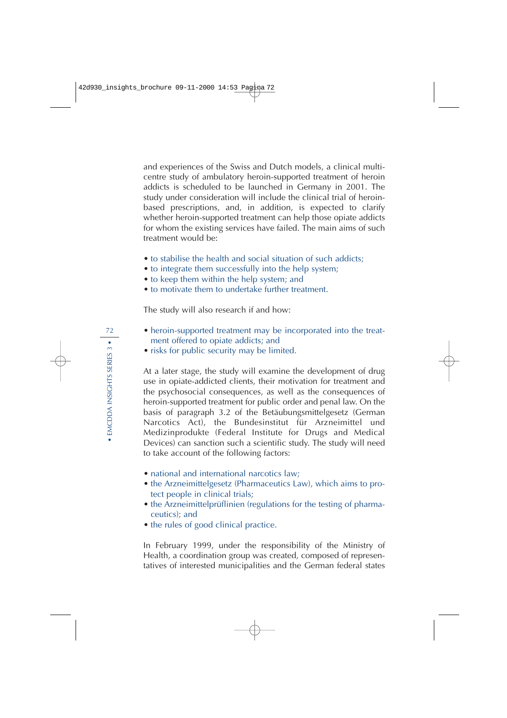and experiences of the Swiss and Dutch models, a clinical multicentre study of ambulatory heroin-supported treatment of heroin addicts is scheduled to be launched in Germany in 2001. The study under consideration will include the clinical trial of heroinbased prescriptions, and, in addition, is expected to clarify whether heroin-supported treatment can help those opiate addicts for whom the existing services have failed. The main aims of such treatment would be:

- to stabilise the health and social situation of such addicts;
- to integrate them successfully into the help system;
- to keep them within the help system; and
- to motivate them to undertake further treatment.

The study will also research if and how:

- heroin-supported treatment may be incorporated into the treatment offered to opiate addicts; and
- risks for public security may be limited.

At a later stage, the study will examine the development of drug use in opiate-addicted clients, their motivation for treatment and the psychosocial consequences, as well as the consequences of heroin-supported treatment for public order and penal law. On the basis of paragraph 3.2 of the Betäubungsmittelgesetz (German Narcotics Act), the Bundesinstitut für Arzneimittel und Medizinprodukte (Federal Institute for Drugs and Medical Devices) can sanction such a scientific study. The study will need to take account of the following factors:

- national and international narcotics law;
- the Arzneimittelgesetz (Pharmaceutics Law), which aims to protect people in clinical trials;
- the Arzneimittelprüflinien (regulations for the testing of pharmaceutics); and
- the rules of good clinical practice.

In February 1999, under the responsibility of the Ministry of Health, a coordination group was created, composed of representatives of interested municipalities and the German federal states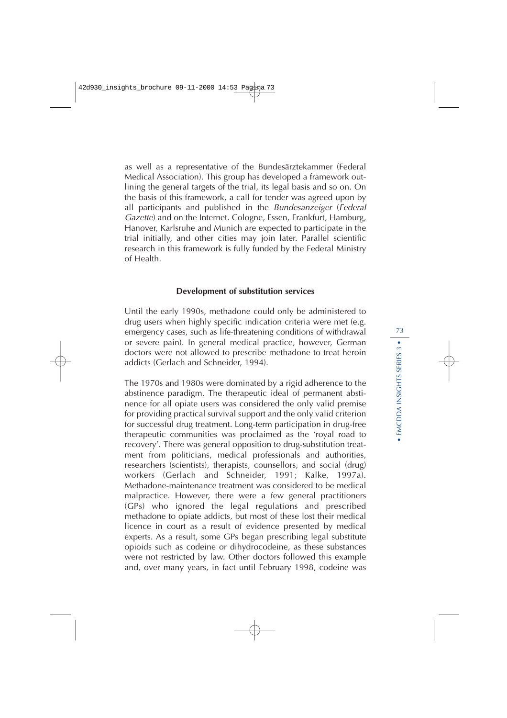as well as a representative of the Bundesärztekammer (Federal Medical Association). This group has developed a framework outlining the general targets of the trial, its legal basis and so on. On the basis of this framework, a call for tender was agreed upon by all participants and published in the Bundesanzeiger (Federal Gazette) and on the Internet. Cologne, Essen, Frankfurt, Hamburg, Hanover, Karlsruhe and Munich are expected to participate in the trial initially, and other cities may join later. Parallel scientific research in this framework is fully funded by the Federal Ministry of Health.

#### **Development of substitution services**

Until the early 1990s, methadone could only be administered to drug users when highly specific indication criteria were met (e.g. emergency cases, such as life-threatening conditions of withdrawal or severe pain). In general medical practice, however, German doctors were not allowed to prescribe methadone to treat heroin addicts (Gerlach and Schneider, 1994).

The 1970s and 1980s were dominated by a rigid adherence to the abstinence paradigm. The therapeutic ideal of permanent abstinence for all opiate users was considered the only valid premise for providing practical survival support and the only valid criterion for successful drug treatment. Long-term participation in drug-free therapeutic communities was proclaimed as the 'royal road to recovery'. There was general opposition to drug-substitution treatment from politicians, medical professionals and authorities, researchers (scientists), therapists, counsellors, and social (drug) workers (Gerlach and Schneider, 1991; Kalke, 1997a). Methadone-maintenance treatment was considered to be medical malpractice. However, there were a few general practitioners (GPs) who ignored the legal regulations and prescribed methadone to opiate addicts, but most of these lost their medical licence in court as a result of evidence presented by medical experts. As a result, some GPs began prescribing legal substitute opioids such as codeine or dihydrocodeine, as these substances were not restricted by law. Other doctors followed this example and, over many years, in fact until February 1998, codeine was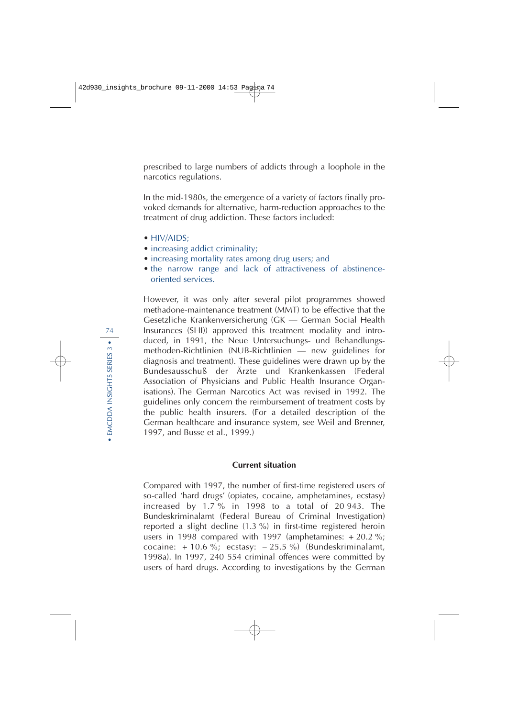prescribed to large numbers of addicts through a loophole in the narcotics regulations.

In the mid-1980s, the emergence of a variety of factors finally provoked demands for alternative, harm-reduction approaches to the treatment of drug addiction. These factors included:

- HIV/AIDS:
- increasing addict criminality;
- increasing mortality rates among drug users; and
- the narrow range and lack of attractiveness of abstinenceoriented services.

However, it was only after several pilot programmes showed methadone-maintenance treatment (MMT) to be effective that the Gesetzliche Krankenversicherung (GK — German Social Health Insurances (SHI)) approved this treatment modality and introduced, in 1991, the Neue Untersuchungs- und Behandlungsmethoden-Richtlinien (NUB-Richtlinien — new guidelines for diagnosis and treatment). These guidelines were drawn up by the Bundesausschuß der Ärzte und Krankenkassen (Federal Association of Physicians and Public Health Insurance Organisations). The German Narcotics Act was revised in 1992. The guidelines only concern the reimbursement of treatment costs by the public health insurers. (For a detailed description of the German healthcare and insurance system, see Weil and Brenner, 1997, and Busse et al., 1999.)

### **Current situation**

Compared with 1997, the number of first-time registered users of so-called 'hard drugs' (opiates, cocaine, amphetamines, ecstasy) increased by 1.7 % in 1998 to a total of 20 943. The Bundeskriminalamt (Federal Bureau of Criminal Investigation) reported a slight decline (1.3 %) in first-time registered heroin users in 1998 compared with 1997 (amphetamines: + 20.2 %; cocaine:  $+10.6$  %; ecstasy:  $-25.5$  %) (Bundeskriminalamt, 1998a). In 1997, 240 554 criminal offences were committed by users of hard drugs. According to investigations by the German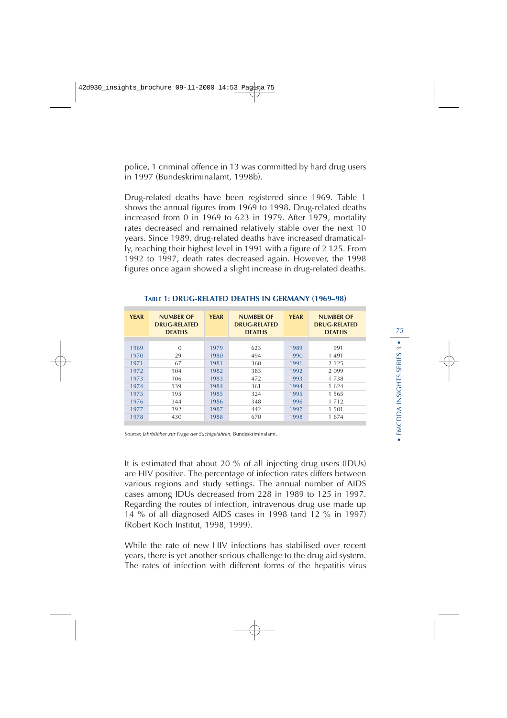police, 1 criminal offence in 13 was committed by hard drug users in 1997 (Bundeskriminalamt, 1998b).

Drug-related deaths have been registered since 1969. Table 1 shows the annual figures from 1969 to 1998. Drug-related deaths increased from 0 in 1969 to 623 in 1979. After 1979, mortality rates decreased and remained relatively stable over the next 10 years. Since 1989, drug-related deaths have increased dramatically, reaching their highest level in 1991 with a figure of 2 125. From 1992 to 1997, death rates decreased again. However, the 1998 figures once again showed a slight increase in drug-related deaths.

| <b>YEAR</b> | <b>NUMBER OF</b><br><b>DRUG-RELATED</b><br><b>DEATHS</b> | <b>YEAR</b> | <b>NUMBER OF</b><br><b>DRUG-RELATED</b><br><b>DEATHS</b> | <b>YEAR</b> | <b>NUMBER OF</b><br><b>DRUG-RELATED</b><br><b>DEATHS</b> |
|-------------|----------------------------------------------------------|-------------|----------------------------------------------------------|-------------|----------------------------------------------------------|
| 1969        | $\Omega$                                                 | 1979        | 623                                                      | 1989        | 991                                                      |
| 1970        | 29                                                       | 1980        | 494                                                      | 1990        | 1 4 9 1                                                  |
| 1971        | 67                                                       | 1981        | 360                                                      | 1991        | 2 1 2 5                                                  |
| 1972        | 104                                                      | 1982        | 383                                                      | 1992        | 2 0 9 9                                                  |
| 1973        | 106                                                      | 1983        | 472                                                      | 1993        | 1 7 3 8                                                  |
| 1974        | 139                                                      | 1984        | 361                                                      | 1994        | 1624                                                     |
| 1975        | 195                                                      | 1985        | 324                                                      | 1995        | 1.565                                                    |
| 1976        | 344                                                      | 1986        | 348                                                      | 1996        | 1 7 1 2                                                  |
| 1977        | 392                                                      | 1987        | 442                                                      | 1997        | 1 501                                                    |
| 1978        | 430                                                      | 1988        | 670                                                      | 1998        | 1674                                                     |

#### **TABLE 1: DRUG-RELATED DEATHS IN GERMANY (1969–98)**

Source: Jahrbücher zur Frage der Suchtgefahren, Bundeskriminalamt.

It is estimated that about 20 % of all injecting drug users (IDUs) are HIV positive. The percentage of infection rates differs between various regions and study settings. The annual number of AIDS cases among IDUs decreased from 228 in 1989 to 125 in 1997. Regarding the routes of infection, intravenous drug use made up 14 % of all diagnosed AIDS cases in 1998 (and 12 % in 1997) (Robert Koch Institut, 1998, 1999).

While the rate of new HIV infections has stabilised over recent years, there is yet another serious challenge to the drug aid system. The rates of infection with different forms of the hepatitis virus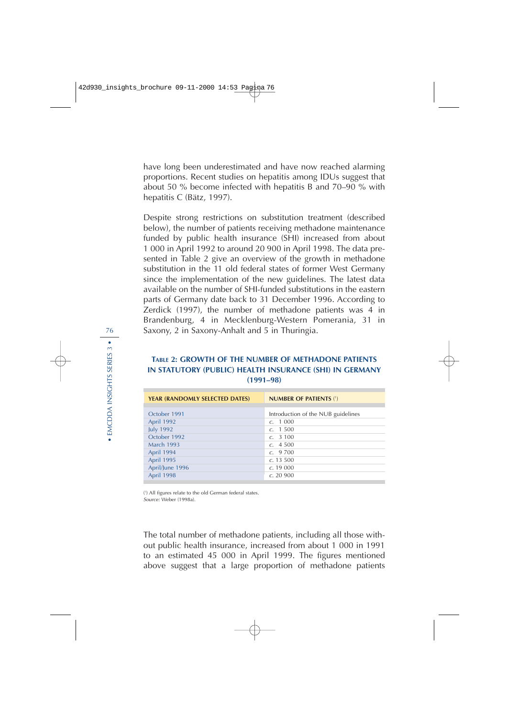have long been underestimated and have now reached alarming proportions. Recent studies on hepatitis among IDUs suggest that about 50 % become infected with hepatitis B and 70–90 % with hepatitis C (Bätz, 1997).

Despite strong restrictions on substitution treatment (described below), the number of patients receiving methadone maintenance funded by public health insurance (SHI) increased from about 1 000 in April 1992 to around 20 900 in April 1998. The data presented in Table 2 give an overview of the growth in methadone substitution in the 11 old federal states of former West Germany since the implementation of the new guidelines. The latest data available on the number of SHI-funded substitutions in the eastern parts of Germany date back to 31 December 1996. According to Zerdick (1997), the number of methadone patients was 4 in Brandenburg, 4 in Mecklenburg-Western Pomerania, 31 in Saxony, 2 in Saxony-Anhalt and 5 in Thuringia.

## **TABLE 2: GROWTH OF THE NUMBER OF METHADONE PATIENTS IN STATUTORY (PUBLIC) HEALTH INSURANCE (SHI) IN GERMANY (1991–98)**

| October 1991<br>Introduction of the NUB guidelines<br><b>April 1992</b><br>c. 1000<br><b>July 1992</b><br>c. 1500<br>October 1992<br>c. 3100<br><b>March 1993</b><br>c. 4500<br>April 1994<br>c.9700<br>April 1995<br>c. 13,500<br>April/June 1996<br>c. 19000 | <b>YEAR (RANDOMLY SELECTED DATES)</b> | <b>NUMBER OF PATIENTS (1)</b> |  |  |
|----------------------------------------------------------------------------------------------------------------------------------------------------------------------------------------------------------------------------------------------------------------|---------------------------------------|-------------------------------|--|--|
|                                                                                                                                                                                                                                                                |                                       |                               |  |  |
|                                                                                                                                                                                                                                                                |                                       |                               |  |  |
|                                                                                                                                                                                                                                                                |                                       |                               |  |  |
|                                                                                                                                                                                                                                                                |                                       |                               |  |  |
|                                                                                                                                                                                                                                                                |                                       |                               |  |  |
|                                                                                                                                                                                                                                                                |                                       |                               |  |  |
|                                                                                                                                                                                                                                                                |                                       |                               |  |  |
|                                                                                                                                                                                                                                                                |                                       |                               |  |  |
|                                                                                                                                                                                                                                                                |                                       |                               |  |  |
|                                                                                                                                                                                                                                                                | <b>April 1998</b>                     | c. 20900                      |  |  |

( 1 ) All figures relate to the old German federal states. Source: Weber (1998a).

The total number of methadone patients, including all those without public health insurance, increased from about 1 000 in 1991 to an estimated 45 000 in April 1999. The figures mentioned above suggest that a large proportion of methadone patients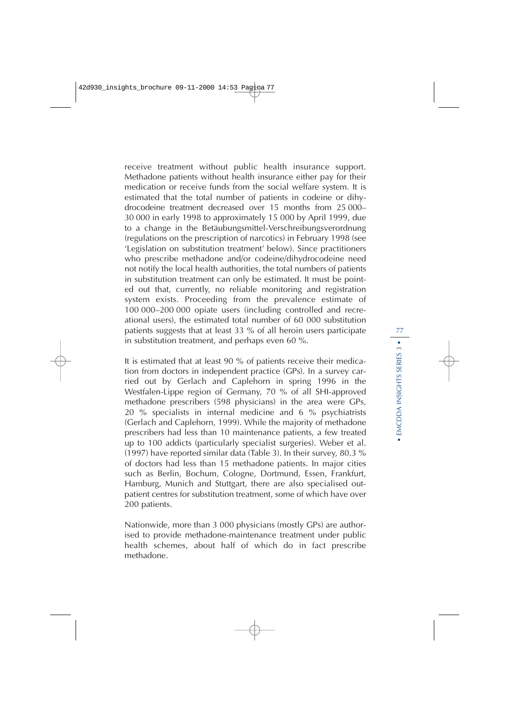receive treatment without public health insurance support. Methadone patients without health insurance either pay for their medication or receive funds from the social welfare system. It is estimated that the total number of patients in codeine or dihydrocodeine treatment decreased over 15 months from 25 000– 30 000 in early 1998 to approximately 15 000 by April 1999, due to a change in the Betäubungsmittel-Verschreibungsverordnung (regulations on the prescription of narcotics) in February 1998 (see 'Legislation on substitution treatment' below). Since practitioners who prescribe methadone and/or codeine/dihydrocodeine need not notify the local health authorities, the total numbers of patients in substitution treatment can only be estimated. It must be pointed out that, currently, no reliable monitoring and registration system exists. Proceeding from the prevalence estimate of 100 000–200 000 opiate users (including controlled and recreational users), the estimated total number of 60 000 substitution patients suggests that at least 33 % of all heroin users participate in substitution treatment, and perhaps even 60 %.

It is estimated that at least 90 % of patients receive their medication from doctors in independent practice (GPs). In a survey carried out by Gerlach and Caplehorn in spring 1996 in the Westfalen-Lippe region of Germany, 70 % of all SHI-approved methadone prescribers (598 physicians) in the area were GPs, 20 % specialists in internal medicine and 6 % psychiatrists (Gerlach and Caplehorn, 1999). While the majority of methadone prescribers had less than 10 maintenance patients, a few treated up to 100 addicts (particularly specialist surgeries). Weber et al. (1997) have reported similar data (Table 3). In their survey, 80.3 % of doctors had less than 15 methadone patients. In major cities such as Berlin, Bochum, Cologne, Dortmund, Essen, Frankfurt, Hamburg, Munich and Stuttgart, there are also specialised outpatient centres for substitution treatment, some of which have over 200 patients.

Nationwide, more than 3 000 physicians (mostly GPs) are authorised to provide methadone-maintenance treatment under public health schemes, about half of which do in fact prescribe methadone.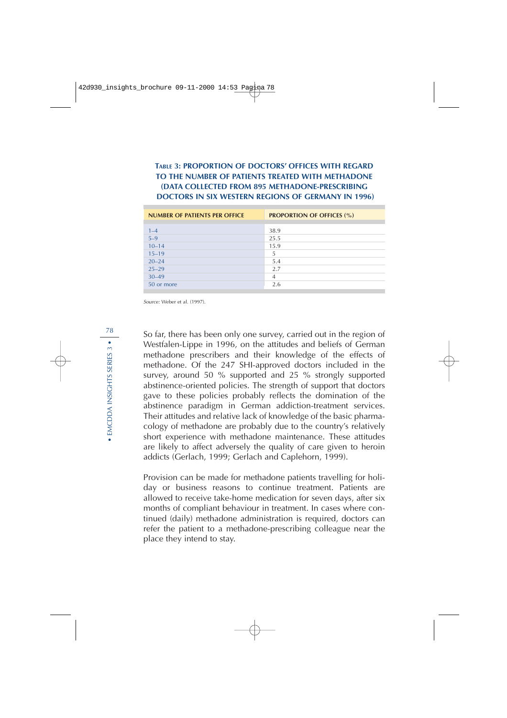**TABLE 3: PROPORTION OF DOCTORS' OFFICES WITH REGARD TO THE NUMBER OF PATIENTS TREATED WITH METHADONE (DATA COLLECTED FROM 895 METHADONE-PRESCRIBING DOCTORS IN SIX WESTERN REGIONS OF GERMANY IN 1996)**

| <b>NUMBER OF PATIENTS PER OFFICE</b> | <b>PROPORTION OF OFFICES (%)</b> |
|--------------------------------------|----------------------------------|
|                                      |                                  |
| $1 - 4$                              | 38.9                             |
| $5 - 9$                              | 25.5                             |
| $10 - 14$                            | 15.9                             |
| $15 - 19$                            | 5                                |
| $20 - 24$                            | 5.4                              |
| $25 - 29$                            | 2.7                              |
| $30 - 49$                            | 4                                |
| 50 or more                           | 2.6                              |

Source: Weber et al. (1997).

So far, there has been only one survey, carried out in the region of Westfalen-Lippe in 1996, on the attitudes and beliefs of German methadone prescribers and their knowledge of the effects of methadone. Of the 247 SHI-approved doctors included in the survey, around 50 % supported and 25 % strongly supported abstinence-oriented policies. The strength of support that doctors gave to these policies probably reflects the domination of the abstinence paradigm in German addiction-treatment services. Their attitudes and relative lack of knowledge of the basic pharmacology of methadone are probably due to the country's relatively short experience with methadone maintenance. These attitudes are likely to affect adversely the quality of care given to heroin addicts (Gerlach, 1999; Gerlach and Caplehorn, 1999).

Provision can be made for methadone patients travelling for holiday or business reasons to continue treatment. Patients are allowed to receive take-home medication for seven days, after six months of compliant behaviour in treatment. In cases where continued (daily) methadone administration is required, doctors can refer the patient to a methadone-prescribing colleague near the place they intend to stay.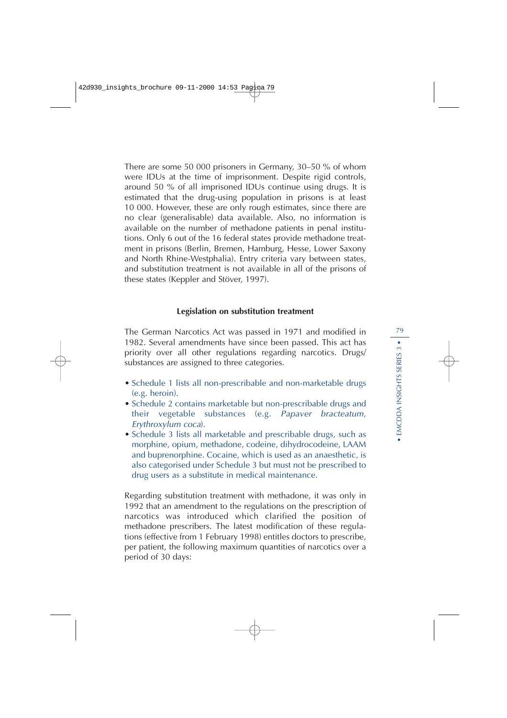There are some 50 000 prisoners in Germany, 30–50 % of whom were IDUs at the time of imprisonment. Despite rigid controls, around 50 % of all imprisoned IDUs continue using drugs. It is estimated that the drug-using population in prisons is at least 10 000. However, these are only rough estimates, since there are no clear (generalisable) data available. Also, no information is available on the number of methadone patients in penal institutions. Only 6 out of the 16 federal states provide methadone treatment in prisons (Berlin, Bremen, Hamburg, Hesse, Lower Saxony and North Rhine-Westphalia). Entry criteria vary between states, and substitution treatment is not available in all of the prisons of these states (Keppler and Stöver, 1997).

### **Legislation on substitution treatment**

The German Narcotics Act was passed in 1971 and modified in 1982. Several amendments have since been passed. This act has priority over all other regulations regarding narcotics. Drugs/ substances are assigned to three categories.

- Schedule 1 lists all non-prescribable and non-marketable drugs (e.g. heroin).
- Schedule 2 contains marketable but non-prescribable drugs and their vegetable substances (e.g. Papaver bracteatum, Erythroxylum coca).
- Schedule 3 lists all marketable and prescribable drugs, such as morphine, opium, methadone, codeine, dihydrocodeine, LAAM and buprenorphine. Cocaine, which is used as an anaesthetic, is also categorised under Schedule 3 but must not be prescribed to drug users as a substitute in medical maintenance.

Regarding substitution treatment with methadone, it was only in 1992 that an amendment to the regulations on the prescription of narcotics was introduced which clarified the position of methadone prescribers. The latest modification of these regulations (effective from 1 February 1998) entitles doctors to prescribe, per patient, the following maximum quantities of narcotics over a period of 30 days: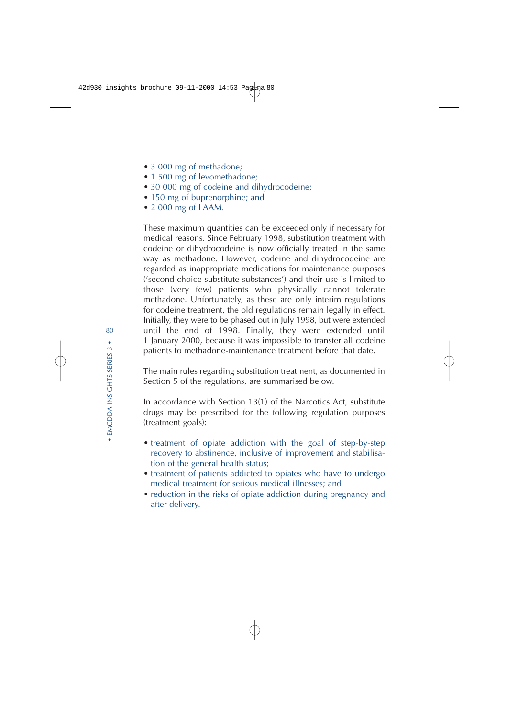- 3 000 mg of methadone;
- 1 500 mg of levomethadone;
- 30 000 mg of codeine and dihydrocodeine;
- 150 mg of buprenorphine; and
- 2 000 mg of LAAM.

These maximum quantities can be exceeded only if necessary for medical reasons. Since February 1998, substitution treatment with codeine or dihydrocodeine is now officially treated in the same way as methadone. However, codeine and dihydrocodeine are regarded as inappropriate medications for maintenance purposes ('second-choice substitute substances') and their use is limited to those (very few) patients who physically cannot tolerate methadone. Unfortunately, as these are only interim regulations for codeine treatment, the old regulations remain legally in effect. Initially, they were to be phased out in July 1998, but were extended until the end of 1998. Finally, they were extended until 1 January 2000, because it was impossible to transfer all codeine patients to methadone-maintenance treatment before that date.

The main rules regarding substitution treatment, as documented in Section 5 of the regulations, are summarised below.

In accordance with Section 13(1) of the Narcotics Act, substitute drugs may be prescribed for the following regulation purposes (treatment goals):

- treatment of opiate addiction with the goal of step-by-step recovery to abstinence, inclusive of improvement and stabilisation of the general health status;
- treatment of patients addicted to opiates who have to undergo medical treatment for serious medical illnesses; and
- reduction in the risks of opiate addiction during pregnancy and after delivery.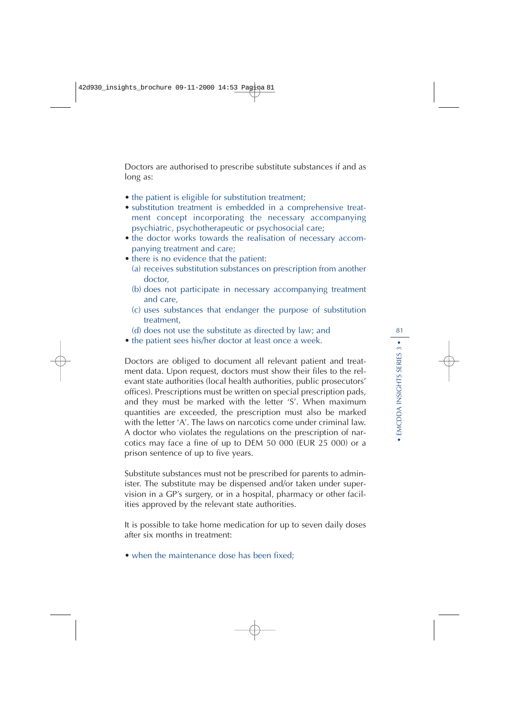Doctors are authorised to prescribe substitute substances if and as long as:

- the patient is eligible for substitution treatment;
- substitution treatment is embedded in a comprehensive treatment concept incorporating the necessary accompanying psychiatric, psychotherapeutic or psychosocial care;
- the doctor works towards the realisation of necessary accompanying treatment and care;
- there is no evidence that the patient:
	- (a) receives substitution substances on prescription from another doctor,
	- (b) does not participate in necessary accompanying treatment and care,
	- (c) uses substances that endanger the purpose of substitution treatment,
	- (d) does not use the substitute as directed by law; and
- the patient sees his/her doctor at least once a week.

Doctors are obliged to document all relevant patient and treatment data. Upon request, doctors must show their files to the relevant state authorities (local health authorities, public prosecutors' offices). Prescriptions must be written on special prescription pads, and they must be marked with the letter 'S'. When maximum quantities are exceeded, the prescription must also be marked with the letter 'A'. The laws on narcotics come under criminal law. A doctor who violates the regulations on the prescription of narcotics may face a fine of up to DEM 50 000 (EUR 25 000) or a prison sentence of up to five years.

Substitute substances must not be prescribed for parents to administer. The substitute may be dispensed and/or taken under supervision in a GP's surgery, or in a hospital, pharmacy or other facilities approved by the relevant state authorities.

It is possible to take home medication for up to seven daily doses after six months in treatment:

• when the maintenance dose has been fixed;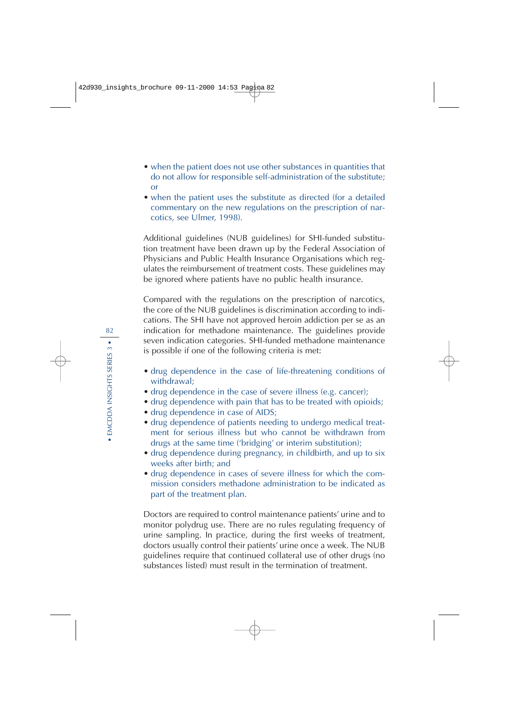- when the patient does not use other substances in quantities that do not allow for responsible self-administration of the substitute; or
- when the patient uses the substitute as directed (for a detailed commentary on the new regulations on the prescription of narcotics, see Ulmer, 1998).

Additional guidelines (NUB guidelines) for SHI-funded substitution treatment have been drawn up by the Federal Association of Physicians and Public Health Insurance Organisations which regulates the reimbursement of treatment costs. These guidelines may be ignored where patients have no public health insurance.

Compared with the regulations on the prescription of narcotics, the core of the NUB guidelines is discrimination according to indications. The SHI have not approved heroin addiction per se as an indication for methadone maintenance. The guidelines provide seven indication categories. SHI-funded methadone maintenance is possible if one of the following criteria is met:

- drug dependence in the case of life-threatening conditions of withdrawal;
- drug dependence in the case of severe illness (e.g. cancer);
- drug dependence with pain that has to be treated with opioids;
- drug dependence in case of AIDS;
- drug dependence of patients needing to undergo medical treatment for serious illness but who cannot be withdrawn from drugs at the same time ('bridging' or interim substitution);
- drug dependence during pregnancy, in childbirth, and up to six weeks after birth; and
- drug dependence in cases of severe illness for which the commission considers methadone administration to be indicated as part of the treatment plan.

Doctors are required to control maintenance patients' urine and to monitor polydrug use. There are no rules regulating frequency of urine sampling. In practice, during the first weeks of treatment, doctors usually control their patients' urine once a week. The NUB guidelines require that continued collateral use of other drugs (no substances listed) must result in the termination of treatment.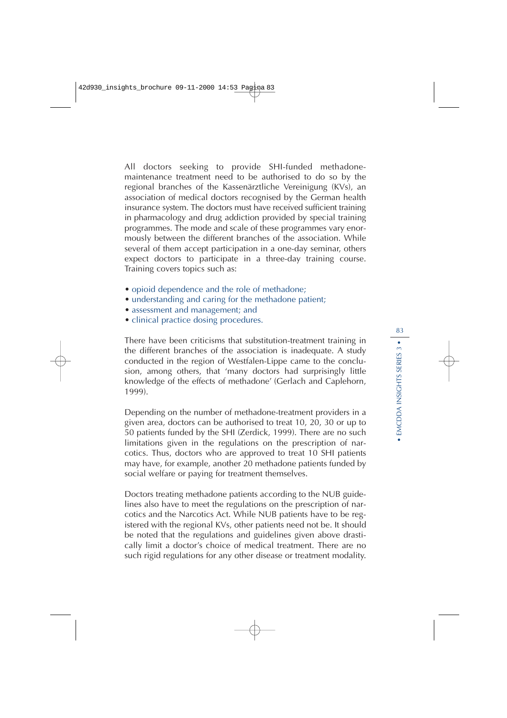All doctors seeking to provide SHI-funded methadonemaintenance treatment need to be authorised to do so by the regional branches of the Kassenärztliche Vereinigung (KVs), an association of medical doctors recognised by the German health insurance system. The doctors must have received sufficient training in pharmacology and drug addiction provided by special training programmes. The mode and scale of these programmes vary enormously between the different branches of the association. While several of them accept participation in a one-day seminar, others expect doctors to participate in a three-day training course. Training covers topics such as:

- opioid dependence and the role of methadone;
- understanding and caring for the methadone patient;
- assessment and management; and
- clinical practice dosing procedures.

There have been criticisms that substitution-treatment training in the different branches of the association is inadequate. A study conducted in the region of Westfalen-Lippe came to the conclusion, among others, that 'many doctors had surprisingly little knowledge of the effects of methadone' (Gerlach and Caplehorn, 1999).

Depending on the number of methadone-treatment providers in a given area, doctors can be authorised to treat 10, 20, 30 or up to 50 patients funded by the SHI (Zerdick, 1999). There are no such limitations given in the regulations on the prescription of narcotics. Thus, doctors who are approved to treat 10 SHI patients may have, for example, another 20 methadone patients funded by social welfare or paying for treatment themselves.

Doctors treating methadone patients according to the NUB guidelines also have to meet the regulations on the prescription of narcotics and the Narcotics Act. While NUB patients have to be registered with the regional KVs, other patients need not be. It should be noted that the regulations and guidelines given above drastically limit a doctor's choice of medical treatment. There are no such rigid regulations for any other disease or treatment modality.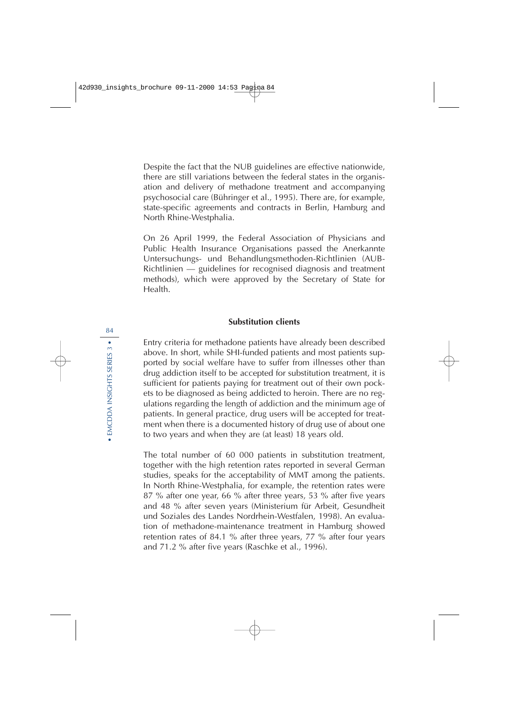Despite the fact that the NUB guidelines are effective nationwide, there are still variations between the federal states in the organisation and delivery of methadone treatment and accompanying psychosocial care (Bühringer et al., 1995). There are, for example, state-specific agreements and contracts in Berlin, Hamburg and North Rhine-Westphalia.

On 26 April 1999, the Federal Association of Physicians and Public Health Insurance Organisations passed the Anerkannte Untersuchungs- und Behandlungsmethoden-Richtlinien (AUB-Richtlinien — guidelines for recognised diagnosis and treatment methods), which were approved by the Secretary of State for Health.

### **Substitution clients**

Entry criteria for methadone patients have already been described above. In short, while SHI-funded patients and most patients supported by social welfare have to suffer from illnesses other than drug addiction itself to be accepted for substitution treatment, it is sufficient for patients paying for treatment out of their own pockets to be diagnosed as being addicted to heroin. There are no regulations regarding the length of addiction and the minimum age of patients. In general practice, drug users will be accepted for treatment when there is a documented history of drug use of about one to two years and when they are (at least) 18 years old.

The total number of 60 000 patients in substitution treatment, together with the high retention rates reported in several German studies, speaks for the acceptability of MMT among the patients. In North Rhine-Westphalia, for example, the retention rates were 87 % after one year, 66 % after three years, 53 % after five years and 48 % after seven years (Ministerium für Arbeit, Gesundheit und Soziales des Landes Nordrhein-Westfalen, 1998). An evaluation of methadone-maintenance treatment in Hamburg showed retention rates of 84.1 % after three years, 77 % after four years and 71.2 % after five years (Raschke et al., 1996).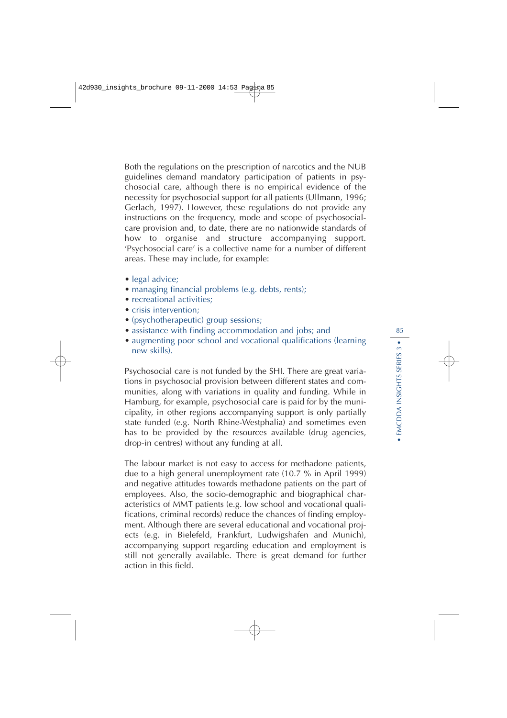Both the regulations on the prescription of narcotics and the NUB guidelines demand mandatory participation of patients in psychosocial care, although there is no empirical evidence of the necessity for psychosocial support for all patients (Ullmann, 1996; Gerlach, 1997). However, these regulations do not provide any instructions on the frequency, mode and scope of psychosocialcare provision and, to date, there are no nationwide standards of how to organise and structure accompanying support. 'Psychosocial care' is a collective name for a number of different areas. These may include, for example:

- legal advice;
- managing financial problems (e.g. debts, rents);
- recreational activities:
- crisis intervention:
- (psychotherapeutic) group sessions;
- assistance with finding accommodation and jobs; and
- augmenting poor school and vocational qualifications (learning new skills).

Psychosocial care is not funded by the SHI. There are great variations in psychosocial provision between different states and communities, along with variations in quality and funding. While in Hamburg, for example, psychosocial care is paid for by the municipality, in other regions accompanying support is only partially state funded (e.g. North Rhine-Westphalia) and sometimes even has to be provided by the resources available (drug agencies, drop-in centres) without any funding at all.

The labour market is not easy to access for methadone patients, due to a high general unemployment rate (10.7 % in April 1999) and negative attitudes towards methadone patients on the part of employees. Also, the socio-demographic and biographical characteristics of MMT patients (e.g. low school and vocational qualifications, criminal records) reduce the chances of finding employment. Although there are several educational and vocational projects (e.g. in Bielefeld, Frankfurt, Ludwigshafen and Munich), accompanying support regarding education and employment is still not generally available. There is great demand for further action in this field.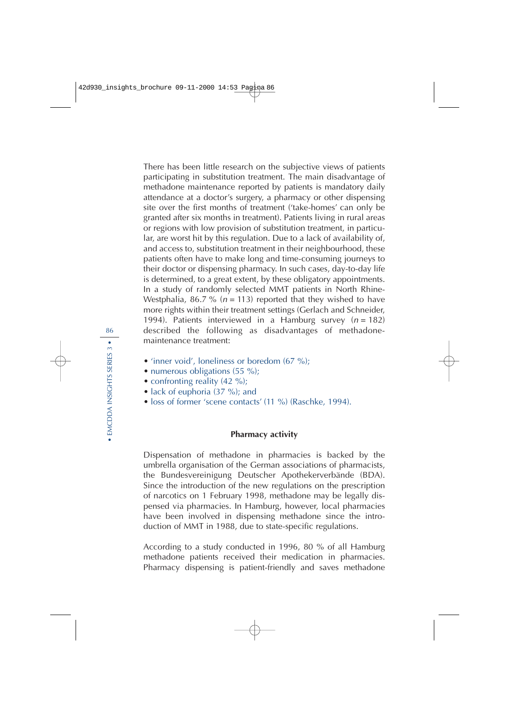There has been little research on the subjective views of patients participating in substitution treatment. The main disadvantage of methadone maintenance reported by patients is mandatory daily attendance at a doctor's surgery, a pharmacy or other dispensing site over the first months of treatment ('take-homes' can only be granted after six months in treatment). Patients living in rural areas or regions with low provision of substitution treatment, in particular, are worst hit by this regulation. Due to a lack of availability of, and access to, substitution treatment in their neighbourhood, these patients often have to make long and time-consuming journeys to their doctor or dispensing pharmacy. In such cases, day-to-day life is determined, to a great extent, by these obligatory appointments. In a study of randomly selected MMT patients in North Rhine-Westphalia, 86.7 % ( $n = 113$ ) reported that they wished to have more rights within their treatment settings (Gerlach and Schneider, 1994). Patients interviewed in a Hamburg survey  $(n = 182)$ described the following as disadvantages of methadonemaintenance treatment:

- 'inner void', loneliness or boredom (67 %);
- numerous obligations (55 %);
- confronting reality (42 %);
- lack of euphoria (37 %); and
- loss of former 'scene contacts' (11 %) (Raschke, 1994).

#### **Pharmacy activity**

Dispensation of methadone in pharmacies is backed by the umbrella organisation of the German associations of pharmacists, the Bundesvereinigung Deutscher Apothekerverbände (BDA). Since the introduction of the new regulations on the prescription of narcotics on 1 February 1998, methadone may be legally dispensed via pharmacies. In Hamburg, however, local pharmacies have been involved in dispensing methadone since the introduction of MMT in 1988, due to state-specific regulations.

According to a study conducted in 1996, 80 % of all Hamburg methadone patients received their medication in pharmacies. Pharmacy dispensing is patient-friendly and saves methadone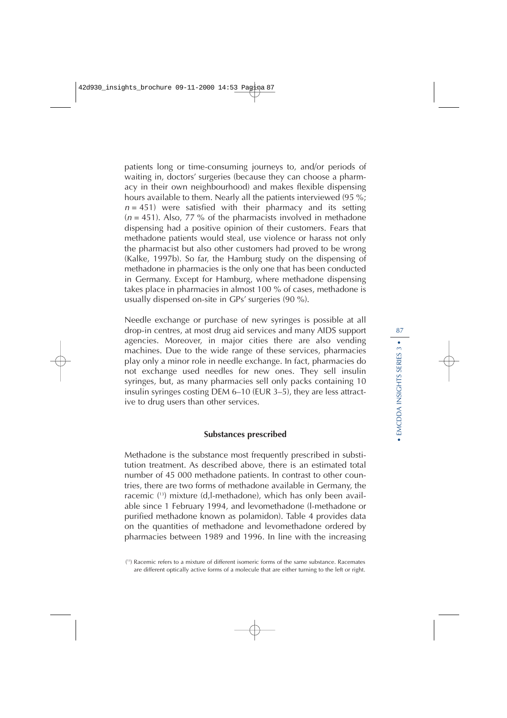patients long or time-consuming journeys to, and/or periods of waiting in, doctors' surgeries (because they can choose a pharmacy in their own neighbourhood) and makes flexible dispensing hours available to them. Nearly all the patients interviewed (95 %;  $n = 451$ ) were satisfied with their pharmacy and its setting  $(n = 451)$ . Also, 77 % of the pharmacists involved in methadone dispensing had a positive opinion of their customers. Fears that methadone patients would steal, use violence or harass not only the pharmacist but also other customers had proved to be wrong (Kalke, 1997b). So far, the Hamburg study on the dispensing of methadone in pharmacies is the only one that has been conducted in Germany. Except for Hamburg, where methadone dispensing takes place in pharmacies in almost 100 % of cases, methadone is usually dispensed on-site in GPs' surgeries (90 %).

Needle exchange or purchase of new syringes is possible at all drop-in centres, at most drug aid services and many AIDS support agencies. Moreover, in major cities there are also vending machines. Due to the wide range of these services, pharmacies play only a minor role in needle exchange. In fact, pharmacies do not exchange used needles for new ones. They sell insulin syringes, but, as many pharmacies sell only packs containing 10 insulin syringes costing DEM 6–10 (EUR 3–5), they are less attractive to drug users than other services.

### **Substances prescribed**

Methadone is the substance most frequently prescribed in substitution treatment. As described above, there is an estimated total number of 45 000 methadone patients. In contrast to other countries, there are two forms of methadone available in Germany, the racemic ( 13) mixture (d,l-methadone), which has only been available since 1 February 1994, and levomethadone (l-methadone or purified methadone known as polamidon). Table 4 provides data on the quantities of methadone and levomethadone ordered by pharmacies between 1989 and 1996. In line with the increasing

<sup>(</sup> 13) Racemic refers to a mixture of different isomeric forms of the same substance. Racemates are different optically active forms of a molecule that are either turning to the left or right.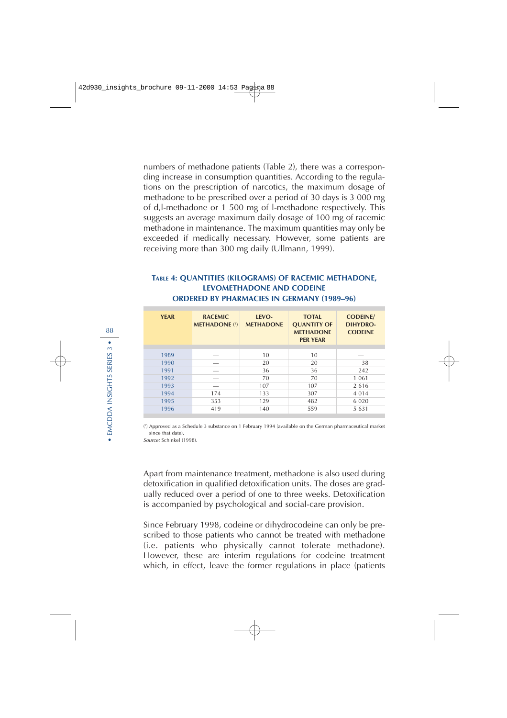numbers of methadone patients (Table 2), there was a corresponding increase in consumption quantities. According to the regulations on the prescription of narcotics, the maximum dosage of methadone to be prescribed over a period of 30 days is 3 000 mg of d,l-methadone or 1 500 mg of l-methadone respectively. This suggests an average maximum daily dosage of 100 mg of racemic methadone in maintenance. The maximum quantities may only be exceeded if medically necessary. However, some patients are receiving more than 300 mg daily (Ullmann, 1999).

## **TABLE 4: QUANTITIES (KILOGRAMS) OF RACEMIC METHADONE, LEVOMETHADONE AND CODEINE ORDERED BY PHARMACIES IN GERMANY (1989–96)**

| <b>YEAR</b> | <b>RACEMIC</b><br><b>METHADONE (1)</b> | LEVO-<br><b>METHADONE</b> | <b>TOTAL</b><br><b>QUANTITY OF</b><br><b>METHADONE</b><br><b>PER YEAR</b> | <b>CODEINE/</b><br>DIHYDRO-<br><b>CODEINE</b> |
|-------------|----------------------------------------|---------------------------|---------------------------------------------------------------------------|-----------------------------------------------|
|             |                                        |                           |                                                                           |                                               |
| 1989        |                                        | 10                        | 10                                                                        |                                               |
| 1990        |                                        | 20                        | 20                                                                        | 38                                            |
| 1991        |                                        | 36                        | 36                                                                        | 242                                           |
| 1992        |                                        | 70                        | 70                                                                        | 1 0 6 1                                       |
| 1993        |                                        | 107                       | 107                                                                       | 2616                                          |
| 1994        | 174                                    | 133                       | 307                                                                       | 4 0 1 4                                       |
| 1995        | 353                                    | 129                       | 482                                                                       | 6 0 2 0                                       |
| 1996        | 419                                    | 140                       | 559                                                                       | 5 6 3 1                                       |

( 1 ) Approved as a Schedule 3 substance on 1 February 1994 (available on the German pharmaceutical market since that date).

Source: Schinkel (1998).

Apart from maintenance treatment, methadone is also used during detoxification in qualified detoxification units. The doses are gradually reduced over a period of one to three weeks. Detoxification is accompanied by psychological and social-care provision.

Since February 1998, codeine or dihydrocodeine can only be prescribed to those patients who cannot be treated with methadone (i.e. patients who physically cannot tolerate methadone). However, these are interim regulations for codeine treatment which, in effect, leave the former regulations in place (patients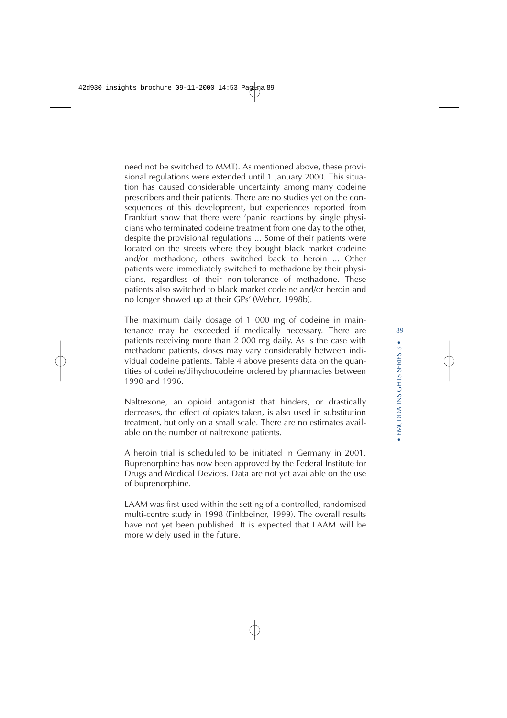need not be switched to MMT). As mentioned above, these provisional regulations were extended until 1 January 2000. This situation has caused considerable uncertainty among many codeine prescribers and their patients. There are no studies yet on the consequences of this development, but experiences reported from Frankfurt show that there were 'panic reactions by single physicians who terminated codeine treatment from one day to the other, despite the provisional regulations ... Some of their patients were located on the streets where they bought black market codeine and/or methadone, others switched back to heroin ... Other patients were immediately switched to methadone by their physicians, regardless of their non-tolerance of methadone. These patients also switched to black market codeine and/or heroin and no longer showed up at their GPs' (Weber, 1998b).

The maximum daily dosage of 1 000 mg of codeine in maintenance may be exceeded if medically necessary. There are patients receiving more than 2 000 mg daily. As is the case with methadone patients, doses may vary considerably between individual codeine patients. Table 4 above presents data on the quantities of codeine/dihydrocodeine ordered by pharmacies between 1990 and 1996.

Naltrexone, an opioid antagonist that hinders, or drastically decreases, the effect of opiates taken, is also used in substitution treatment, but only on a small scale. There are no estimates available on the number of naltrexone patients.

A heroin trial is scheduled to be initiated in Germany in 2001. Buprenorphine has now been approved by the Federal Institute for Drugs and Medical Devices. Data are not yet available on the use of buprenorphine.

LAAM was first used within the setting of a controlled, randomised multi-centre study in 1998 (Finkbeiner, 1999). The overall results have not yet been published. It is expected that LAAM will be more widely used in the future.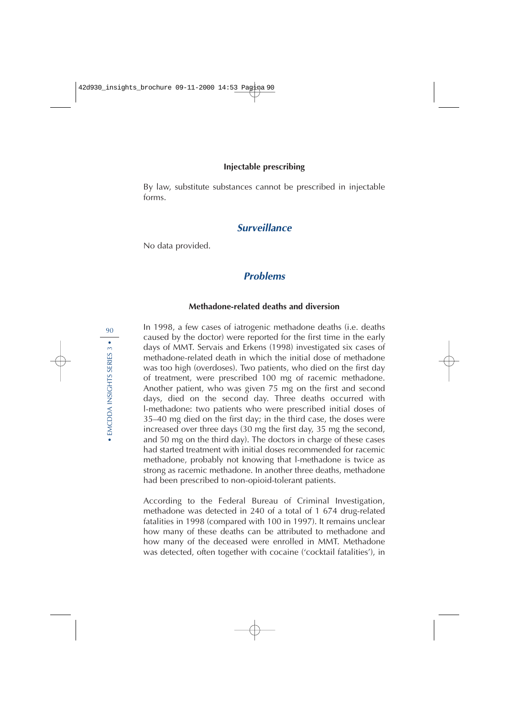### **Injectable prescribing**

By law, substitute substances cannot be prescribed in injectable forms.

## **Surveillance**

No data provided.

## **Problems**

### **Methadone-related deaths and diversion**

In 1998, a few cases of iatrogenic methadone deaths (i.e. deaths caused by the doctor) were reported for the first time in the early days of MMT. Servais and Erkens (1998) investigated six cases of methadone-related death in which the initial dose of methadone was too high (overdoses). Two patients, who died on the first day of treatment, were prescribed 100 mg of racemic methadone. Another patient, who was given 75 mg on the first and second days, died on the second day. Three deaths occurred with l-methadone: two patients who were prescribed initial doses of 35–40 mg died on the first day; in the third case, the doses were increased over three days (30 mg the first day, 35 mg the second, and 50 mg on the third day). The doctors in charge of these cases had started treatment with initial doses recommended for racemic methadone, probably not knowing that l-methadone is twice as strong as racemic methadone. In another three deaths, methadone had been prescribed to non-opioid-tolerant patients.

According to the Federal Bureau of Criminal Investigation, methadone was detected in 240 of a total of 1 674 drug-related fatalities in 1998 (compared with 100 in 1997). It remains unclear how many of these deaths can be attributed to methadone and how many of the deceased were enrolled in MMT. Methadone was detected, often together with cocaine ('cocktail fatalities'), in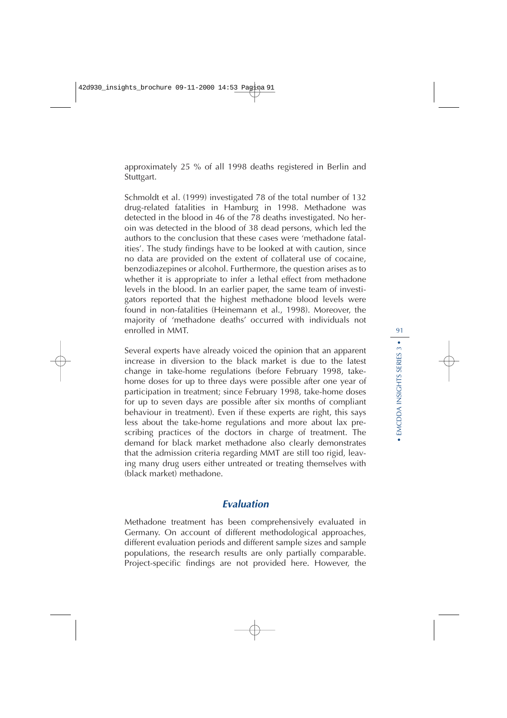approximately 25 % of all 1998 deaths registered in Berlin and Stuttgart.

Schmoldt et al. (1999) investigated 78 of the total number of 132 drug-related fatalities in Hamburg in 1998. Methadone was detected in the blood in 46 of the 78 deaths investigated. No heroin was detected in the blood of 38 dead persons, which led the authors to the conclusion that these cases were 'methadone fatalities'. The study findings have to be looked at with caution, since no data are provided on the extent of collateral use of cocaine, benzodiazepines or alcohol. Furthermore, the question arises as to whether it is appropriate to infer a lethal effect from methadone levels in the blood. In an earlier paper, the same team of investigators reported that the highest methadone blood levels were found in non-fatalities (Heinemann et al., 1998). Moreover, the majority of 'methadone deaths' occurred with individuals not enrolled in MMT.

Several experts have already voiced the opinion that an apparent increase in diversion to the black market is due to the latest change in take-home regulations (before February 1998, takehome doses for up to three days were possible after one year of participation in treatment; since February 1998, take-home doses for up to seven days are possible after six months of compliant behaviour in treatment). Even if these experts are right, this says less about the take-home regulations and more about lax prescribing practices of the doctors in charge of treatment. The demand for black market methadone also clearly demonstrates that the admission criteria regarding MMT are still too rigid, leaving many drug users either untreated or treating themselves with (black market) methadone.

# **Evaluation**

Methadone treatment has been comprehensively evaluated in Germany. On account of different methodological approaches, different evaluation periods and different sample sizes and sample populations, the research results are only partially comparable. Project-specific findings are not provided here. However, the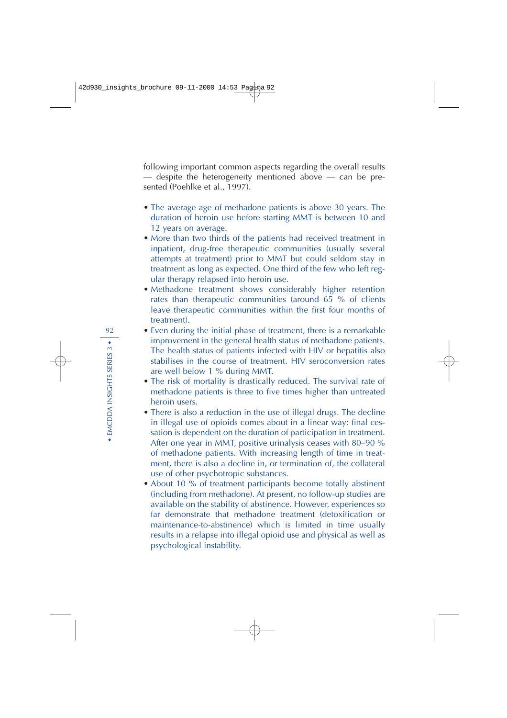following important common aspects regarding the overall results — despite the heterogeneity mentioned above — can be presented (Poehlke et al., 1997).

- The average age of methadone patients is above 30 years. The duration of heroin use before starting MMT is between 10 and 12 years on average.
- More than two thirds of the patients had received treatment in inpatient, drug-free therapeutic communities (usually several attempts at treatment) prior to MMT but could seldom stay in treatment as long as expected. One third of the few who left regular therapy relapsed into heroin use.
- Methadone treatment shows considerably higher retention rates than therapeutic communities (around 65 % of clients leave therapeutic communities within the first four months of treatment).
- Even during the initial phase of treatment, there is a remarkable improvement in the general health status of methadone patients. The health status of patients infected with HIV or hepatitis also stabilises in the course of treatment. HIV seroconversion rates are well below 1 % during MMT.
- The risk of mortality is drastically reduced. The survival rate of methadone patients is three to five times higher than untreated heroin users.
- There is also a reduction in the use of illegal drugs. The decline in illegal use of opioids comes about in a linear way: final cessation is dependent on the duration of participation in treatment. After one year in MMT, positive urinalysis ceases with 80–90 % of methadone patients. With increasing length of time in treatment, there is also a decline in, or termination of, the collateral use of other psychotropic substances.
- About 10 % of treatment participants become totally abstinent (including from methadone). At present, no follow-up studies are available on the stability of abstinence. However, experiences so far demonstrate that methadone treatment (detoxification or maintenance-to-abstinence) which is limited in time usually results in a relapse into illegal opioid use and physical as well as psychological instability.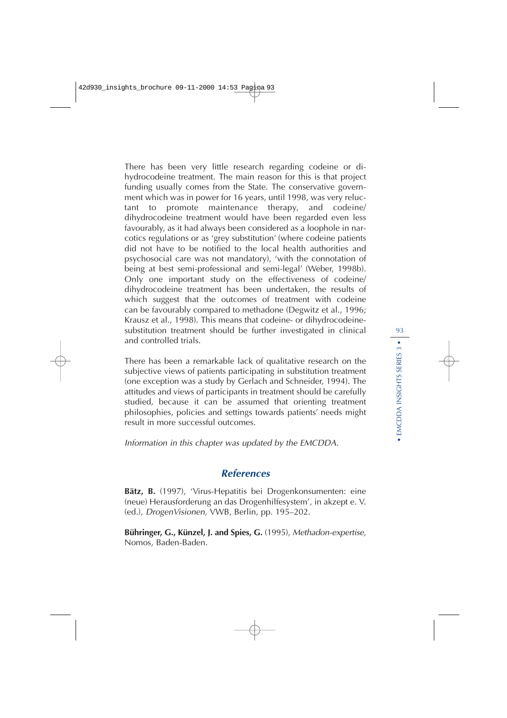There has been very little research regarding codeine or dihydrocodeine treatment. The main reason for this is that project funding usually comes from the State. The conservative government which was in power for 16 years, until 1998, was very reluctant to promote maintenance therapy, and codeine/ dihydrocodeine treatment would have been regarded even less favourably, as it had always been considered as a loophole in narcotics regulations or as 'grey substitution' (where codeine patients did not have to be notified to the local health authorities and psychosocial care was not mandatory), 'with the connotation of being at best semi-professional and semi-legal' (Weber, 1998b). Only one important study on the effectiveness of codeine/ dihydrocodeine treatment has been undertaken, the results of which suggest that the outcomes of treatment with codeine can be favourably compared to methadone (Degwitz et al., 1996; Krausz et al., 1998). This means that codeine- or dihydrocodeinesubstitution treatment should be further investigated in clinical and controlled trials.

There has been a remarkable lack of qualitative research on the subjective views of patients participating in substitution treatment (one exception was a study by Gerlach and Schneider, 1994). The attitudes and views of participants in treatment should be carefully studied, because it can be assumed that orienting treatment philosophies, policies and settings towards patients' needs might result in more successful outcomes.

Information in this chapter was updated by the EMCDDA.

## **References**

**Bätz, B.** (1997), 'Virus-Hepatitis bei Drogenkonsumenten: eine (neue) Herausforderung an das Drogenhilfesystem', in akzept e. V. (ed.), DrogenVisionen, VWB, Berlin, pp. 195–202.

**Bühringer, G., Künzel, J. and Spies, G.** (1995), Methadon-expertise, Nomos, Baden-Baden.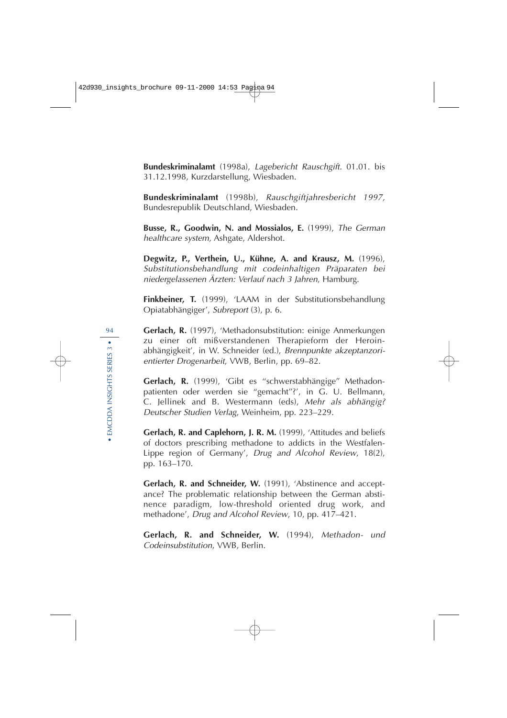**Bundeskriminalamt** (1998a), Lagebericht Rauschgift. 01.01. bis 31.12.1998, Kurzdarstellung, Wiesbaden.

**Bundeskriminalamt** (1998b), Rauschgiftjahresbericht 1997, Bundesrepublik Deutschland, Wiesbaden.

**Busse, R., Goodwin, N. and Mossialos, E.** (1999), The German healthcare system, Ashgate, Aldershot.

**Degwitz, P., Verthein, U., Kühne, A. and Krausz, M.** (1996), Substitutionsbehandlung mit codeinhaltigen Präparaten bei niedergelassenen Ärzten: Verlauf nach 3 Jahren, Hamburg.

**Finkbeiner, T.** (1999), 'LAAM in der Substitutionsbehandlung Opiatabhängiger', Subreport (3), p. 6.

**Gerlach, R.** (1997), 'Methadonsubstitution: einige Anmerkungen zu einer oft mißverstandenen Therapieform der Heroinabhängigkeit', in W. Schneider (ed.), Brennpunkte akzeptanzorientierter Drogenarbeit, VWB, Berlin, pp. 69–82.

**Gerlach, R.** (1999), 'Gibt es ''schwerstabhängige'' Methadonpatienten oder werden sie ''gemacht''?', in G. U. Bellmann, C. Jellinek and B. Westermann (eds), Mehr als abhängig? Deutscher Studien Verlag, Weinheim, pp. 223–229.

**Gerlach, R. and Caplehorn, J. R. M.** (1999), 'Attitudes and beliefs of doctors prescribing methadone to addicts in the Westfalen-Lippe region of Germany', Drug and Alcohol Review, 18(2), pp. 163–170.

**Gerlach, R. and Schneider, W.** (1991), 'Abstinence and acceptance? The problematic relationship between the German abstinence paradigm, low-threshold oriented drug work, and methadone', Drug and Alcohol Review, 10, pp. 417–421.

**Gerlach, R. and Schneider, W.** (1994), Methadon- und Codeinsubstitution, VWB, Berlin.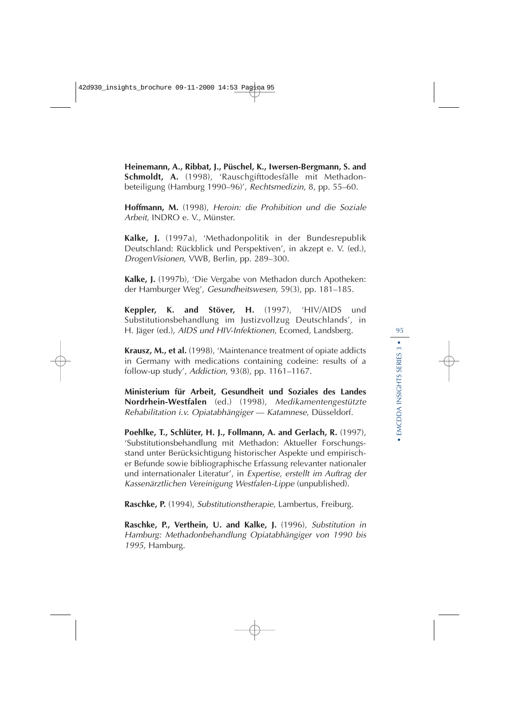**Heinemann, A., Ribbat, J., Püschel, K., Iwersen-Bergmann, S. and Schmoldt, A.** (1998), 'Rauschgifttodesfälle mit Methadonbeteiligung (Hamburg 1990–96)', Rechtsmedizin, 8, pp. 55–60.

**Hoffmann, M.** (1998), Heroin: die Prohibition und die Soziale Arbeit, INDRO e. V., Münster.

**Kalke, J.** (1997a), 'Methadonpolitik in der Bundesrepublik Deutschland: Rückblick und Perspektiven', in akzept e. V. (ed.), DrogenVisionen, VWB, Berlin, pp. 289–300.

**Kalke, J.** (1997b), 'Die Vergabe von Methadon durch Apotheken: der Hamburger Weg', Gesundheitswesen, 59(3), pp. 181–185.

**Keppler, K. and Stöver, H.** (1997), 'HIV/AIDS und Substitutionsbehandlung im Justizvollzug Deutschlands', in H. Jäger (ed.), AIDS und HIV-Infektionen, Ecomed, Landsberg.

**Krausz, M., et al.** (1998), 'Maintenance treatment of opiate addicts in Germany with medications containing codeine: results of a follow-up study', Addiction, 93(8), pp. 1161–1167.

**Ministerium für Arbeit, Gesundheit und Soziales des Landes Nordrhein-Westfalen** (ed.) (1998), Medikamentengestützte Rehabilitation i.v. Opiatabhängiger — Katamnese, Düsseldorf.

**Poehlke, T., Schlüter, H. J., Follmann, A. and Gerlach, R.** (1997), 'Substitutionsbehandlung mit Methadon: Aktueller Forschungsstand unter Berücksichtigung historischer Aspekte und empirischer Befunde sowie bibliographische Erfassung relevanter nationaler und internationaler Literatur', in Expertise, erstellt im Auftrag der Kassenärztlichen Vereinigung Westfalen-Lippe (unpublished).

**Raschke, P.** (1994), Substitutionstherapie, Lambertus, Freiburg.

**Raschke, P., Verthein, U. and Kalke, J.** (1996), Substitution in Hamburg: Methadonbehandlung Opiatabhängiger von 1990 bis <sup>1995</sup>, Hamburg.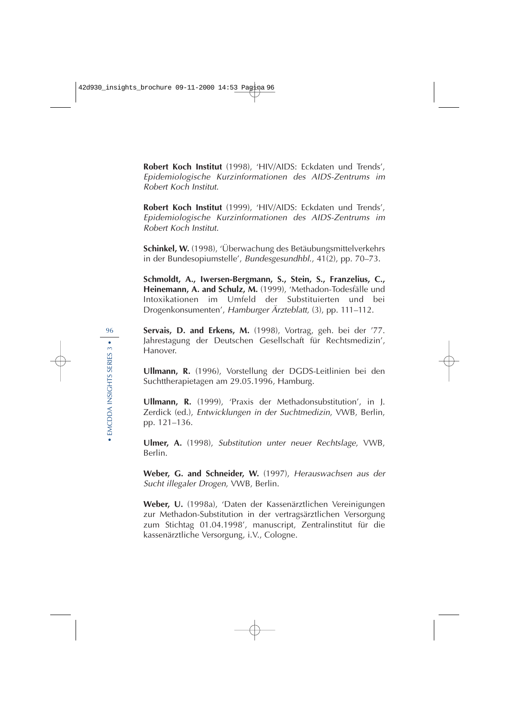**Robert Koch Institut** (1998), 'HIV/AIDS: Eckdaten und Trends', Epidemiologische Kurzinformationen des AIDS-Zentrums im Robert Koch Institut.

**Robert Koch Institut** (1999), 'HIV/AIDS: Eckdaten und Trends', Epidemiologische Kurzinformationen des AIDS-Zentrums im Robert Koch Institut.

**Schinkel, W.** (1998), 'Überwachung des Betäubungsmittelverkehrs in der Bundesopiumstelle', Bundesgesundhbl., 41(2), pp. 70–73.

**Schmoldt, A., Iwersen-Bergmann, S., Stein, S., Franzelius, C., Heinemann, A. and Schulz, M.** (1999), 'Methadon-Todesfälle und Intoxikationen im Umfeld der Substituierten und bei Drogenkonsumenten', Hamburger Ärzteblatt, (3), pp. 111–112.

**Servais, D. and Erkens, M.** (1998), Vortrag, geh. bei der '77. Jahrestagung der Deutschen Gesellschaft für Rechtsmedizin', Hanover.

**Ullmann, R.** (1996), Vorstellung der DGDS-Leitlinien bei den Suchttherapietagen am 29.05.1996, Hamburg.

**Ullmann, R.** (1999), 'Praxis der Methadonsubstitution', in J. Zerdick (ed.), Entwicklungen in der Suchtmedizin, VWB, Berlin, pp. 121–136.

**Ulmer, A.** (1998), Substitution unter neuer Rechtslage, VWB, Berlin.

**Weber, G. and Schneider, W.** (1997), Herauswachsen aus der Sucht illegaler Drogen, VWB, Berlin.

**Weber, U.** (1998a), 'Daten der Kassenärztlichen Vereinigungen zur Methadon-Substitution in der vertragsärztlichen Versorgung zum Stichtag 01.04.1998', manuscript, Zentralinstitut für die kassenärztliche Versorgung, i.V., Cologne.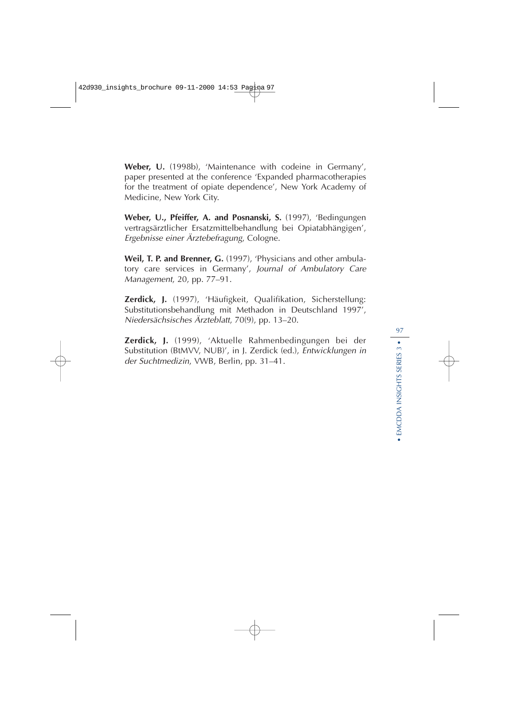**Weber, U.** (1998b), 'Maintenance with codeine in Germany', paper presented at the conference 'Expanded pharmacotherapies for the treatment of opiate dependence', New York Academy of Medicine, New York City.

**Weber, U., Pfeiffer, A. and Posnanski, S.** (1997), 'Bedingungen vertragsärztlicher Ersatzmittelbehandlung bei Opiatabhängigen', Ergebnisse einer Ärztebefragung, Cologne.

**Weil, T. P. and Brenner, G.** (1997), 'Physicians and other ambulatory care services in Germany', Journal of Ambulatory Care Management, 20, pp. 77–91.

**Zerdick, J.** (1997), 'Häufigkeit, Qualifikation, Sicherstellung: Substitutionsbehandlung mit Methadon in Deutschland 1997', Niedersächsisches Ärzteblatt, 70(9), pp. 13–20.

**Zerdick, J.** (1999), 'Aktuelle Rahmenbedingungen bei der Substitution (BtMVV, NUB)', in J. Zerdick (ed.), Entwicklungen in der Suchtmedizin, VWB, Berlin, pp. 31–41.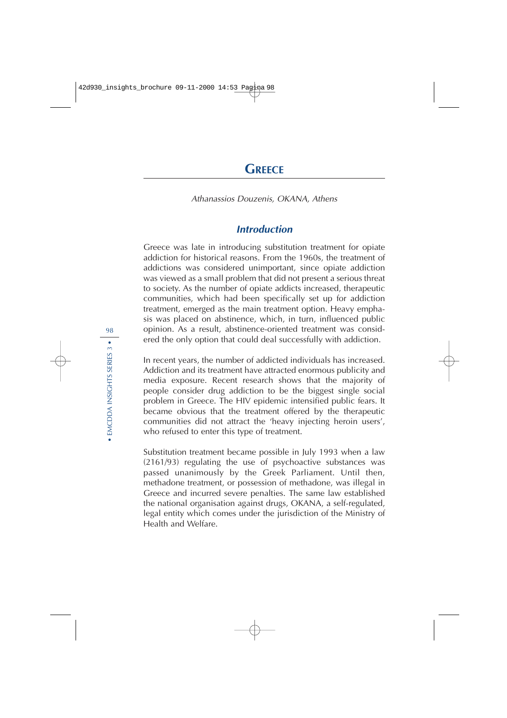### Athanassios Douzenis, OKANA, Athens

## **Introduction**

Greece was late in introducing substitution treatment for opiate addiction for historical reasons. From the 1960s, the treatment of addictions was considered unimportant, since opiate addiction was viewed as a small problem that did not present a serious threat to society. As the number of opiate addicts increased, therapeutic communities, which had been specifically set up for addiction treatment, emerged as the main treatment option. Heavy emphasis was placed on abstinence, which, in turn, influenced public opinion. As a result, abstinence-oriented treatment was considered the only option that could deal successfully with addiction.

In recent years, the number of addicted individuals has increased. Addiction and its treatment have attracted enormous publicity and media exposure. Recent research shows that the majority of people consider drug addiction to be the biggest single social problem in Greece. The HIV epidemic intensified public fears. It became obvious that the treatment offered by the therapeutic communities did not attract the 'heavy injecting heroin users', who refused to enter this type of treatment.

Substitution treatment became possible in July 1993 when a law (2161/93) regulating the use of psychoactive substances was passed unanimously by the Greek Parliament. Until then, methadone treatment, or possession of methadone, was illegal in Greece and incurred severe penalties. The same law established the national organisation against drugs, OKANA, a self-regulated, legal entity which comes under the jurisdiction of the Ministry of Health and Welfare.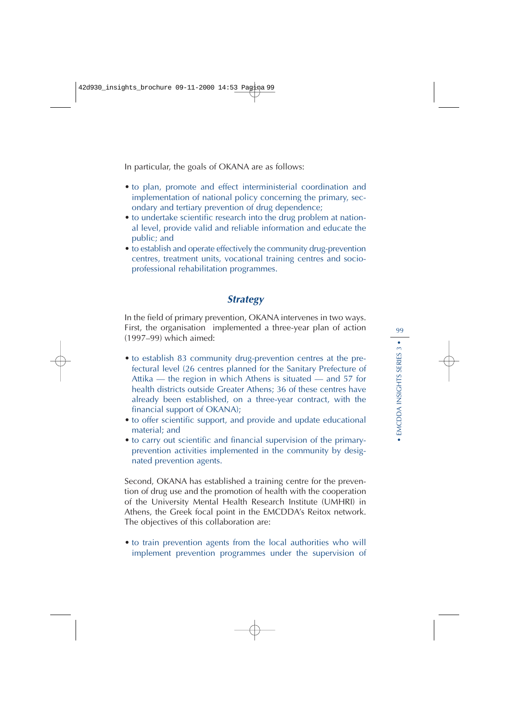In particular, the goals of OKANA are as follows:

- to plan, promote and effect interministerial coordination and implementation of national policy concerning the primary, secondary and tertiary prevention of drug dependence;
- to undertake scientific research into the drug problem at national level, provide valid and reliable information and educate the public; and
- to establish and operate effectively the community drug-prevention centres, treatment units, vocational training centres and socioprofessional rehabilitation programmes.

# **Strategy**

In the field of primary prevention, OKANA intervenes in two ways. First, the organisation implemented a three-year plan of action (1997–99) which aimed:

- to establish 83 community drug-prevention centres at the prefectural level (26 centres planned for the Sanitary Prefecture of Attika — the region in which Athens is situated — and 57 for health districts outside Greater Athens; 36 of these centres have already been established, on a three-year contract, with the financial support of OKANA);
- to offer scientific support, and provide and update educational material; and
- to carry out scientific and financial supervision of the primaryprevention activities implemented in the community by designated prevention agents.

Second, OKANA has established a training centre for the prevention of drug use and the promotion of health with the cooperation of the University Mental Health Research Institute (UMHRI) in Athens, the Greek focal point in the EMCDDA's Reitox network. The objectives of this collaboration are:

• to train prevention agents from the local authorities who will implement prevention programmes under the supervision of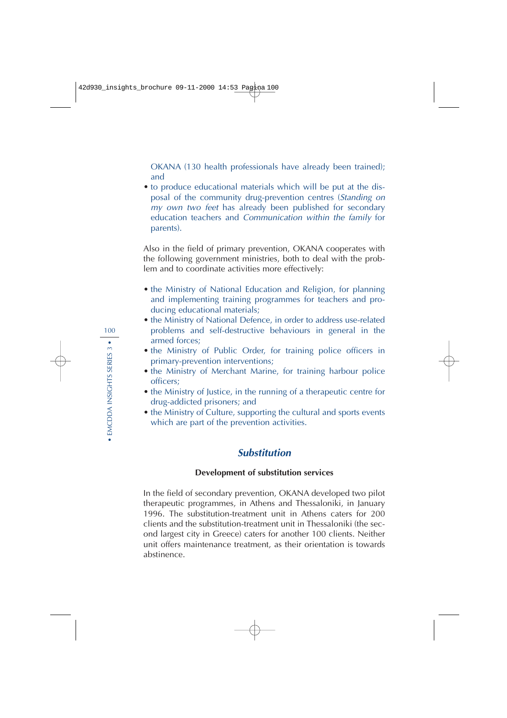OKANA (130 health professionals have already been trained); and

• to produce educational materials which will be put at the disposal of the community drug-prevention centres (Standing on my own two feet has already been published for secondary education teachers and Communication within the family for parents).

Also in the field of primary prevention, OKANA cooperates with the following government ministries, both to deal with the problem and to coordinate activities more effectively:

- the Ministry of National Education and Religion, for planning and implementing training programmes for teachers and producing educational materials;
- the Ministry of National Defence, in order to address use-related problems and self-destructive behaviours in general in the armed forces;
- the Ministry of Public Order, for training police officers in primary-prevention interventions;
- the Ministry of Merchant Marine, for training harbour police officers;
- the Ministry of Justice, in the running of a therapeutic centre for drug-addicted prisoners; and
- the Ministry of Culture, supporting the cultural and sports events which are part of the prevention activities.

## **Substitution**

## **Development of substitution services**

In the field of secondary prevention, OKANA developed two pilot therapeutic programmes, in Athens and Thessaloniki, in January 1996. The substitution-treatment unit in Athens caters for 200 clients and the substitution-treatment unit in Thessaloniki (the second largest city in Greece) caters for another 100 clients. Neither unit offers maintenance treatment, as their orientation is towards abstinence.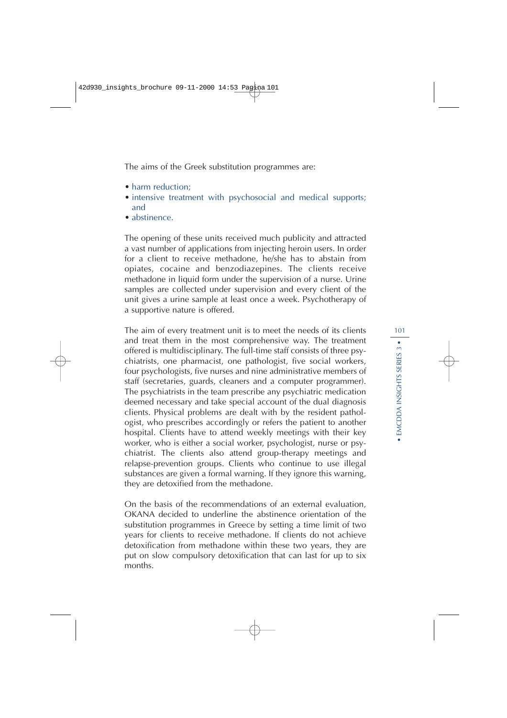The aims of the Greek substitution programmes are:

- harm reduction:
- intensive treatment with psychosocial and medical supports; and
- abstinence.

The opening of these units received much publicity and attracted a vast number of applications from injecting heroin users. In order for a client to receive methadone, he/she has to abstain from opiates, cocaine and benzodiazepines. The clients receive methadone in liquid form under the supervision of a nurse. Urine samples are collected under supervision and every client of the unit gives a urine sample at least once a week. Psychotherapy of a supportive nature is offered.

The aim of every treatment unit is to meet the needs of its clients and treat them in the most comprehensive way. The treatment offered is multidisciplinary. The full-time staff consists of three psychiatrists, one pharmacist, one pathologist, five social workers, four psychologists, five nurses and nine administrative members of staff (secretaries, guards, cleaners and a computer programmer). The psychiatrists in the team prescribe any psychiatric medication deemed necessary and take special account of the dual diagnosis clients. Physical problems are dealt with by the resident pathologist, who prescribes accordingly or refers the patient to another hospital. Clients have to attend weekly meetings with their key worker, who is either a social worker, psychologist, nurse or psychiatrist. The clients also attend group-therapy meetings and relapse-prevention groups. Clients who continue to use illegal substances are given a formal warning. If they ignore this warning, they are detoxified from the methadone.

On the basis of the recommendations of an external evaluation, OKANA decided to underline the abstinence orientation of the substitution programmes in Greece by setting a time limit of two years for clients to receive methadone. If clients do not achieve detoxification from methadone within these two years, they are put on slow compulsory detoxification that can last for up to six months.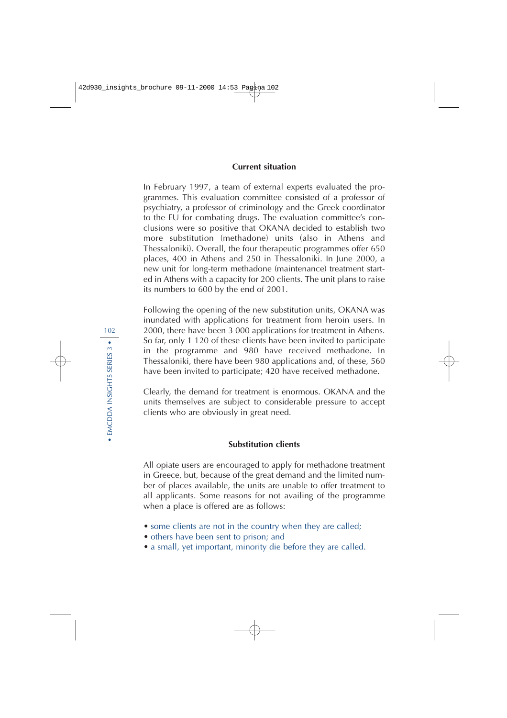### **Current situation**

In February 1997, a team of external experts evaluated the programmes. This evaluation committee consisted of a professor of psychiatry, a professor of criminology and the Greek coordinator to the EU for combating drugs. The evaluation committee's conclusions were so positive that OKANA decided to establish two more substitution (methadone) units (also in Athens and Thessaloniki). Overall, the four therapeutic programmes offer 650 places, 400 in Athens and 250 in Thessaloniki. In June 2000, a new unit for long-term methadone (maintenance) treatment started in Athens with a capacity for 200 clients. The unit plans to raise its numbers to 600 by the end of 2001.

Following the opening of the new substitution units, OKANA was inundated with applications for treatment from heroin users. In 2000, there have been 3 000 applications for treatment in Athens. So far, only 1 120 of these clients have been invited to participate in the programme and 980 have received methadone. In Thessaloniki, there have been 980 applications and, of these, 560 have been invited to participate; 420 have received methadone.

Clearly, the demand for treatment is enormous. OKANA and the units themselves are subject to considerable pressure to accept clients who are obviously in great need.

### **Substitution clients**

All opiate users are encouraged to apply for methadone treatment in Greece, but, because of the great demand and the limited number of places available, the units are unable to offer treatment to all applicants. Some reasons for not availing of the programme when a place is offered are as follows:

- some clients are not in the country when they are called;
- others have been sent to prison; and
- a small, yet important, minority die before they are called.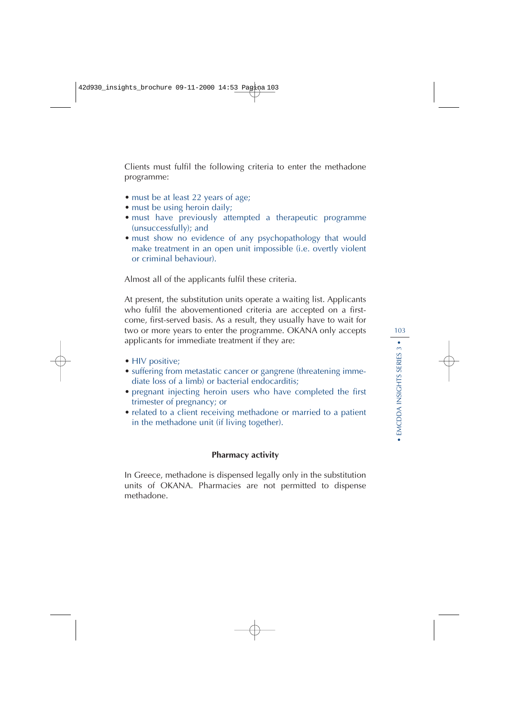Clients must fulfil the following criteria to enter the methadone programme:

- must be at least 22 years of age;
- must be using heroin daily;
- must have previously attempted a therapeutic programme (unsuccessfully); and
- must show no evidence of any psychopathology that would make treatment in an open unit impossible (i.e. overtly violent or criminal behaviour).

Almost all of the applicants fulfil these criteria.

At present, the substitution units operate a waiting list. Applicants who fulfil the abovementioned criteria are accepted on a firstcome, first-served basis. As a result, they usually have to wait for two or more years to enter the programme. OKANA only accepts applicants for immediate treatment if they are:

- HIV positive;
- suffering from metastatic cancer or gangrene (threatening immediate loss of a limb) or bacterial endocarditis;
- pregnant injecting heroin users who have completed the first trimester of pregnancy; or
- related to a client receiving methadone or married to a patient in the methadone unit (if living together).

#### **Pharmacy activity**

In Greece, methadone is dispensed legally only in the substitution units of OKANA. Pharmacies are not permitted to dispense methadone.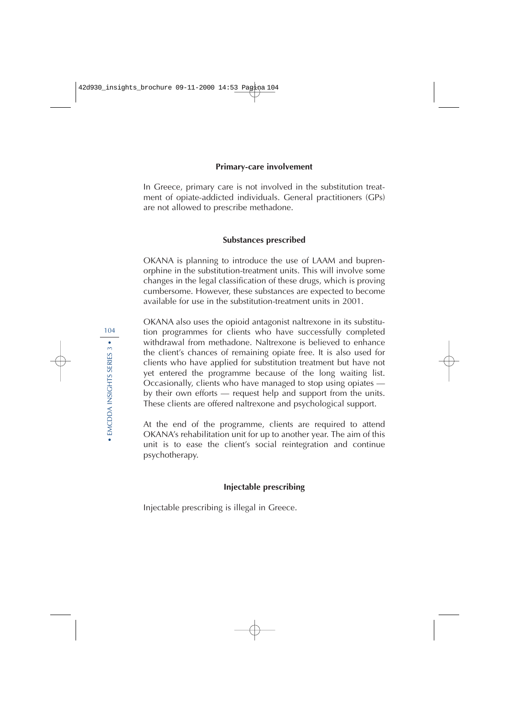#### **Primary-care involvement**

In Greece, primary care is not involved in the substitution treatment of opiate-addicted individuals. General practitioners (GPs) are not allowed to prescribe methadone.

### **Substances prescribed**

OKANA is planning to introduce the use of LAAM and buprenorphine in the substitution-treatment units. This will involve some changes in the legal classification of these drugs, which is proving cumbersome. However, these substances are expected to become available for use in the substitution-treatment units in 2001.

OKANA also uses the opioid antagonist naltrexone in its substitution programmes for clients who have successfully completed withdrawal from methadone. Naltrexone is believed to enhance the client's chances of remaining opiate free. It is also used for clients who have applied for substitution treatment but have not yet entered the programme because of the long waiting list. Occasionally, clients who have managed to stop using opiates by their own efforts — request help and support from the units. These clients are offered naltrexone and psychological support.

At the end of the programme, clients are required to attend OKANA's rehabilitation unit for up to another year. The aim of this unit is to ease the client's social reintegration and continue psychotherapy.

### **Injectable prescribing**

Injectable prescribing is illegal in Greece.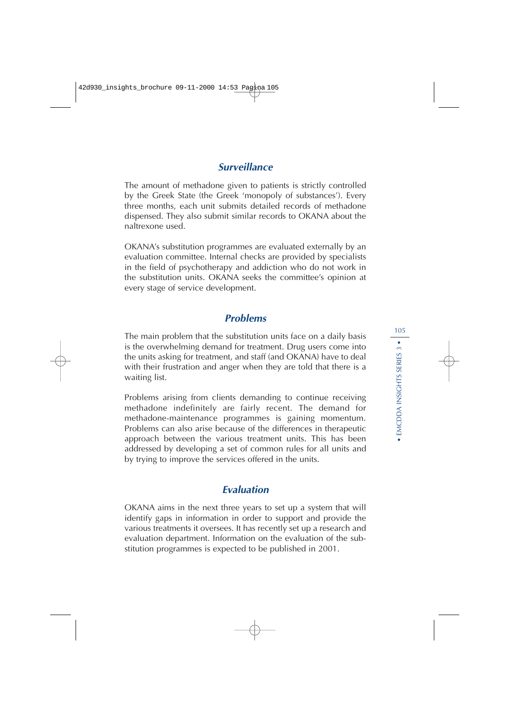# **Surveillance**

The amount of methadone given to patients is strictly controlled by the Greek State (the Greek 'monopoly of substances'). Every three months, each unit submits detailed records of methadone dispensed. They also submit similar records to OKANA about the naltrexone used.

OKANA's substitution programmes are evaluated externally by an evaluation committee. Internal checks are provided by specialists in the field of psychotherapy and addiction who do not work in the substitution units. OKANA seeks the committee's opinion at every stage of service development.

## **Problems**

The main problem that the substitution units face on a daily basis is the overwhelming demand for treatment. Drug users come into the units asking for treatment, and staff (and OKANA) have to deal with their frustration and anger when they are told that there is a waiting list.

Problems arising from clients demanding to continue receiving methadone indefinitely are fairly recent. The demand for methadone-maintenance programmes is gaining momentum. Problems can also arise because of the differences in therapeutic approach between the various treatment units. This has been addressed by developing a set of common rules for all units and by trying to improve the services offered in the units.

# **Evaluation**

OKANA aims in the next three years to set up a system that will identify gaps in information in order to support and provide the various treatments it oversees. It has recently set up a research and evaluation department. Information on the evaluation of the substitution programmes is expected to be published in 2001.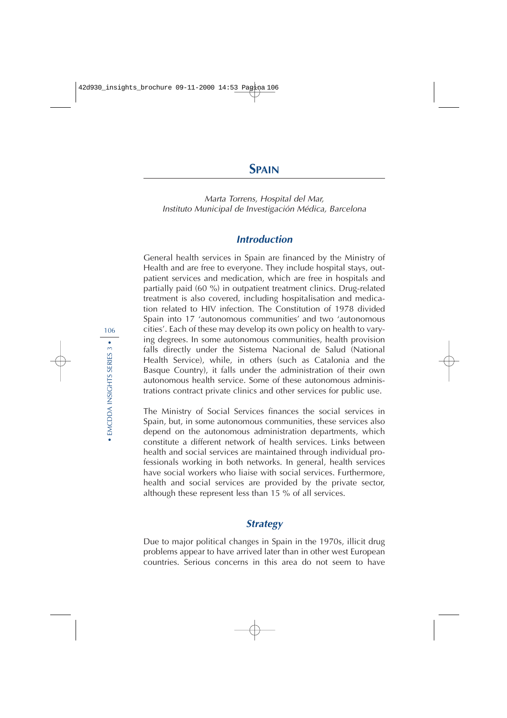Marta Torrens, Hospital del Mar, Instituto Municipal de Investigación Médica, Barcelona

# **Introduction**

General health services in Spain are financed by the Ministry of Health and are free to everyone. They include hospital stays, outpatient services and medication, which are free in hospitals and partially paid (60 %) in outpatient treatment clinics. Drug-related treatment is also covered, including hospitalisation and medication related to HIV infection. The Constitution of 1978 divided Spain into 17 'autonomous communities' and two 'autonomous cities'. Each of these may develop its own policy on health to varying degrees. In some autonomous communities, health provision falls directly under the Sistema Nacional de Salud (National Health Service), while, in others (such as Catalonia and the Basque Country), it falls under the administration of their own autonomous health service. Some of these autonomous administrations contract private clinics and other services for public use.

The Ministry of Social Services finances the social services in Spain, but, in some autonomous communities, these services also depend on the autonomous administration departments, which constitute a different network of health services. Links between health and social services are maintained through individual professionals working in both networks. In general, health services have social workers who liaise with social services. Furthermore, health and social services are provided by the private sector, although these represent less than 15 % of all services.

## **Strategy**

Due to major political changes in Spain in the 1970s, illicit drug problems appear to have arrived later than in other west European countries. Serious concerns in this area do not seem to have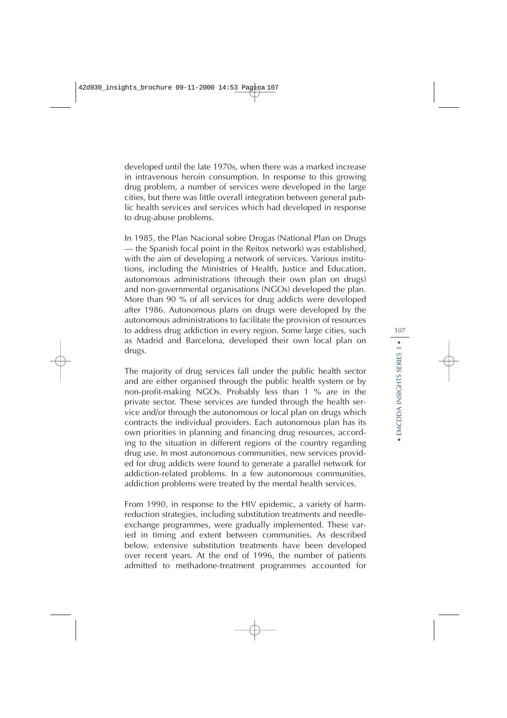developed until the late 1970s, when there was a marked increase in intravenous heroin consumption. In response to this growing drug problem, a number of services were developed in the large cities, but there was little overall integration between general public health services and services which had developed in response to drug-abuse problems.

In 1985, the Plan Nacional sobre Drogas (National Plan on Drugs — the Spanish focal point in the Reitox network) was established, with the aim of developing a network of services. Various institutions, including the Ministries of Health, Justice and Education, autonomous administrations (through their own plan on drugs) and non-governmental organisations (NGOs) developed the plan. More than 90 % of all services for drug addicts were developed after 1986. Autonomous plans on drugs were developed by the autonomous administrations to facilitate the provision of resources to address drug addiction in every region. Some large cities, such as Madrid and Barcelona, developed their own local plan on drugs.

The majority of drug services fall under the public health sector and are either organised through the public health system or by non-profit-making NGOs. Probably less than 1 % are in the private sector. These services are funded through the health service and/or through the autonomous or local plan on drugs which contracts the individual providers. Each autonomous plan has its own priorities in planning and financing drug resources, according to the situation in different regions of the country regarding drug use. In most autonomous communities, new services provided for drug addicts were found to generate a parallel network for addiction-related problems. In a few autonomous communities, addiction problems were treated by the mental health services.

From 1990, in response to the HIV epidemic, a variety of harmreduction strategies, including substitution treatments and needleexchange programmes, were gradually implemented. These varied in timing and extent between communities. As described below, extensive substitution treatments have been developed over recent years. At the end of 1996, the number of patients admitted to methadone-treatment programmes accounted for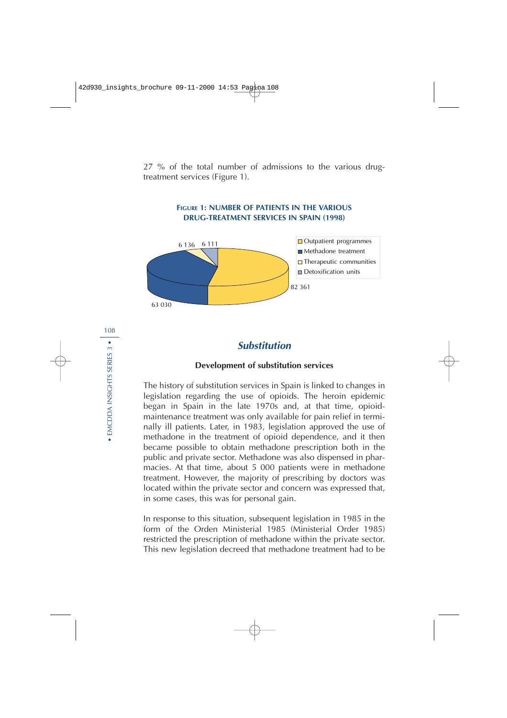27 % of the total number of admissions to the various drugtreatment services (Figure 1).



### **FIGURE 1: NUMBER OF PATIENTS IN THE VARIOUS DRUG-TREATMENT SERVICES IN SPAIN (1998)**

# **Substitution**

### **Development of substitution services**

The history of substitution services in Spain is linked to changes in legislation regarding the use of opioids. The heroin epidemic began in Spain in the late 1970s and, at that time, opioidmaintenance treatment was only available for pain relief in terminally ill patients. Later, in 1983, legislation approved the use of methadone in the treatment of opioid dependence, and it then became possible to obtain methadone prescription both in the public and private sector. Methadone was also dispensed in pharmacies. At that time, about 5 000 patients were in methadone treatment. However, the majority of prescribing by doctors was located within the private sector and concern was expressed that, in some cases, this was for personal gain.

In response to this situation, subsequent legislation in 1985 in the form of the Orden Ministerial 1985 (Ministerial Order 1985) restricted the prescription of methadone within the private sector. This new legislation decreed that methadone treatment had to be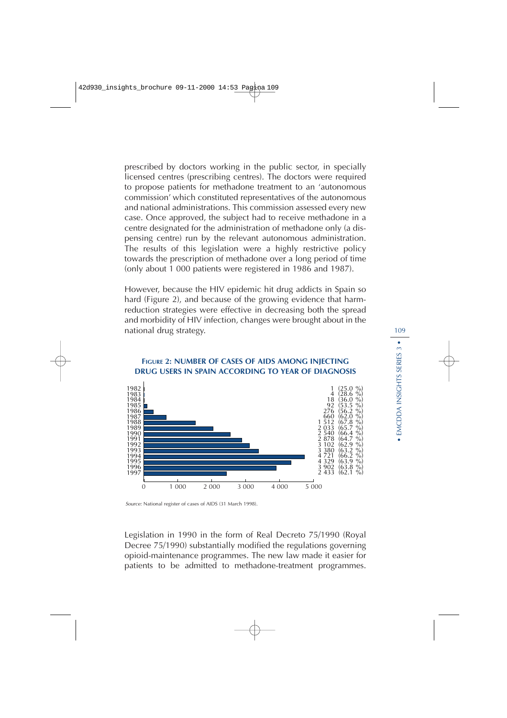prescribed by doctors working in the public sector, in specially licensed centres (prescribing centres). The doctors were required to propose patients for methadone treatment to an 'autonomous commission' which constituted representatives of the autonomous and national administrations. This commission assessed every new case. Once approved, the subject had to receive methadone in a centre designated for the administration of methadone only (a dispensing centre) run by the relevant autonomous administration. The results of this legislation were a highly restrictive policy towards the prescription of methadone over a long period of time (only about 1 000 patients were registered in 1986 and 1987).

However, because the HIV epidemic hit drug addicts in Spain so hard (Figure 2), and because of the growing evidence that harmreduction strategies were effective in decreasing both the spread and morbidity of HIV infection, changes were brought about in the national drug strategy.



### **FIGURE 2: NUMBER OF CASES OF AIDS AMONG INJECTING DRUG USERS IN SPAIN ACCORDING TO YEAR OF DIAGNOSIS**

Legislation in 1990 in the form of Real Decreto 75/1990 (Royal Decree 75/1990) substantially modified the regulations governing opioid-maintenance programmes. The new law made it easier for patients to be admitted to methadone-treatment programmes.

Source: National register of cases of AIDS (31 March 1998).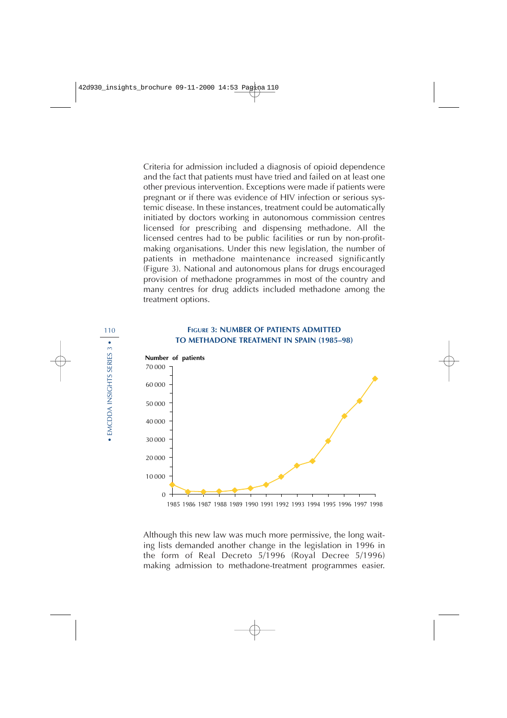Criteria for admission included a diagnosis of opioid dependence and the fact that patients must have tried and failed on at least one other previous intervention. Exceptions were made if patients were pregnant or if there was evidence of HIV infection or serious systemic disease. In these instances, treatment could be automatically initiated by doctors working in autonomous commission centres licensed for prescribing and dispensing methadone. All the licensed centres had to be public facilities or run by non-profitmaking organisations. Under this new legislation, the number of patients in methadone maintenance increased significantly (Figure 3). National and autonomous plans for drugs encouraged provision of methadone programmes in most of the country and many centres for drug addicts included methadone among the treatment options.

### **FIGURE 3: NUMBER OF PATIENTS ADMITTED TO METHADONE TREATMENT IN SPAIN (1985–98)**



Although this new law was much more permissive, the long waiting lists demanded another change in the legislation in 1996 in the form of Real Decreto 5/1996 (Royal Decree 5/1996) making admission to methadone-treatment programmes easier.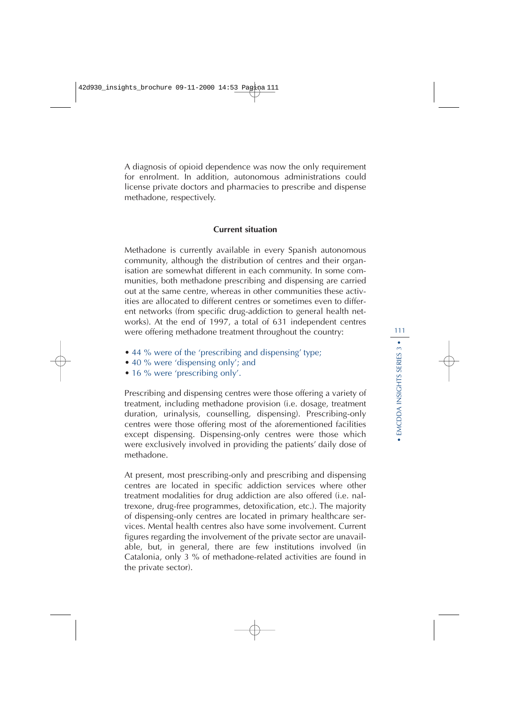A diagnosis of opioid dependence was now the only requirement for enrolment. In addition, autonomous administrations could license private doctors and pharmacies to prescribe and dispense methadone, respectively.

### **Current situation**

Methadone is currently available in every Spanish autonomous community, although the distribution of centres and their organisation are somewhat different in each community. In some communities, both methadone prescribing and dispensing are carried out at the same centre, whereas in other communities these activities are allocated to different centres or sometimes even to different networks (from specific drug-addiction to general health networks). At the end of 1997, a total of 631 independent centres were offering methadone treatment throughout the country:

- 44 % were of the 'prescribing and dispensing' type;
- 40 % were 'dispensing only'; and
- 16 % were 'prescribing only'.

Prescribing and dispensing centres were those offering a variety of treatment, including methadone provision (i.e. dosage, treatment duration, urinalysis, counselling, dispensing). Prescribing-only centres were those offering most of the aforementioned facilities except dispensing. Dispensing-only centres were those which were exclusively involved in providing the patients' daily dose of methadone.

At present, most prescribing-only and prescribing and dispensing centres are located in specific addiction services where other treatment modalities for drug addiction are also offered (i.e. naltrexone, drug-free programmes, detoxification, etc.). The majority of dispensing-only centres are located in primary healthcare services. Mental health centres also have some involvement. Current figures regarding the involvement of the private sector are unavailable, but, in general, there are few institutions involved (in Catalonia, only 3 % of methadone-related activities are found in the private sector).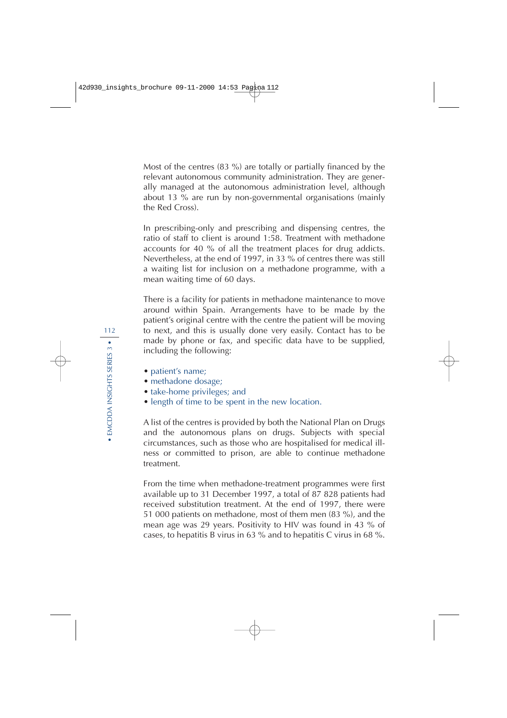Most of the centres (83 %) are totally or partially financed by the relevant autonomous community administration. They are generally managed at the autonomous administration level, although about 13 % are run by non-governmental organisations (mainly the Red Cross).

In prescribing-only and prescribing and dispensing centres, the ratio of staff to client is around 1:58. Treatment with methadone accounts for 40 % of all the treatment places for drug addicts. Nevertheless, at the end of 1997, in 33 % of centres there was still a waiting list for inclusion on a methadone programme, with a mean waiting time of 60 days.

There is a facility for patients in methadone maintenance to move around within Spain. Arrangements have to be made by the patient's original centre with the centre the patient will be moving to next, and this is usually done very easily. Contact has to be made by phone or fax, and specific data have to be supplied, including the following:

- patient's name;
- methadone dosage;
- take-home privileges; and
- length of time to be spent in the new location.

A list of the centres is provided by both the National Plan on Drugs and the autonomous plans on drugs. Subjects with special circumstances, such as those who are hospitalised for medical illness or committed to prison, are able to continue methadone treatment.

From the time when methadone-treatment programmes were first available up to 31 December 1997, a total of 87 828 patients had received substitution treatment. At the end of 1997, there were 51 000 patients on methadone, most of them men (83 %), and the mean age was 29 years. Positivity to HIV was found in 43 % of cases, to hepatitis B virus in 63 % and to hepatitis C virus in 68 %.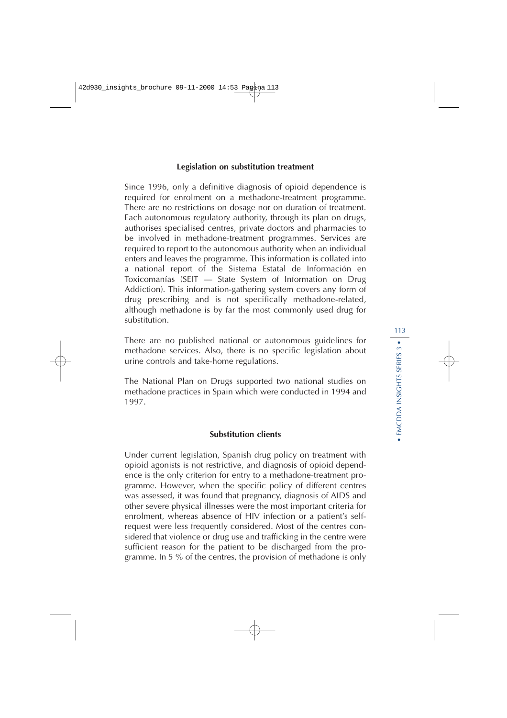### **Legislation on substitution treatment**

Since 1996, only a definitive diagnosis of opioid dependence is required for enrolment on a methadone-treatment programme. There are no restrictions on dosage nor on duration of treatment. Each autonomous regulatory authority, through its plan on drugs, authorises specialised centres, private doctors and pharmacies to be involved in methadone-treatment programmes. Services are required to report to the autonomous authority when an individual enters and leaves the programme. This information is collated into a national report of the Sistema Estatal de Información en Toxicomanías (SEIT — State System of Information on Drug Addiction). This information-gathering system covers any form of drug prescribing and is not specifically methadone-related, although methadone is by far the most commonly used drug for substitution.

There are no published national or autonomous guidelines for methadone services. Also, there is no specific legislation about urine controls and take-home regulations.

The National Plan on Drugs supported two national studies on methadone practices in Spain which were conducted in 1994 and 1997.

### **Substitution clients**

Under current legislation, Spanish drug policy on treatment with opioid agonists is not restrictive, and diagnosis of opioid dependence is the only criterion for entry to a methadone-treatment programme. However, when the specific policy of different centres was assessed, it was found that pregnancy, diagnosis of AIDS and other severe physical illnesses were the most important criteria for enrolment, whereas absence of HIV infection or a patient's selfrequest were less frequently considered. Most of the centres considered that violence or drug use and trafficking in the centre were sufficient reason for the patient to be discharged from the programme. In 5 % of the centres, the provision of methadone is only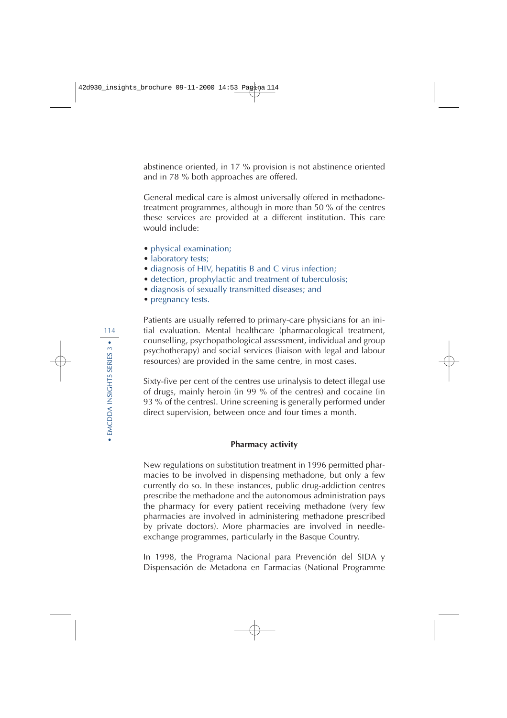abstinence oriented, in 17 % provision is not abstinence oriented and in 78 % both approaches are offered.

General medical care is almost universally offered in methadonetreatment programmes, although in more than 50 % of the centres these services are provided at a different institution. This care would include:

- physical examination;
- laboratory tests;
- diagnosis of HIV, hepatitis B and C virus infection;
- detection, prophylactic and treatment of tuberculosis;
- diagnosis of sexually transmitted diseases; and
- pregnancy tests.

Patients are usually referred to primary-care physicians for an initial evaluation. Mental healthcare (pharmacological treatment, counselling, psychopathological assessment, individual and group psychotherapy) and social services (liaison with legal and labour resources) are provided in the same centre, in most cases.

Sixty-five per cent of the centres use urinalysis to detect illegal use of drugs, mainly heroin (in 99 % of the centres) and cocaine (in 93 % of the centres). Urine screening is generally performed under direct supervision, between once and four times a month.

### **Pharmacy activity**

New regulations on substitution treatment in 1996 permitted pharmacies to be involved in dispensing methadone, but only a few currently do so. In these instances, public drug-addiction centres prescribe the methadone and the autonomous administration pays the pharmacy for every patient receiving methadone (very few pharmacies are involved in administering methadone prescribed by private doctors). More pharmacies are involved in needleexchange programmes, particularly in the Basque Country.

In 1998, the Programa Nacional para Prevención del SIDA y Dispensación de Metadona en Farmacias (National Programme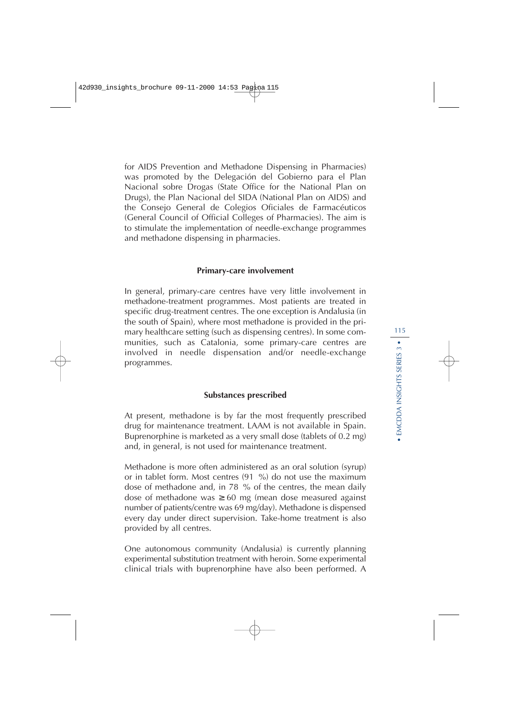for AIDS Prevention and Methadone Dispensing in Pharmacies) was promoted by the Delegación del Gobierno para el Plan Nacional sobre Drogas (State Office for the National Plan on Drugs), the Plan Nacional del SIDA (National Plan on AIDS) and the Consejo General de Colegios Oficiales de Farmacéuticos (General Council of Official Colleges of Pharmacies). The aim is to stimulate the implementation of needle-exchange programmes and methadone dispensing in pharmacies.

### **Primary-care involvement**

In general, primary-care centres have very little involvement in methadone-treatment programmes. Most patients are treated in specific drug-treatment centres. The one exception is Andalusia (in the south of Spain), where most methadone is provided in the primary healthcare setting (such as dispensing centres). In some communities, such as Catalonia, some primary-care centres are involved in needle dispensation and/or needle-exchange programmes.

### **Substances prescribed**

At present, methadone is by far the most frequently prescribed drug for maintenance treatment. LAAM is not available in Spain. Buprenorphine is marketed as a very small dose (tablets of 0.2 mg) and, in general, is not used for maintenance treatment.

Methadone is more often administered as an oral solution (syrup) or in tablet form. Most centres (91 %) do not use the maximum dose of methadone and, in 78 % of the centres, the mean daily dose of methadone was  $\geq 60$  mg (mean dose measured against number of patients/centre was 69 mg/day). Methadone is dispensed every day under direct supervision. Take-home treatment is also provided by all centres.

One autonomous community (Andalusia) is currently planning experimental substitution treatment with heroin. Some experimental clinical trials with buprenorphine have also been performed. A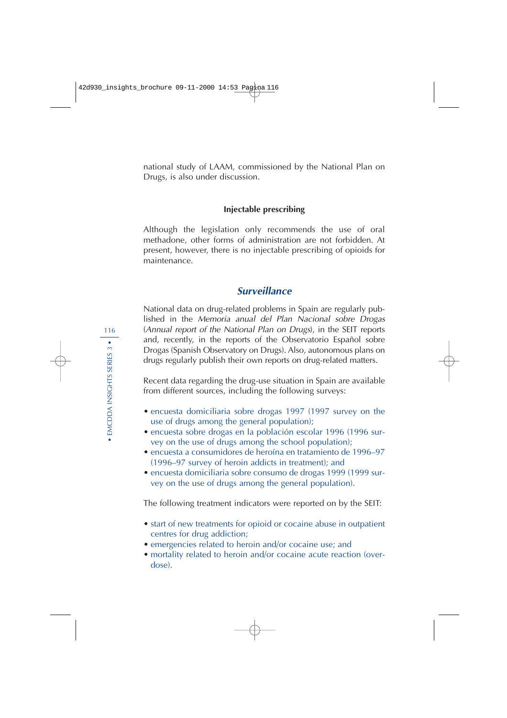national study of LAAM, commissioned by the National Plan on Drugs, is also under discussion.

### **Injectable prescribing**

Although the legislation only recommends the use of oral methadone, other forms of administration are not forbidden. At present, however, there is no injectable prescribing of opioids for maintenance.

## **Surveillance**

National data on drug-related problems in Spain are regularly published in the Memoria anual del Plan Nacional sobre Drogas (Annual report of the National Plan on Drugs), in the SEIT reports and, recently, in the reports of the Observatorio Español sobre Drogas (Spanish Observatory on Drugs). Also, autonomous plans on drugs regularly publish their own reports on drug-related matters.

Recent data regarding the drug-use situation in Spain are available from different sources, including the following surveys:

- encuesta domiciliaria sobre drogas 1997 (1997 survey on the use of drugs among the general population);
- encuesta sobre drogas en la población escolar 1996 (1996 survey on the use of drugs among the school population);
- encuesta a consumidores de heroína en tratamiento de 1996–97 (1996–97 survey of heroin addicts in treatment); and
- encuesta domiciliaria sobre consumo de drogas 1999 (1999 survey on the use of drugs among the general population).

The following treatment indicators were reported on by the SEIT:

- start of new treatments for opioid or cocaine abuse in outpatient centres for drug addiction;
- emergencies related to heroin and/or cocaine use; and
- mortality related to heroin and/or cocaine acute reaction (overdose).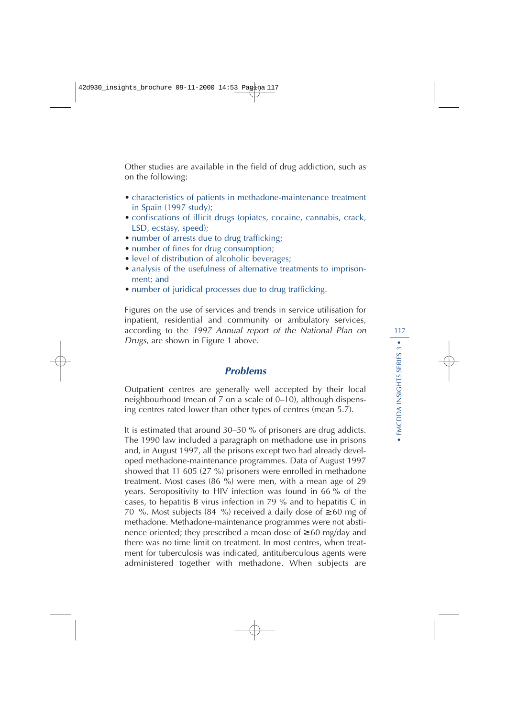Other studies are available in the field of drug addiction, such as on the following:

- characteristics of patients in methadone-maintenance treatment in Spain (1997 study);
- confiscations of illicit drugs (opiates, cocaine, cannabis, crack, LSD, ecstasy, speed);
- number of arrests due to drug trafficking;
- number of fines for drug consumption;
- level of distribution of alcoholic beverages;
- analysis of the usefulness of alternative treatments to imprisonment; and
- number of juridical processes due to drug trafficking.

Figures on the use of services and trends in service utilisation for inpatient, residential and community or ambulatory services, according to the 1997 Annual report of the National Plan on Drugs, are shown in Figure 1 above.

## **Problems**

Outpatient centres are generally well accepted by their local neighbourhood (mean of 7 on a scale of 0–10), although dispensing centres rated lower than other types of centres (mean 5.7).

It is estimated that around 30–50 % of prisoners are drug addicts. The 1990 law included a paragraph on methadone use in prisons and, in August 1997, all the prisons except two had already developed methadone-maintenance programmes. Data of August 1997 showed that 11 605 (27 %) prisoners were enrolled in methadone treatment. Most cases (86 %) were men, with a mean age of 29 years. Seropositivity to HIV infection was found in 66 % of the cases, to hepatitis B virus infection in 79 % and to hepatitis C in 70 %. Most subjects (84 %) received a daily dose of  $\geq 60$  mg of methadone. Methadone-maintenance programmes were not abstinence oriented; they prescribed a mean dose of ≥ 60 mg/day and there was no time limit on treatment. In most centres, when treatment for tuberculosis was indicated, antituberculous agents were administered together with methadone. When subjects are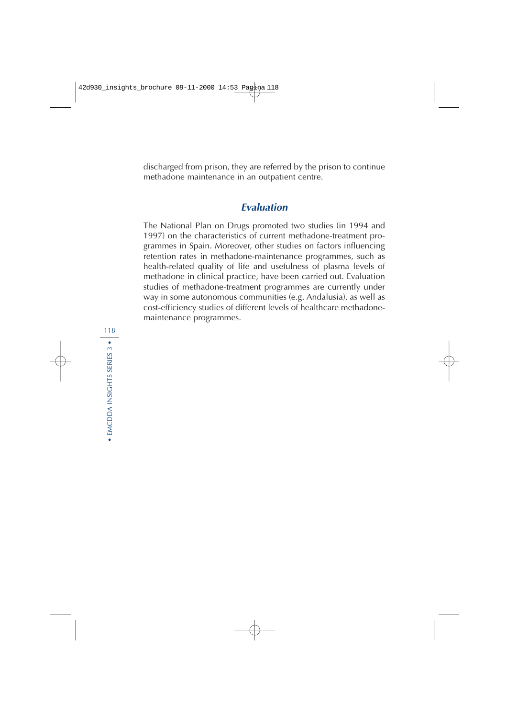discharged from prison, they are referred by the prison to continue methadone maintenance in an outpatient centre.

## **Evaluation**

The National Plan on Drugs promoted two studies (in 1994 and 1997) on the characteristics of current methadone-treatment programmes in Spain. Moreover, other studies on factors influencing retention rates in methadone-maintenance programmes, such as health-related quality of life and usefulness of plasma levels of methadone in clinical practice, have been carried out. Evaluation studies of methadone-treatment programmes are currently under way in some autonomous communities (e.g. Andalusia), as well as cost-efficiency studies of different levels of healthcare methadonemaintenance programmes.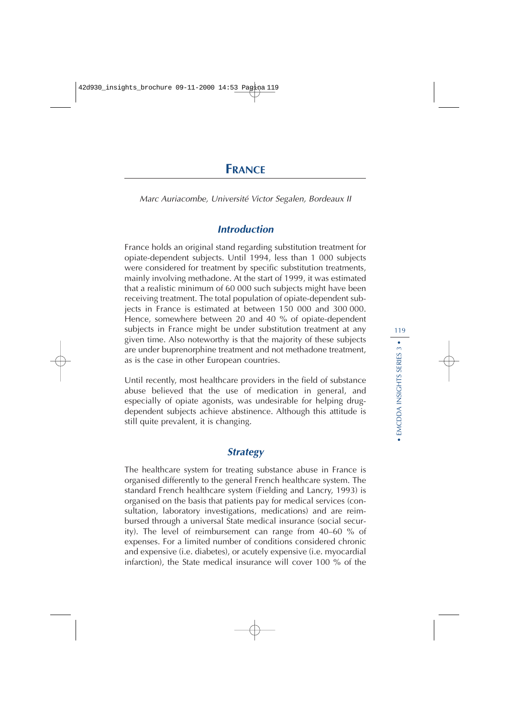# **FRANCE**

Marc Auriacombe, Université Victor Segalen, Bordeaux II

## **Introduction**

France holds an original stand regarding substitution treatment for opiate-dependent subjects. Until 1994, less than 1 000 subjects were considered for treatment by specific substitution treatments, mainly involving methadone. At the start of 1999, it was estimated that a realistic minimum of 60 000 such subjects might have been receiving treatment. The total population of opiate-dependent subjects in France is estimated at between 150 000 and 300 000. Hence, somewhere between 20 and 40 % of opiate-dependent subjects in France might be under substitution treatment at any given time. Also noteworthy is that the majority of these subjects are under buprenorphine treatment and not methadone treatment, as is the case in other European countries.

Until recently, most healthcare providers in the field of substance abuse believed that the use of medication in general, and especially of opiate agonists, was undesirable for helping drugdependent subjects achieve abstinence. Although this attitude is still quite prevalent, it is changing.

## **Strategy**

The healthcare system for treating substance abuse in France is organised differently to the general French healthcare system. The standard French healthcare system (Fielding and Lancry, 1993) is organised on the basis that patients pay for medical services (consultation, laboratory investigations, medications) and are reimbursed through a universal State medical insurance (social security). The level of reimbursement can range from 40–60 % of expenses. For a limited number of conditions considered chronic and expensive (i.e. diabetes), or acutely expensive (i.e. myocardial infarction), the State medical insurance will cover 100 % of the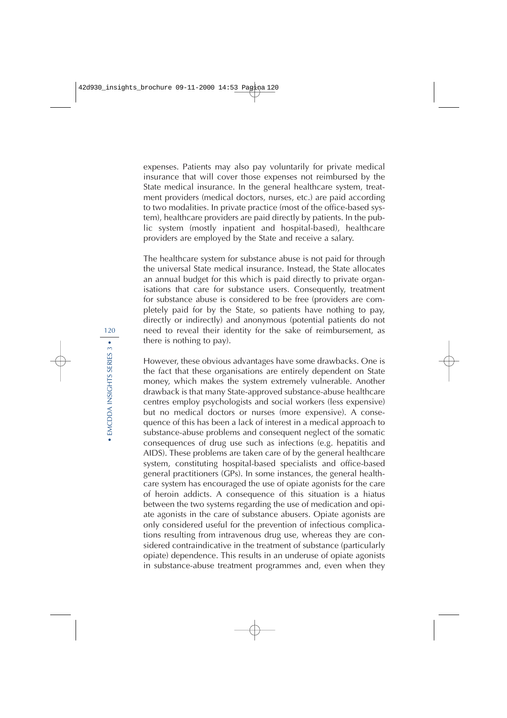expenses. Patients may also pay voluntarily for private medical insurance that will cover those expenses not reimbursed by the State medical insurance. In the general healthcare system, treatment providers (medical doctors, nurses, etc.) are paid according to two modalities. In private practice (most of the office-based system), healthcare providers are paid directly by patients. In the public system (mostly inpatient and hospital-based), healthcare providers are employed by the State and receive a salary.

The healthcare system for substance abuse is not paid for through the universal State medical insurance. Instead, the State allocates an annual budget for this which is paid directly to private organisations that care for substance users. Consequently, treatment for substance abuse is considered to be free (providers are completely paid for by the State, so patients have nothing to pay, directly or indirectly) and anonymous (potential patients do not need to reveal their identity for the sake of reimbursement, as there is nothing to pay).

However, these obvious advantages have some drawbacks. One is the fact that these organisations are entirely dependent on State money, which makes the system extremely vulnerable. Another drawback is that many State-approved substance-abuse healthcare centres employ psychologists and social workers (less expensive) but no medical doctors or nurses (more expensive). A consequence of this has been a lack of interest in a medical approach to substance-abuse problems and consequent neglect of the somatic consequences of drug use such as infections (e.g. hepatitis and AIDS). These problems are taken care of by the general healthcare system, constituting hospital-based specialists and office-based general practitioners (GPs). In some instances, the general healthcare system has encouraged the use of opiate agonists for the care of heroin addicts. A consequence of this situation is a hiatus between the two systems regarding the use of medication and opiate agonists in the care of substance abusers. Opiate agonists are only considered useful for the prevention of infectious complications resulting from intravenous drug use, whereas they are considered contraindicative in the treatment of substance (particularly opiate) dependence. This results in an underuse of opiate agonists in substance-abuse treatment programmes and, even when they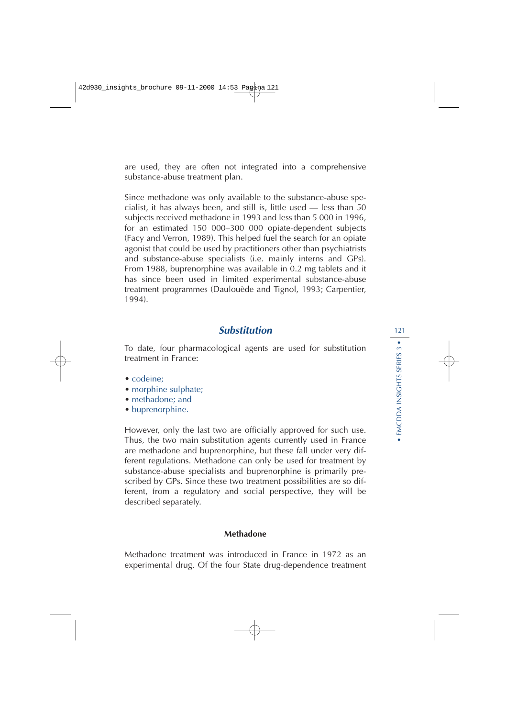are used, they are often not integrated into a comprehensive substance-abuse treatment plan.

Since methadone was only available to the substance-abuse specialist, it has always been, and still is, little used — less than 50 subjects received methadone in 1993 and less than 5 000 in 1996, for an estimated 150 000–300 000 opiate-dependent subjects (Facy and Verron, 1989). This helped fuel the search for an opiate agonist that could be used by practitioners other than psychiatrists and substance-abuse specialists (i.e. mainly interns and GPs). From 1988, buprenorphine was available in 0.2 mg tablets and it has since been used in limited experimental substance-abuse treatment programmes (Daulouède and Tignol, 1993; Carpentier, 1994).

## **Substitution**

To date, four pharmacological agents are used for substitution treatment in France:

- codeine:
- morphine sulphate;
- methadone; and
- buprenorphine.

However, only the last two are officially approved for such use. Thus, the two main substitution agents currently used in France are methadone and buprenorphine, but these fall under very different regulations. Methadone can only be used for treatment by substance-abuse specialists and buprenorphine is primarily prescribed by GPs. Since these two treatment possibilities are so different, from a regulatory and social perspective, they will be described separately.

### **Methadone**

Methadone treatment was introduced in France in 1972 as an experimental drug. Of the four State drug-dependence treatment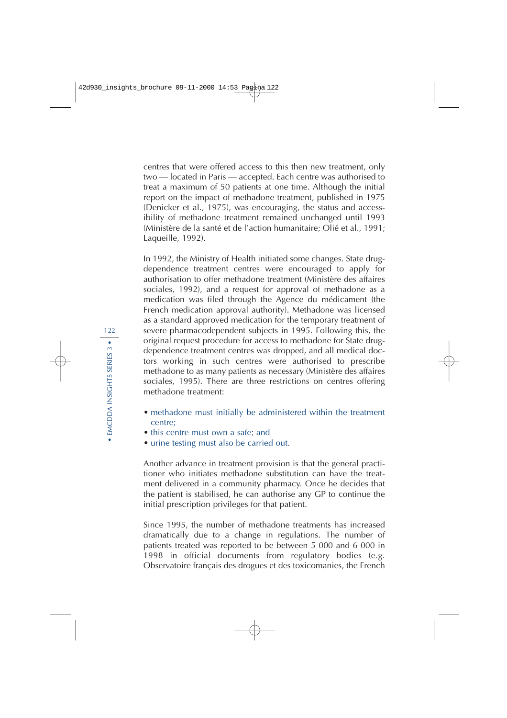centres that were offered access to this then new treatment, only two — located in Paris — accepted. Each centre was authorised to treat a maximum of 50 patients at one time. Although the initial report on the impact of methadone treatment, published in 1975 (Denicker et al., 1975), was encouraging, the status and accessibility of methadone treatment remained unchanged until 1993 (Ministère de la santé et de l'action humanitaire; Olié et al., 1991; Laqueille, 1992).

In 1992, the Ministry of Health initiated some changes. State drugdependence treatment centres were encouraged to apply for authorisation to offer methadone treatment (Ministère des affaires sociales, 1992), and a request for approval of methadone as a medication was filed through the Agence du médicament (the French medication approval authority). Methadone was licensed as a standard approved medication for the temporary treatment of severe pharmacodependent subjects in 1995. Following this, the original request procedure for access to methadone for State drugdependence treatment centres was dropped, and all medical doctors working in such centres were authorised to prescribe methadone to as many patients as necessary (Ministère des affaires sociales, 1995). There are three restrictions on centres offering methadone treatment:

- methadone must initially be administered within the treatment centre;
- this centre must own a safe: and
- urine testing must also be carried out.

Another advance in treatment provision is that the general practitioner who initiates methadone substitution can have the treatment delivered in a community pharmacy. Once he decides that the patient is stabilised, he can authorise any GP to continue the initial prescription privileges for that patient.

Since 1995, the number of methadone treatments has increased dramatically due to a change in regulations. The number of patients treated was reported to be between 5 000 and 6 000 in 1998 in official documents from regulatory bodies (e.g. Observatoire français des drogues et des toxicomanies, the French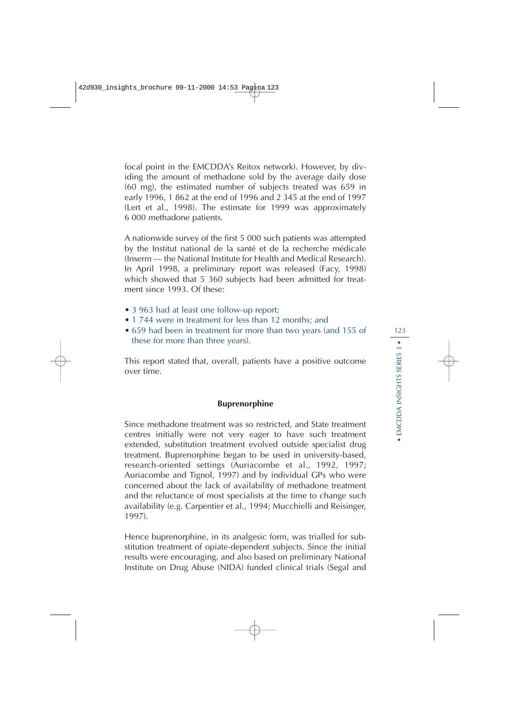focal point in the EMCDDA's Reitox network). However, by dividing the amount of methadone sold by the average daily dose (60 mg), the estimated number of subjects treated was 659 in early 1996, 1 862 at the end of 1996 and 2 345 at the end of 1997 (Lert et al., 1998). The estimate for 1999 was approximately 6 000 methadone patients.

A nationwide survey of the first 5 000 such patients was attempted by the Institut national de la santé et de la recherche médicale (Inserm — the National Institute for Health and Medical Research). In April 1998, a preliminary report was released (Facy, 1998) which showed that 5 360 subjects had been admitted for treatment since 1993. Of these:

- 3 963 had at least one follow-up report;
- 1 744 were in treatment for less than 12 months: and
- 659 had been in treatment for more than two years (and 155 of these for more than three years).

This report stated that, overall, patients have a positive outcome over time.

### **Buprenorphine**

Since methadone treatment was so restricted, and State treatment centres initially were not very eager to have such treatment extended, substitution treatment evolved outside specialist drug treatment. Buprenorphine began to be used in university-based, research-oriented settings (Auriacombe et al., 1992, 1997; Auriacombe and Tignol, 1997) and by individual GPs who were concerned about the lack of availability of methadone treatment and the reluctance of most specialists at the time to change such availability (e.g. Carpentier et al., 1994; Mucchielli and Reisinger, 1997).

Hence buprenorphine, in its analgesic form, was trialled for substitution treatment of opiate-dependent subjects. Since the initial results were encouraging, and also based on preliminary National Institute on Drug Abuse (NIDA) funded clinical trials (Segal and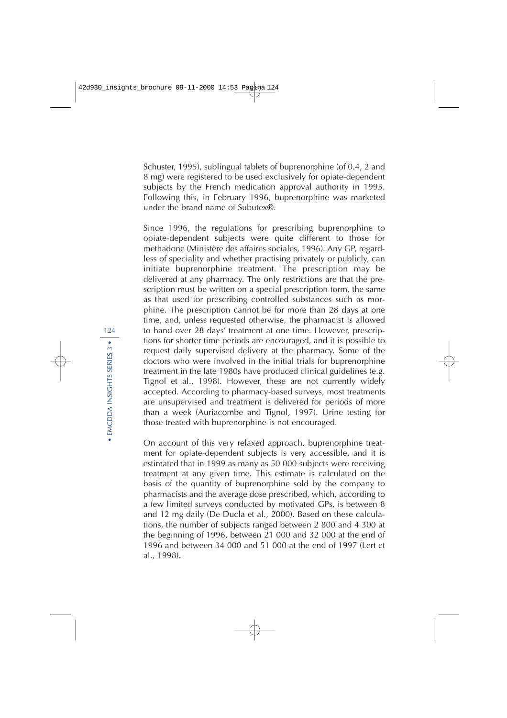Schuster, 1995), sublingual tablets of buprenorphine (of 0.4, 2 and 8 mg) were registered to be used exclusively for opiate-dependent subjects by the French medication approval authority in 1995. Following this, in February 1996, buprenorphine was marketed under the brand name of Subutex®.

Since 1996, the regulations for prescribing buprenorphine to opiate-dependent subjects were quite different to those for methadone (Ministère des affaires sociales, 1996). Any GP, regardless of speciality and whether practising privately or publicly, can initiate buprenorphine treatment. The prescription may be delivered at any pharmacy. The only restrictions are that the prescription must be written on a special prescription form, the same as that used for prescribing controlled substances such as morphine. The prescription cannot be for more than 28 days at one time, and, unless requested otherwise, the pharmacist is allowed to hand over 28 days' treatment at one time. However, prescriptions for shorter time periods are encouraged, and it is possible to request daily supervised delivery at the pharmacy. Some of the doctors who were involved in the initial trials for buprenorphine treatment in the late 1980s have produced clinical guidelines (e.g. Tignol et al., 1998). However, these are not currently widely accepted. According to pharmacy-based surveys, most treatments are unsupervised and treatment is delivered for periods of more than a week (Auriacombe and Tignol, 1997). Urine testing for those treated with buprenorphine is not encouraged.

On account of this very relaxed approach, buprenorphine treatment for opiate-dependent subjects is very accessible, and it is estimated that in 1999 as many as 50 000 subjects were receiving treatment at any given time. This estimate is calculated on the basis of the quantity of buprenorphine sold by the company to pharmacists and the average dose prescribed, which, according to a few limited surveys conducted by motivated GPs, is between 8 and 12 mg daily (De Ducla et al., 2000). Based on these calculations, the number of subjects ranged between 2 800 and 4 300 at the beginning of 1996, between 21 000 and 32 000 at the end of 1996 and between 34 000 and 51 000 at the end of 1997 (Lert et al., 1998).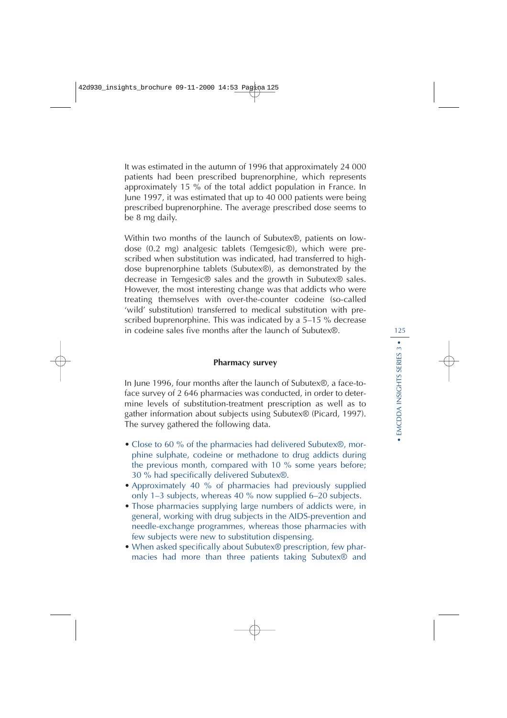It was estimated in the autumn of 1996 that approximately 24 000 patients had been prescribed buprenorphine, which represents approximately 15 % of the total addict population in France. In June 1997, it was estimated that up to 40 000 patients were being prescribed buprenorphine. The average prescribed dose seems to be 8 mg daily.

Within two months of the launch of Subutex®, patients on lowdose (0.2 mg) analgesic tablets (Temgesic®), which were prescribed when substitution was indicated, had transferred to highdose buprenorphine tablets (Subutex®), as demonstrated by the decrease in Temgesic® sales and the growth in Subutex® sales. However, the most interesting change was that addicts who were treating themselves with over-the-counter codeine (so-called 'wild' substitution) transferred to medical substitution with prescribed buprenorphine. This was indicated by a 5–15 % decrease in codeine sales five months after the launch of Subutex®.

### **Pharmacy survey**

In June 1996, four months after the launch of Subutex®, a face-toface survey of 2 646 pharmacies was conducted, in order to determine levels of substitution-treatment prescription as well as to gather information about subjects using Subutex® (Picard, 1997). The survey gathered the following data.

- Close to 60 % of the pharmacies had delivered Subutex<sup>®</sup>, morphine sulphate, codeine or methadone to drug addicts during the previous month, compared with 10 % some years before; 30 % had specifically delivered Subutex®.
- Approximately 40 % of pharmacies had previously supplied only 1–3 subjects, whereas 40 % now supplied 6–20 subjects.
- Those pharmacies supplying large numbers of addicts were, in general, working with drug subjects in the AIDS-prevention and needle-exchange programmes, whereas those pharmacies with few subjects were new to substitution dispensing.
- When asked specifically about Subutex<sup>®</sup> prescription, few pharmacies had more than three patients taking Subutex® and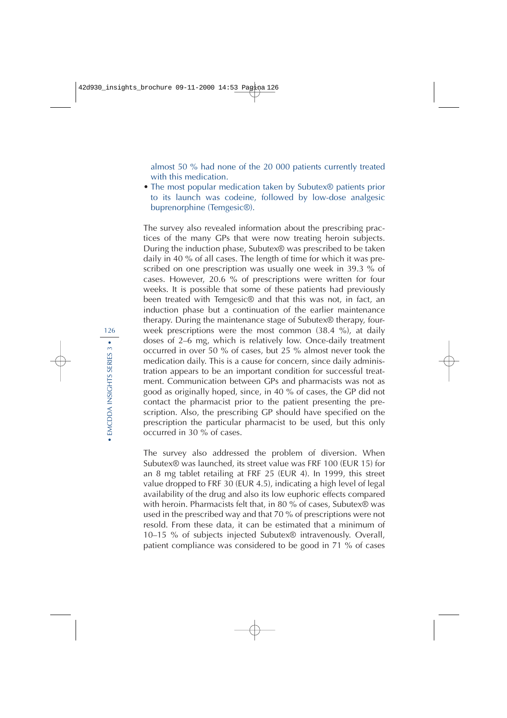almost 50 % had none of the 20 000 patients currently treated with this medication.

• The most popular medication taken by Subutex<sup>®</sup> patients prior to its launch was codeine, followed by low-dose analgesic buprenorphine (Temgesic®).

The survey also revealed information about the prescribing practices of the many GPs that were now treating heroin subjects. During the induction phase, Subutex® was prescribed to be taken daily in 40 % of all cases. The length of time for which it was prescribed on one prescription was usually one week in 39.3 % of cases. However, 20.6 % of prescriptions were written for four weeks. It is possible that some of these patients had previously been treated with Temgesic® and that this was not, in fact, an induction phase but a continuation of the earlier maintenance therapy. During the maintenance stage of Subutex® therapy, fourweek prescriptions were the most common (38.4 %), at daily doses of 2–6 mg, which is relatively low. Once-daily treatment occurred in over 50 % of cases, but 25 % almost never took the medication daily. This is a cause for concern, since daily administration appears to be an important condition for successful treatment. Communication between GPs and pharmacists was not as good as originally hoped, since, in 40 % of cases, the GP did not contact the pharmacist prior to the patient presenting the prescription. Also, the prescribing GP should have specified on the prescription the particular pharmacist to be used, but this only occurred in 30 % of cases.

The survey also addressed the problem of diversion. When Subutex® was launched, its street value was FRF 100 (EUR 15) for an 8 mg tablet retailing at FRF 25 (EUR 4). In 1999, this street value dropped to FRF 30 (EUR 4.5), indicating a high level of legal availability of the drug and also its low euphoric effects compared with heroin. Pharmacists felt that, in 80 % of cases, Subutex® was used in the prescribed way and that 70 % of prescriptions were not resold. From these data, it can be estimated that a minimum of 10–15 % of subjects injected Subutex® intravenously. Overall, patient compliance was considered to be good in 71 % of cases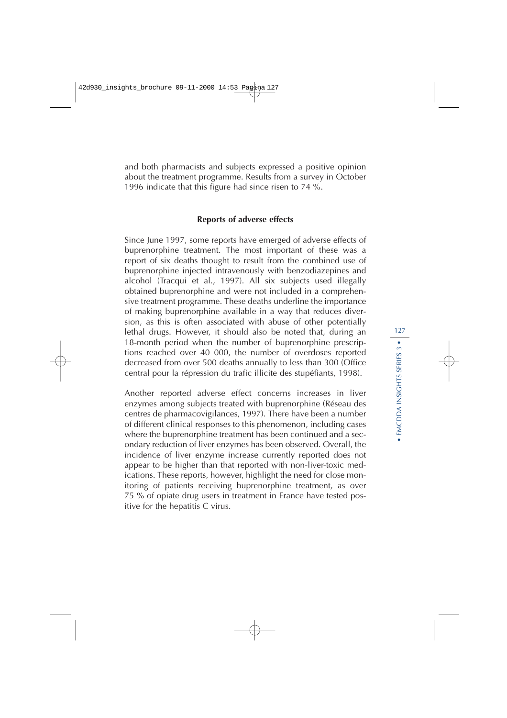and both pharmacists and subjects expressed a positive opinion about the treatment programme. Results from a survey in October 1996 indicate that this figure had since risen to 74 %.

### **Reports of adverse effects**

Since June 1997, some reports have emerged of adverse effects of buprenorphine treatment. The most important of these was a report of six deaths thought to result from the combined use of buprenorphine injected intravenously with benzodiazepines and alcohol (Tracqui et al., 1997). All six subjects used illegally obtained buprenorphine and were not included in a comprehensive treatment programme. These deaths underline the importance of making buprenorphine available in a way that reduces diversion, as this is often associated with abuse of other potentially lethal drugs. However, it should also be noted that, during an 18-month period when the number of buprenorphine prescriptions reached over 40 000, the number of overdoses reported decreased from over 500 deaths annually to less than 300 (Office central pour la répression du trafic illicite des stupéfiants, 1998).

Another reported adverse effect concerns increases in liver enzymes among subjects treated with buprenorphine (Réseau des centres de pharmacovigilances, 1997). There have been a number of different clinical responses to this phenomenon, including cases where the buprenorphine treatment has been continued and a secondary reduction of liver enzymes has been observed. Overall, the incidence of liver enzyme increase currently reported does not appear to be higher than that reported with non-liver-toxic medications. These reports, however, highlight the need for close monitoring of patients receiving buprenorphine treatment, as over 75 % of opiate drug users in treatment in France have tested positive for the hepatitis C virus.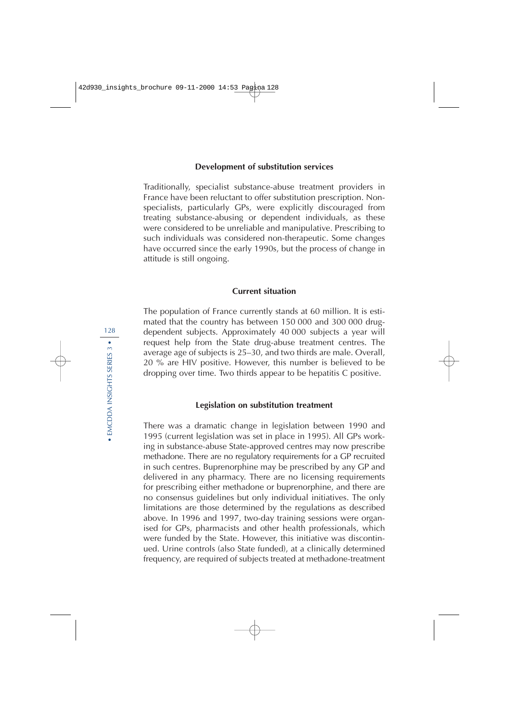### **Development of substitution services**

Traditionally, specialist substance-abuse treatment providers in France have been reluctant to offer substitution prescription. Nonspecialists, particularly GPs, were explicitly discouraged from treating substance-abusing or dependent individuals, as these were considered to be unreliable and manipulative. Prescribing to such individuals was considered non-therapeutic. Some changes have occurred since the early 1990s, but the process of change in attitude is still ongoing.

### **Current situation**

The population of France currently stands at 60 million. It is estimated that the country has between 150 000 and 300 000 drugdependent subjects. Approximately 40 000 subjects a year will request help from the State drug-abuse treatment centres. The average age of subjects is 25–30, and two thirds are male. Overall, 20 % are HIV positive. However, this number is believed to be dropping over time. Two thirds appear to be hepatitis C positive.

### **Legislation on substitution treatment**

There was a dramatic change in legislation between 1990 and 1995 (current legislation was set in place in 1995). All GPs working in substance-abuse State-approved centres may now prescribe methadone. There are no regulatory requirements for a GP recruited in such centres. Buprenorphine may be prescribed by any GP and delivered in any pharmacy. There are no licensing requirements for prescribing either methadone or buprenorphine, and there are no consensus guidelines but only individual initiatives. The only limitations are those determined by the regulations as described above. In 1996 and 1997, two-day training sessions were organised for GPs, pharmacists and other health professionals, which were funded by the State. However, this initiative was discontinued. Urine controls (also State funded), at a clinically determined frequency, are required of subjects treated at methadone-treatment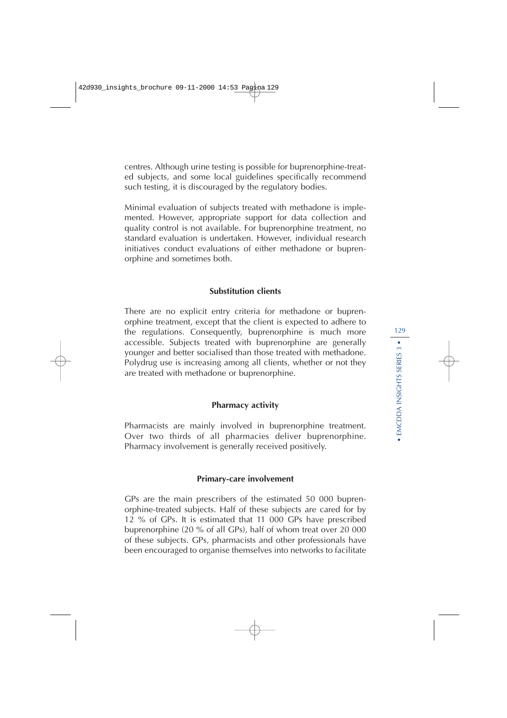centres. Although urine testing is possible for buprenorphine-treated subjects, and some local guidelines specifically recommend such testing, it is discouraged by the regulatory bodies.

Minimal evaluation of subjects treated with methadone is implemented. However, appropriate support for data collection and quality control is not available. For buprenorphine treatment, no standard evaluation is undertaken. However, individual research initiatives conduct evaluations of either methadone or buprenorphine and sometimes both.

### **Substitution clients**

There are no explicit entry criteria for methadone or buprenorphine treatment, except that the client is expected to adhere to the regulations. Consequently, buprenorphine is much more accessible. Subjects treated with buprenorphine are generally younger and better socialised than those treated with methadone. Polydrug use is increasing among all clients, whether or not they are treated with methadone or buprenorphine.

### **Pharmacy activity**

Pharmacists are mainly involved in buprenorphine treatment. Over two thirds of all pharmacies deliver buprenorphine. Pharmacy involvement is generally received positively.

### **Primary-care involvement**

GPs are the main prescribers of the estimated 50 000 buprenorphine-treated subjects. Half of these subjects are cared for by 12 % of GPs. It is estimated that 11 000 GPs have prescribed buprenorphine (20 % of all GPs), half of whom treat over 20 000 of these subjects. GPs, pharmacists and other professionals have been encouraged to organise themselves into networks to facilitate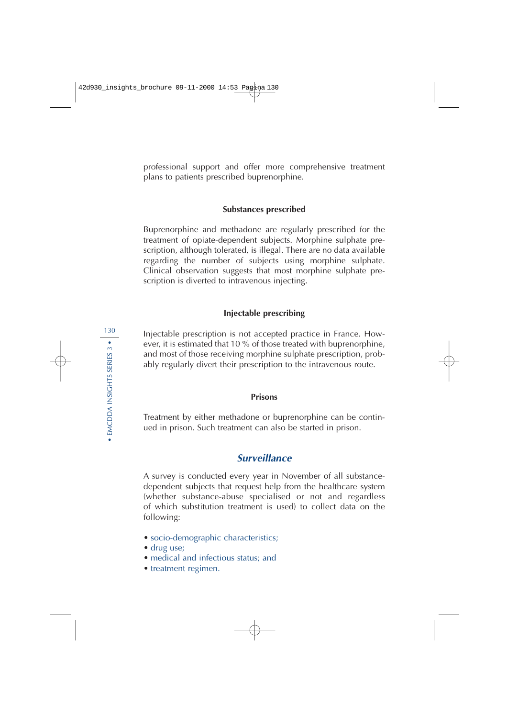professional support and offer more comprehensive treatment plans to patients prescribed buprenorphine.

### **Substances prescribed**

Buprenorphine and methadone are regularly prescribed for the treatment of opiate-dependent subjects. Morphine sulphate prescription, although tolerated, is illegal. There are no data available regarding the number of subjects using morphine sulphate. Clinical observation suggests that most morphine sulphate prescription is diverted to intravenous injecting.

### **Injectable prescribing**

Injectable prescription is not accepted practice in France. However, it is estimated that 10 % of those treated with buprenorphine, and most of those receiving morphine sulphate prescription, probably regularly divert their prescription to the intravenous route.

### **Prisons**

Treatment by either methadone or buprenorphine can be continued in prison. Such treatment can also be started in prison.

## **Surveillance**

A survey is conducted every year in November of all substancedependent subjects that request help from the healthcare system (whether substance-abuse specialised or not and regardless of which substitution treatment is used) to collect data on the following:

- socio-demographic characteristics;
- drug use:
- medical and infectious status; and
- treatment regimen.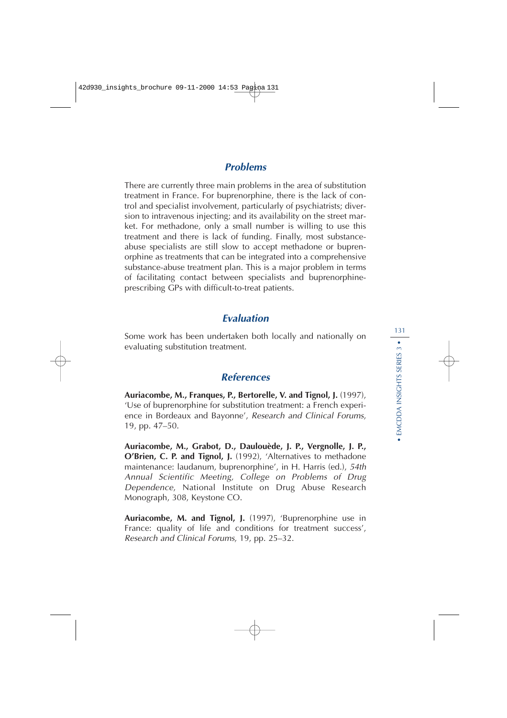## **Problems**

There are currently three main problems in the area of substitution treatment in France. For buprenorphine, there is the lack of control and specialist involvement, particularly of psychiatrists; diversion to intravenous injecting; and its availability on the street market. For methadone, only a small number is willing to use this treatment and there is lack of funding. Finally, most substanceabuse specialists are still slow to accept methadone or buprenorphine as treatments that can be integrated into a comprehensive substance-abuse treatment plan. This is a major problem in terms of facilitating contact between specialists and buprenorphineprescribing GPs with difficult-to-treat patients.

## **Evaluation**

Some work has been undertaken both locally and nationally on evaluating substitution treatment.

## **References**

**Auriacombe, M., Franques, P., Bertorelle, V. and Tignol, J.** (1997), 'Use of buprenorphine for substitution treatment: a French experience in Bordeaux and Bayonne', Research and Clinical Forums, 19, pp. 47–50.

**Auriacombe, M., Grabot, D., Daulouède, J. P., Vergnolle, J. P., O'Brien, C. P. and Tignol, J.** (1992), 'Alternatives to methadone maintenance: laudanum, buprenorphine', in H. Harris (ed.), 54th Annual Scientific Meeting, College on Problems of Drug Dependence, National Institute on Drug Abuse Research Monograph, 308, Keystone CO.

**Auriacombe, M. and Tignol, J.** (1997), 'Buprenorphine use in France: quality of life and conditions for treatment success', Research and Clinical Forums, 19, pp. 25–32.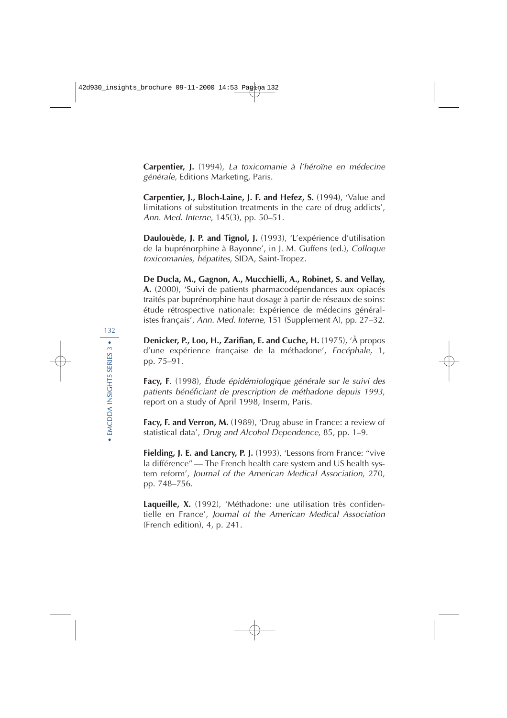**Carpentier, J.** (1994), La toxicomanie à l'héroïne en médecine générale, Editions Marketing, Paris.

**Carpentier, J., Bloch-Laine, J. F. and Hefez, S.** (1994), 'Value and limitations of substitution treatments in the care of drug addicts', Ann. Med. Interne, 145(3), pp. 50–51.

**Daulouède, J. P. and Tignol, J.** (1993), 'L'expérience d'utilisation de la buprénorphine à Bayonne', in J. M. Guffens (ed.), Colloque toxicomanies, hépatites, SIDA, Saint-Tropez.

**De Ducla, M., Gagnon, A., Mucchielli, A., Robinet, S. and Vellay, A.** (2000), 'Suivi de patients pharmacodépendances aux opiacés traités par buprénorphine haut dosage à partir de réseaux de soins: étude rétrospective nationale: Expérience de médecins généralistes français', Ann. Med. Interne, 151 (Supplement A), pp. 27–32.

**Denicker, P., Loo, H., Zarifian, E. and Cuche, H.** (1975), 'À propos d'une expérience française de la méthadone', Encéphale, 1, pp. 75–91.

**Facy, F**. (1998), Étude épidémiologique générale sur le suivi des patients bénéficiant de prescription de méthadone depuis 1993, report on a study of April 1998, Inserm, Paris.

**Facy, F. and Verron, M.** (1989), 'Drug abuse in France: a review of statistical data', Drug and Alcohol Dependence, 85, pp. 1–9.

**Fielding, J. E. and Lancry, P. J.** (1993), 'Lessons from France: "vive la différence'' — The French health care system and US health system reform', Journal of the American Medical Association, 270, pp. 748–756.

**Laqueille, X.** (1992), 'Méthadone: une utilisation très confidentielle en France', Journal of the American Medical Association (French edition), 4, p. 241.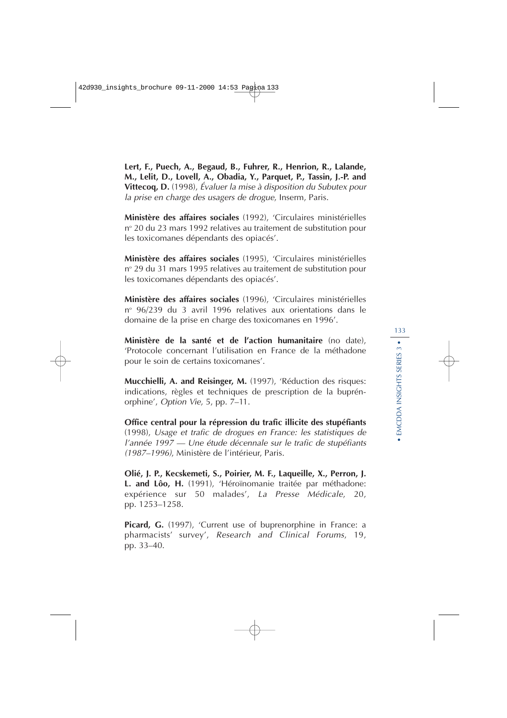**Lert, F., Puech, A., Begaud, B., Fuhrer, R., Henrion, R., Lalande, M., Lelit, D., Lovell, A., Obadia, Y., Parquet, P., Tassin, J.-P. and Vittecoq, D.** (1998), Évaluer la mise à disposition du Subutex pour la prise en charge des usagers de drogue, Inserm, Paris.

**Ministère des affaires sociales** (1992), 'Circulaires ministérielles n<sup>o</sup> 20 du 23 mars 1992 relatives au traitement de substitution pour les toxicomanes dépendants des opiacés'.

**Ministère des affaires sociales** (1995), 'Circulaires ministérielles n<sup>o</sup> 29 du 31 mars 1995 relatives au traitement de substitution pour les toxicomanes dépendants des opiacés'.

**Ministère des affaires sociales** (1996), 'Circulaires ministérielles nº 96/239 du 3 avril 1996 relatives aux orientations dans le domaine de la prise en charge des toxicomanes en 1996'.

**Ministère de la santé et de l'action humanitaire** (no date), 'Protocole concernant l'utilisation en France de la méthadone pour le soin de certains toxicomanes'.

**Mucchielli, A. and Reisinger, M.** (1997), 'Réduction des risques: indications, règles et techniques de prescription de la buprénorphine', Option Vie, 5, pp. 7–11.

**Office central pour la répression du trafic illicite des stupéfiants** (1998), Usage et trafic de drogues en France: les statistiques de l'année 1997 — Une étude décennale sur le trafic de stupéfiants (1987–1996), Ministère de l'intérieur, Paris.

**Olié, J. P., Kecskemeti, S., Poirier, M. F., Laqueille, X., Perron, J. L. and Lôo, H.** (1991), 'Héroïnomanie traitée par méthadone: expérience sur 50 malades', La Presse Médicale, 20, pp. 1253–1258.

**Picard, G.** (1997), 'Current use of buprenorphine in France: a pharmacists' survey', Research and Clinical Forums, 19, pp. 33–40.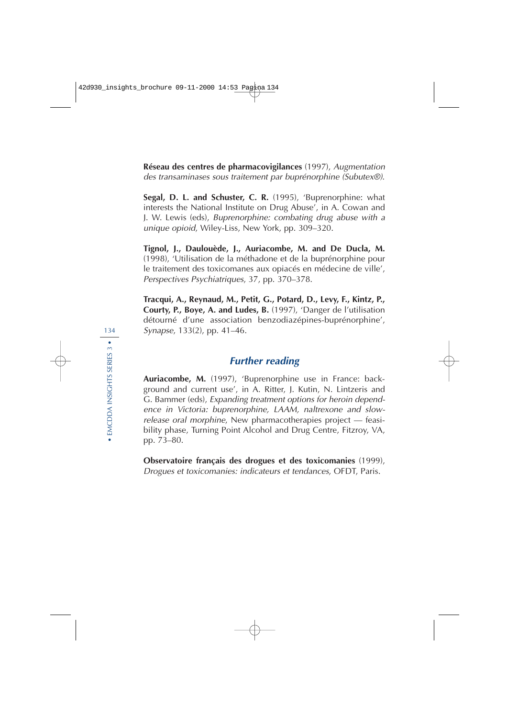**Réseau des centres de pharmacovigilances** (1997), Augmentation des transaminases sous traitement par buprénorphine (Subutex®).

**Segal, D. L. and Schuster, C. R.** (1995), 'Buprenorphine: what interests the National Institute on Drug Abuse', in A. Cowan and J. W. Lewis (eds), Buprenorphine: combating drug abuse with a unique opioid, Wiley-Liss, New York, pp. 309–320.

**Tignol, J., Daulouède, J., Auriacombe, M. and De Ducla, M.** (1998), 'Utilisation de la méthadone et de la buprénorphine pour le traitement des toxicomanes aux opiacés en médecine de ville', Perspectives Psychiatriques, 37, pp. 370–378.

**Tracqui, A., Reynaud, M., Petit, G., Potard, D., Levy, F., Kintz, P., Courty, P., Boye, A. and Ludes, B.** (1997), 'Danger de l'utilisation détourné d'une association benzodiazépines-buprénorphine', Synapse, 133(2), pp. 41–46.

## **Further reading**

**Auriacombe, M.** (1997), 'Buprenorphine use in France: background and current use', in A. Ritter, J. Kutin, N. Lintzeris and G. Bammer (eds), Expanding treatment options for heroin dependence in Victoria: buprenorphine, LAAM, naltrexone and slowrelease oral morphine, New pharmacotherapies project — feasibility phase, Turning Point Alcohol and Drug Centre, Fitzroy, VA, pp. 73–80.

**Observatoire français des drogues et des toxicomanies** (1999), Drogues et toxicomanies: indicateurs et tendances, OFDT, Paris.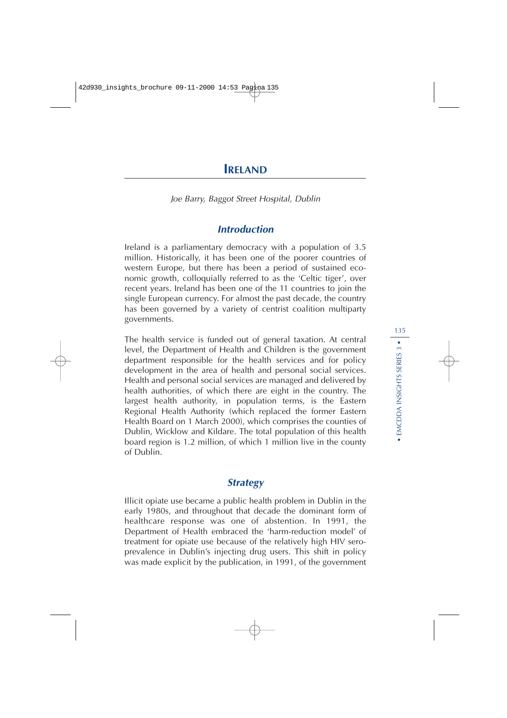# **IRELAND**

Joe Barry, Baggot Street Hospital, Dublin

## **Introduction**

Ireland is a parliamentary democracy with a population of 3.5 million. Historically, it has been one of the poorer countries of western Europe, but there has been a period of sustained economic growth, colloquially referred to as the 'Celtic tiger', over recent years. Ireland has been one of the 11 countries to join the single European currency. For almost the past decade, the country has been governed by a variety of centrist coalition multiparty governments.

The health service is funded out of general taxation. At central level, the Department of Health and Children is the government department responsible for the health services and for policy development in the area of health and personal social services. Health and personal social services are managed and delivered by health authorities, of which there are eight in the country. The largest health authority, in population terms, is the Eastern Regional Health Authority (which replaced the former Eastern Health Board on 1 March 2000), which comprises the counties of Dublin, Wicklow and Kildare. The total population of this health board region is 1.2 million, of which 1 million live in the county of Dublin.

## **Strategy**

Illicit opiate use became a public health problem in Dublin in the early 1980s, and throughout that decade the dominant form of healthcare response was one of abstention. In 1991, the Department of Health embraced the 'harm-reduction model' of treatment for opiate use because of the relatively high HIV seroprevalence in Dublin's injecting drug users. This shift in policy was made explicit by the publication, in 1991, of the government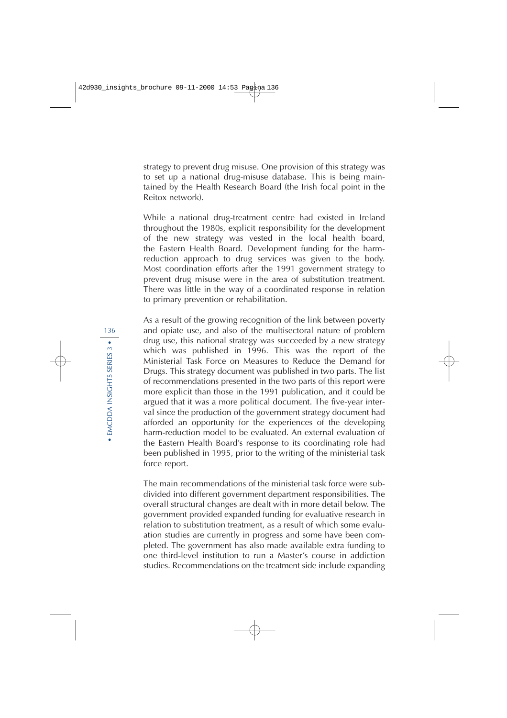strategy to prevent drug misuse. One provision of this strategy was to set up a national drug-misuse database. This is being maintained by the Health Research Board (the Irish focal point in the Reitox network).

While a national drug-treatment centre had existed in Ireland throughout the 1980s, explicit responsibility for the development of the new strategy was vested in the local health board, the Eastern Health Board. Development funding for the harmreduction approach to drug services was given to the body. Most coordination efforts after the 1991 government strategy to prevent drug misuse were in the area of substitution treatment. There was little in the way of a coordinated response in relation to primary prevention or rehabilitation.

As a result of the growing recognition of the link between poverty and opiate use, and also of the multisectoral nature of problem drug use, this national strategy was succeeded by a new strategy which was published in 1996. This was the report of the Ministerial Task Force on Measures to Reduce the Demand for Drugs. This strategy document was published in two parts. The list of recommendations presented in the two parts of this report were more explicit than those in the 1991 publication, and it could be argued that it was a more political document. The five-year interval since the production of the government strategy document had afforded an opportunity for the experiences of the developing harm-reduction model to be evaluated. An external evaluation of the Eastern Health Board's response to its coordinating role had been published in 1995, prior to the writing of the ministerial task force report.

The main recommendations of the ministerial task force were subdivided into different government department responsibilities. The overall structural changes are dealt with in more detail below. The government provided expanded funding for evaluative research in relation to substitution treatment, as a result of which some evaluation studies are currently in progress and some have been completed. The government has also made available extra funding to one third-level institution to run a Master's course in addiction studies. Recommendations on the treatment side include expanding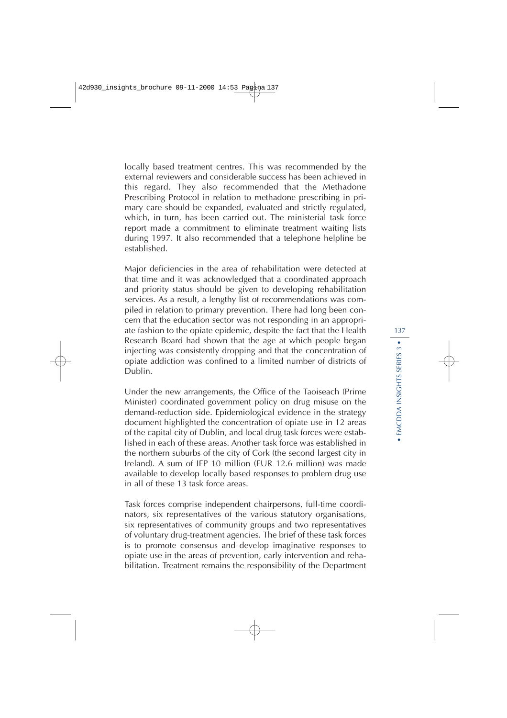locally based treatment centres. This was recommended by the external reviewers and considerable success has been achieved in this regard. They also recommended that the Methadone Prescribing Protocol in relation to methadone prescribing in primary care should be expanded, evaluated and strictly regulated, which, in turn, has been carried out. The ministerial task force report made a commitment to eliminate treatment waiting lists during 1997. It also recommended that a telephone helpline be established.

Major deficiencies in the area of rehabilitation were detected at that time and it was acknowledged that a coordinated approach and priority status should be given to developing rehabilitation services. As a result, a lengthy list of recommendations was compiled in relation to primary prevention. There had long been concern that the education sector was not responding in an appropriate fashion to the opiate epidemic, despite the fact that the Health Research Board had shown that the age at which people began injecting was consistently dropping and that the concentration of opiate addiction was confined to a limited number of districts of Dublin.

Under the new arrangements, the Office of the Taoiseach (Prime Minister) coordinated government policy on drug misuse on the demand-reduction side. Epidemiological evidence in the strategy document highlighted the concentration of opiate use in 12 areas of the capital city of Dublin, and local drug task forces were established in each of these areas. Another task force was established in the northern suburbs of the city of Cork (the second largest city in Ireland). A sum of IEP 10 million (EUR 12.6 million) was made available to develop locally based responses to problem drug use in all of these 13 task force areas.

Task forces comprise independent chairpersons, full-time coordinators, six representatives of the various statutory organisations, six representatives of community groups and two representatives of voluntary drug-treatment agencies. The brief of these task forces is to promote consensus and develop imaginative responses to opiate use in the areas of prevention, early intervention and rehabilitation. Treatment remains the responsibility of the Department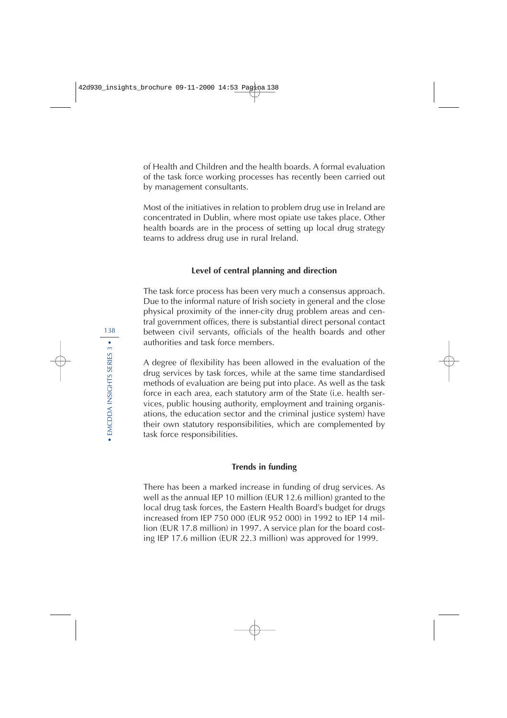of Health and Children and the health boards. A formal evaluation of the task force working processes has recently been carried out by management consultants.

Most of the initiatives in relation to problem drug use in Ireland are concentrated in Dublin, where most opiate use takes place. Other health boards are in the process of setting up local drug strategy teams to address drug use in rural Ireland.

## **Level of central planning and direction**

The task force process has been very much a consensus approach. Due to the informal nature of Irish society in general and the close physical proximity of the inner-city drug problem areas and central government offices, there is substantial direct personal contact between civil servants, officials of the health boards and other authorities and task force members.

A degree of flexibility has been allowed in the evaluation of the drug services by task forces, while at the same time standardised methods of evaluation are being put into place. As well as the task force in each area, each statutory arm of the State (i.e. health services, public housing authority, employment and training organisations, the education sector and the criminal justice system) have their own statutory responsibilities, which are complemented by task force responsibilities.

### **Trends in funding**

There has been a marked increase in funding of drug services. As well as the annual IEP 10 million (EUR 12.6 million) granted to the local drug task forces, the Eastern Health Board's budget for drugs increased from IEP 750 000 (EUR 952 000) in 1992 to IEP 14 million (EUR 17.8 million) in 1997. A service plan for the board costing IEP 17.6 million (EUR 22.3 million) was approved for 1999.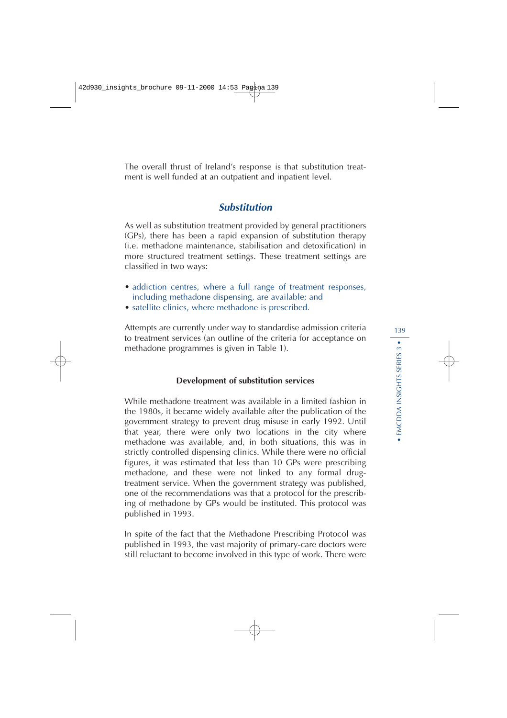The overall thrust of Ireland's response is that substitution treatment is well funded at an outpatient and inpatient level.

## **Substitution**

As well as substitution treatment provided by general practitioners (GPs), there has been a rapid expansion of substitution therapy (i.e. methadone maintenance, stabilisation and detoxification) in more structured treatment settings. These treatment settings are classified in two ways:

- addiction centres, where a full range of treatment responses, including methadone dispensing, are available; and
- satellite clinics, where methadone is prescribed.

Attempts are currently under way to standardise admission criteria to treatment services (an outline of the criteria for acceptance on methadone programmes is given in Table 1).

### **Development of substitution services**

While methadone treatment was available in a limited fashion in the 1980s, it became widely available after the publication of the government strategy to prevent drug misuse in early 1992. Until that year, there were only two locations in the city where methadone was available, and, in both situations, this was in strictly controlled dispensing clinics. While there were no official figures, it was estimated that less than 10 GPs were prescribing methadone, and these were not linked to any formal drugtreatment service. When the government strategy was published, one of the recommendations was that a protocol for the prescribing of methadone by GPs would be instituted. This protocol was published in 1993.

In spite of the fact that the Methadone Prescribing Protocol was published in 1993, the vast majority of primary-care doctors were still reluctant to become involved in this type of work. There were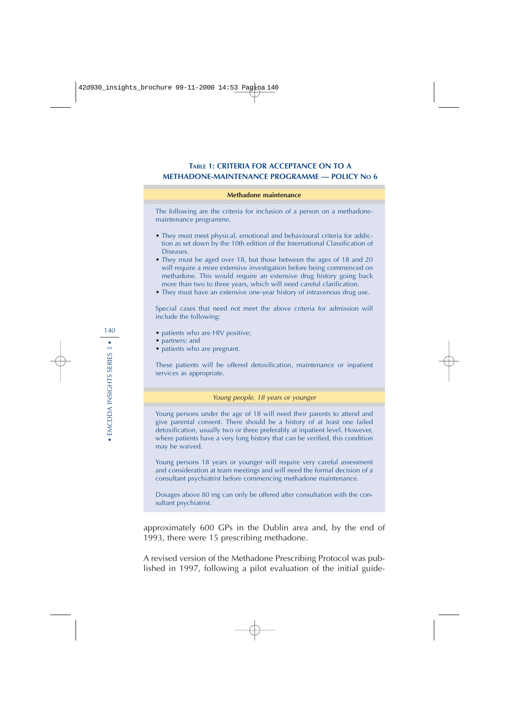### **TABLE 1: CRITERIA FOR ACCEPTANCE ON TO A METHADONE-MAINTENANCE PROGRAMME — POLICY NO 6**

#### **Methadone maintenance**

The following are the criteria for inclusion of a person on a methadonemaintenance programme.

- They must meet physical, emotional and behavioural criteria for addiction as set down by the 10th edition of the International Classification of Diseases.
- They must be aged over 18, but those between the ages of 18 and 20 will require a more extensive investigation before being commenced on methadone. This would require an extensive drug history going back more than two to three years, which will need careful clarification.
- They must have an extensive one-year history of intravenous drug use.

Special cases that need not meet the above criteria for admission will include the following:

- patients who are HIV positive;
- partners; and
- patients who are pregnant.

These patients will be offered detoxification, maintenance or inpatient services as appropriate.

#### Young people, 18 years or younger

Young persons under the age of 18 will need their parents to attend and give parental consent. There should be a history of at least one failed detoxification, usually two or three preferably at inpatient level. However, where patients have a very long history that can be verified, this condition may be waived.

Young persons 18 years or younger will require very careful assessment and consideration at team meetings and will need the formal decision of a consultant psychiatrist before commencing methadone maintenance.

Dosages above 80 mg can only be offered after consultation with the consultant psychiatrist.

approximately 600 GPs in the Dublin area and, by the end of 1993, there were 15 prescribing methadone.

A revised version of the Methadone Prescribing Protocol was published in 1997, following a pilot evaluation of the initial guide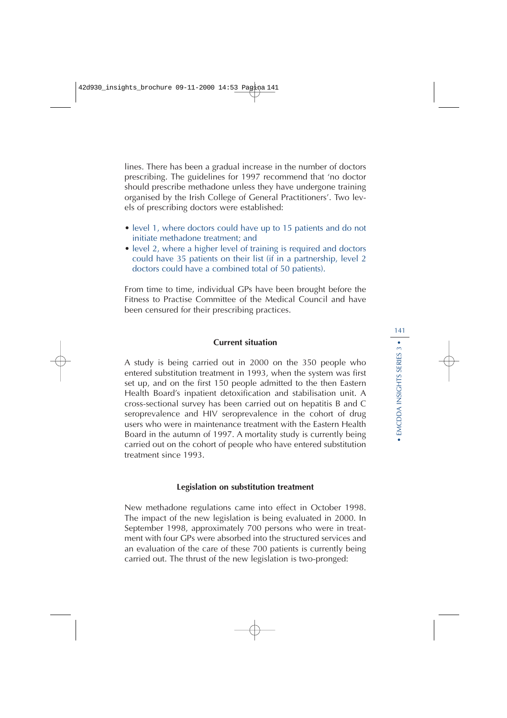lines. There has been a gradual increase in the number of doctors prescribing. The guidelines for 1997 recommend that 'no doctor should prescribe methadone unless they have undergone training organised by the Irish College of General Practitioners'. Two levels of prescribing doctors were established:

- level 1, where doctors could have up to 15 patients and do not initiate methadone treatment; and
- level 2, where a higher level of training is required and doctors could have 35 patients on their list (if in a partnership, level 2 doctors could have a combined total of 50 patients).

From time to time, individual GPs have been brought before the Fitness to Practise Committee of the Medical Council and have been censured for their prescribing practices.

### **Current situation**

A study is being carried out in 2000 on the 350 people who entered substitution treatment in 1993, when the system was first set up, and on the first 150 people admitted to the then Eastern Health Board's inpatient detoxification and stabilisation unit. A cross-sectional survey has been carried out on hepatitis B and C seroprevalence and HIV seroprevalence in the cohort of drug users who were in maintenance treatment with the Eastern Health Board in the autumn of 1997. A mortality study is currently being carried out on the cohort of people who have entered substitution treatment since 1993.

### **Legislation on substitution treatment**

New methadone regulations came into effect in October 1998. The impact of the new legislation is being evaluated in 2000. In September 1998, approximately 700 persons who were in treatment with four GPs were absorbed into the structured services and an evaluation of the care of these 700 patients is currently being carried out. The thrust of the new legislation is two-pronged: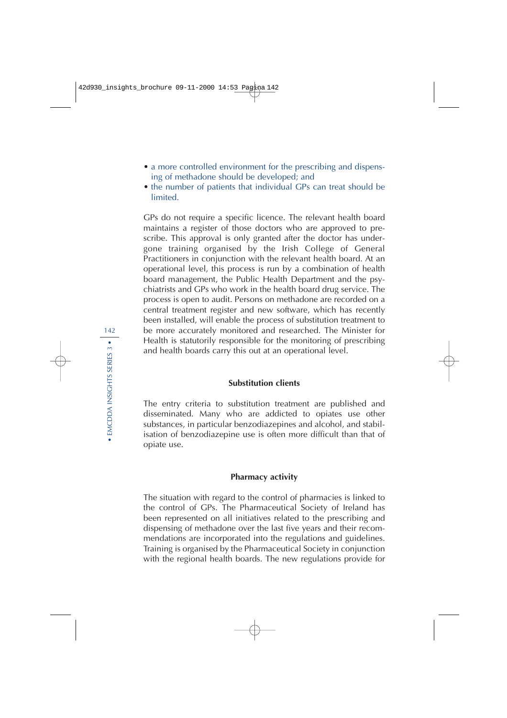- a more controlled environment for the prescribing and dispensing of methadone should be developed; and
- the number of patients that individual GPs can treat should be limited.

GPs do not require a specific licence. The relevant health board maintains a register of those doctors who are approved to prescribe. This approval is only granted after the doctor has undergone training organised by the Irish College of General Practitioners in conjunction with the relevant health board. At an operational level, this process is run by a combination of health board management, the Public Health Department and the psychiatrists and GPs who work in the health board drug service. The process is open to audit. Persons on methadone are recorded on a central treatment register and new software, which has recently been installed, will enable the process of substitution treatment to be more accurately monitored and researched. The Minister for Health is statutorily responsible for the monitoring of prescribing and health boards carry this out at an operational level.

### **Substitution clients**

The entry criteria to substitution treatment are published and disseminated. Many who are addicted to opiates use other substances, in particular benzodiazepines and alcohol, and stabilisation of benzodiazepine use is often more difficult than that of opiate use.

### **Pharmacy activity**

The situation with regard to the control of pharmacies is linked to the control of GPs. The Pharmaceutical Society of Ireland has been represented on all initiatives related to the prescribing and dispensing of methadone over the last five years and their recommendations are incorporated into the regulations and guidelines. Training is organised by the Pharmaceutical Society in conjunction with the regional health boards. The new regulations provide for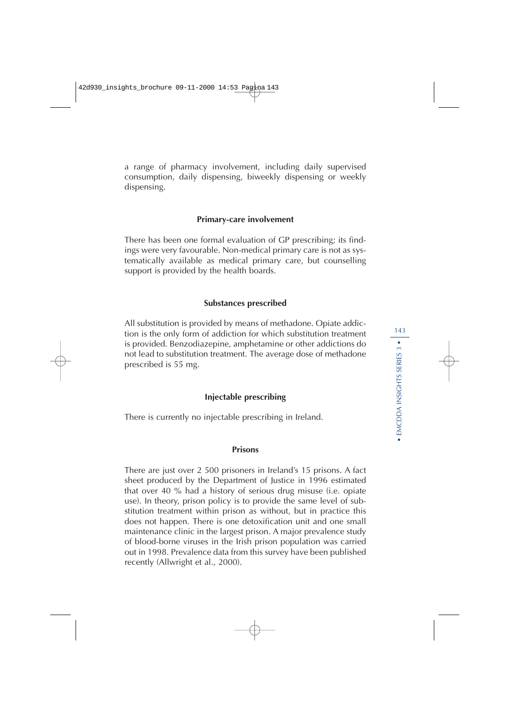a range of pharmacy involvement, including daily supervised consumption, daily dispensing, biweekly dispensing or weekly dispensing.

### **Primary-care involvement**

There has been one formal evaluation of GP prescribing; its findings were very favourable. Non-medical primary care is not as systematically available as medical primary care, but counselling support is provided by the health boards.

### **Substances prescribed**

All substitution is provided by means of methadone. Opiate addiction is the only form of addiction for which substitution treatment is provided. Benzodiazepine, amphetamine or other addictions do not lead to substitution treatment. The average dose of methadone prescribed is 55 mg.

### **Injectable prescribing**

There is currently no injectable prescribing in Ireland.

### **Prisons**

There are just over 2 500 prisoners in Ireland's 15 prisons. A fact sheet produced by the Department of Justice in 1996 estimated that over 40 % had a history of serious drug misuse (i.e. opiate use). In theory, prison policy is to provide the same level of substitution treatment within prison as without, but in practice this does not happen. There is one detoxification unit and one small maintenance clinic in the largest prison. A major prevalence study of blood-borne viruses in the Irish prison population was carried out in 1998. Prevalence data from this survey have been published recently (Allwright et al., 2000).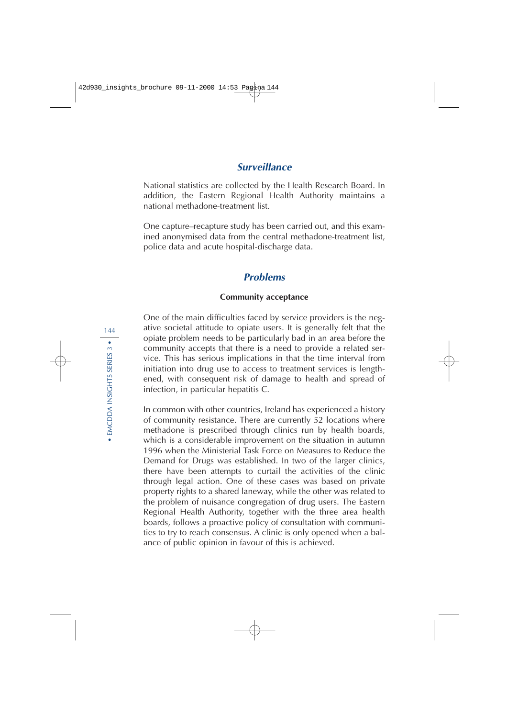## **Surveillance**

National statistics are collected by the Health Research Board. In addition, the Eastern Regional Health Authority maintains a national methadone-treatment list.

One capture–recapture study has been carried out, and this examined anonymised data from the central methadone-treatment list, police data and acute hospital-discharge data.

## **Problems**

### **Community acceptance**

One of the main difficulties faced by service providers is the negative societal attitude to opiate users. It is generally felt that the opiate problem needs to be particularly bad in an area before the community accepts that there is a need to provide a related service. This has serious implications in that the time interval from initiation into drug use to access to treatment services is lengthened, with consequent risk of damage to health and spread of infection, in particular hepatitis C.

In common with other countries, Ireland has experienced a history of community resistance. There are currently 52 locations where methadone is prescribed through clinics run by health boards, which is a considerable improvement on the situation in autumn 1996 when the Ministerial Task Force on Measures to Reduce the Demand for Drugs was established. In two of the larger clinics, there have been attempts to curtail the activities of the clinic through legal action. One of these cases was based on private property rights to a shared laneway, while the other was related to the problem of nuisance congregation of drug users. The Eastern Regional Health Authority, together with the three area health boards, follows a proactive policy of consultation with communities to try to reach consensus. A clinic is only opened when a balance of public opinion in favour of this is achieved.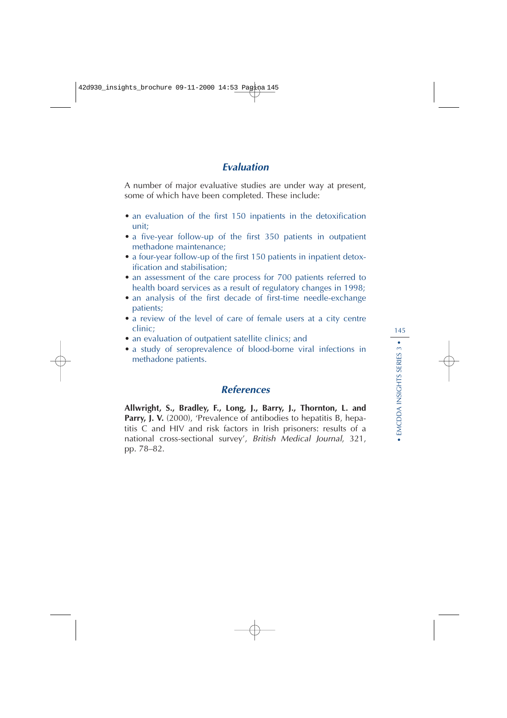# **Evaluation**

A number of major evaluative studies are under way at present, some of which have been completed. These include:

- an evaluation of the first 150 inpatients in the detoxification unit;
- a five-year follow-up of the first 350 patients in outpatient methadone maintenance;
- a four-year follow-up of the first 150 patients in inpatient detoxification and stabilisation;
- an assessment of the care process for 700 patients referred to health board services as a result of regulatory changes in 1998;
- an analysis of the first decade of first-time needle-exchange patients;
- a review of the level of care of female users at a city centre clinic;
- an evaluation of outpatient satellite clinics; and
- a study of seroprevalence of blood-borne viral infections in methadone patients.

# **References**

**Allwright, S., Bradley, F., Long, J., Barry, J., Thornton, L. and Parry, J. V.** (2000), 'Prevalence of antibodies to hepatitis B, hepatitis C and HIV and risk factors in Irish prisoners: results of a national cross-sectional survey', British Medical Journal, 321, pp. 78–82.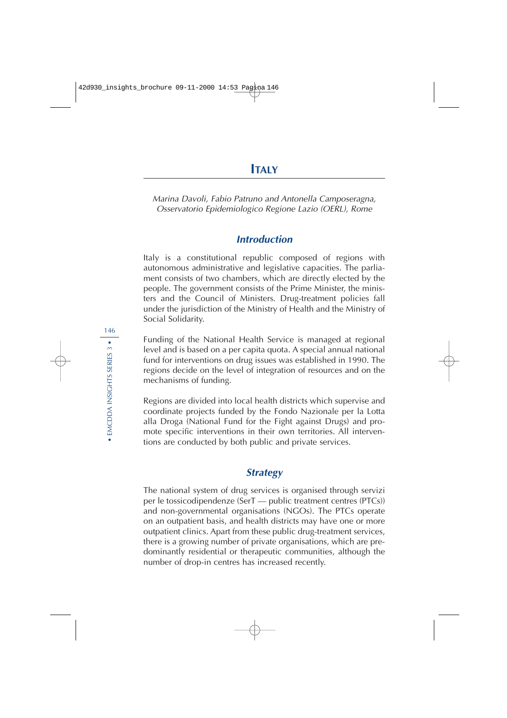Marina Davoli, Fabio Patruno and Antonella Camposeragna, Osservatorio Epidemiologico Regione Lazio (OERL), Rome

# **Introduction**

Italy is a constitutional republic composed of regions with autonomous administrative and legislative capacities. The parliament consists of two chambers, which are directly elected by the people. The government consists of the Prime Minister, the ministers and the Council of Ministers. Drug-treatment policies fall under the jurisdiction of the Ministry of Health and the Ministry of Social Solidarity.

Funding of the National Health Service is managed at regional level and is based on a per capita quota. A special annual national fund for interventions on drug issues was established in 1990. The regions decide on the level of integration of resources and on the mechanisms of funding.

Regions are divided into local health districts which supervise and coordinate projects funded by the Fondo Nazionale per la Lotta alla Droga (National Fund for the Fight against Drugs) and promote specific interventions in their own territories. All interventions are conducted by both public and private services.

# **Strategy**

The national system of drug services is organised through servizi per le tossicodipendenze (SerT — public treatment centres (PTCs)) and non-governmental organisations (NGOs). The PTCs operate on an outpatient basis, and health districts may have one or more outpatient clinics. Apart from these public drug-treatment services, there is a growing number of private organisations, which are predominantly residential or therapeutic communities, although the number of drop-in centres has increased recently.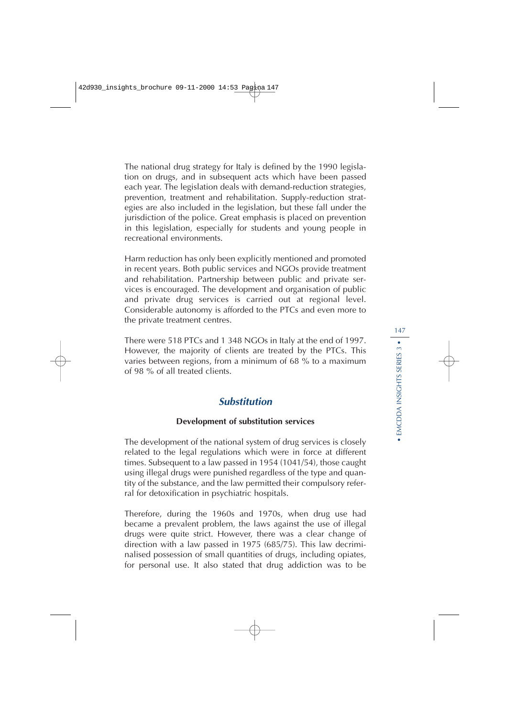The national drug strategy for Italy is defined by the 1990 legislation on drugs, and in subsequent acts which have been passed each year. The legislation deals with demand-reduction strategies, prevention, treatment and rehabilitation. Supply-reduction strategies are also included in the legislation, but these fall under the jurisdiction of the police. Great emphasis is placed on prevention in this legislation, especially for students and young people in recreational environments.

Harm reduction has only been explicitly mentioned and promoted in recent years. Both public services and NGOs provide treatment and rehabilitation. Partnership between public and private services is encouraged. The development and organisation of public and private drug services is carried out at regional level. Considerable autonomy is afforded to the PTCs and even more to the private treatment centres.

There were 518 PTCs and 1 348 NGOs in Italy at the end of 1997. However, the majority of clients are treated by the PTCs. This varies between regions, from a minimum of 68 % to a maximum of 98 % of all treated clients.

# **Substitution**

### **Development of substitution services**

The development of the national system of drug services is closely related to the legal regulations which were in force at different times. Subsequent to a law passed in 1954 (1041/54), those caught using illegal drugs were punished regardless of the type and quantity of the substance, and the law permitted their compulsory referral for detoxification in psychiatric hospitals.

Therefore, during the 1960s and 1970s, when drug use had became a prevalent problem, the laws against the use of illegal drugs were quite strict. However, there was a clear change of direction with a law passed in 1975 (685/75). This law decriminalised possession of small quantities of drugs, including opiates, for personal use. It also stated that drug addiction was to be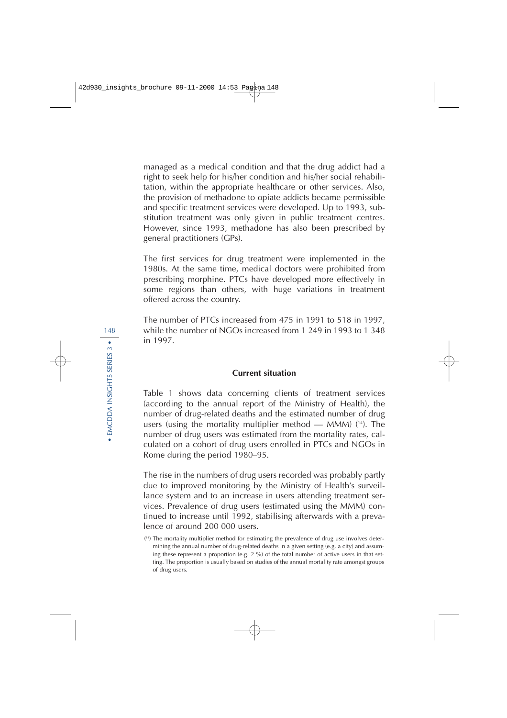managed as a medical condition and that the drug addict had a right to seek help for his/her condition and his/her social rehabilitation, within the appropriate healthcare or other services. Also, the provision of methadone to opiate addicts became permissible and specific treatment services were developed. Up to 1993, substitution treatment was only given in public treatment centres. However, since 1993, methadone has also been prescribed by general practitioners (GPs).

The first services for drug treatment were implemented in the 1980s. At the same time, medical doctors were prohibited from prescribing morphine. PTCs have developed more effectively in some regions than others, with huge variations in treatment offered across the country.

The number of PTCs increased from 475 in 1991 to 518 in 1997, while the number of NGOs increased from 1 249 in 1993 to 1 348 in 1997.

#### **Current situation**

Table 1 shows data concerning clients of treatment services (according to the annual report of the Ministry of Health), the number of drug-related deaths and the estimated number of drug users (using the mortality multiplier method — MMM) ( 14). The number of drug users was estimated from the mortality rates, calculated on a cohort of drug users enrolled in PTCs and NGOs in Rome during the period 1980–95.

The rise in the numbers of drug users recorded was probably partly due to improved monitoring by the Ministry of Health's surveillance system and to an increase in users attending treatment services. Prevalence of drug users (estimated using the MMM) continued to increase until 1992, stabilising afterwards with a prevalence of around 200 000 users.

<sup>(</sup> 14) The mortality multiplier method for estimating the prevalence of drug use involves determining the annual number of drug-related deaths in a given setting (e.g. a city) and assuming these represent a proportion (e.g.  $2\%$ ) of the total number of active users in that setting. The proportion is usually based on studies of the annual mortality rate amongst groups of drug users.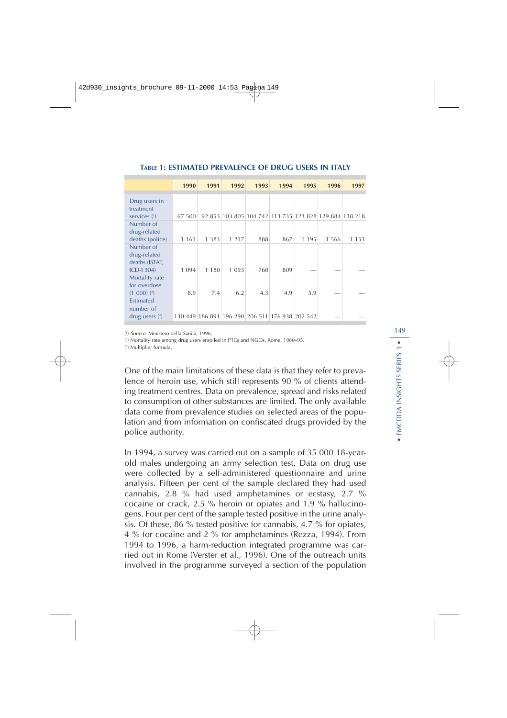|                                | 1990    | 1991    | 1992    | 1993 | 1994                                                   | 1995    | 1996    | 1997    |
|--------------------------------|---------|---------|---------|------|--------------------------------------------------------|---------|---------|---------|
|                                |         |         |         |      |                                                        |         |         |         |
| Drug users in                  |         |         |         |      |                                                        |         |         |         |
| treatment<br>services $(1)$    | 67 500  |         |         |      | 92 853 103 805 104 742 113 735 123 828 129 884 138 218 |         |         |         |
| Number of                      |         |         |         |      |                                                        |         |         |         |
| drug-related                   |         |         |         |      |                                                        |         |         |         |
| deaths (police)                | 1 1 6 1 | 1 3 8 3 | 1 2 1 7 | 888  | 867                                                    | 1 1 9 5 | 1 5 6 6 | 1 1 5 3 |
| Number of                      |         |         |         |      |                                                        |         |         |         |
| drug-related                   |         |         |         |      |                                                        |         |         |         |
| deaths (ISTAT,                 |         |         |         |      |                                                        |         |         |         |
| $ICD-I 304$                    | 1 0 9 4 | 1 1 8 0 | 1 0 9 3 | 760  | 809                                                    |         |         |         |
| Mortality rate<br>for overdose |         |         |         |      |                                                        |         |         |         |
| $(1 000)$ $(2)$                | 8.9     | 7.4     | 6.2     | 4.3  | 4.9                                                    | 5.9     |         |         |
| Estimated                      |         |         |         |      |                                                        |         |         |         |
| number of                      |         |         |         |      |                                                        |         |         |         |
| drug users $(3)$               |         |         |         |      | 130 449 186 891 196 290 206 511 176 938 202 542        |         |         |         |

#### **TABLE 1: ESTIMATED PREVALENCE OF DRUG USERS IN ITALY**

( 1 ) Source: Ministero della Sanità, 1996.

( 2 ) Mortality rate among drug users enrolled in PTCs and NGOs, Rome, 1980–95.

( 3 ) Multiplier formula.

One of the main limitations of these data is that they refer to prevalence of heroin use, which still represents 90 % of clients attending treatment centres. Data on prevalence, spread and risks related to consumption of other substances are limited. The only available data come from prevalence studies on selected areas of the population and from information on confiscated drugs provided by the police authority.

In 1994, a survey was carried out on a sample of 35 000 18-yearold males undergoing an army selection test. Data on drug use were collected by a self-administered questionnaire and urine analysis. Fifteen per cent of the sample declared they had used cannabis, 2.8 % had used amphetamines or ecstasy, 2.7 % cocaine or crack, 2.5 % heroin or opiates and 1.9 % hallucinogens. Four per cent of the sample tested positive in the urine analysis. Of these, 86 % tested positive for cannabis, 4.7 % for opiates, 4 % for cocaine and 2 % for amphetamines (Rezza, 1994). From 1994 to 1996, a harm-reduction integrated programme was carried out in Rome (Verster et al., 1996). One of the outreach units involved in the programme surveyed a section of the population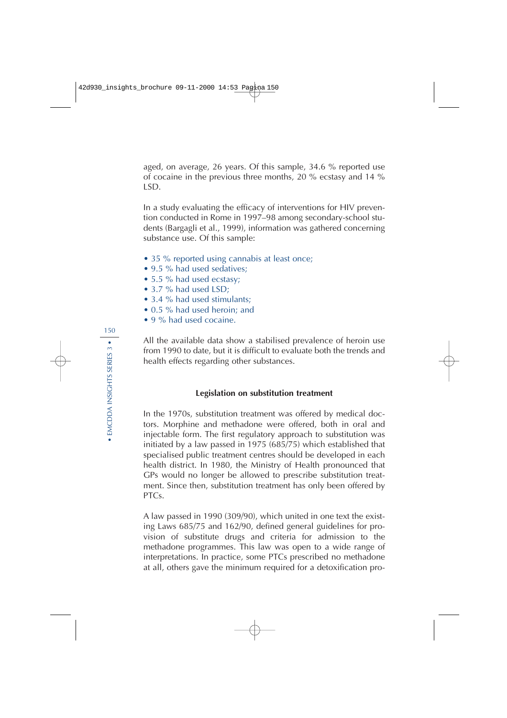aged, on average, 26 years. Of this sample, 34.6 % reported use of cocaine in the previous three months, 20 % ecstasy and 14 % LSD.

In a study evaluating the efficacy of interventions for HIV prevention conducted in Rome in 1997–98 among secondary-school students (Bargagli et al., 1999), information was gathered concerning substance use. Of this sample:

- 35 % reported using cannabis at least once;
- 9.5 % had used sedatives:
- 5.5 % had used ecstasy;
- 3.7 % had used LSD;
- 3.4 % had used stimulants:
- 0.5 % had used heroin; and
- 9 % had used cocaine.

All the available data show a stabilised prevalence of heroin use from 1990 to date, but it is difficult to evaluate both the trends and health effects regarding other substances.

### **Legislation on substitution treatment**

In the 1970s, substitution treatment was offered by medical doctors. Morphine and methadone were offered, both in oral and injectable form. The first regulatory approach to substitution was initiated by a law passed in 1975 (685/75) which established that specialised public treatment centres should be developed in each health district. In 1980, the Ministry of Health pronounced that GPs would no longer be allowed to prescribe substitution treatment. Since then, substitution treatment has only been offered by PTCs.

A law passed in 1990 (309/90), which united in one text the existing Laws 685/75 and 162/90, defined general guidelines for provision of substitute drugs and criteria for admission to the methadone programmes. This law was open to a wide range of interpretations. In practice, some PTCs prescribed no methadone at all, others gave the minimum required for a detoxification pro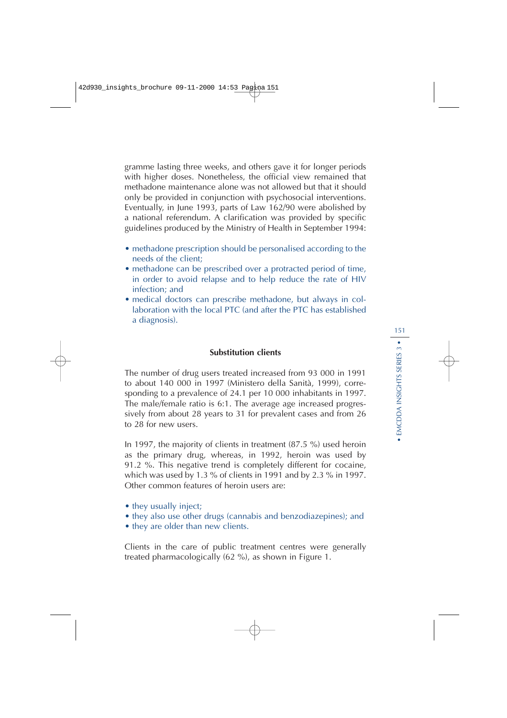gramme lasting three weeks, and others gave it for longer periods with higher doses. Nonetheless, the official view remained that methadone maintenance alone was not allowed but that it should only be provided in conjunction with psychosocial interventions. Eventually, in June 1993, parts of Law 162/90 were abolished by a national referendum. A clarification was provided by specific guidelines produced by the Ministry of Health in September 1994:

- methadone prescription should be personalised according to the needs of the client;
- methadone can be prescribed over a protracted period of time, in order to avoid relapse and to help reduce the rate of HIV infection; and
- medical doctors can prescribe methadone, but always in collaboration with the local PTC (and after the PTC has established a diagnosis).

### **Substitution clients**

The number of drug users treated increased from 93 000 in 1991 to about 140 000 in 1997 (Ministero della Sanità, 1999), corresponding to a prevalence of 24.1 per 10 000 inhabitants in 1997. The male/female ratio is 6:1. The average age increased progressively from about 28 years to 31 for prevalent cases and from 26 to 28 for new users.

In 1997, the majority of clients in treatment (87.5 %) used heroin as the primary drug, whereas, in 1992, heroin was used by 91.2 %. This negative trend is completely different for cocaine, which was used by 1.3 % of clients in 1991 and by 2.3 % in 1997. Other common features of heroin users are:

- they usually inject;
- they also use other drugs (cannabis and benzodiazepines); and
- they are older than new clients.

Clients in the care of public treatment centres were generally treated pharmacologically (62 %), as shown in Figure 1.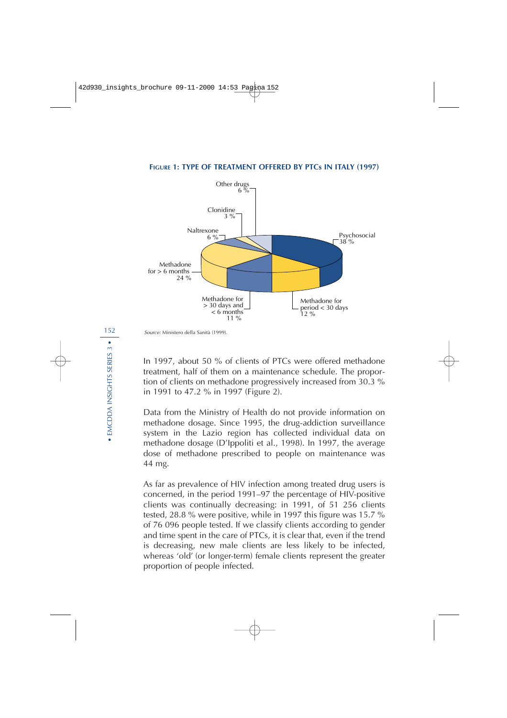

#### **FIGURE 1: TYPE OF TREATMENT OFFERED BY PTCs IN ITALY (1997)**

Source: Ministero della Sanità (1999).

In 1997, about 50 % of clients of PTCs were offered methadone treatment, half of them on a maintenance schedule. The proportion of clients on methadone progressively increased from 30.3 % in 1991 to 47.2 % in 1997 (Figure 2).

Data from the Ministry of Health do not provide information on methadone dosage. Since 1995, the drug-addiction surveillance system in the Lazio region has collected individual data on methadone dosage (D'Ippoliti et al., 1998). In 1997, the average dose of methadone prescribed to people on maintenance was 44 mg.

As far as prevalence of HIV infection among treated drug users is concerned, in the period 1991–97 the percentage of HIV-positive clients was continually decreasing: in 1991, of 51 256 clients tested, 28.8 % were positive, while in 1997 this figure was 15.7 % of 76 096 people tested. If we classify clients according to gender and time spent in the care of PTCs, it is clear that, even if the trend is decreasing, new male clients are less likely to be infected, whereas 'old' (or longer-term) female clients represent the greater proportion of people infected.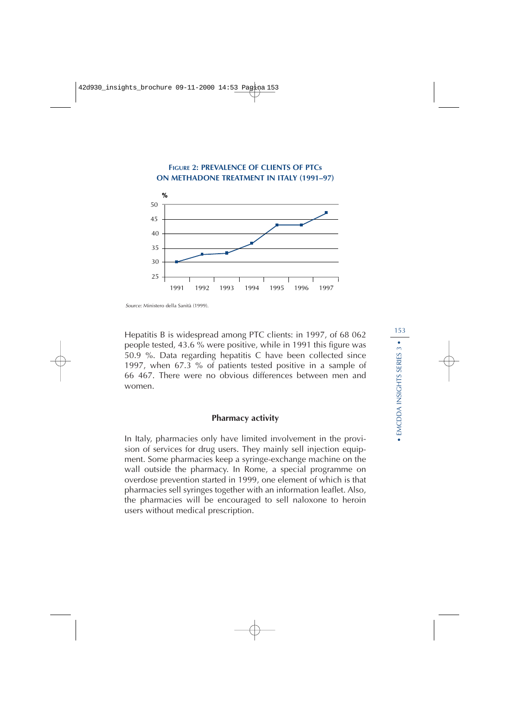

Source: Ministero della Sanità (1999).

Hepatitis B is widespread among PTC clients: in 1997, of 68 062 people tested, 43.6 % were positive, while in 1991 this figure was 50.9 %. Data regarding hepatitis C have been collected since 1997, when 67.3 % of patients tested positive in a sample of 66 467. There were no obvious differences between men and women.

#### **Pharmacy activity**

In Italy, pharmacies only have limited involvement in the provision of services for drug users. They mainly sell injection equipment. Some pharmacies keep a syringe-exchange machine on the wall outside the pharmacy. In Rome, a special programme on overdose prevention started in 1999, one element of which is that pharmacies sell syringes together with an information leaflet. Also, the pharmacies will be encouraged to sell naloxone to heroin users without medical prescription.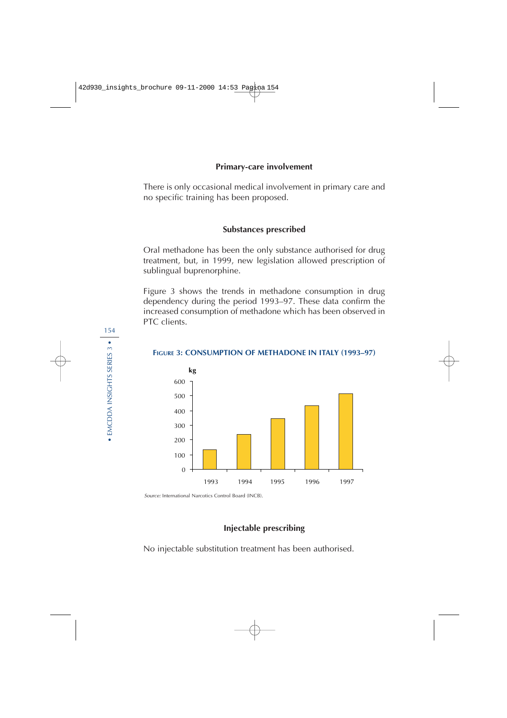### **Primary-care involvement**

There is only occasional medical involvement in primary care and no specific training has been proposed.

### **Substances prescribed**

Oral methadone has been the only substance authorised for drug treatment, but, in 1999, new legislation allowed prescription of sublingual buprenorphine.

Figure 3 shows the trends in methadone consumption in drug dependency during the period 1993–97. These data confirm the increased consumption of methadone which has been observed in PTC clients.



#### **FIGURE 3: CONSUMPTION OF METHADONE IN ITALY (1993–97)**

Source: International Narcotics Control Board (INCB).

### **Injectable prescribing**

No injectable substitution treatment has been authorised.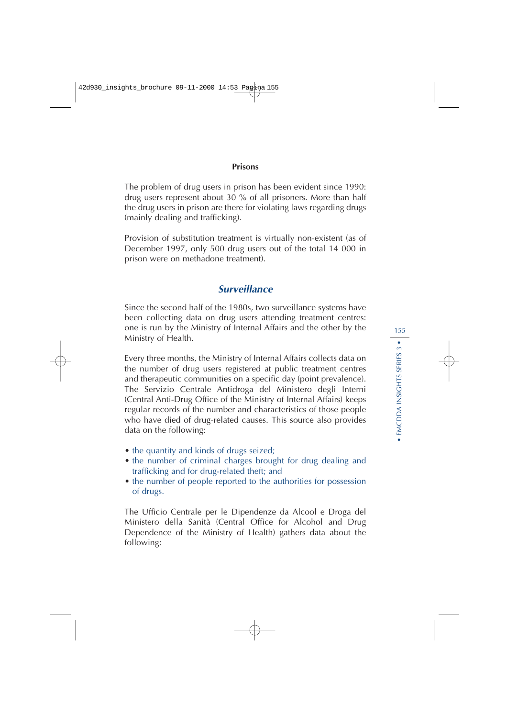### **Prisons**

The problem of drug users in prison has been evident since 1990: drug users represent about 30 % of all prisoners. More than half the drug users in prison are there for violating laws regarding drugs (mainly dealing and trafficking).

Provision of substitution treatment is virtually non-existent (as of December 1997, only 500 drug users out of the total 14 000 in prison were on methadone treatment).

# **Surveillance**

Since the second half of the 1980s, two surveillance systems have been collecting data on drug users attending treatment centres: one is run by the Ministry of Internal Affairs and the other by the Ministry of Health.

Every three months, the Ministry of Internal Affairs collects data on the number of drug users registered at public treatment centres and therapeutic communities on a specific day (point prevalence). The Servizio Centrale Antidroga del Ministero degli Interni (Central Anti-Drug Office of the Ministry of Internal Affairs) keeps regular records of the number and characteristics of those people who have died of drug-related causes. This source also provides data on the following:

- the quantity and kinds of drugs seized;
- the number of criminal charges brought for drug dealing and trafficking and for drug-related theft; and
- the number of people reported to the authorities for possession of drugs.

The Ufficio Centrale per le Dipendenze da Alcool e Droga del Ministero della Sanità (Central Office for Alcohol and Drug Dependence of the Ministry of Health) gathers data about the following: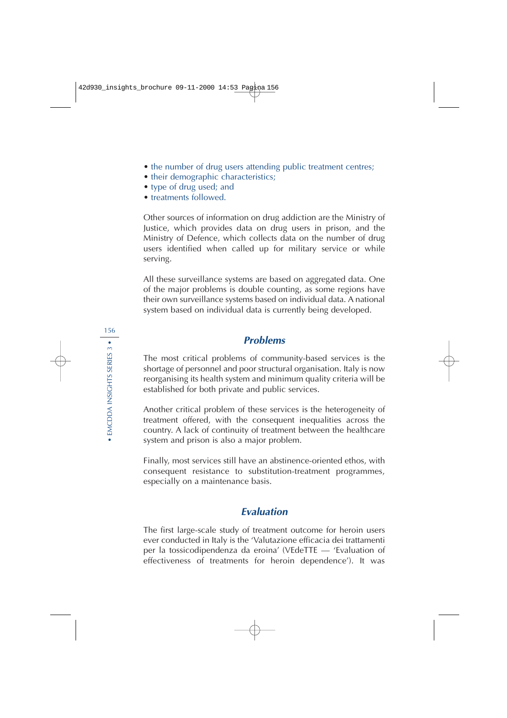- the number of drug users attending public treatment centres;
- their demographic characteristics;
- type of drug used; and
- treatments followed.

Other sources of information on drug addiction are the Ministry of Justice, which provides data on drug users in prison, and the Ministry of Defence, which collects data on the number of drug users identified when called up for military service or while serving.

All these surveillance systems are based on aggregated data. One of the major problems is double counting, as some regions have their own surveillance systems based on individual data. A national system based on individual data is currently being developed.

# **Problems**

The most critical problems of community-based services is the shortage of personnel and poor structural organisation. Italy is now reorganising its health system and minimum quality criteria will be established for both private and public services.

Another critical problem of these services is the heterogeneity of treatment offered, with the consequent inequalities across the country. A lack of continuity of treatment between the healthcare system and prison is also a major problem.

Finally, most services still have an abstinence-oriented ethos, with consequent resistance to substitution-treatment programmes, especially on a maintenance basis.

# **Evaluation**

The first large-scale study of treatment outcome for heroin users ever conducted in Italy is the 'Valutazione efficacia dei trattamenti per la tossicodipendenza da eroina' (VEdeTTE — 'Evaluation of effectiveness of treatments for heroin dependence'). It was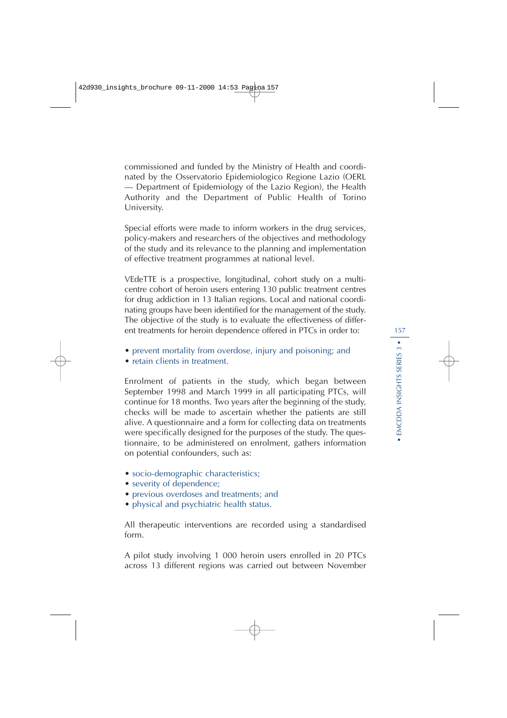commissioned and funded by the Ministry of Health and coordinated by the Osservatorio Epidemiologico Regione Lazio (OERL — Department of Epidemiology of the Lazio Region), the Health Authority and the Department of Public Health of Torino University.

Special efforts were made to inform workers in the drug services, policy-makers and researchers of the objectives and methodology of the study and its relevance to the planning and implementation of effective treatment programmes at national level.

VEdeTTE is a prospective, longitudinal, cohort study on a multicentre cohort of heroin users entering 130 public treatment centres for drug addiction in 13 Italian regions. Local and national coordinating groups have been identified for the management of the study. The objective of the study is to evaluate the effectiveness of different treatments for heroin dependence offered in PTCs in order to:

- prevent mortality from overdose, injury and poisoning; and
- retain clients in treatment.

Enrolment of patients in the study, which began between September 1998 and March 1999 in all participating PTCs, will continue for 18 months. Two years after the beginning of the study, checks will be made to ascertain whether the patients are still alive. A questionnaire and a form for collecting data on treatments were specifically designed for the purposes of the study. The questionnaire, to be administered on enrolment, gathers information on potential confounders, such as:

- socio-demographic characteristics;
- severity of dependence;
- previous overdoses and treatments; and
- physical and psychiatric health status.

All therapeutic interventions are recorded using a standardised form.

A pilot study involving 1 000 heroin users enrolled in 20 PTCs across 13 different regions was carried out between November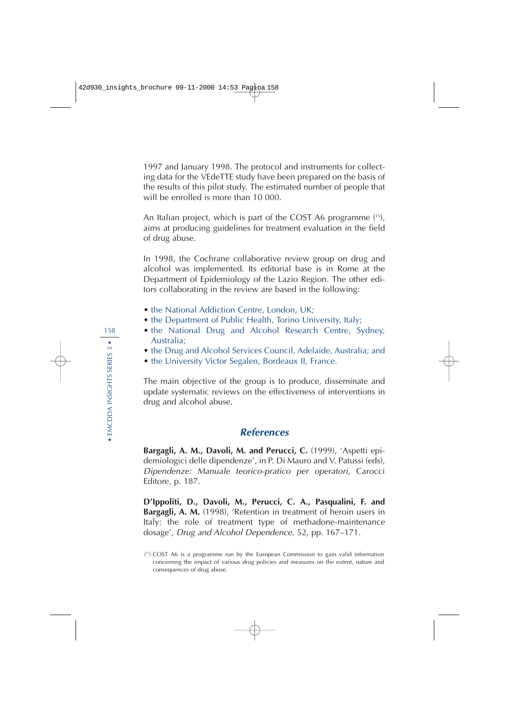1997 and January 1998. The protocol and instruments for collecting data for the VEdeTTE study have been prepared on the basis of the results of this pilot study. The estimated number of people that will be enrolled is more than 10 000.

An Italian project, which is part of the COST A6 programme ( 15), aims at producing guidelines for treatment evaluation in the field of drug abuse.

In 1998, the Cochrane collaborative review group on drug and alcohol was implemented. Its editorial base is in Rome at the Department of Epidemiology of the Lazio Region. The other editors collaborating in the review are based in the following:

- the National Addiction Centre, London, UK;
- the Department of Public Health, Torino University, Italy;
- the National Drug and Alcohol Research Centre, Sydney, Australia;
- the Drug and Alcohol Services Council, Adelaide, Australia; and
- the University Victor Segalen, Bordeaux II, France.

The main objective of the group is to produce, disseminate and update systematic reviews on the effectiveness of interventions in drug and alcohol abuse.

# **References**

**Bargagli, A. M., Davoli, M. and Perucci, C.** (1999), 'Aspetti epidemiologici delle dipendenze', in P. Di Mauro and V. Patussi (eds), Dipendenze: Manuale teorico-pratico per operatori, Carocci Editore, p. 187.

**D'Ippoliti, D., Davoli, M., Perucci, C. A., Pasqualini, F. and Bargagli, A. M.** (1998), 'Retention in treatment of heroin users in Italy: the role of treatment type of methadone-maintenance dosage', Drug and Alcohol Dependence, 52, pp. 167–171.

<sup>(</sup> 15) COST A6 is a programme run by the European Commission to gain valid information concerning the impact of various drug policies and measures on the extent, nature and consequences of drug abuse.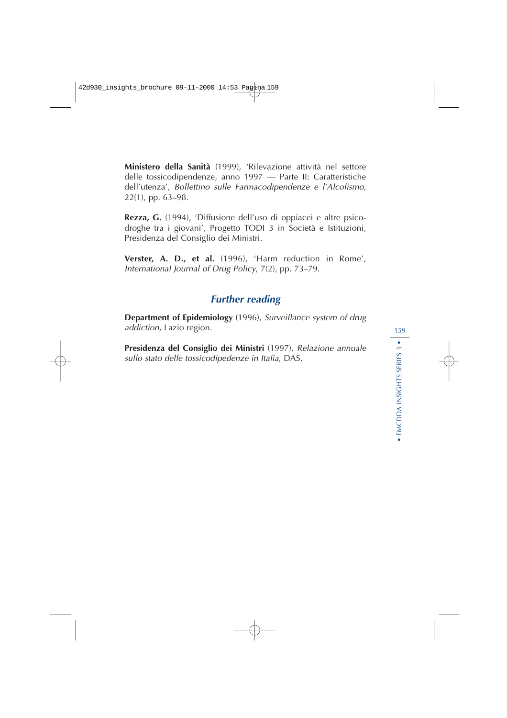**Ministero della Sanità** (1999), 'Rilevazione attività nel settore delle tossicodipendenze, anno 1997 — Parte II: Caratteristiche dell'utenza', Bollettino sulle Farmacodipendenze e l'Alcolismo, 22(1), pp. 63–98.

**Rezza, G.** (1994), 'Diffusione dell'uso di oppiacei e altre psicodroghe tra i giovani', Progetto TODI 3 in Società e Istituzioni, Presidenza del Consiglio dei Ministri.

**Verster, A. D., et al.** (1996), 'Harm reduction in Rome', International Journal of Drug Policy, 7(2), pp. 73–79.

# **Further reading**

**Department of Epidemiology** (1996), Surveillance system of drug addiction, Lazio region.

**Presidenza del Consiglio dei Ministri** (1997), Relazione annuale sullo stato delle tossicodipedenze in Italia, DAS.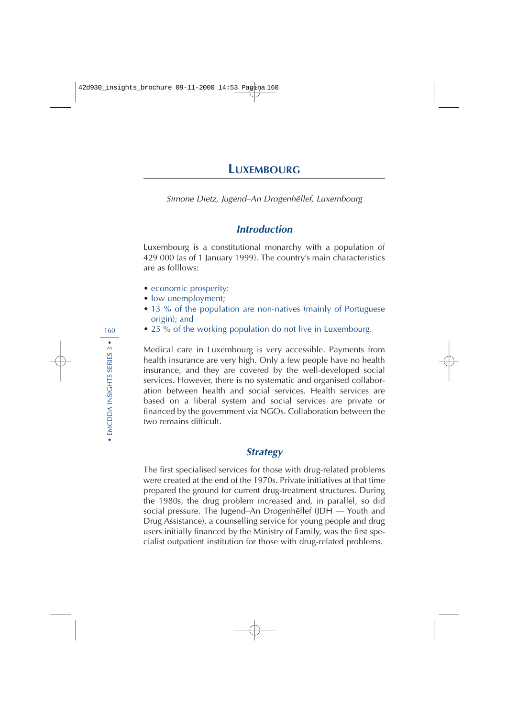# **LUXEMBOURG**

Simone Dietz, Jugend–An Drogenhëllef, Luxembourg

# **Introduction**

Luxembourg is a constitutional monarchy with a population of 429 000 (as of 1 January 1999). The country's main characteristics are as folllows:

- economic prosperity:
- low unemployment;
- 13 % of the population are non-natives (mainly of Portuguese origin); and
- 25 % of the working population do not live in Luxembourg.

Medical care in Luxembourg is very accessible. Payments from health insurance are very high. Only a few people have no health insurance, and they are covered by the well-developed social services. However, there is no systematic and organised collaboration between health and social services. Health services are based on a liberal system and social services are private or financed by the government via NGOs. Collaboration between the two remains difficult.

### **Strategy**

The first specialised services for those with drug-related problems were created at the end of the 1970s. Private initiatives at that time prepared the ground for current drug-treatment structures. During the 1980s, the drug problem increased and, in parallel, so did social pressure. The Jugend–An Drogenhëllef (JDH — Youth and Drug Assistance), a counselling service for young people and drug users initially financed by the Ministry of Family, was the first specialist outpatient institution for those with drug-related problems.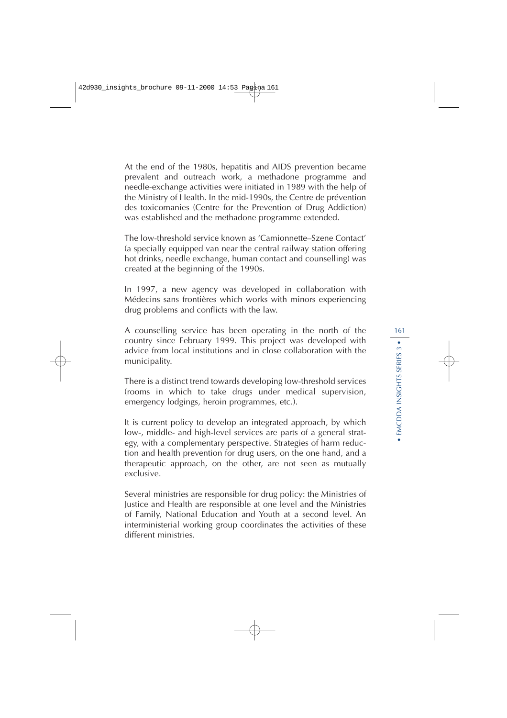At the end of the 1980s, hepatitis and AIDS prevention became prevalent and outreach work, a methadone programme and needle-exchange activities were initiated in 1989 with the help of the Ministry of Health. In the mid-1990s, the Centre de prévention des toxicomanies (Centre for the Prevention of Drug Addiction) was established and the methadone programme extended.

The low-threshold service known as 'Camionnette–Szene Contact' (a specially equipped van near the central railway station offering hot drinks, needle exchange, human contact and counselling) was created at the beginning of the 1990s.

In 1997, a new agency was developed in collaboration with Médecins sans frontières which works with minors experiencing drug problems and conflicts with the law.

A counselling service has been operating in the north of the country since February 1999. This project was developed with advice from local institutions and in close collaboration with the municipality.

There is a distinct trend towards developing low-threshold services (rooms in which to take drugs under medical supervision, emergency lodgings, heroin programmes, etc.).

It is current policy to develop an integrated approach, by which low-, middle- and high-level services are parts of a general strategy, with a complementary perspective. Strategies of harm reduction and health prevention for drug users, on the one hand, and a therapeutic approach, on the other, are not seen as mutually exclusive.

Several ministries are responsible for drug policy: the Ministries of Justice and Health are responsible at one level and the Ministries of Family, National Education and Youth at a second level. An interministerial working group coordinates the activities of these different ministries.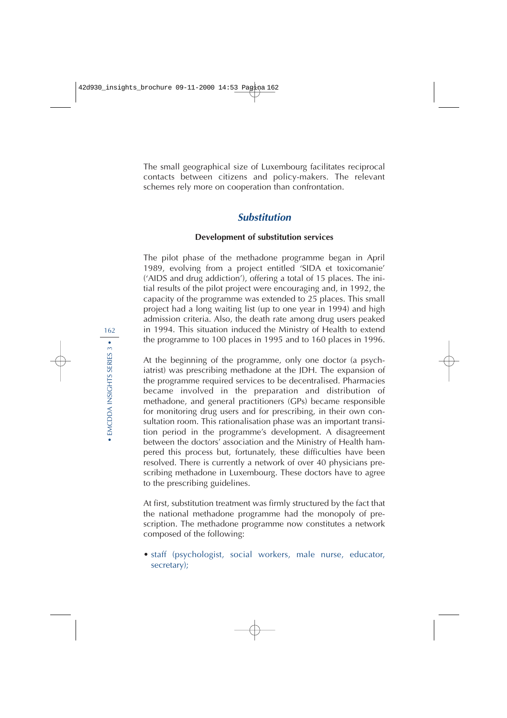The small geographical size of Luxembourg facilitates reciprocal contacts between citizens and policy-makers. The relevant schemes rely more on cooperation than confrontation.

# **Substitution**

#### **Development of substitution services**

The pilot phase of the methadone programme began in April 1989, evolving from a project entitled 'SIDA et toxicomanie' ('AIDS and drug addiction'), offering a total of 15 places. The initial results of the pilot project were encouraging and, in 1992, the capacity of the programme was extended to 25 places. This small project had a long waiting list (up to one year in 1994) and high admission criteria. Also, the death rate among drug users peaked in 1994. This situation induced the Ministry of Health to extend the programme to 100 places in 1995 and to 160 places in 1996.

At the beginning of the programme, only one doctor (a psychiatrist) was prescribing methadone at the JDH. The expansion of the programme required services to be decentralised. Pharmacies became involved in the preparation and distribution of methadone, and general practitioners (GPs) became responsible for monitoring drug users and for prescribing, in their own consultation room. This rationalisation phase was an important transition period in the programme's development. A disagreement between the doctors' association and the Ministry of Health hampered this process but, fortunately, these difficulties have been resolved. There is currently a network of over 40 physicians prescribing methadone in Luxembourg. These doctors have to agree to the prescribing guidelines.

At first, substitution treatment was firmly structured by the fact that the national methadone programme had the monopoly of prescription. The methadone programme now constitutes a network composed of the following:

• staff (psychologist, social workers, male nurse, educator, secretary);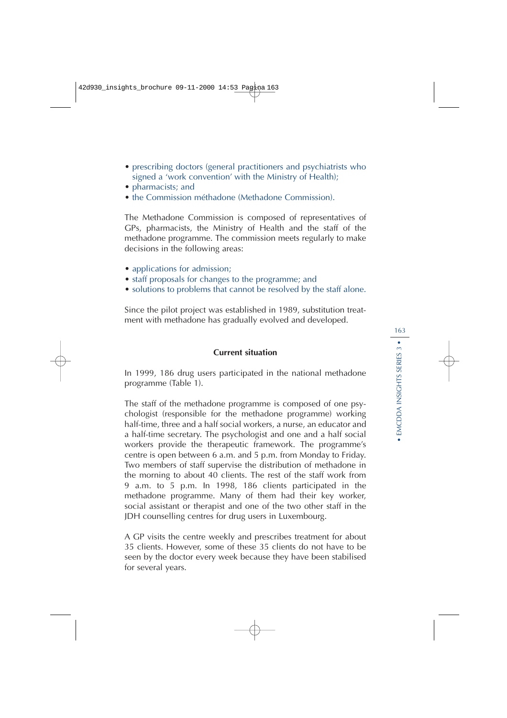- prescribing doctors (general practitioners and psychiatrists who signed a 'work convention' with the Ministry of Health);
- pharmacists; and
- the Commission méthadone (Methadone Commission).

The Methadone Commission is composed of representatives of GPs, pharmacists, the Ministry of Health and the staff of the methadone programme. The commission meets regularly to make decisions in the following areas:

- applications for admission;
- staff proposals for changes to the programme; and
- solutions to problems that cannot be resolved by the staff alone.

Since the pilot project was established in 1989, substitution treatment with methadone has gradually evolved and developed.

#### **Current situation**

In 1999, 186 drug users participated in the national methadone programme (Table 1).

The staff of the methadone programme is composed of one psychologist (responsible for the methadone programme) working half-time, three and a half social workers, a nurse, an educator and a half-time secretary. The psychologist and one and a half social workers provide the therapeutic framework. The programme's centre is open between 6 a.m. and 5 p.m. from Monday to Friday. Two members of staff supervise the distribution of methadone in the morning to about 40 clients. The rest of the staff work from 9 a.m. to 5 p.m. In 1998, 186 clients participated in the methadone programme. Many of them had their key worker, social assistant or therapist and one of the two other staff in the JDH counselling centres for drug users in Luxembourg.

A GP visits the centre weekly and prescribes treatment for about 35 clients. However, some of these 35 clients do not have to be seen by the doctor every week because they have been stabilised for several years.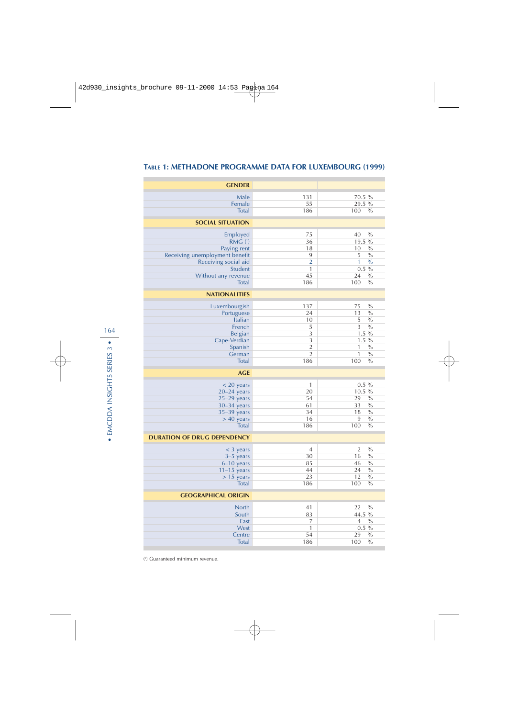| <b>GENDER</b>                      |                |                        |
|------------------------------------|----------------|------------------------|
| Male                               | 131            | 70.5 %                 |
| Female                             | 55             | 29.5 %                 |
| <b>Total</b>                       | 186            | $\%$<br>100            |
| <b>SOCIAL SITUATION</b>            |                |                        |
| Employed                           | 75             | 40<br>$\%$             |
| RMG (1)                            | 36             | 19.5 %                 |
| Paying rent                        | 18             | 10<br>$\%$             |
| Receiving unemployment benefit     | 9              | 5<br>$\frac{0}{0}$     |
| Receiving social aid               | $\overline{2}$ | 1<br>$\%$              |
| <b>Student</b>                     | 1              | $0.5 \%$               |
| Without any revenue                | 45             | 24<br>$\%$             |
| <b>Total</b>                       | 186            | 100<br>$\frac{0}{0}$   |
| <b>NATIONALITIES</b>               |                |                        |
| Luxembourgish                      | 137            | 75<br>$\frac{0}{0}$    |
| Portuguese                         | 24             | 13<br>$\frac{0}{0}$    |
| Italian                            | 10             | 5<br>$\%$              |
| French                             | 5              | $\%$<br>3              |
| Belgian                            | 3              | $1.5\%$                |
| Cape-Verdian                       | 3              | $1.5\%$                |
| Spanish                            | $\overline{2}$ | 1<br>$\frac{0}{0}$     |
| German                             | $\overline{2}$ | $\mathbf{1}$<br>$\%$   |
| <b>Total</b>                       | 186            | 100<br>$\frac{0}{0}$   |
| <b>AGE</b>                         |                |                        |
| $<$ 20 years                       | $\mathbf{1}$   | $0.5 \%$               |
| $20 - 24$ years                    | 20             | 10.5 %                 |
| $25-29$ years                      | 54             | $\%$<br>29             |
| $30 - 34$ years                    | 61             | 33<br>$\frac{0}{0}$    |
| $35-39$ years                      | 34             | 18<br>$\%$             |
| $> 40$ years                       | 16             | 9<br>$\%$              |
| <b>Total</b>                       | 186            | 100<br>$\%$            |
| <b>DURATION OF DRUG DEPENDENCY</b> |                |                        |
| $<$ 3 years                        | $\overline{4}$ | $\overline{2}$<br>$\%$ |
| $3-5$ years                        | 30             | 16<br>$\%$             |
| $6-10$ years                       | 85             | 46<br>$\%$             |
| $11-15$ years                      | 44             | 24<br>$\%$             |
| $> 15$ years                       | 23             | 12<br>$\frac{0}{0}$    |
| <b>Total</b>                       | 186            | 100<br>$\%$            |
| <b>GEOGRAPHICAL ORIGIN</b>         |                |                        |
| <b>North</b>                       | 41             | 22<br>$\frac{0}{0}$    |
| South                              | 83             | 44.5 %                 |
| East                               | 7              | $\overline{4}$<br>$\%$ |
| West                               | $\mathbf{1}$   | $0.5 \%$               |
| Centre                             | 54             | $\%$<br>29             |
| <b>Total</b>                       | 186            | 100<br>$\%$            |

### **TABLE 1: METHADONE PROGRAMME DATA FOR LUXEMBOURG (1999)**

( 1 ) Guaranteed minimum revenue.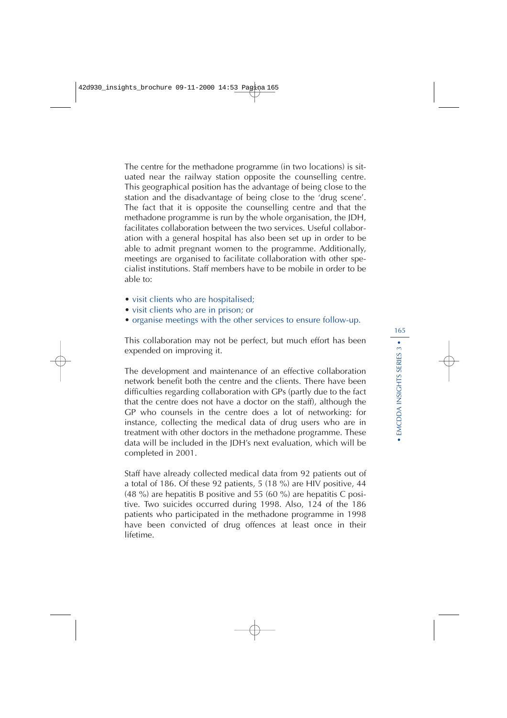The centre for the methadone programme (in two locations) is situated near the railway station opposite the counselling centre. This geographical position has the advantage of being close to the station and the disadvantage of being close to the 'drug scene'. The fact that it is opposite the counselling centre and that the methadone programme is run by the whole organisation, the JDH, facilitates collaboration between the two services. Useful collaboration with a general hospital has also been set up in order to be able to admit pregnant women to the programme. Additionally, meetings are organised to facilitate collaboration with other specialist institutions. Staff members have to be mobile in order to be able to:

- visit clients who are hospitalised;
- visit clients who are in prison; or
- organise meetings with the other services to ensure follow-up.

This collaboration may not be perfect, but much effort has been expended on improving it.

The development and maintenance of an effective collaboration network benefit both the centre and the clients. There have been difficulties regarding collaboration with GPs (partly due to the fact that the centre does not have a doctor on the staff), although the GP who counsels in the centre does a lot of networking: for instance, collecting the medical data of drug users who are in treatment with other doctors in the methadone programme. These data will be included in the JDH's next evaluation, which will be completed in 2001.

Staff have already collected medical data from 92 patients out of a total of 186. Of these 92 patients, 5 (18 %) are HIV positive, 44 (48 %) are hepatitis B positive and 55 (60 %) are hepatitis C positive. Two suicides occurred during 1998. Also, 124 of the 186 patients who participated in the methadone programme in 1998 have been convicted of drug offences at least once in their lifetime.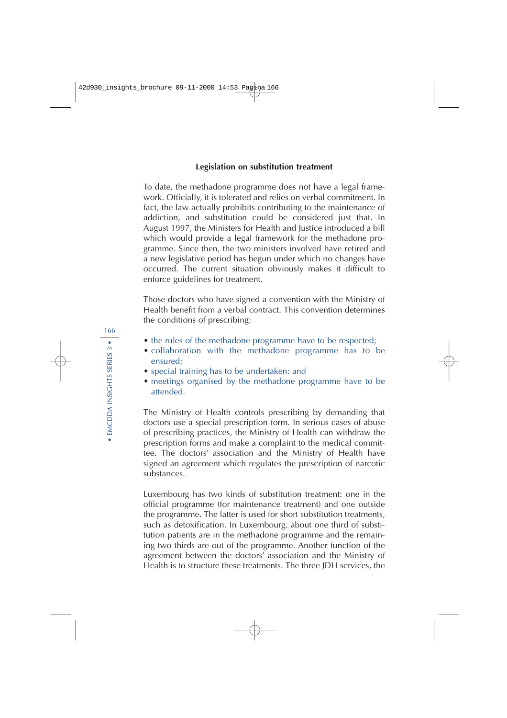#### **Legislation on substitution treatment**

To date, the methadone programme does not have a legal framework. Officially, it is tolerated and relies on verbal commitment. In fact, the law actually prohibits contributing to the maintenance of addiction, and substitution could be considered just that. In August 1997, the Ministers for Health and Justice introduced a bill which would provide a legal framework for the methadone programme. Since then, the two ministers involved have retired and a new legislative period has begun under which no changes have occurred. The current situation obviously makes it difficult to enforce guidelines for treatment.

Those doctors who have signed a convention with the Ministry of Health benefit from a verbal contract. This convention determines the conditions of prescribing:

- the rules of the methadone programme have to be respected;
- collaboration with the methadone programme has to be ensured;
- special training has to be undertaken; and
- meetings organised by the methadone programme have to be attended.

The Ministry of Health controls prescribing by demanding that doctors use a special prescription form. In serious cases of abuse of prescribing practices, the Ministry of Health can withdraw the prescription forms and make a complaint to the medical committee. The doctors' association and the Ministry of Health have signed an agreement which regulates the prescription of narcotic substances.

Luxembourg has two kinds of substitution treatment: one in the official programme (for maintenance treatment) and one outside the programme. The latter is used for short substitution treatments, such as detoxification. In Luxembourg, about one third of substitution patients are in the methadone programme and the remaining two thirds are out of the programme. Another function of the agreement between the doctors' association and the Ministry of Health is to structure these treatments. The three JDH services, the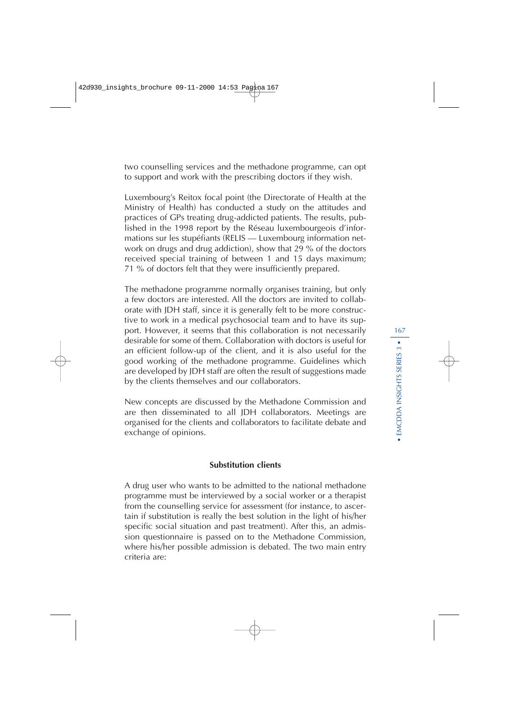two counselling services and the methadone programme, can opt to support and work with the prescribing doctors if they wish.

Luxembourg's Reitox focal point (the Directorate of Health at the Ministry of Health) has conducted a study on the attitudes and practices of GPs treating drug-addicted patients. The results, published in the 1998 report by the Réseau luxembourgeois d'informations sur les stupéfiants (RELIS — Luxembourg information network on drugs and drug addiction), show that 29 % of the doctors received special training of between 1 and 15 days maximum; 71 % of doctors felt that they were insufficiently prepared.

The methadone programme normally organises training, but only a few doctors are interested. All the doctors are invited to collaborate with JDH staff, since it is generally felt to be more constructive to work in a medical psychosocial team and to have its support. However, it seems that this collaboration is not necessarily desirable for some of them. Collaboration with doctors is useful for an efficient follow-up of the client, and it is also useful for the good working of the methadone programme. Guidelines which are developed by JDH staff are often the result of suggestions made by the clients themselves and our collaborators.

New concepts are discussed by the Methadone Commission and are then disseminated to all JDH collaborators. Meetings are organised for the clients and collaborators to facilitate debate and exchange of opinions.

### **Substitution clients**

A drug user who wants to be admitted to the national methadone programme must be interviewed by a social worker or a therapist from the counselling service for assessment (for instance, to ascertain if substitution is really the best solution in the light of his/her specific social situation and past treatment). After this, an admission questionnaire is passed on to the Methadone Commission, where his/her possible admission is debated. The two main entry criteria are: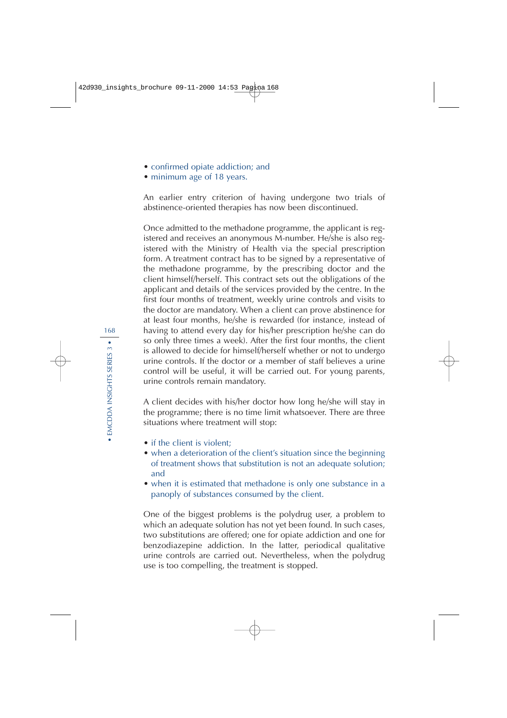- confirmed opiate addiction; and
- minimum age of 18 years.

An earlier entry criterion of having undergone two trials of abstinence-oriented therapies has now been discontinued.

Once admitted to the methadone programme, the applicant is registered and receives an anonymous M-number. He/she is also registered with the Ministry of Health via the special prescription form. A treatment contract has to be signed by a representative of the methadone programme, by the prescribing doctor and the client himself/herself. This contract sets out the obligations of the applicant and details of the services provided by the centre. In the first four months of treatment, weekly urine controls and visits to the doctor are mandatory. When a client can prove abstinence for at least four months, he/she is rewarded (for instance, instead of having to attend every day for his/her prescription he/she can do so only three times a week). After the first four months, the client is allowed to decide for himself/herself whether or not to undergo urine controls. If the doctor or a member of staff believes a urine control will be useful, it will be carried out. For young parents, urine controls remain mandatory.

A client decides with his/her doctor how long he/she will stay in the programme; there is no time limit whatsoever. There are three situations where treatment will stop:

- if the client is violent:
- when a deterioration of the client's situation since the beginning of treatment shows that substitution is not an adequate solution; and
- when it is estimated that methadone is only one substance in a panoply of substances consumed by the client.

One of the biggest problems is the polydrug user, a problem to which an adequate solution has not yet been found. In such cases, two substitutions are offered; one for opiate addiction and one for benzodiazepine addiction. In the latter, periodical qualitative urine controls are carried out. Nevertheless, when the polydrug use is too compelling, the treatment is stopped.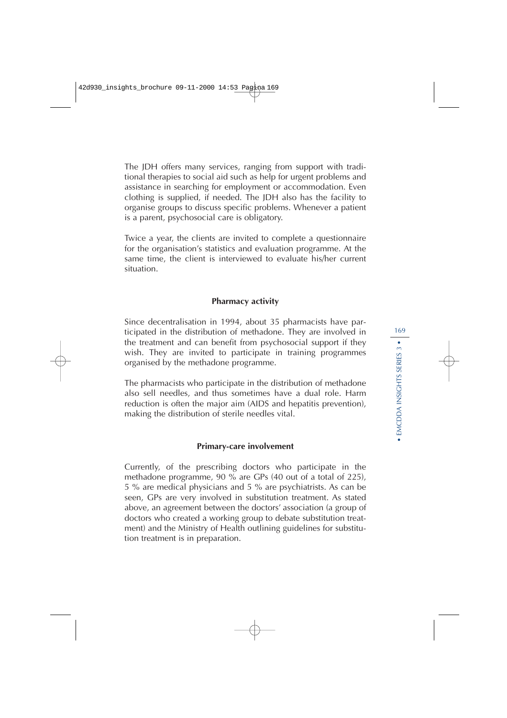The JDH offers many services, ranging from support with traditional therapies to social aid such as help for urgent problems and assistance in searching for employment or accommodation. Even clothing is supplied, if needed. The JDH also has the facility to organise groups to discuss specific problems. Whenever a patient is a parent, psychosocial care is obligatory.

Twice a year, the clients are invited to complete a questionnaire for the organisation's statistics and evaluation programme. At the same time, the client is interviewed to evaluate his/her current situation.

#### **Pharmacy activity**

Since decentralisation in 1994, about 35 pharmacists have participated in the distribution of methadone. They are involved in the treatment and can benefit from psychosocial support if they wish. They are invited to participate in training programmes organised by the methadone programme.

The pharmacists who participate in the distribution of methadone also sell needles, and thus sometimes have a dual role. Harm reduction is often the major aim (AIDS and hepatitis prevention), making the distribution of sterile needles vital.

#### **Primary-care involvement**

Currently, of the prescribing doctors who participate in the methadone programme, 90 % are GPs (40 out of a total of 225), 5 % are medical physicians and 5 % are psychiatrists. As can be seen, GPs are very involved in substitution treatment. As stated above, an agreement between the doctors' association (a group of doctors who created a working group to debate substitution treatment) and the Ministry of Health outlining guidelines for substitution treatment is in preparation.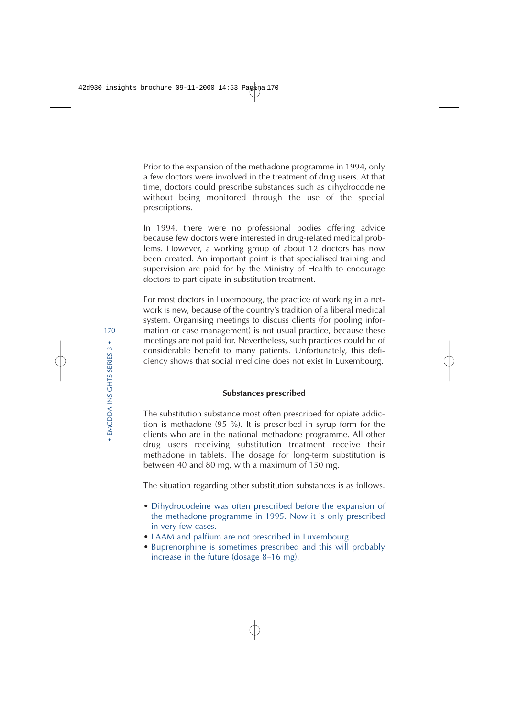Prior to the expansion of the methadone programme in 1994, only a few doctors were involved in the treatment of drug users. At that time, doctors could prescribe substances such as dihydrocodeine without being monitored through the use of the special prescriptions.

In 1994, there were no professional bodies offering advice because few doctors were interested in drug-related medical problems. However, a working group of about 12 doctors has now been created. An important point is that specialised training and supervision are paid for by the Ministry of Health to encourage doctors to participate in substitution treatment.

For most doctors in Luxembourg, the practice of working in a network is new, because of the country's tradition of a liberal medical system. Organising meetings to discuss clients (for pooling information or case management) is not usual practice, because these meetings are not paid for. Nevertheless, such practices could be of considerable benefit to many patients. Unfortunately, this deficiency shows that social medicine does not exist in Luxembourg.

#### **Substances prescribed**

The substitution substance most often prescribed for opiate addiction is methadone (95 %). It is prescribed in syrup form for the clients who are in the national methadone programme. All other drug users receiving substitution treatment receive their methadone in tablets. The dosage for long-term substitution is between 40 and 80 mg, with a maximum of 150 mg.

The situation regarding other substitution substances is as follows.

- Dihydrocodeine was often prescribed before the expansion of the methadone programme in 1995. Now it is only prescribed in very few cases.
- LAAM and palfium are not prescribed in Luxembourg.
- Buprenorphine is sometimes prescribed and this will probably increase in the future (dosage 8–16 mg).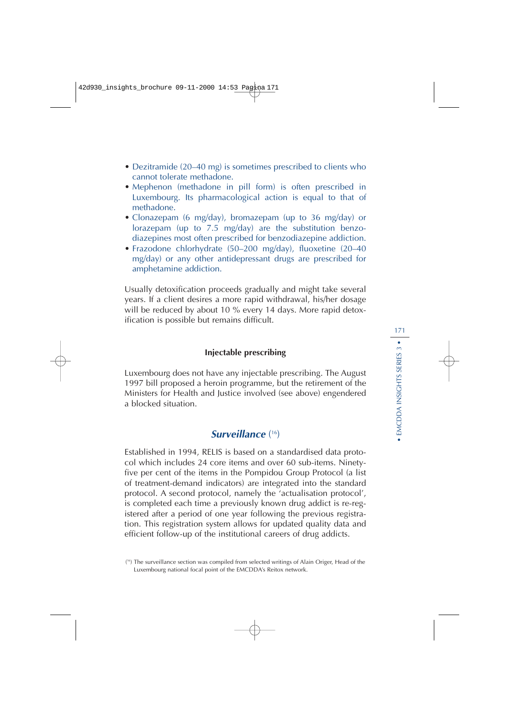- Dezitramide (20–40 mg) is sometimes prescribed to clients who cannot tolerate methadone.
- Mephenon (methadone in pill form) is often prescribed in Luxembourg. Its pharmacological action is equal to that of methadone.
- Clonazepam (6 mg/day), bromazepam (up to 36 mg/day) or lorazepam (up to 7.5 mg/day) are the substitution benzodiazepines most often prescribed for benzodiazepine addiction.
- Frazodone chlorhydrate (50–200 mg/day), fluoxetine (20–40 mg/day) or any other antidepressant drugs are prescribed for amphetamine addiction.

Usually detoxification proceeds gradually and might take several years. If a client desires a more rapid withdrawal, his/her dosage will be reduced by about 10 % every 14 days. More rapid detoxification is possible but remains difficult.

#### **Injectable prescribing**

Luxembourg does not have any injectable prescribing. The August 1997 bill proposed a heroin programme, but the retirement of the Ministers for Health and Justice involved (see above) engendered a blocked situation.

### **Surveillance** ( 16)

Established in 1994, RELIS is based on a standardised data protocol which includes 24 core items and over 60 sub-items. Ninetyfive per cent of the items in the Pompidou Group Protocol (a list of treatment-demand indicators) are integrated into the standard protocol. A second protocol, namely the 'actualisation protocol', is completed each time a previously known drug addict is re-registered after a period of one year following the previous registration. This registration system allows for updated quality data and efficient follow-up of the institutional careers of drug addicts.

<sup>(</sup> 16) The surveillance section was compiled from selected writings of Alain Origer, Head of the Luxembourg national focal point of the EMCDDA's Reitox network.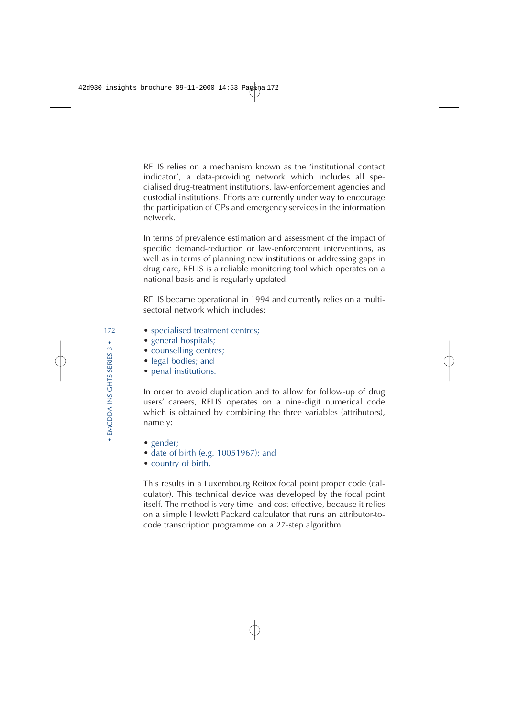RELIS relies on a mechanism known as the 'institutional contact indicator', a data-providing network which includes all specialised drug-treatment institutions, law-enforcement agencies and custodial institutions. Efforts are currently under way to encourage the participation of GPs and emergency services in the information network.

In terms of prevalence estimation and assessment of the impact of specific demand-reduction or law-enforcement interventions, as well as in terms of planning new institutions or addressing gaps in drug care, RELIS is a reliable monitoring tool which operates on a national basis and is regularly updated.

RELIS became operational in 1994 and currently relies on a multisectoral network which includes:

- specialised treatment centres;
- general hospitals;
- counselling centres;
- legal bodies; and
- penal institutions.

In order to avoid duplication and to allow for follow-up of drug users' careers, RELIS operates on a nine-digit numerical code which is obtained by combining the three variables (attributors), namely:

- gender;
- date of birth (e.g. 10051967); and
- country of birth.

This results in a Luxembourg Reitox focal point proper code (calculator). This technical device was developed by the focal point itself. The method is very time- and cost-effective, because it relies on a simple Hewlett Packard calculator that runs an attributor-tocode transcription programme on a 27-step algorithm.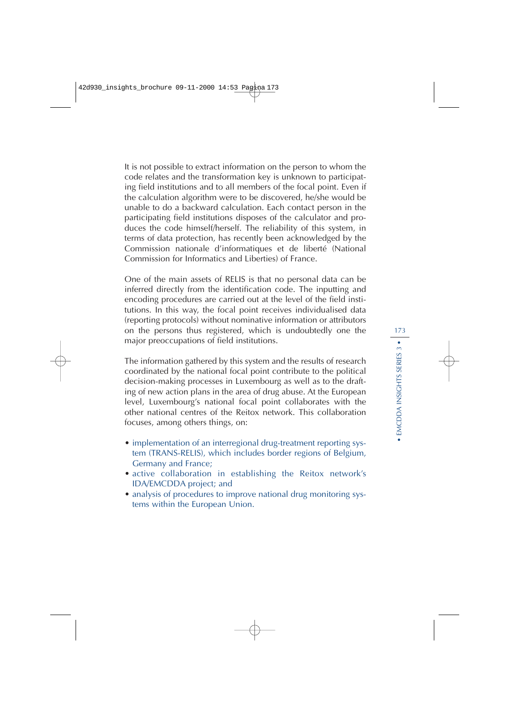It is not possible to extract information on the person to whom the code relates and the transformation key is unknown to participating field institutions and to all members of the focal point. Even if the calculation algorithm were to be discovered, he/she would be unable to do a backward calculation. Each contact person in the participating field institutions disposes of the calculator and produces the code himself/herself. The reliability of this system, in terms of data protection, has recently been acknowledged by the Commission nationale d'informatiques et de liberté (National Commission for Informatics and Liberties) of France.

One of the main assets of RELIS is that no personal data can be inferred directly from the identification code. The inputting and encoding procedures are carried out at the level of the field institutions. In this way, the focal point receives individualised data (reporting protocols) without nominative information or attributors on the persons thus registered, which is undoubtedly one the major preoccupations of field institutions.

The information gathered by this system and the results of research coordinated by the national focal point contribute to the political decision-making processes in Luxembourg as well as to the drafting of new action plans in the area of drug abuse. At the European level, Luxembourg's national focal point collaborates with the other national centres of the Reitox network. This collaboration focuses, among others things, on:

- implementation of an interregional drug-treatment reporting system (TRANS-RELIS), which includes border regions of Belgium, Germany and France;
- active collaboration in establishing the Reitox network's IDA/EMCDDA project; and
- analysis of procedures to improve national drug monitoring systems within the European Union.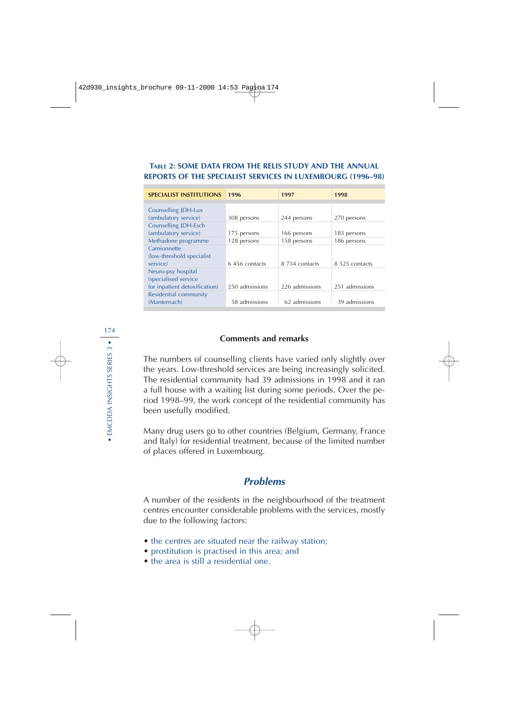### **TABLE 2: SOME DATA FROM THE RELIS STUDY AND THE ANNUAL REPORTS OF THE SPECIALIST SERVICES IN LUXEMBOURG (1996–98)**

| 1996           | 1997           | 1998           |
|----------------|----------------|----------------|
|                |                |                |
|                |                |                |
| 308 persons    | 244 persons    | 270 persons    |
|                |                |                |
| 175 persons    | 166 persons    | 183 persons    |
| 128 persons    | 158 persons    | 186 persons    |
|                |                |                |
|                |                |                |
| 6.456 contacts | 8 734 contacts | 8.525 contacts |
|                |                |                |
|                |                |                |
| 250 admissions | 226 admissions | 251 admissions |
|                |                |                |
| 58 admissions  | 62 admissions  | 39 admissions  |
|                |                |                |

### **Comments and remarks**

The numbers of counselling clients have varied only slightly over the years. Low-threshold services are being increasingly solicited. The residential community had 39 admissions in 1998 and it ran a full house with a waiting list during some periods. Over the period 1998–99, the work concept of the residential community has been usefully modified.

Many drug users go to other countries (Belgium, Germany, France and Italy) for residential treatment, because of the limited number of places offered in Luxembourg.

### **Problems**

A number of the residents in the neighbourhood of the treatment centres encounter considerable problems with the services, mostly due to the following factors:

- the centres are situated near the railway station;
- prostitution is practised in this area; and
- the area is still a residential one.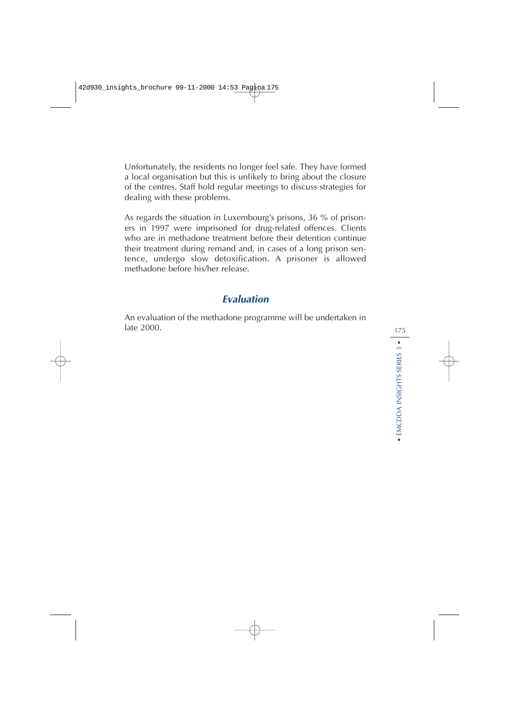Unfortunately, the residents no longer feel safe. They have formed a local organisation but this is unlikely to bring about the closure of the centres. Staff hold regular meetings to discuss strategies for dealing with these problems.

As regards the situation in Luxembourg's prisons, 36 % of prisoners in 1997 were imprisoned for drug-related offences. Clients who are in methadone treatment before their detention continue their treatment during remand and, in cases of a long prison sentence, undergo slow detoxification. A prisoner is allowed methadone before his/her release.

# **Evaluation**

An evaluation of the methadone programme will be undertaken in late 2000.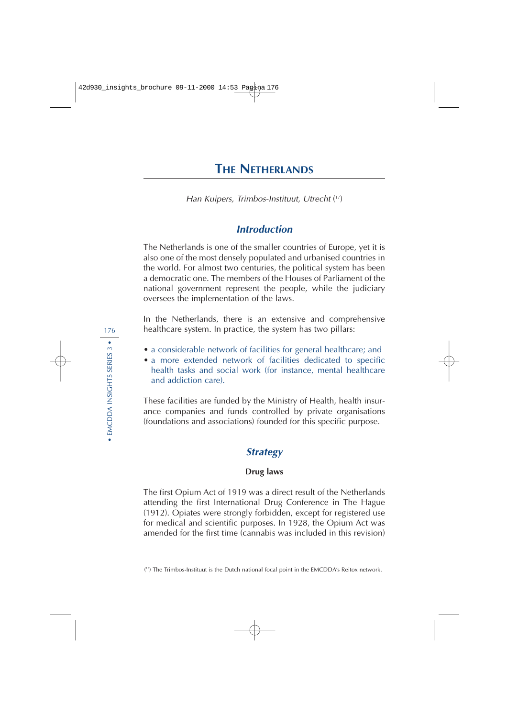# **THE NETHERLANDS**

Han Kuipers, Trimbos-Instituut, Utrecht ( 17)

# **Introduction**

The Netherlands is one of the smaller countries of Europe, yet it is also one of the most densely populated and urbanised countries in the world. For almost two centuries, the political system has been a democratic one. The members of the Houses of Parliament of the national government represent the people, while the judiciary oversees the implementation of the laws.

In the Netherlands, there is an extensive and comprehensive healthcare system. In practice, the system has two pillars:

- a considerable network of facilities for general healthcare; and
- a more extended network of facilities dedicated to specific health tasks and social work (for instance, mental healthcare and addiction care).

These facilities are funded by the Ministry of Health, health insurance companies and funds controlled by private organisations (foundations and associations) founded for this specific purpose.

### **Strategy**

#### **Drug laws**

The first Opium Act of 1919 was a direct result of the Netherlands attending the first International Drug Conference in The Hague (1912). Opiates were strongly forbidden, except for registered use for medical and scientific purposes. In 1928, the Opium Act was amended for the first time (cannabis was included in this revision)

<sup>(</sup> 17) The Trimbos-Instituut is the Dutch national focal point in the EMCDDA's Reitox network.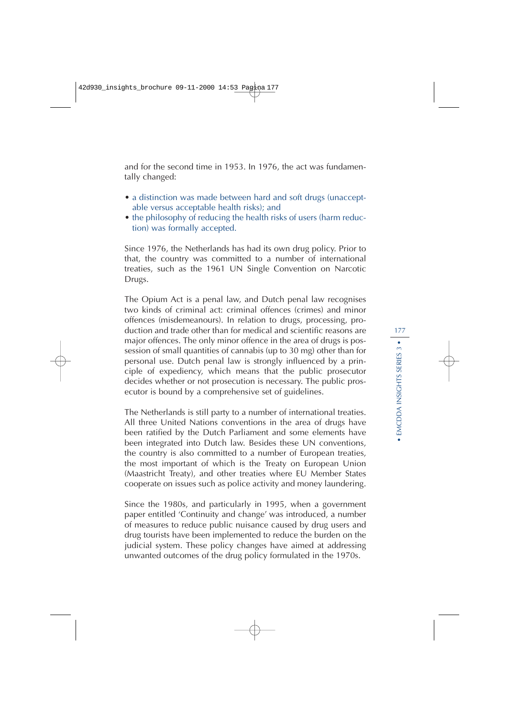and for the second time in 1953. In 1976, the act was fundamentally changed:

- a distinction was made between hard and soft drugs (unacceptable versus acceptable health risks); and
- the philosophy of reducing the health risks of users (harm reduction) was formally accepted.

Since 1976, the Netherlands has had its own drug policy. Prior to that, the country was committed to a number of international treaties, such as the 1961 UN Single Convention on Narcotic Drugs.

The Opium Act is a penal law, and Dutch penal law recognises two kinds of criminal act: criminal offences (crimes) and minor offences (misdemeanours). In relation to drugs, processing, production and trade other than for medical and scientific reasons are major offences. The only minor offence in the area of drugs is possession of small quantities of cannabis (up to 30 mg) other than for personal use. Dutch penal law is strongly influenced by a principle of expediency, which means that the public prosecutor decides whether or not prosecution is necessary. The public prosecutor is bound by a comprehensive set of guidelines.

The Netherlands is still party to a number of international treaties. All three United Nations conventions in the area of drugs have been ratified by the Dutch Parliament and some elements have been integrated into Dutch law. Besides these UN conventions, the country is also committed to a number of European treaties, the most important of which is the Treaty on European Union (Maastricht Treaty), and other treaties where EU Member States cooperate on issues such as police activity and money laundering.

Since the 1980s, and particularly in 1995, when a government paper entitled 'Continuity and change' was introduced, a number of measures to reduce public nuisance caused by drug users and drug tourists have been implemented to reduce the burden on the judicial system. These policy changes have aimed at addressing unwanted outcomes of the drug policy formulated in the 1970s.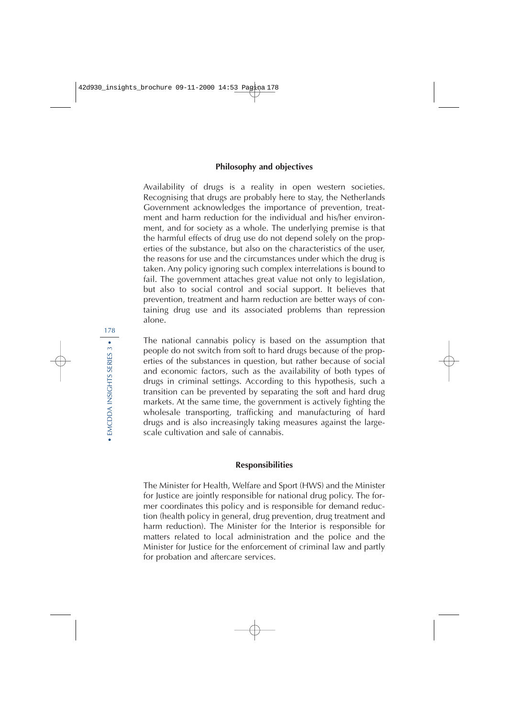#### **Philosophy and objectives**

Availability of drugs is a reality in open western societies. Recognising that drugs are probably here to stay, the Netherlands Government acknowledges the importance of prevention, treatment and harm reduction for the individual and his/her environment, and for society as a whole. The underlying premise is that the harmful effects of drug use do not depend solely on the properties of the substance, but also on the characteristics of the user, the reasons for use and the circumstances under which the drug is taken. Any policy ignoring such complex interrelations is bound to fail. The government attaches great value not only to legislation, but also to social control and social support. It believes that prevention, treatment and harm reduction are better ways of containing drug use and its associated problems than repression alone.

The national cannabis policy is based on the assumption that people do not switch from soft to hard drugs because of the properties of the substances in question, but rather because of social and economic factors, such as the availability of both types of drugs in criminal settings. According to this hypothesis, such a transition can be prevented by separating the soft and hard drug markets. At the same time, the government is actively fighting the wholesale transporting, trafficking and manufacturing of hard drugs and is also increasingly taking measures against the largescale cultivation and sale of cannabis.

#### **Responsibilities**

The Minister for Health, Welfare and Sport (HWS) and the Minister for Justice are jointly responsible for national drug policy. The former coordinates this policy and is responsible for demand reduction (health policy in general, drug prevention, drug treatment and harm reduction). The Minister for the Interior is responsible for matters related to local administration and the police and the Minister for Justice for the enforcement of criminal law and partly for probation and aftercare services.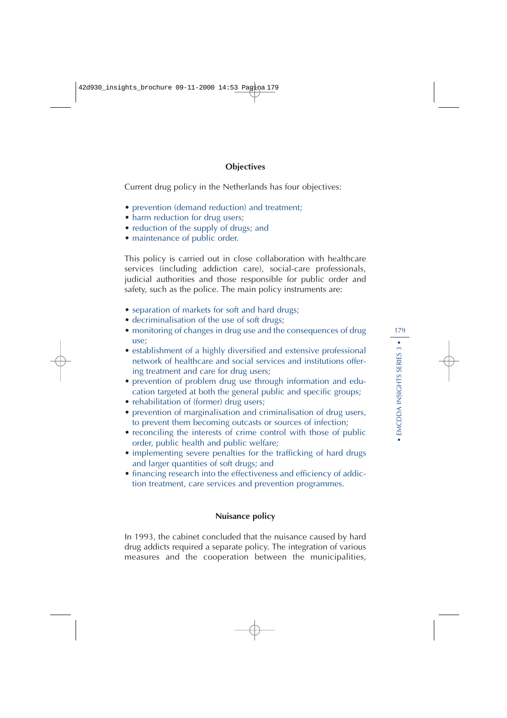### **Objectives**

Current drug policy in the Netherlands has four objectives:

- prevention (demand reduction) and treatment;
- harm reduction for drug users;
- reduction of the supply of drugs; and
- maintenance of public order.

This policy is carried out in close collaboration with healthcare services (including addiction care), social-care professionals, judicial authorities and those responsible for public order and safety, such as the police. The main policy instruments are:

- separation of markets for soft and hard drugs;
- decriminalisation of the use of soft drugs;
- monitoring of changes in drug use and the consequences of drug use;
- establishment of a highly diversified and extensive professional network of healthcare and social services and institutions offering treatment and care for drug users;
- prevention of problem drug use through information and education targeted at both the general public and specific groups;
- rehabilitation of (former) drug users;
- prevention of marginalisation and criminalisation of drug users, to prevent them becoming outcasts or sources of infection;
- reconciling the interests of crime control with those of public order, public health and public welfare;
- implementing severe penalties for the trafficking of hard drugs and larger quantities of soft drugs; and
- financing research into the effectiveness and efficiency of addiction treatment, care services and prevention programmes.

### **Nuisance policy**

In 1993, the cabinet concluded that the nuisance caused by hard drug addicts required a separate policy. The integration of various measures and the cooperation between the municipalities,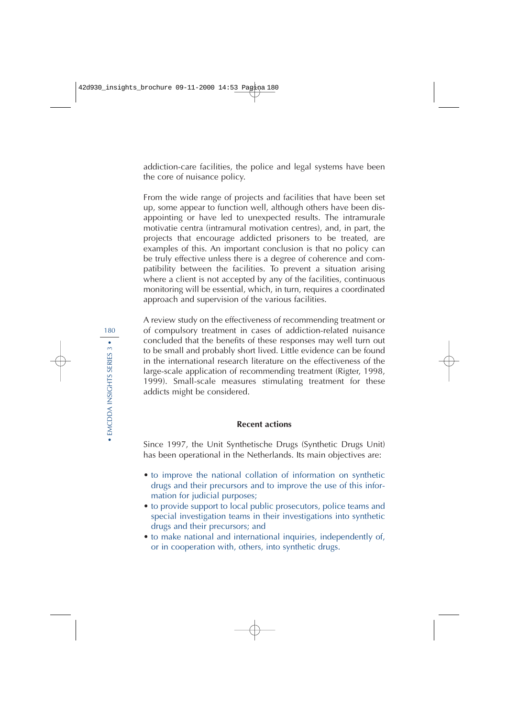addiction-care facilities, the police and legal systems have been the core of nuisance policy.

From the wide range of projects and facilities that have been set up, some appear to function well, although others have been disappointing or have led to unexpected results. The intramurale motivatie centra (intramural motivation centres), and, in part, the projects that encourage addicted prisoners to be treated, are examples of this. An important conclusion is that no policy can be truly effective unless there is a degree of coherence and compatibility between the facilities. To prevent a situation arising where a client is not accepted by any of the facilities, continuous monitoring will be essential, which, in turn, requires a coordinated approach and supervision of the various facilities.

A review study on the effectiveness of recommending treatment or of compulsory treatment in cases of addiction-related nuisance concluded that the benefits of these responses may well turn out to be small and probably short lived. Little evidence can be found in the international research literature on the effectiveness of the large-scale application of recommending treatment (Rigter, 1998, 1999). Small-scale measures stimulating treatment for these addicts might be considered.

#### **Recent actions**

Since 1997, the Unit Synthetische Drugs (Synthetic Drugs Unit) has been operational in the Netherlands. Its main objectives are:

- to improve the national collation of information on synthetic drugs and their precursors and to improve the use of this information for judicial purposes;
- to provide support to local public prosecutors, police teams and special investigation teams in their investigations into synthetic drugs and their precursors; and
- to make national and international inquiries, independently of, or in cooperation with, others, into synthetic drugs.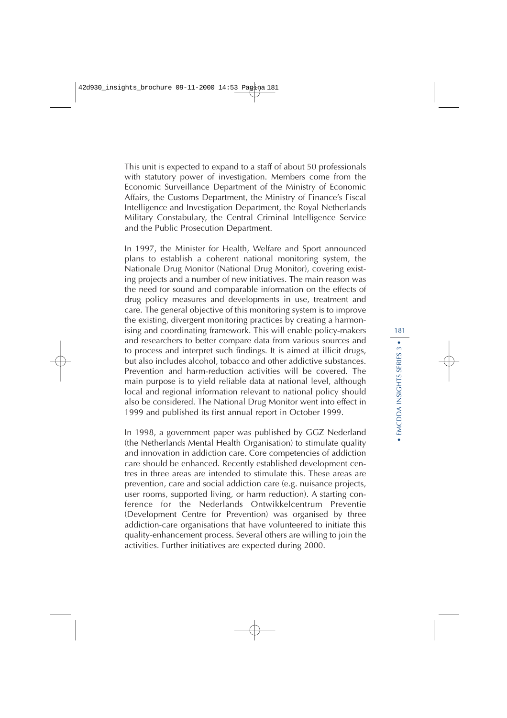This unit is expected to expand to a staff of about 50 professionals with statutory power of investigation. Members come from the Economic Surveillance Department of the Ministry of Economic Affairs, the Customs Department, the Ministry of Finance's Fiscal Intelligence and Investigation Department, the Royal Netherlands Military Constabulary, the Central Criminal Intelligence Service and the Public Prosecution Department.

In 1997, the Minister for Health, Welfare and Sport announced plans to establish a coherent national monitoring system, the Nationale Drug Monitor (National Drug Monitor), covering existing projects and a number of new initiatives. The main reason was the need for sound and comparable information on the effects of drug policy measures and developments in use, treatment and care. The general objective of this monitoring system is to improve the existing, divergent monitoring practices by creating a harmonising and coordinating framework. This will enable policy-makers and researchers to better compare data from various sources and to process and interpret such findings. It is aimed at illicit drugs, but also includes alcohol, tobacco and other addictive substances. Prevention and harm-reduction activities will be covered. The main purpose is to yield reliable data at national level, although local and regional information relevant to national policy should also be considered. The National Drug Monitor went into effect in 1999 and published its first annual report in October 1999.

In 1998, a government paper was published by GGZ Nederland (the Netherlands Mental Health Organisation) to stimulate quality and innovation in addiction care. Core competencies of addiction care should be enhanced. Recently established development centres in three areas are intended to stimulate this. These areas are prevention, care and social addiction care (e.g. nuisance projects, user rooms, supported living, or harm reduction). A starting conference for the Nederlands Ontwikkelcentrum Preventie (Development Centre for Prevention) was organised by three addiction-care organisations that have volunteered to initiate this quality-enhancement process. Several others are willing to join the activities. Further initiatives are expected during 2000.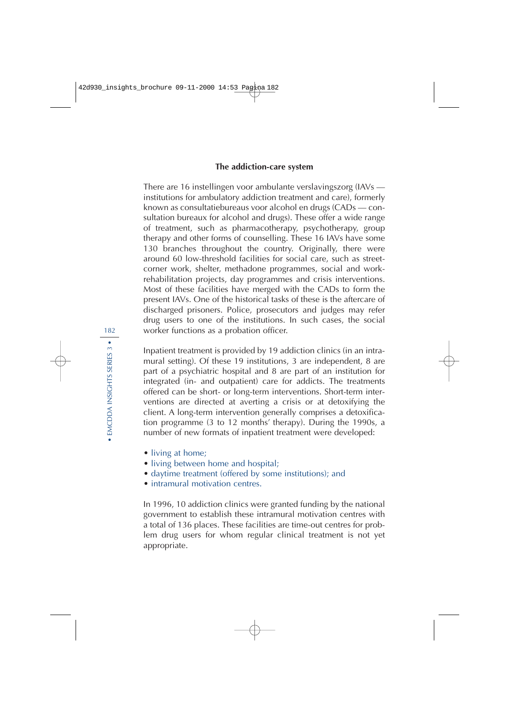#### **The addiction-care system**

There are 16 instellingen voor ambulante verslavingszorg (IAVs institutions for ambulatory addiction treatment and care), formerly known as consultatiebureaus voor alcohol en drugs (CADs — consultation bureaux for alcohol and drugs). These offer a wide range of treatment, such as pharmacotherapy, psychotherapy, group therapy and other forms of counselling. These 16 IAVs have some 130 branches throughout the country. Originally, there were around 60 low-threshold facilities for social care, such as streetcorner work, shelter, methadone programmes, social and workrehabilitation projects, day programmes and crisis interventions. Most of these facilities have merged with the CADs to form the present IAVs. One of the historical tasks of these is the aftercare of discharged prisoners. Police, prosecutors and judges may refer drug users to one of the institutions. In such cases, the social worker functions as a probation officer.

Inpatient treatment is provided by 19 addiction clinics (in an intramural setting). Of these 19 institutions, 3 are independent, 8 are part of a psychiatric hospital and 8 are part of an institution for integrated (in- and outpatient) care for addicts. The treatments offered can be short- or long-term interventions. Short-term interventions are directed at averting a crisis or at detoxifying the client. A long-term intervention generally comprises a detoxification programme (3 to 12 months' therapy). During the 1990s, a number of new formats of inpatient treatment were developed:

- living at home;
- living between home and hospital;
- daytime treatment (offered by some institutions); and
- intramural motivation centres.

In 1996, 10 addiction clinics were granted funding by the national government to establish these intramural motivation centres with a total of 136 places. These facilities are time-out centres for problem drug users for whom regular clinical treatment is not yet appropriate.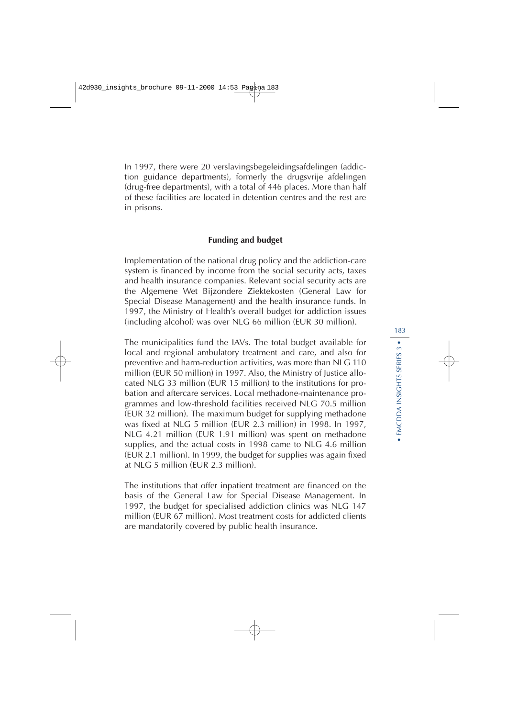In 1997, there were 20 verslavingsbegeleidingsafdelingen (addiction guidance departments), formerly the drugsvrije afdelingen (drug-free departments), with a total of 446 places. More than half of these facilities are located in detention centres and the rest are in prisons.

### **Funding and budget**

Implementation of the national drug policy and the addiction-care system is financed by income from the social security acts, taxes and health insurance companies. Relevant social security acts are the Algemene Wet Bijzondere Ziektekosten (General Law for Special Disease Management) and the health insurance funds. In 1997, the Ministry of Health's overall budget for addiction issues (including alcohol) was over NLG 66 million (EUR 30 million).

The municipalities fund the IAVs. The total budget available for local and regional ambulatory treatment and care, and also for preventive and harm-reduction activities, was more than NLG 110 million (EUR 50 million) in 1997. Also, the Ministry of Justice allocated NLG 33 million (EUR 15 million) to the institutions for probation and aftercare services. Local methadone-maintenance programmes and low-threshold facilities received NLG 70.5 million (EUR 32 million). The maximum budget for supplying methadone was fixed at NLG 5 million (EUR 2.3 million) in 1998. In 1997, NLG 4.21 million (EUR 1.91 million) was spent on methadone supplies, and the actual costs in 1998 came to NLG 4.6 million (EUR 2.1 million). In 1999, the budget for supplies was again fixed at NLG 5 million (EUR 2.3 million).

The institutions that offer inpatient treatment are financed on the basis of the General Law for Special Disease Management. In 1997, the budget for specialised addiction clinics was NLG 147 million (EUR 67 million). Most treatment costs for addicted clients are mandatorily covered by public health insurance.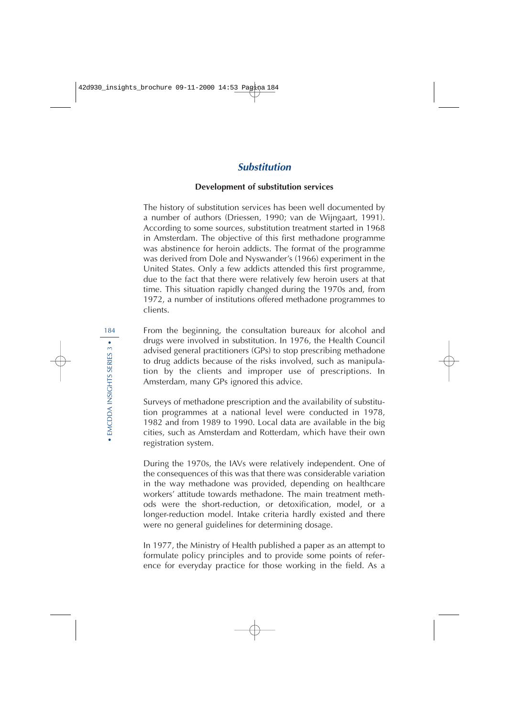# **Substitution**

### **Development of substitution services**

The history of substitution services has been well documented by a number of authors (Driessen, 1990; van de Wijngaart, 1991). According to some sources, substitution treatment started in 1968 in Amsterdam. The objective of this first methadone programme was abstinence for heroin addicts. The format of the programme was derived from Dole and Nyswander's (1966) experiment in the United States. Only a few addicts attended this first programme, due to the fact that there were relatively few heroin users at that time. This situation rapidly changed during the 1970s and, from 1972, a number of institutions offered methadone programmes to clients.

From the beginning, the consultation bureaux for alcohol and drugs were involved in substitution. In 1976, the Health Council advised general practitioners (GPs) to stop prescribing methadone to drug addicts because of the risks involved, such as manipulation by the clients and improper use of prescriptions. In Amsterdam, many GPs ignored this advice.

Surveys of methadone prescription and the availability of substitution programmes at a national level were conducted in 1978, 1982 and from 1989 to 1990. Local data are available in the big cities, such as Amsterdam and Rotterdam, which have their own registration system.

During the 1970s, the IAVs were relatively independent. One of the consequences of this was that there was considerable variation in the way methadone was provided, depending on healthcare workers' attitude towards methadone. The main treatment methods were the short-reduction, or detoxification, model, or a longer-reduction model. Intake criteria hardly existed and there were no general guidelines for determining dosage.

In 1977, the Ministry of Health published a paper as an attempt to formulate policy principles and to provide some points of reference for everyday practice for those working in the field. As a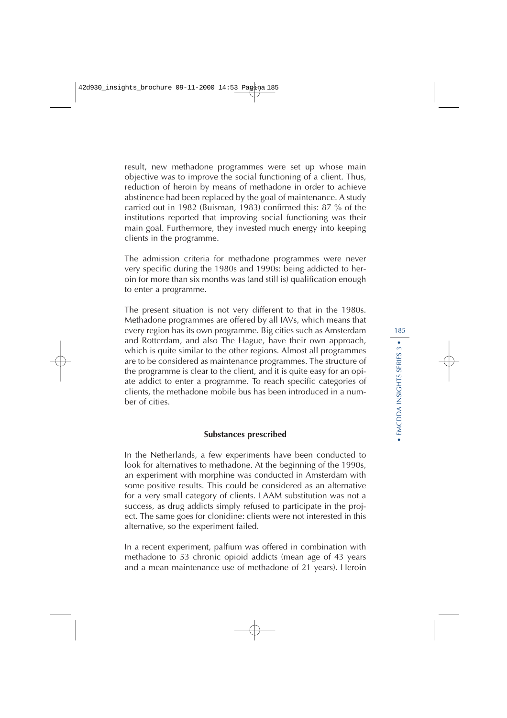result, new methadone programmes were set up whose main objective was to improve the social functioning of a client. Thus, reduction of heroin by means of methadone in order to achieve abstinence had been replaced by the goal of maintenance. A study carried out in 1982 (Buisman, 1983) confirmed this: 87 % of the institutions reported that improving social functioning was their main goal. Furthermore, they invested much energy into keeping clients in the programme.

The admission criteria for methadone programmes were never very specific during the 1980s and 1990s: being addicted to heroin for more than six months was (and still is) qualification enough to enter a programme.

The present situation is not very different to that in the 1980s. Methadone programmes are offered by all IAVs, which means that every region has its own programme. Big cities such as Amsterdam and Rotterdam, and also The Hague, have their own approach, which is quite similar to the other regions. Almost all programmes are to be considered as maintenance programmes. The structure of the programme is clear to the client, and it is quite easy for an opiate addict to enter a programme. To reach specific categories of clients, the methadone mobile bus has been introduced in a number of cities.

## **Substances prescribed**

In the Netherlands, a few experiments have been conducted to look for alternatives to methadone. At the beginning of the 1990s, an experiment with morphine was conducted in Amsterdam with some positive results. This could be considered as an alternative for a very small category of clients. LAAM substitution was not a success, as drug addicts simply refused to participate in the project. The same goes for clonidine: clients were not interested in this alternative, so the experiment failed.

In a recent experiment, palfium was offered in combination with methadone to 53 chronic opioid addicts (mean age of 43 years and a mean maintenance use of methadone of 21 years). Heroin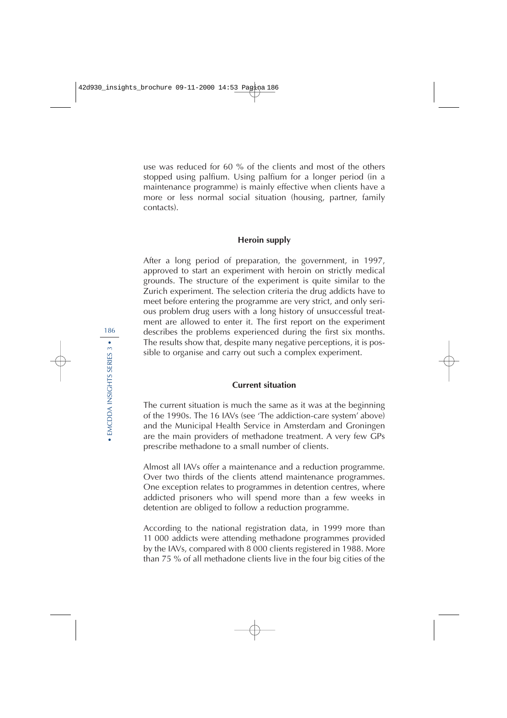use was reduced for 60 % of the clients and most of the others stopped using palfium. Using palfium for a longer period (in a maintenance programme) is mainly effective when clients have a more or less normal social situation (housing, partner, family contacts).

### **Heroin supply**

After a long period of preparation, the government, in 1997, approved to start an experiment with heroin on strictly medical grounds. The structure of the experiment is quite similar to the Zurich experiment. The selection criteria the drug addicts have to meet before entering the programme are very strict, and only serious problem drug users with a long history of unsuccessful treatment are allowed to enter it. The first report on the experiment describes the problems experienced during the first six months. The results show that, despite many negative perceptions, it is possible to organise and carry out such a complex experiment.

### **Current situation**

The current situation is much the same as it was at the beginning of the 1990s. The 16 IAVs (see 'The addiction-care system' above) and the Municipal Health Service in Amsterdam and Groningen are the main providers of methadone treatment. A very few GPs prescribe methadone to a small number of clients.

Almost all IAVs offer a maintenance and a reduction programme. Over two thirds of the clients attend maintenance programmes. One exception relates to programmes in detention centres, where addicted prisoners who will spend more than a few weeks in detention are obliged to follow a reduction programme.

According to the national registration data, in 1999 more than 11 000 addicts were attending methadone programmes provided by the IAVs, compared with 8 000 clients registered in 1988. More than 75 % of all methadone clients live in the four big cities of the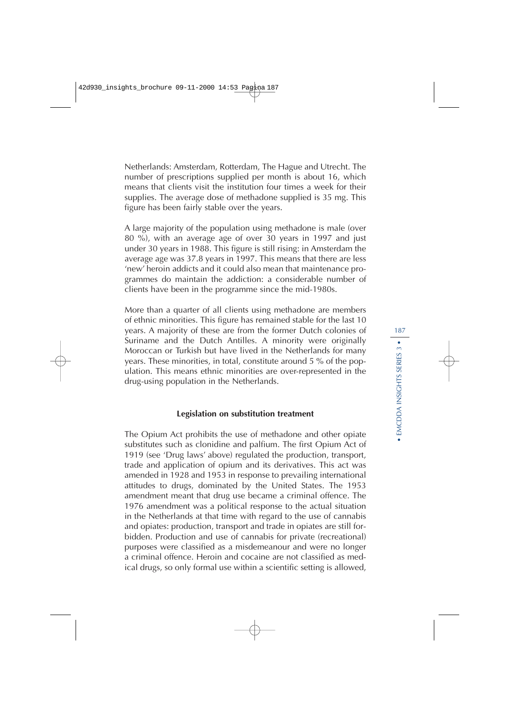Netherlands: Amsterdam, Rotterdam, The Hague and Utrecht. The number of prescriptions supplied per month is about 16, which means that clients visit the institution four times a week for their supplies. The average dose of methadone supplied is 35 mg. This figure has been fairly stable over the years.

A large majority of the population using methadone is male (over 80 %), with an average age of over 30 years in 1997 and just under 30 years in 1988. This figure is still rising: in Amsterdam the average age was 37.8 years in 1997. This means that there are less 'new' heroin addicts and it could also mean that maintenance programmes do maintain the addiction: a considerable number of clients have been in the programme since the mid-1980s.

More than a quarter of all clients using methadone are members of ethnic minorities. This figure has remained stable for the last 10 years. A majority of these are from the former Dutch colonies of Suriname and the Dutch Antilles. A minority were originally Moroccan or Turkish but have lived in the Netherlands for many years. These minorities, in total, constitute around 5 % of the population. This means ethnic minorities are over-represented in the drug-using population in the Netherlands.

#### **Legislation on substitution treatment**

The Opium Act prohibits the use of methadone and other opiate substitutes such as clonidine and palfium. The first Opium Act of 1919 (see 'Drug laws' above) regulated the production, transport, trade and application of opium and its derivatives. This act was amended in 1928 and 1953 in response to prevailing international attitudes to drugs, dominated by the United States. The 1953 amendment meant that drug use became a criminal offence. The 1976 amendment was a political response to the actual situation in the Netherlands at that time with regard to the use of cannabis and opiates: production, transport and trade in opiates are still forbidden. Production and use of cannabis for private (recreational) purposes were classified as a misdemeanour and were no longer a criminal offence. Heroin and cocaine are not classified as medical drugs, so only formal use within a scientific setting is allowed,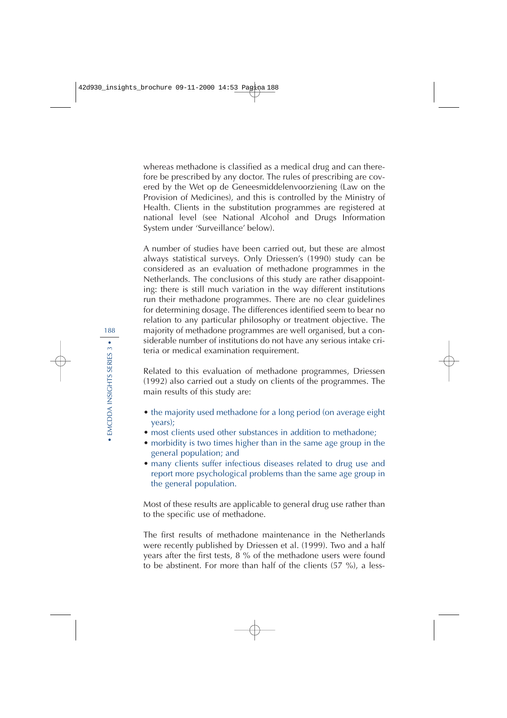whereas methadone is classified as a medical drug and can therefore be prescribed by any doctor. The rules of prescribing are covered by the Wet op de Geneesmiddelenvoorziening (Law on the Provision of Medicines), and this is controlled by the Ministry of Health. Clients in the substitution programmes are registered at national level (see National Alcohol and Drugs Information System under 'Surveillance' below).

A number of studies have been carried out, but these are almost always statistical surveys. Only Driessen's (1990) study can be considered as an evaluation of methadone programmes in the Netherlands. The conclusions of this study are rather disappointing: there is still much variation in the way different institutions run their methadone programmes. There are no clear guidelines for determining dosage. The differences identified seem to bear no relation to any particular philosophy or treatment objective. The majority of methadone programmes are well organised, but a considerable number of institutions do not have any serious intake criteria or medical examination requirement.

Related to this evaluation of methadone programmes, Driessen (1992) also carried out a study on clients of the programmes. The main results of this study are:

- the majority used methadone for a long period (on average eight years);
- most clients used other substances in addition to methadone:
- morbidity is two times higher than in the same age group in the general population; and
- many clients suffer infectious diseases related to drug use and report more psychological problems than the same age group in the general population.

Most of these results are applicable to general drug use rather than to the specific use of methadone.

The first results of methadone maintenance in the Netherlands were recently published by Driessen et al. (1999). Two and a half years after the first tests, 8 % of the methadone users were found to be abstinent. For more than half of the clients (57 %), a less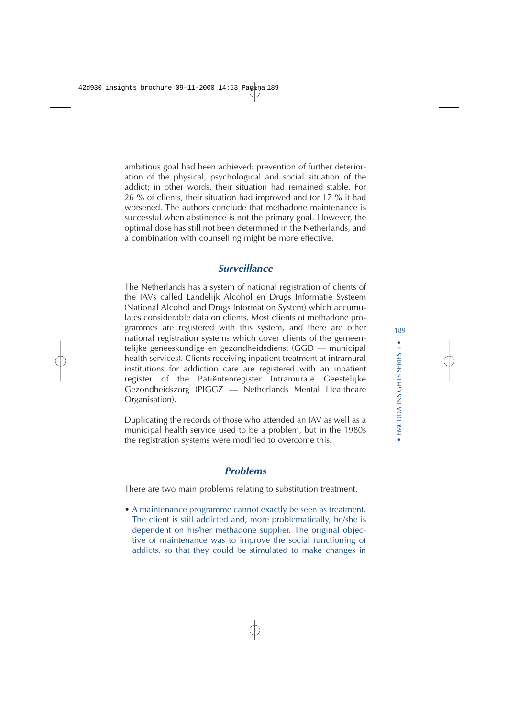ambitious goal had been achieved: prevention of further deterioration of the physical, psychological and social situation of the addict; in other words, their situation had remained stable. For 26 % of clients, their situation had improved and for 17 % it had worsened. The authors conclude that methadone maintenance is successful when abstinence is not the primary goal. However, the optimal dose has still not been determined in the Netherlands, and a combination with counselling might be more effective.

# **Surveillance**

The Netherlands has a system of national registration of clients of the IAVs called Landelijk Alcohol en Drugs Informatie Systeem (National Alcohol and Drugs Information System) which accumulates considerable data on clients. Most clients of methadone programmes are registered with this system, and there are other national registration systems which cover clients of the gemeentelijke geneeskundige en gezondheidsdienst (GGD — municipal health services). Clients receiving inpatient treatment at intramural institutions for addiction care are registered with an inpatient register of the Patiëntenregister Intramurale Geestelijke Gezondheidszorg (PIGGZ — Netherlands Mental Healthcare Organisation).

Duplicating the records of those who attended an IAV as well as a municipal health service used to be a problem, but in the 1980s the registration systems were modified to overcome this.

# **Problems**

There are two main problems relating to substitution treatment.

• A maintenance programme cannot exactly be seen as treatment. The client is still addicted and, more problematically, he/she is dependent on his/her methadone supplier. The original objective of maintenance was to improve the social functioning of addicts, so that they could be stimulated to make changes in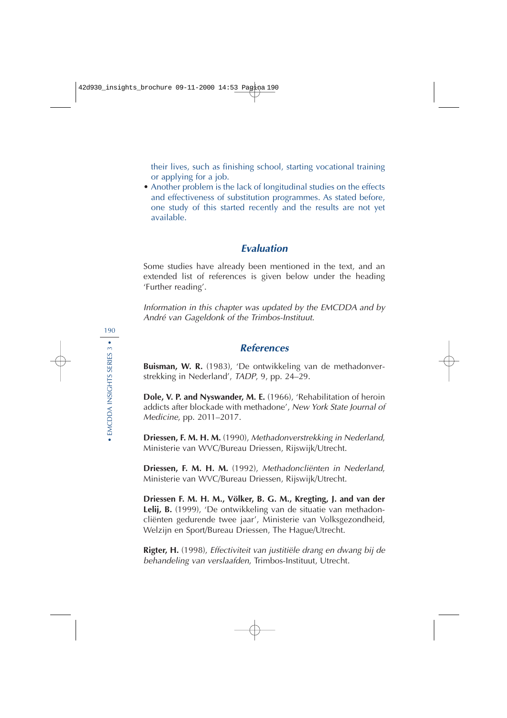their lives, such as finishing school, starting vocational training or applying for a job.

• Another problem is the lack of longitudinal studies on the effects and effectiveness of substitution programmes. As stated before, one study of this started recently and the results are not yet available.

# **Evaluation**

Some studies have already been mentioned in the text, and an extended list of references is given below under the heading 'Further reading'.

Information in this chapter was updated by the EMCDDA and by André van Gageldonk of the Trimbos-Instituut.

# **References**

**Buisman, W. R.** (1983), 'De ontwikkeling van de methadonverstrekking in Nederland', TADP, 9, pp. 24–29.

**Dole, V. P. and Nyswander, M. E.** (1966), 'Rehabilitation of heroin addicts after blockade with methadone', New York State Journal of Medicine, pp. 2011–2017.

**Driessen, F. M. H. M.** (1990), Methadonverstrekking in Nederland, Ministerie van WVC/Bureau Driessen, Rijswijk/Utrecht.

**Driessen, F. M. H. M.** (1992), Methadoncliënten in Nederland, Ministerie van WVC/Bureau Driessen, Rijswijk/Utrecht.

**Driessen F. M. H. M., Völker, B. G. M., Kregting, J. and van der Lelij, B.** (1999), 'De ontwikkeling van de situatie van methadoncliënten gedurende twee jaar', Ministerie van Volksgezondheid, Welzijn en Sport/Bureau Driessen, The Hague/Utrecht.

**Rigter, H.** (1998), Effectiviteit van justitiële drang en dwang bij de behandeling van verslaafden, Trimbos-Instituut, Utrecht.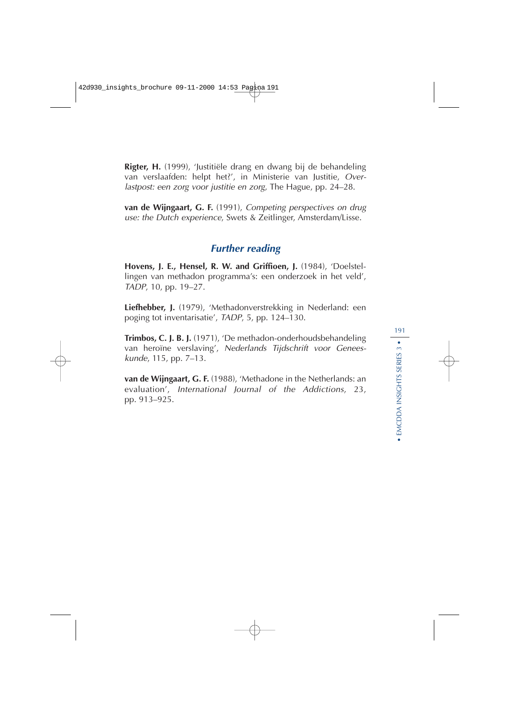**Rigter, H.** (1999), 'Justitiële drang en dwang bij de behandeling van verslaafden: helpt het?', in Ministerie van Justitie, Overlastpost: een zorg voor justitie en zorg, The Hague, pp. 24–28.

**van de Wijngaart, G. F.** (1991), Competing perspectives on drug use: the Dutch experience, Swets & Zeitlinger, Amsterdam/Lisse.

# **Further reading**

**Hovens, J. E., Hensel, R. W. and Griffioen, J.** (1984), 'Doelstellingen van methadon programma's: een onderzoek in het veld', TADP, 10, pp. 19–27.

**Liefhebber, J.** (1979), 'Methadonverstrekking in Nederland: een poging tot inventarisatie', TADP, 5, pp. 124–130.

**Trimbos, C. J. B. J.** (1971), 'De methadon-onderhoudsbehandeling van heroïne verslaving', Nederlands Tijdschrift voor Geneeskunde, 115, pp. 7–13.

**van de Wijngaart, G. F.** (1988), 'Methadone in the Netherlands: an evaluation', International Journal of the Addictions, 23, pp. 913–925.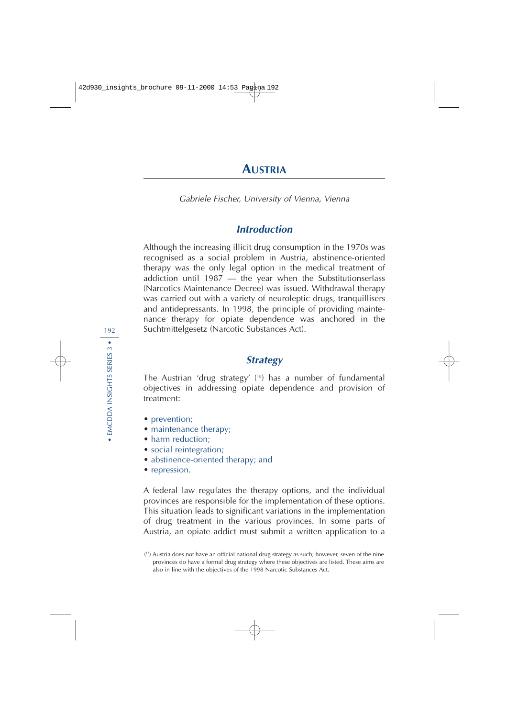# **AUSTRIA**

Gabriele Fischer, University of Vienna, Vienna

# **Introduction**

Although the increasing illicit drug consumption in the 1970s was recognised as a social problem in Austria, abstinence-oriented therapy was the only legal option in the medical treatment of addiction until 1987 — the year when the Substitutionserlass (Narcotics Maintenance Decree) was issued. Withdrawal therapy was carried out with a variety of neuroleptic drugs, tranquillisers and antidepressants. In 1998, the principle of providing maintenance therapy for opiate dependence was anchored in the Suchtmittelgesetz (Narcotic Substances Act).

# **Strategy**

The Austrian 'drug strategy' ( 18) has a number of fundamental objectives in addressing opiate dependence and provision of treatment:

- prevention;
- maintenance therapy;
- harm reduction;
- social reintegration;
- abstinence-oriented therapy; and
- repression.

A federal law regulates the therapy options, and the individual provinces are responsible for the implementation of these options. This situation leads to significant variations in the implementation of drug treatment in the various provinces. In some parts of Austria, an opiate addict must submit a written application to a

<sup>(</sup> 18) Austria does not have an official national drug strategy as such; however, seven of the nine provinces do have a formal drug strategy where these objectives are listed. These aims are also in line with the objectives of the 1998 Narcotic Substances Act.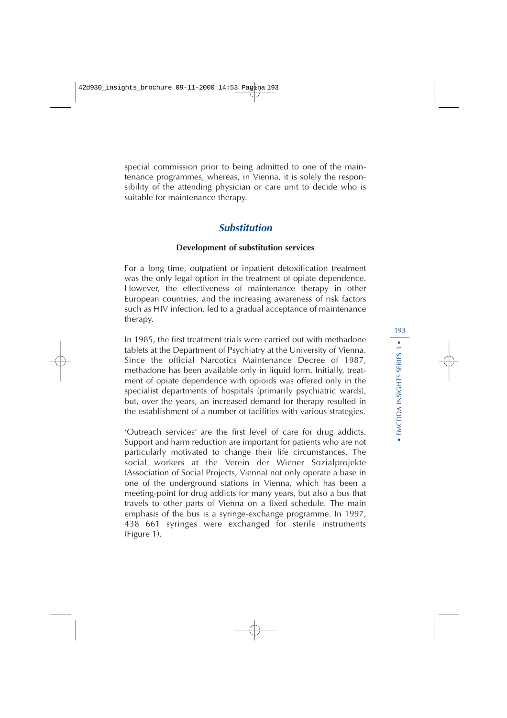special commission prior to being admitted to one of the maintenance programmes, whereas, in Vienna, it is solely the responsibility of the attending physician or care unit to decide who is suitable for maintenance therapy.

# **Substitution**

### **Development of substitution services**

For a long time, outpatient or inpatient detoxification treatment was the only legal option in the treatment of opiate dependence. However, the effectiveness of maintenance therapy in other European countries, and the increasing awareness of risk factors such as HIV infection, led to a gradual acceptance of maintenance therapy.

In 1985, the first treatment trials were carried out with methadone tablets at the Department of Psychiatry at the University of Vienna. Since the official Narcotics Maintenance Decree of 1987, methadone has been available only in liquid form. Initially, treatment of opiate dependence with opioids was offered only in the specialist departments of hospitals (primarily psychiatric wards), but, over the years, an increased demand for therapy resulted in the establishment of a number of facilities with various strategies.

'Outreach services' are the first level of care for drug addicts. Support and harm reduction are important for patients who are not particularly motivated to change their life circumstances. The social workers at the Verein der Wiener Sozialprojekte (Association of Social Projects, Vienna) not only operate a base in one of the underground stations in Vienna, which has been a meeting-point for drug addicts for many years, but also a bus that travels to other parts of Vienna on a fixed schedule. The main emphasis of the bus is a syringe-exchange programme. In 1997, 438 661 syringes were exchanged for sterile instruments (Figure 1).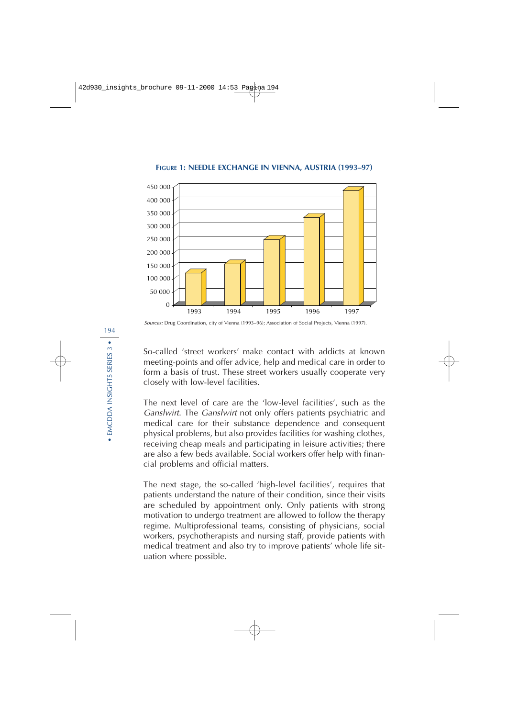

**FIGURE 1: NEEDLE EXCHANGE IN VIENNA, AUSTRIA (1993–97)**

Sources: Drug Coordination, city of Vienna (1993–96); Association of Social Projects, Vienna (1997).

So-called 'street workers' make contact with addicts at known meeting-points and offer advice, help and medical care in order to form a basis of trust. These street workers usually cooperate very closely with low-level facilities.

The next level of care are the 'low-level facilities', such as the Ganslwirt. The Ganslwirt not only offers patients psychiatric and medical care for their substance dependence and consequent physical problems, but also provides facilities for washing clothes, receiving cheap meals and participating in leisure activities; there are also a few beds available. Social workers offer help with financial problems and official matters.

The next stage, the so-called 'high-level facilities', requires that patients understand the nature of their condition, since their visits are scheduled by appointment only. Only patients with strong motivation to undergo treatment are allowed to follow the therapy regime. Multiprofessional teams, consisting of physicians, social workers, psychotherapists and nursing staff, provide patients with medical treatment and also try to improve patients' whole life situation where possible.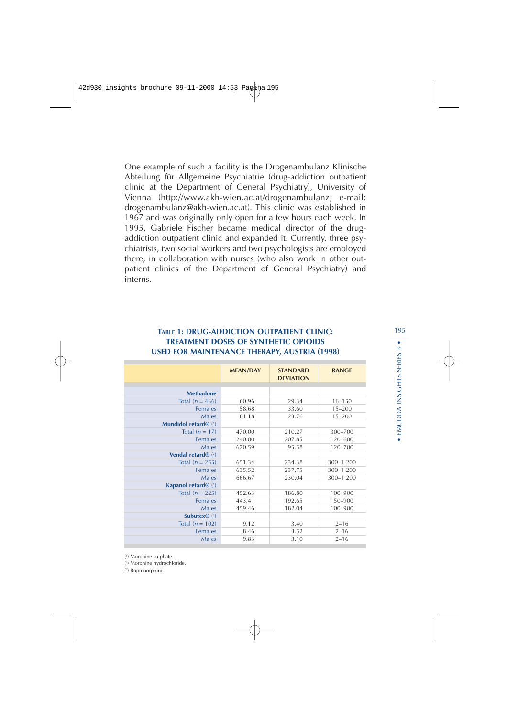One example of such a facility is the Drogenambulanz Klinische Abteilung für Allgemeine Psychiatrie (drug-addiction outpatient clinic at the Department of General Psychiatry), University of Vienna (http://www.akh-wien.ac.at/drogenambulanz; e-mail: drogenambulanz@akh-wien.ac.at). This clinic was established in 1967 and was originally only open for a few hours each week. In 1995, Gabriele Fischer became medical director of the drugaddiction outpatient clinic and expanded it. Currently, three psychiatrists, two social workers and two psychologists are employed there, in collaboration with nurses (who also work in other outpatient clinics of the Department of General Psychiatry) and interns.

## **TABLE 1: DRUG-ADDICTION OUTPATIENT CLINIC:** 195 **TREATMENT DOSES OF SYNTHETIC OPIOIDS USED FOR MAINTENANCE THERAPY, AUSTRIA (1998)**

|                                       | <b>MEAN/DAY</b> | <b>STANDARD</b><br><b>DEVIATION</b> | <b>RANGE</b> |
|---------------------------------------|-----------------|-------------------------------------|--------------|
|                                       |                 |                                     |              |
| <b>Methadone</b>                      |                 |                                     |              |
| Total $(n = 436)$                     | 60.96           | 29.34                               | $16 - 150$   |
| <b>Females</b>                        | 58.68           | 33.60                               | $15 - 200$   |
| Males                                 | 61.18           | 23.76                               | $15 - 200$   |
| Mundidol retard® (1)                  |                 |                                     |              |
| Total $(n = 17)$                      | 470.00          | 210.27                              | $300 - 700$  |
| <b>Females</b>                        | 240.00          | 207.85                              | 120-600      |
| Males                                 | 670.59          | 95.58                               | 120-700      |
| <b>Vendal retard</b> $\mathbb{R}$ (2) |                 |                                     |              |
| Total $(n = 255)$                     | 651.34          | 234.38                              | $300 - 1200$ |
| <b>Females</b>                        | 635.52          | 237.75                              | $300 - 1200$ |
| Males                                 | 666.67          | 230.04                              | 300-1 200    |
| Kapanol retard <sup>®</sup> (1)       |                 |                                     |              |
| Total $(n = 225)$                     | 452.63          | 186.80                              | 100-900      |
| <b>Females</b>                        | 443.41          | 192.65                              | 150-900      |
| Males                                 | 459.46          | 182.04                              | 100-900      |
| <b>Subutex</b> $\mathbb{R}$ (3)       |                 |                                     |              |
| Total $(n = 102)$                     | 9.12            | 3.40                                | $2 - 16$     |
| <b>Females</b>                        | 8.46            | 3.52                                | $2 - 16$     |
| Males                                 | 9.83            | 3.10                                | $2 - 16$     |
|                                       |                 |                                     |              |

( 2 ) Morphine hydrochloride.

( 3 ) Buprenorphine.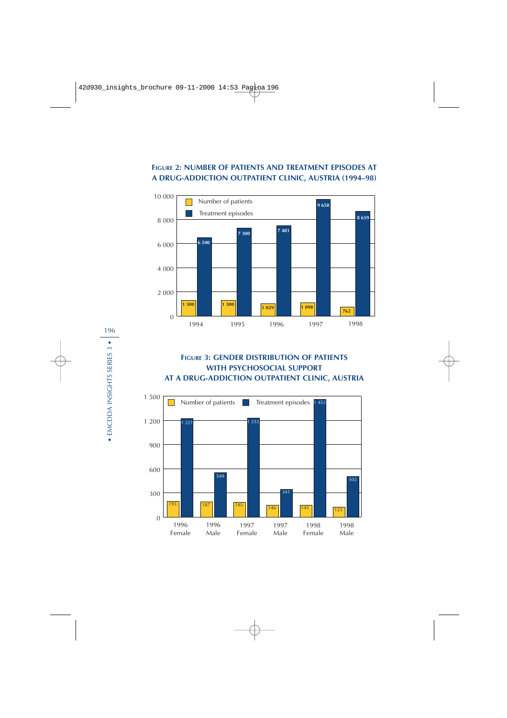## **FIGURE 2: NUMBER OF PATIENTS AND TREATMENT EPISODES AT A DRUG-ADDICTION OUTPATIENT CLINIC, AUSTRIA (1994–98)**



# **FIGURE 3: GENDER DISTRIBUTION OF PATIENTS WITH PSYCHOSOCIAL SUPPORT AT A DRUG-ADDICTION OUTPATIENT CLINIC, AUSTRIA**

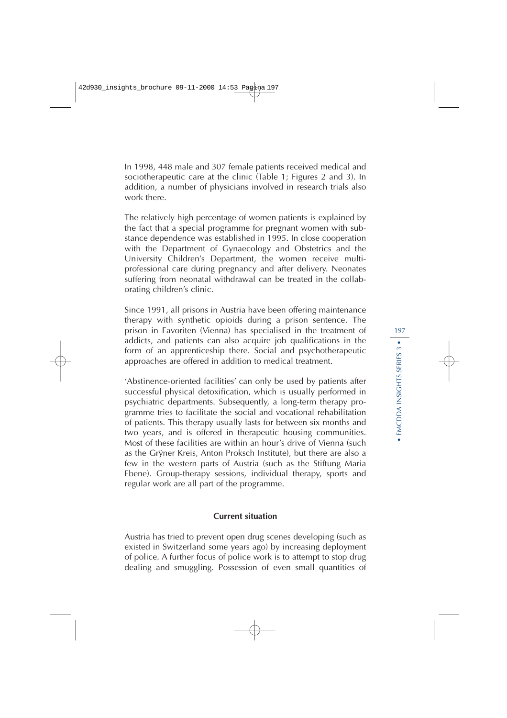In 1998, 448 male and 307 female patients received medical and sociotherapeutic care at the clinic (Table 1; Figures 2 and 3). In addition, a number of physicians involved in research trials also work there.

The relatively high percentage of women patients is explained by the fact that a special programme for pregnant women with substance dependence was established in 1995. In close cooperation with the Department of Gynaecology and Obstetrics and the University Children's Department, the women receive multiprofessional care during pregnancy and after delivery. Neonates suffering from neonatal withdrawal can be treated in the collaborating children's clinic.

Since 1991, all prisons in Austria have been offering maintenance therapy with synthetic opioids during a prison sentence. The prison in Favoriten (Vienna) has specialised in the treatment of addicts, and patients can also acquire job qualifications in the form of an apprenticeship there. Social and psychotherapeutic approaches are offered in addition to medical treatment.

'Abstinence-oriented facilities' can only be used by patients after successful physical detoxification, which is usually performed in psychiatric departments. Subsequently, a long-term therapy programme tries to facilitate the social and vocational rehabilitation of patients. This therapy usually lasts for between six months and two years, and is offered in therapeutic housing communities. Most of these facilities are within an hour's drive of Vienna (such as the Grÿner Kreis, Anton Proksch Institute), but there are also a few in the western parts of Austria (such as the Stiftung Maria Ebene). Group-therapy sessions, individual therapy, sports and regular work are all part of the programme.

#### **Current situation**

Austria has tried to prevent open drug scenes developing (such as existed in Switzerland some years ago) by increasing deployment of police. A further focus of police work is to attempt to stop drug dealing and smuggling. Possession of even small quantities of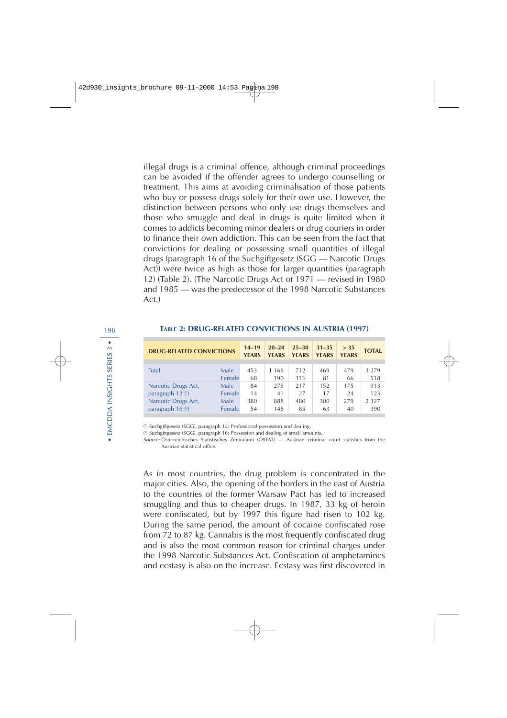illegal drugs is a criminal offence, although criminal proceedings can be avoided if the offender agrees to undergo counselling or treatment. This aims at avoiding criminalisation of those patients who buy or possess drugs solely for their own use. However, the distinction between persons who only use drugs themselves and those who smuggle and deal in drugs is quite limited when it comes to addicts becoming minor dealers or drug couriers in order to finance their own addiction. This can be seen from the fact that convictions for dealing or possessing small quantities of illegal drugs (paragraph 16 of the Suchgiftgesetz (SGG — Narcotic Drugs Act)) were twice as high as those for larger quantities (paragraph 12) (Table 2). (The Narcotic Drugs Act of 1971 — revised in 1980 and 1985 — was the predecessor of the 1998 Narcotic Substances Act.)

| <b>DRUG-RELATED CONVICTIONS</b> |        | $14 - 19$<br><b>YEARS</b> | $20 - 24$<br><b>YEARS</b> | $25 - 30$<br><b>YEARS</b> | $31 - 35$<br><b>YEARS</b> | $>$ 35<br><b>YEARS</b> | <b>TOTAL</b> |
|---------------------------------|--------|---------------------------|---------------------------|---------------------------|---------------------------|------------------------|--------------|
| <b>Total</b>                    | Male   | 453                       | 1 166                     | 712                       | 469                       | 479                    | 3 2 7 9      |
|                                 | Female | 68                        | 190                       | 113                       | 81                        | 66                     | 518          |
| Narcotic Drugs Act,             | Male   | 84                        | 275                       | 217                       | 152                       | 175                    | 913          |
| paragraph 12 (1)                | Female | 14                        | 41                        | 27                        | 17                        | 24                     | 123          |
| Narcotic Drugs Act,             | Male   | 380                       | 888                       | 480                       | 300                       | 279                    | 2 3 2 7      |
| paragraph $16$ ( $2$ )          | Female | 54                        | 148                       | 85                        | 63                        | 40                     | 390          |

#### **TABLE 2: DRUG-RELATED CONVICTIONS IN AUSTRIA (1997)**

( 1 ) Suchgiftgesetz (SGG), paragraph 12: Professional possession and dealing.

( 2 ) Suchgiftgesetz (SGG), paragraph 16: Possession and dealing of small amounts.

Source: Österreichisches Statistisches Zentralamt (ÖSTAT) — Austrian criminal court statistics from the Austrian statistical office.

As in most countries, the drug problem is concentrated in the major cities. Also, the opening of the borders in the east of Austria to the countries of the former Warsaw Pact has led to increased smuggling and thus to cheaper drugs. In 1987, 33 kg of heroin were confiscated, but by 1997 this figure had risen to 102 kg. During the same period, the amount of cocaine confiscated rose from 72 to 87 kg. Cannabis is the most frequently confiscated drug and is also the most common reason for criminal charges under the 1998 Narcotic Substances Act. Confiscation of amphetamines and ecstasy is also on the increase. Ecstasy was first discovered in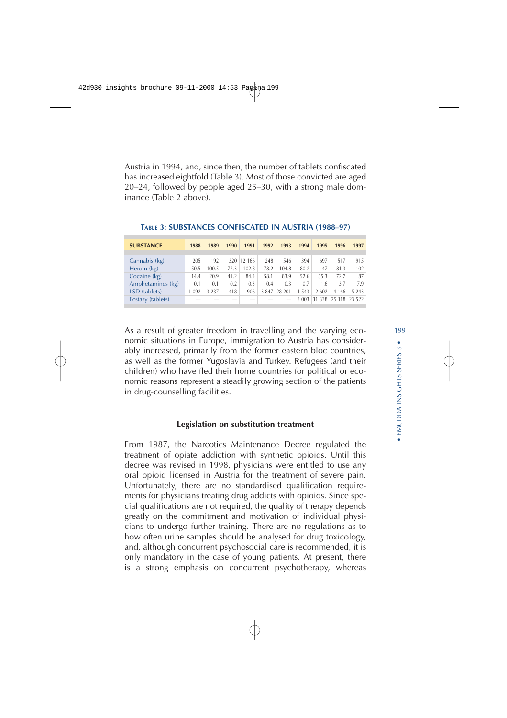Austria in 1994, and, since then, the number of tablets confiscated has increased eightfold (Table 3). Most of those convicted are aged 20–24, followed by people aged 25–30, with a strong male dominance (Table 2 above).

| <b>SUBSTANCE</b>  | 1988 | 1989    | 1990                     | 1991  | 1992 | 1993   | 1994  | 1995    | 1996    | 1997    |
|-------------------|------|---------|--------------------------|-------|------|--------|-------|---------|---------|---------|
|                   |      |         |                          |       |      |        |       |         |         |         |
| Cannabis (kg)     | 205  | 192     | 320                      | 12166 | 248  | 546    | 394   | 697     | 517     | 915     |
| Heroin (kg)       | 50.5 | 100.5   | 72.3                     | 102.8 | 78.2 | 104.8  | 80.2  | 47      | 81.3    | 102     |
| Cocaine (kg)      | 14.4 | 20.9    | 41.2                     | 84.4  | 58.1 | 83.9   | 52.6  | 55.3    | 72.7    | 87      |
| Amphetamines (kg) | 0.1  | 0.1     | 0.2                      | 0.3   | 0.4  | 0.3    | 0.7   | 1.6     | 3.7     | 7.9     |
| LSD (tablets)     | 092  | 3 2 3 7 | 418                      | 906   | 3847 | 28 201 | 1.543 | 2 6 0 2 | 4 1 6 6 | 5 2 4 3 |
| Ecstasy (tablets) | -    | _       | $\overline{\phantom{a}}$ |       |      | -      | 3 003 | 31 338  | 25 118  | 23 522  |

**TABLE 3: SUBSTANCES CONFISCATED IN AUSTRIA (1988–97)**

As a result of greater freedom in travelling and the varying economic situations in Europe, immigration to Austria has considerably increased, primarily from the former eastern bloc countries, as well as the former Yugoslavia and Turkey. Refugees (and their children) who have fled their home countries for political or economic reasons represent a steadily growing section of the patients in drug-counselling facilities.

#### **Legislation on substitution treatment**

From 1987, the Narcotics Maintenance Decree regulated the treatment of opiate addiction with synthetic opioids. Until this decree was revised in 1998, physicians were entitled to use any oral opioid licensed in Austria for the treatment of severe pain. Unfortunately, there are no standardised qualification requirements for physicians treating drug addicts with opioids. Since special qualifications are not required, the quality of therapy depends greatly on the commitment and motivation of individual physicians to undergo further training. There are no regulations as to how often urine samples should be analysed for drug toxicology, and, although concurrent psychosocial care is recommended, it is only mandatory in the case of young patients. At present, there is a strong emphasis on concurrent psychotherapy, whereas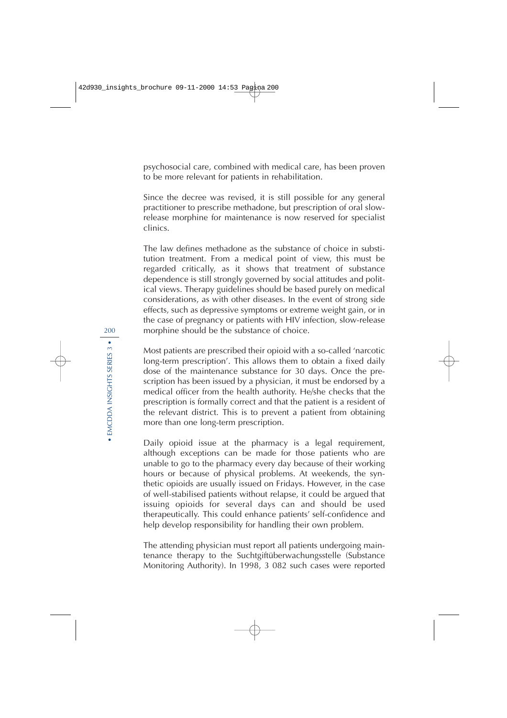psychosocial care, combined with medical care, has been proven to be more relevant for patients in rehabilitation.

Since the decree was revised, it is still possible for any general practitioner to prescribe methadone, but prescription of oral slowrelease morphine for maintenance is now reserved for specialist clinics.

The law defines methadone as the substance of choice in substitution treatment. From a medical point of view, this must be regarded critically, as it shows that treatment of substance dependence is still strongly governed by social attitudes and political views. Therapy guidelines should be based purely on medical considerations, as with other diseases. In the event of strong side effects, such as depressive symptoms or extreme weight gain, or in the case of pregnancy or patients with HIV infection, slow-release morphine should be the substance of choice.

Most patients are prescribed their opioid with a so-called 'narcotic long-term prescription'. This allows them to obtain a fixed daily dose of the maintenance substance for 30 days. Once the prescription has been issued by a physician, it must be endorsed by a medical officer from the health authority. He/she checks that the prescription is formally correct and that the patient is a resident of the relevant district. This is to prevent a patient from obtaining more than one long-term prescription.

Daily opioid issue at the pharmacy is a legal requirement, although exceptions can be made for those patients who are unable to go to the pharmacy every day because of their working hours or because of physical problems. At weekends, the synthetic opioids are usually issued on Fridays. However, in the case of well-stabilised patients without relapse, it could be argued that issuing opioids for several days can and should be used therapeutically. This could enhance patients' self-confidence and help develop responsibility for handling their own problem.

The attending physician must report all patients undergoing maintenance therapy to the Suchtgiftüberwachungsstelle (Substance Monitoring Authority). In 1998, 3 082 such cases were reported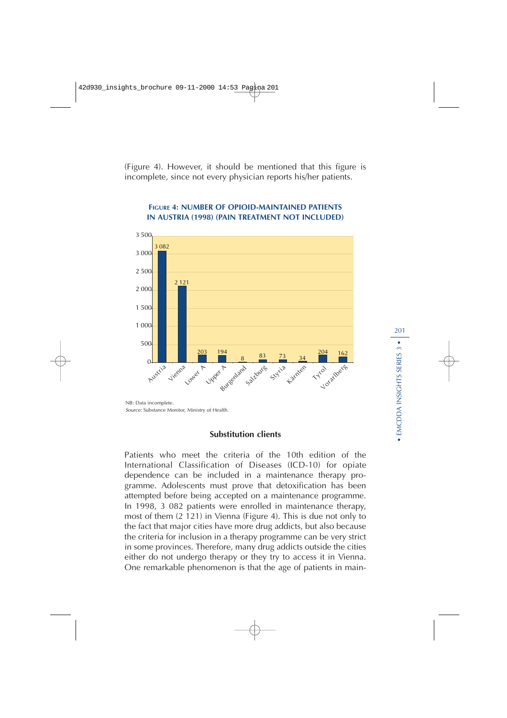(Figure 4). However, it should be mentioned that this figure is incomplete, since not every physician reports his/her patients.



### **FIGURE 4: NUMBER OF OPIOID-MAINTAINED PATIENTS IN AUSTRIA (1998) (PAIN TREATMENT NOT INCLUDED)**

NB: Data incomplete. Source: Substance Monitor, Ministry of Health.

## **Substitution clients**

Patients who meet the criteria of the 10th edition of the International Classification of Diseases (ICD-10) for opiate dependence can be included in a maintenance therapy programme. Adolescents must prove that detoxification has been attempted before being accepted on a maintenance programme. In 1998, 3 082 patients were enrolled in maintenance therapy, most of them (2 121) in Vienna (Figure 4). This is due not only to the fact that major cities have more drug addicts, but also because the criteria for inclusion in a therapy programme can be very strict in some provinces. Therefore, many drug addicts outside the cities either do not undergo therapy or they try to access it in Vienna. One remarkable phenomenon is that the age of patients in main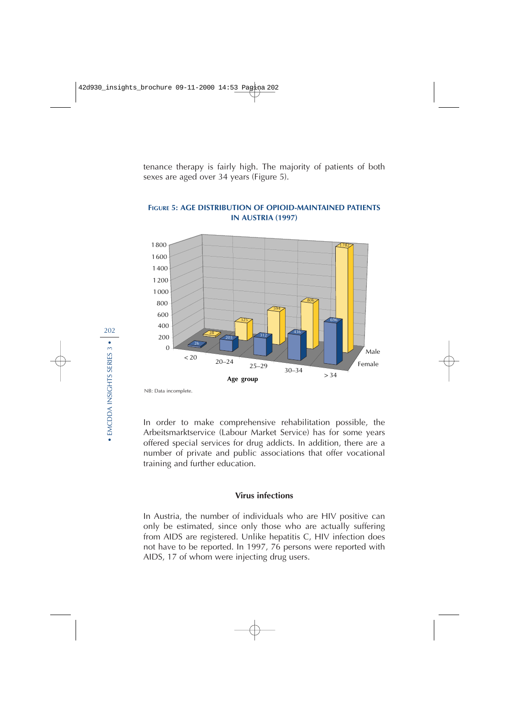tenance therapy is fairly high. The majority of patients of both sexes are aged over 34 years (Figure 5).



## **FIGURE 5: AGE DISTRIBUTION OF OPIOID-MAINTAINED PATIENTS IN AUSTRIA (1997)**

NB: Data incomplete.

In order to make comprehensive rehabilitation possible, the Arbeitsmarktservice (Labour Market Service) has for some years offered special services for drug addicts. In addition, there are a number of private and public associations that offer vocational training and further education.

#### **Virus infections**

In Austria, the number of individuals who are HIV positive can only be estimated, since only those who are actually suffering from AIDS are registered. Unlike hepatitis C, HIV infection does not have to be reported. In 1997, 76 persons were reported with AIDS, 17 of whom were injecting drug users.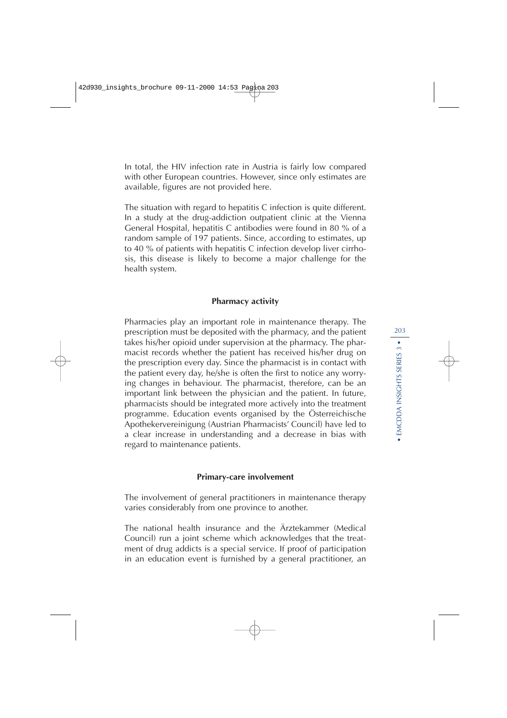In total, the HIV infection rate in Austria is fairly low compared with other European countries. However, since only estimates are available, figures are not provided here.

The situation with regard to hepatitis C infection is quite different. In a study at the drug-addiction outpatient clinic at the Vienna General Hospital, hepatitis C antibodies were found in 80 % of a random sample of 197 patients. Since, according to estimates, up to 40 % of patients with hepatitis C infection develop liver cirrhosis, this disease is likely to become a major challenge for the health system.

### **Pharmacy activity**

Pharmacies play an important role in maintenance therapy. The prescription must be deposited with the pharmacy, and the patient takes his/her opioid under supervision at the pharmacy. The pharmacist records whether the patient has received his/her drug on the prescription every day. Since the pharmacist is in contact with the patient every day, he/she is often the first to notice any worrying changes in behaviour. The pharmacist, therefore, can be an important link between the physician and the patient. In future, pharmacists should be integrated more actively into the treatment programme. Education events organised by the Österreichische Apothekervereinigung (Austrian Pharmacists' Council) have led to a clear increase in understanding and a decrease in bias with regard to maintenance patients.

### **Primary-care involvement**

The involvement of general practitioners in maintenance therapy varies considerably from one province to another.

The national health insurance and the Ärztekammer (Medical Council) run a joint scheme which acknowledges that the treatment of drug addicts is a special service. If proof of participation in an education event is furnished by a general practitioner, an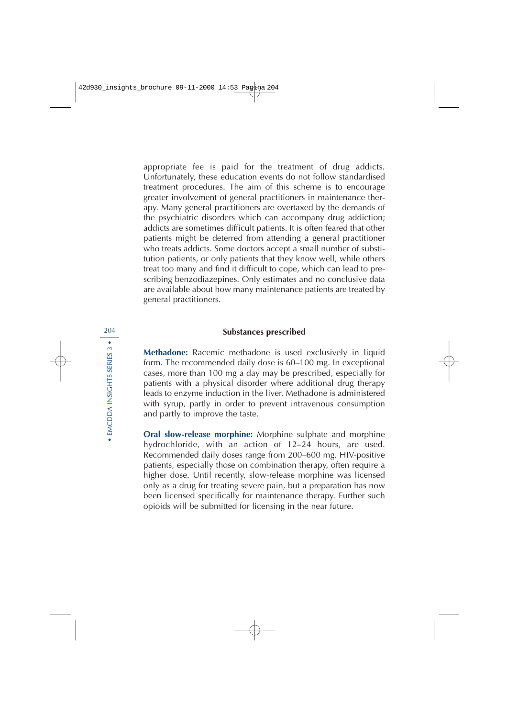appropriate fee is paid for the treatment of drug addicts. Unfortunately, these education events do not follow standardised treatment procedures. The aim of this scheme is to encourage greater involvement of general practitioners in maintenance therapy. Many general practitioners are overtaxed by the demands of the psychiatric disorders which can accompany drug addiction; addicts are sometimes difficult patients. It is often feared that other patients might be deterred from attending a general practitioner who treats addicts. Some doctors accept a small number of substitution patients, or only patients that they know well, while others treat too many and find it difficult to cope, which can lead to prescribing benzodiazepines. Only estimates and no conclusive data are available about how many maintenance patients are treated by general practitioners.

### **Substances prescribed**

**Methadone:** Racemic methadone is used exclusively in liquid form. The recommended daily dose is 60–100 mg. In exceptional cases, more than 100 mg a day may be prescribed, especially for patients with a physical disorder where additional drug therapy leads to enzyme induction in the liver. Methadone is administered with syrup, partly in order to prevent intravenous consumption and partly to improve the taste.

**Oral slow-release morphine:** Morphine sulphate and morphine hydrochloride, with an action of 12–24 hours, are used. Recommended daily doses range from 200–600 mg. HIV-positive patients, especially those on combination therapy, often require a higher dose. Until recently, slow-release morphine was licensed only as a drug for treating severe pain, but a preparation has now been licensed specifically for maintenance therapy. Further such opioids will be submitted for licensing in the near future.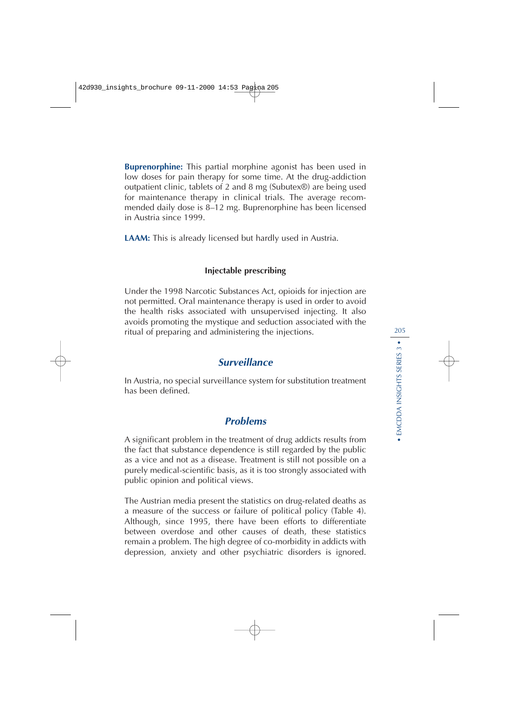**Buprenorphine:** This partial morphine agonist has been used in low doses for pain therapy for some time. At the drug-addiction outpatient clinic, tablets of 2 and 8 mg (Subutex®) are being used for maintenance therapy in clinical trials. The average recommended daily dose is 8–12 mg. Buprenorphine has been licensed in Austria since 1999.

**LAAM:** This is already licensed but hardly used in Austria.

## **Injectable prescribing**

Under the 1998 Narcotic Substances Act, opioids for injection are not permitted. Oral maintenance therapy is used in order to avoid the health risks associated with unsupervised injecting. It also avoids promoting the mystique and seduction associated with the ritual of preparing and administering the injections.

# **Surveillance**

In Austria, no special surveillance system for substitution treatment has been defined.

# **Problems**

A significant problem in the treatment of drug addicts results from the fact that substance dependence is still regarded by the public as a vice and not as a disease. Treatment is still not possible on a purely medical-scientific basis, as it is too strongly associated with public opinion and political views.

The Austrian media present the statistics on drug-related deaths as a measure of the success or failure of political policy (Table 4). Although, since 1995, there have been efforts to differentiate between overdose and other causes of death, these statistics remain a problem. The high degree of co-morbidity in addicts with depression, anxiety and other psychiatric disorders is ignored.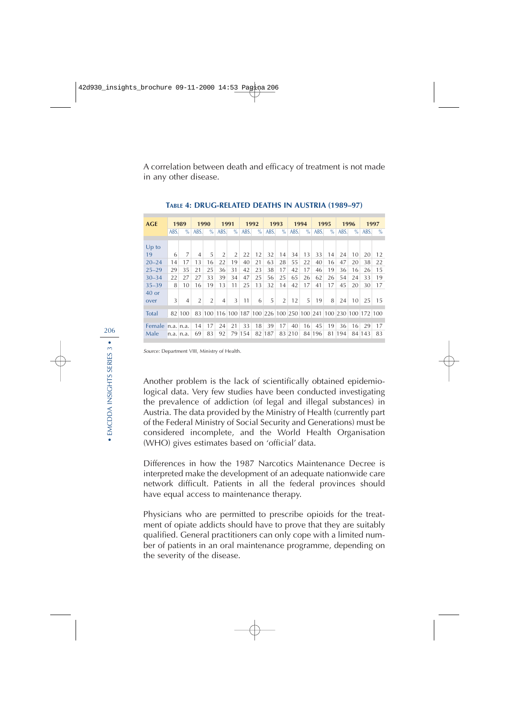A correlation between death and efficacy of treatment is not made in any other disease.

| <b>AGE</b>   |               |           | 1990<br>1989   |                |                | 1991<br>1992   |      |      | 1993 |                | 1994 |      | 1995 |      | 1996 |      | 1997                                                           |               |
|--------------|---------------|-----------|----------------|----------------|----------------|----------------|------|------|------|----------------|------|------|------|------|------|------|----------------------------------------------------------------|---------------|
|              | ABS.          | $\%$      | ABS.           | $\%$           | ABS.           | $\%$           | ABS. | $\%$ | ABS. | $\%$           | ABS. | $\%$ | ABS. | $\%$ | ABS. | $\%$ | ABS.                                                           | $\frac{0}{0}$ |
|              |               |           |                |                |                |                |      |      |      |                |      |      |      |      |      |      |                                                                |               |
| $Up$ to      |               |           |                |                |                |                |      |      |      |                |      |      |      |      |      |      |                                                                |               |
| 19           | 6             | 7         | $\overline{4}$ | 5              | $\overline{2}$ | $\overline{2}$ | 22   | 12   | 32   | 14             | 34   | 13   | 33   | 14   | 24   | 10   | 20                                                             | 12            |
| $20 - 24$    | 14            | 17        | 13             | 16             | 22             | 19             | 40   | 21   | 63   | 28             | 55   | 22   | 40   | 16   | 47   | 20   | 38                                                             | 22            |
| $25 - 29$    | 29            | 35        | 21             | 25             | 36             | 31             | 42   | 23   | 38   | 17             | 42   | 17   | 46   | 19   | 36   | 16   | 26                                                             | 15            |
| $30 - 34$    | 22            | 27        | 27             | 33             | 39             | 34             | 47   | 25   | 56   | 25             | 65   | 26   | 62   | 26   | 54   | 24   | 33                                                             | 19            |
| $35 - 39$    | 8             | 10        | 16             | 19             | 13             | 11             | 25   | 13   | 32   | 14             | 42   | 17   | 41   | 17   | 45   | 20   | 30                                                             | 17            |
| $40$ or      |               |           |                |                |                |                |      |      |      |                |      |      |      |      |      |      |                                                                |               |
| over         | 3             | 4         | $\overline{2}$ | $\overline{2}$ | $\overline{4}$ | 3              | 11   | 6    | 5    | $\overline{2}$ | 12   | 5    | 19   | 8    | 24   | 10   | 25                                                             | 1.5           |
|              |               |           |                |                |                |                |      |      |      |                |      |      |      |      |      |      |                                                                |               |
| <b>Total</b> |               | 82 100    |                |                |                |                |      |      |      |                |      |      |      |      |      |      | 83 100 116 100 187 100 226 100 250 100 241 100 230 100 172 100 |               |
|              |               |           |                |                |                |                |      |      |      |                |      |      |      |      |      |      |                                                                |               |
| Female       | $n.a.$ $n.a.$ |           | 14             | 17             | 24             | 21             | 33   | 18   | 39   | 17             | 40   | 16   | 45   | 19   | 36   | 16   | 29                                                             | 17            |
| Male         |               | n.a. n.a. | 69             | 83             | 92             | 79             | 154  | 82   | 187  | 83             | 210  | 84   | 196  | 81   | 194  | 84   | 143                                                            | 83            |

**TABLE 4: DRUG-RELATED DEATHS IN AUSTRIA (1989–97)**

Source: Department VIII, Ministry of Health.

Another problem is the lack of scientifically obtained epidemiological data. Very few studies have been conducted investigating the prevalence of addiction (of legal and illegal substances) in Austria. The data provided by the Ministry of Health (currently part of the Federal Ministry of Social Security and Generations) must be considered incomplete, and the World Health Organisation (WHO) gives estimates based on 'official' data.

Differences in how the 1987 Narcotics Maintenance Decree is interpreted make the development of an adequate nationwide care network difficult. Patients in all the federal provinces should have equal access to maintenance therapy.

Physicians who are permitted to prescribe opioids for the treatment of opiate addicts should have to prove that they are suitably qualified. General practitioners can only cope with a limited number of patients in an oral maintenance programme, depending on the severity of the disease.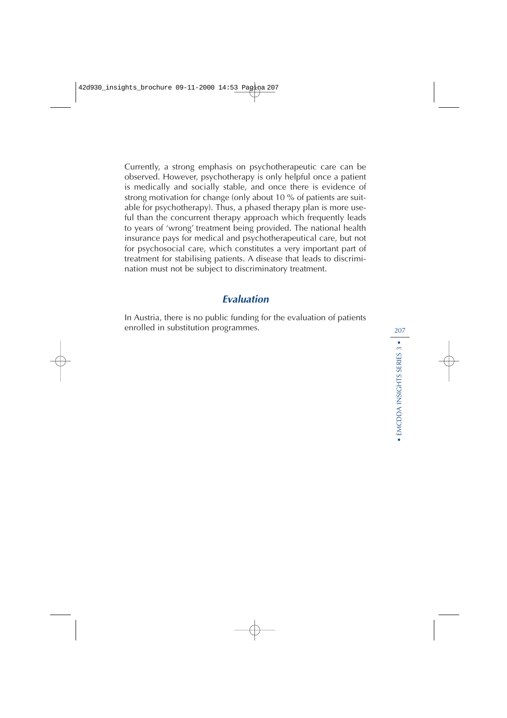Currently, a strong emphasis on psychotherapeutic care can be observed. However, psychotherapy is only helpful once a patient is medically and socially stable, and once there is evidence of strong motivation for change (only about 10 % of patients are suitable for psychotherapy). Thus, a phased therapy plan is more useful than the concurrent therapy approach which frequently leads to years of 'wrong' treatment being provided. The national health insurance pays for medical and psychotherapeutical care, but not for psychosocial care, which constitutes a very important part of treatment for stabilising patients. A disease that leads to discrimination must not be subject to discriminatory treatment.

# **Evaluation**

In Austria, there is no public funding for the evaluation of patients enrolled in substitution programmes.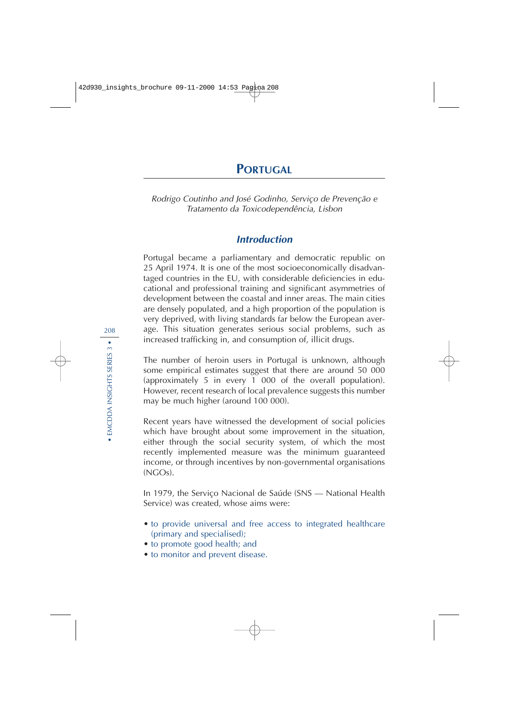Rodrigo Coutinho and José Godinho, Serviço de Prevenção e Tratamento da Toxicodependência, Lisbon

# **Introduction**

Portugal became a parliamentary and democratic republic on 25 April 1974. It is one of the most socioeconomically disadvantaged countries in the EU, with considerable deficiencies in educational and professional training and significant asymmetries of development between the coastal and inner areas. The main cities are densely populated, and a high proportion of the population is very deprived, with living standards far below the European average. This situation generates serious social problems, such as increased trafficking in, and consumption of, illicit drugs.

The number of heroin users in Portugal is unknown, although some empirical estimates suggest that there are around 50 000 (approximately 5 in every 1 000 of the overall population). However, recent research of local prevalence suggests this number may be much higher (around 100 000).

Recent years have witnessed the development of social policies which have brought about some improvement in the situation, either through the social security system, of which the most recently implemented measure was the minimum guaranteed income, or through incentives by non-governmental organisations  $(NGOs)$ .

In 1979, the Serviço Nacional de Saúde (SNS — National Health Service) was created, whose aims were:

- to provide universal and free access to integrated healthcare (primary and specialised);
- to promote good health; and
- to monitor and prevent disease.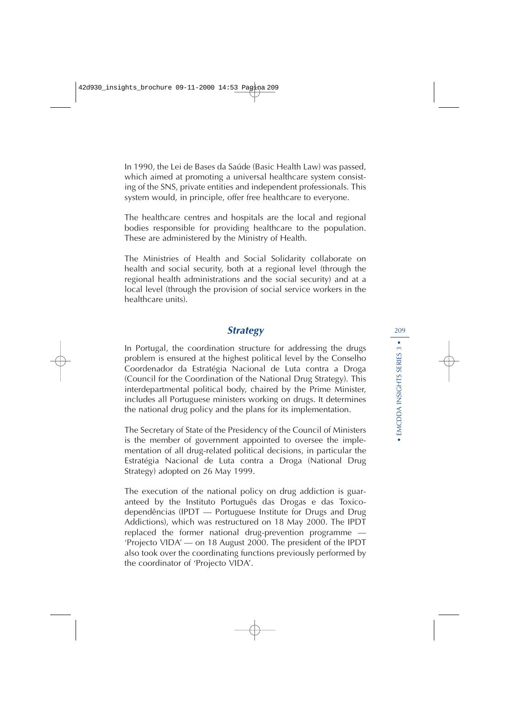In 1990, the Lei de Bases da Saúde (Basic Health Law) was passed, which aimed at promoting a universal healthcare system consisting of the SNS, private entities and independent professionals. This system would, in principle, offer free healthcare to everyone.

The healthcare centres and hospitals are the local and regional bodies responsible for providing healthcare to the population. These are administered by the Ministry of Health.

The Ministries of Health and Social Solidarity collaborate on health and social security, both at a regional level (through the regional health administrations and the social security) and at a local level (through the provision of social service workers in the healthcare units).

# **Strategy**

In Portugal, the coordination structure for addressing the drugs problem is ensured at the highest political level by the Conselho Coordenador da Estratégia Nacional de Luta contra a Droga (Council for the Coordination of the National Drug Strategy). This interdepartmental political body, chaired by the Prime Minister, includes all Portuguese ministers working on drugs. It determines the national drug policy and the plans for its implementation.

The Secretary of State of the Presidency of the Council of Ministers is the member of government appointed to oversee the implementation of all drug-related political decisions, in particular the Estratégia Nacional de Luta contra a Droga (National Drug Strategy) adopted on 26 May 1999.

The execution of the national policy on drug addiction is guaranteed by the Instituto Português das Drogas e das Toxicodependências (IPDT — Portuguese Institute for Drugs and Drug Addictions), which was restructured on 18 May 2000. The IPDT replaced the former national drug-prevention programme — 'Projecto VIDA' — on 18 August 2000. The president of the IPDT also took over the coordinating functions previously performed by the coordinator of 'Projecto VIDA'.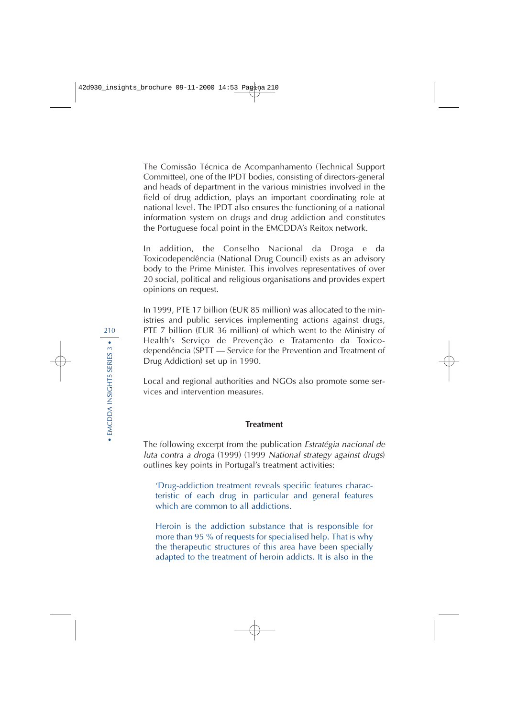The Comissão Técnica de Acompanhamento (Technical Support Committee), one of the IPDT bodies, consisting of directors-general and heads of department in the various ministries involved in the field of drug addiction, plays an important coordinating role at national level. The IPDT also ensures the functioning of a national information system on drugs and drug addiction and constitutes the Portuguese focal point in the EMCDDA's Reitox network.

In addition, the Conselho Nacional da Droga e da Toxicodependência (National Drug Council) exists as an advisory body to the Prime Minister. This involves representatives of over 20 social, political and religious organisations and provides expert opinions on request.

In 1999, PTE 17 billion (EUR 85 million) was allocated to the ministries and public services implementing actions against drugs, PTE 7 billion (EUR 36 million) of which went to the Ministry of Health's Serviço de Prevenção e Tratamento da Toxicodependência (SPTT — Service for the Prevention and Treatment of Drug Addiction) set up in 1990.

Local and regional authorities and NGOs also promote some services and intervention measures.

#### **Treatment**

The following excerpt from the publication Estratégia nacional de luta contra a droga (1999) (1999 National strategy against drugs) outlines key points in Portugal's treatment activities:

'Drug-addiction treatment reveals specific features characteristic of each drug in particular and general features which are common to all addictions.

Heroin is the addiction substance that is responsible for more than 95 % of requests for specialised help. That is why the therapeutic structures of this area have been specially adapted to the treatment of heroin addicts. It is also in the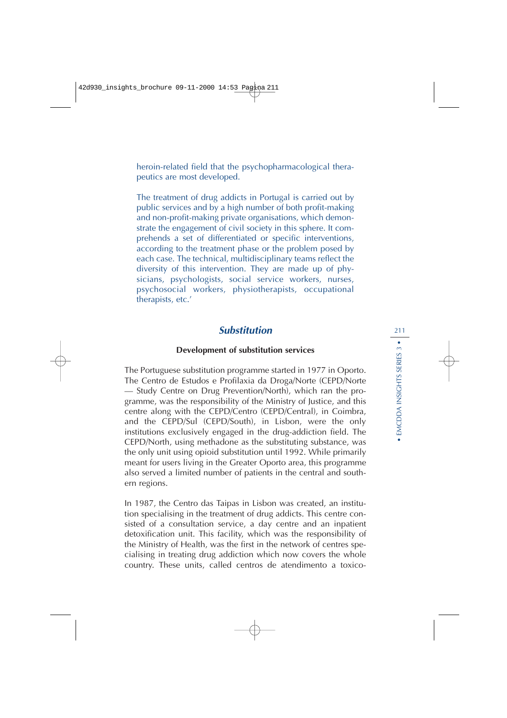heroin-related field that the psychopharmacological therapeutics are most developed.

The treatment of drug addicts in Portugal is carried out by public services and by a high number of both profit-making and non-profit-making private organisations, which demonstrate the engagement of civil society in this sphere. It comprehends a set of differentiated or specific interventions, according to the treatment phase or the problem posed by each case. The technical, multidisciplinary teams reflect the diversity of this intervention. They are made up of physicians, psychologists, social service workers, nurses, psychosocial workers, physiotherapists, occupational therapists, etc.'

# **Substitution**

### **Development of substitution services**

The Portuguese substitution programme started in 1977 in Oporto. The Centro de Estudos e Profilaxia da Droga/Norte (CEPD/Norte — Study Centre on Drug Prevention/North), which ran the programme, was the responsibility of the Ministry of Justice, and this centre along with the CEPD/Centro (CEPD/Central), in Coimbra, and the CEPD/Sul (CEPD/South), in Lisbon, were the only institutions exclusively engaged in the drug-addiction field. The CEPD/North, using methadone as the substituting substance, was the only unit using opioid substitution until 1992. While primarily meant for users living in the Greater Oporto area, this programme also served a limited number of patients in the central and southern regions.

In 1987, the Centro das Taipas in Lisbon was created, an institution specialising in the treatment of drug addicts. This centre consisted of a consultation service, a day centre and an inpatient detoxification unit. This facility, which was the responsibility of the Ministry of Health, was the first in the network of centres specialising in treating drug addiction which now covers the whole country. These units, called centros de atendimento a toxico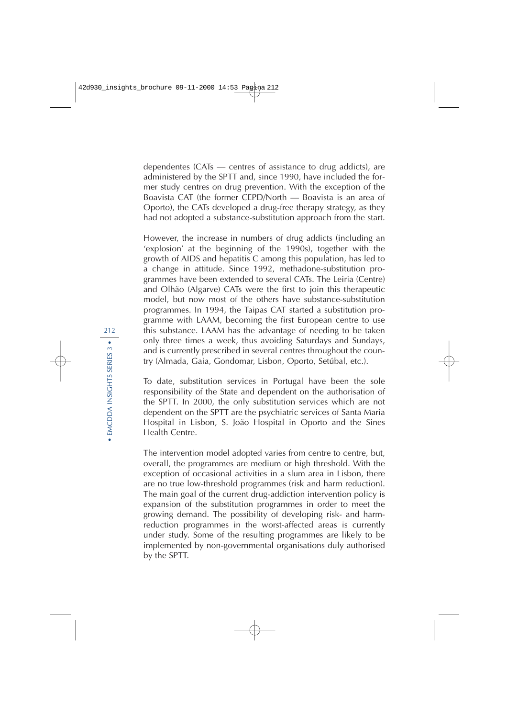dependentes (CATs — centres of assistance to drug addicts), are administered by the SPTT and, since 1990, have included the former study centres on drug prevention. With the exception of the Boavista CAT (the former CEPD/North — Boavista is an area of Oporto), the CATs developed a drug-free therapy strategy, as they had not adopted a substance-substitution approach from the start.

However, the increase in numbers of drug addicts (including an 'explosion' at the beginning of the 1990s), together with the growth of AIDS and hepatitis C among this population, has led to a change in attitude. Since 1992, methadone-substitution programmes have been extended to several CATs. The Leiria (Centre) and Olhão (Algarve) CATs were the first to join this therapeutic model, but now most of the others have substance-substitution programmes. In 1994, the Taipas CAT started a substitution programme with LAAM, becoming the first European centre to use this substance. LAAM has the advantage of needing to be taken only three times a week, thus avoiding Saturdays and Sundays, and is currently prescribed in several centres throughout the country (Almada, Gaia, Gondomar, Lisbon, Oporto, Setúbal, etc.).

To date, substitution services in Portugal have been the sole responsibility of the State and dependent on the authorisation of the SPTT. In 2000, the only substitution services which are not dependent on the SPTT are the psychiatric services of Santa Maria Hospital in Lisbon, S. João Hospital in Oporto and the Sines Health Centre.

The intervention model adopted varies from centre to centre, but, overall, the programmes are medium or high threshold. With the exception of occasional activities in a slum area in Lisbon, there are no true low-threshold programmes (risk and harm reduction). The main goal of the current drug-addiction intervention policy is expansion of the substitution programmes in order to meet the growing demand. The possibility of developing risk- and harmreduction programmes in the worst-affected areas is currently under study. Some of the resulting programmes are likely to be implemented by non-governmental organisations duly authorised by the SPTT.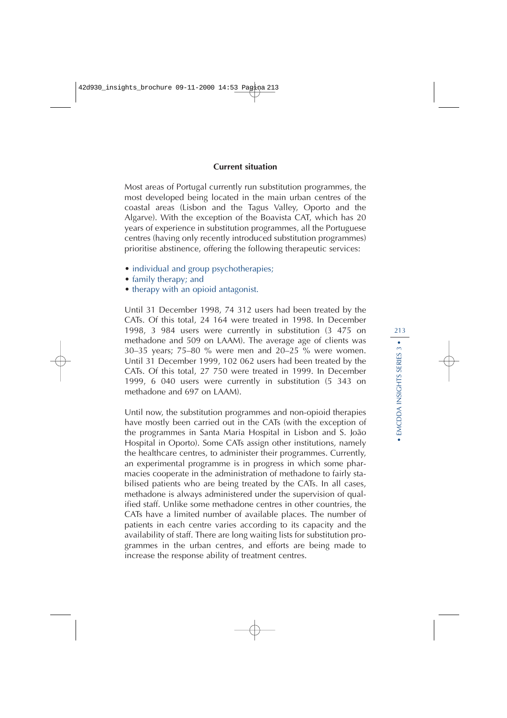#### **Current situation**

Most areas of Portugal currently run substitution programmes, the most developed being located in the main urban centres of the coastal areas (Lisbon and the Tagus Valley, Oporto and the Algarve). With the exception of the Boavista CAT, which has 20 years of experience in substitution programmes, all the Portuguese centres (having only recently introduced substitution programmes) prioritise abstinence, offering the following therapeutic services:

- individual and group psychotherapies;
- family therapy; and
- therapy with an opioid antagonist.

Until 31 December 1998, 74 312 users had been treated by the CATs. Of this total, 24 164 were treated in 1998. In December 1998, 3 984 users were currently in substitution (3 475 on methadone and 509 on LAAM). The average age of clients was 30–35 years; 75–80 % were men and 20–25 % were women. Until 31 December 1999, 102 062 users had been treated by the CATs. Of this total, 27 750 were treated in 1999. In December 1999, 6 040 users were currently in substitution (5 343 on methadone and 697 on LAAM).

Until now, the substitution programmes and non-opioid therapies have mostly been carried out in the CATs (with the exception of the programmes in Santa Maria Hospital in Lisbon and S. João Hospital in Oporto). Some CATs assign other institutions, namely the healthcare centres, to administer their programmes. Currently, an experimental programme is in progress in which some pharmacies cooperate in the administration of methadone to fairly stabilised patients who are being treated by the CATs. In all cases, methadone is always administered under the supervision of qualified staff. Unlike some methadone centres in other countries, the CATs have a limited number of available places. The number of patients in each centre varies according to its capacity and the availability of staff. There are long waiting lists for substitution programmes in the urban centres, and efforts are being made to increase the response ability of treatment centres.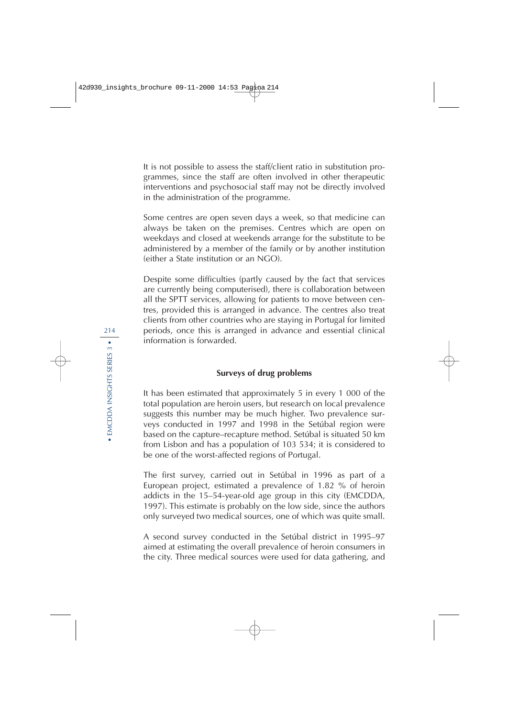It is not possible to assess the staff/client ratio in substitution programmes, since the staff are often involved in other therapeutic interventions and psychosocial staff may not be directly involved in the administration of the programme.

Some centres are open seven days a week, so that medicine can always be taken on the premises. Centres which are open on weekdays and closed at weekends arrange for the substitute to be administered by a member of the family or by another institution (either a State institution or an NGO).

Despite some difficulties (partly caused by the fact that services are currently being computerised), there is collaboration between all the SPTT services, allowing for patients to move between centres, provided this is arranged in advance. The centres also treat clients from other countries who are staying in Portugal for limited periods, once this is arranged in advance and essential clinical information is forwarded.

### **Surveys of drug problems**

It has been estimated that approximately 5 in every 1 000 of the total population are heroin users, but research on local prevalence suggests this number may be much higher. Two prevalence surveys conducted in 1997 and 1998 in the Setúbal region were based on the capture–recapture method. Setúbal is situated 50 km from Lisbon and has a population of 103 534; it is considered to be one of the worst-affected regions of Portugal.

The first survey, carried out in Setúbal in 1996 as part of a European project, estimated a prevalence of 1.82 % of heroin addicts in the 15–54-year-old age group in this city (EMCDDA, 1997). This estimate is probably on the low side, since the authors only surveyed two medical sources, one of which was quite small.

A second survey conducted in the Setúbal district in 1995–97 aimed at estimating the overall prevalence of heroin consumers in the city. Three medical sources were used for data gathering, and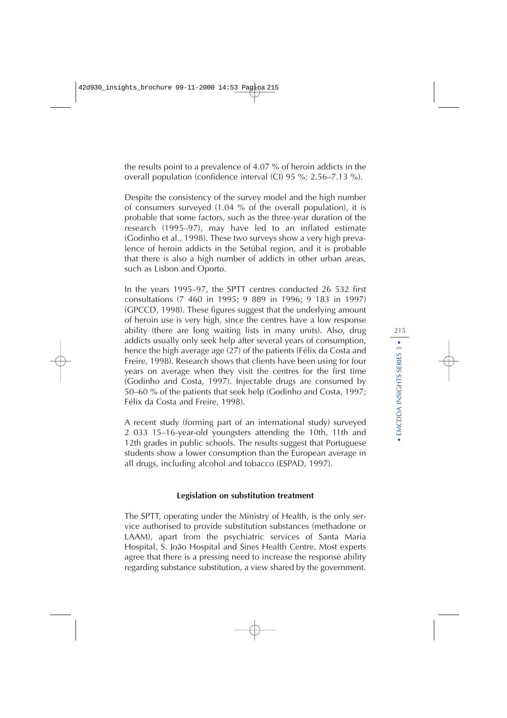the results point to a prevalence of 4.07 % of heroin addicts in the overall population (confidence interval (CI) 95 %; 2.56–7.13 %).

Despite the consistency of the survey model and the high number of consumers surveyed (1.04 % of the overall population), it is probable that some factors, such as the three-year duration of the research (1995–97), may have led to an inflated estimate (Godinho et al., 1998). These two surveys show a very high prevalence of heroin addicts in the Setúbal region, and it is probable that there is also a high number of addicts in other urban areas, such as Lisbon and Oporto.

In the years 1995–97, the SPTT centres conducted 26 532 first consultations (7 460 in 1995; 9 889 in 1996; 9 183 in 1997) (GPCCD, 1998). These figures suggest that the underlying amount of heroin use is very high, since the centres have a low response ability (there are long waiting lists in many units). Also, drug addicts usually only seek help after several years of consumption, hence the high average age (27) of the patients (Félix da Costa and Freire, 1998). Research shows that clients have been using for four years on average when they visit the centres for the first time (Godinho and Costa, 1997). Injectable drugs are consumed by 50–60 % of the patients that seek help (Godinho and Costa, 1997; Félix da Costa and Freire, 1998).

A recent study (forming part of an international study) surveyed 2 033 15–16-year-old youngsters attending the 10th, 11th and 12th grades in public schools. The results suggest that Portuguese students show a lower consumption than the European average in all drugs, including alcohol and tobacco (ESPAD, 1997).

#### **Legislation on substitution treatment**

The SPTT, operating under the Ministry of Health, is the only service authorised to provide substitution substances (methadone or LAAM), apart from the psychiatric services of Santa Maria Hospital, S. João Hospital and Sines Health Centre. Most experts agree that there is a pressing need to increase the response ability regarding substance substitution, a view shared by the government.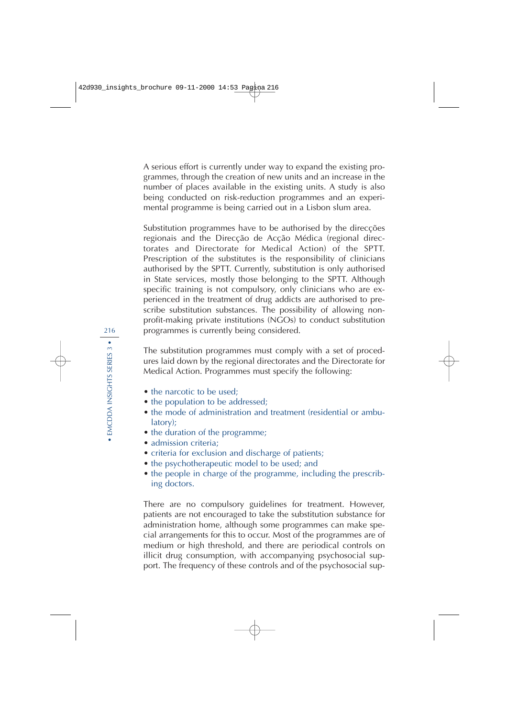A serious effort is currently under way to expand the existing programmes, through the creation of new units and an increase in the number of places available in the existing units. A study is also being conducted on risk-reduction programmes and an experimental programme is being carried out in a Lisbon slum area.

Substitution programmes have to be authorised by the direcções regionais and the Direcção de Acção Médica (regional directorates and Directorate for Medical Action) of the SPTT. Prescription of the substitutes is the responsibility of clinicians authorised by the SPTT. Currently, substitution is only authorised in State services, mostly those belonging to the SPTT. Although specific training is not compulsory, only clinicians who are experienced in the treatment of drug addicts are authorised to prescribe substitution substances. The possibility of allowing nonprofit-making private institutions (NGOs) to conduct substitution programmes is currently being considered.

The substitution programmes must comply with a set of procedures laid down by the regional directorates and the Directorate for Medical Action. Programmes must specify the following:

- the narcotic to be used:
- the population to be addressed;
- the mode of administration and treatment (residential or ambulatory);
- the duration of the programme;
- admission criteria:
- criteria for exclusion and discharge of patients;
- the psychotherapeutic model to be used; and
- the people in charge of the programme, including the prescribing doctors.

There are no compulsory guidelines for treatment. However, patients are not encouraged to take the substitution substance for administration home, although some programmes can make special arrangements for this to occur. Most of the programmes are of medium or high threshold, and there are periodical controls on illicit drug consumption, with accompanying psychosocial support. The frequency of these controls and of the psychosocial sup-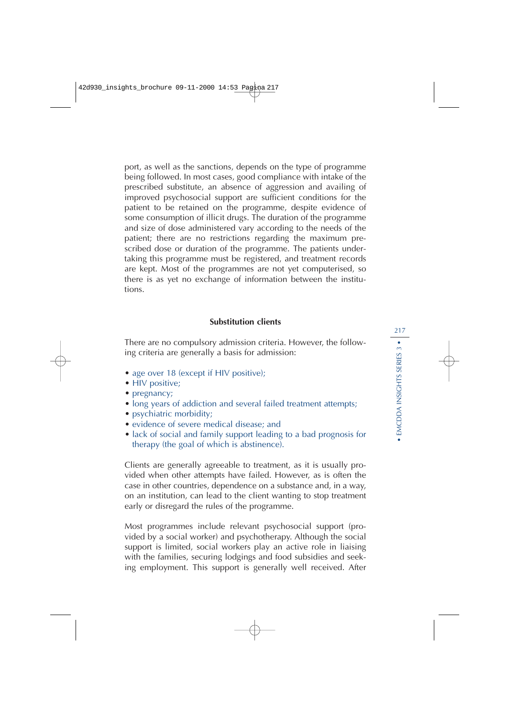port, as well as the sanctions, depends on the type of programme being followed. In most cases, good compliance with intake of the prescribed substitute, an absence of aggression and availing of improved psychosocial support are sufficient conditions for the patient to be retained on the programme, despite evidence of some consumption of illicit drugs. The duration of the programme and size of dose administered vary according to the needs of the patient; there are no restrictions regarding the maximum prescribed dose or duration of the programme. The patients undertaking this programme must be registered, and treatment records are kept. Most of the programmes are not yet computerised, so there is as yet no exchange of information between the institutions.

#### **Substitution clients**

There are no compulsory admission criteria. However, the following criteria are generally a basis for admission:

- age over 18 (except if HIV positive);
- HIV positive;
- pregnancy;
- long years of addiction and several failed treatment attempts;
- psychiatric morbidity;
- evidence of severe medical disease; and
- lack of social and family support leading to a bad prognosis for therapy (the goal of which is abstinence).

Clients are generally agreeable to treatment, as it is usually provided when other attempts have failed. However, as is often the case in other countries, dependence on a substance and, in a way, on an institution, can lead to the client wanting to stop treatment early or disregard the rules of the programme.

Most programmes include relevant psychosocial support (provided by a social worker) and psychotherapy. Although the social support is limited, social workers play an active role in liaising with the families, securing lodgings and food subsidies and seeking employment. This support is generally well received. After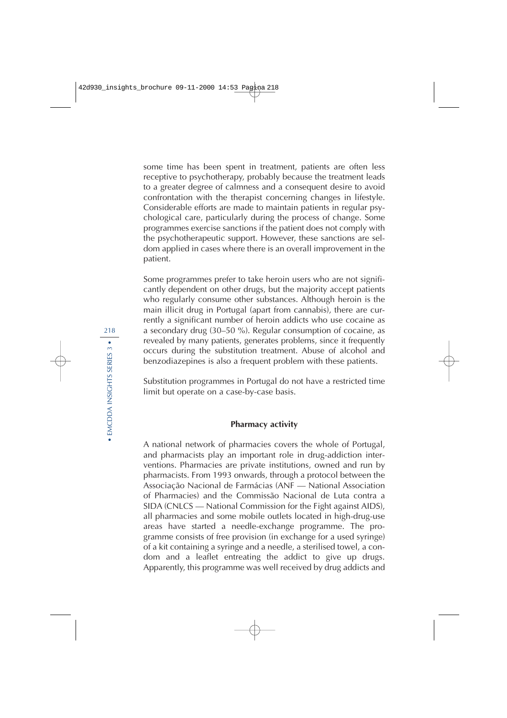some time has been spent in treatment, patients are often less receptive to psychotherapy, probably because the treatment leads to a greater degree of calmness and a consequent desire to avoid confrontation with the therapist concerning changes in lifestyle. Considerable efforts are made to maintain patients in regular psychological care, particularly during the process of change. Some programmes exercise sanctions if the patient does not comply with the psychotherapeutic support. However, these sanctions are seldom applied in cases where there is an overall improvement in the patient.

Some programmes prefer to take heroin users who are not significantly dependent on other drugs, but the majority accept patients who regularly consume other substances. Although heroin is the main illicit drug in Portugal (apart from cannabis), there are currently a significant number of heroin addicts who use cocaine as a secondary drug (30–50 %). Regular consumption of cocaine, as revealed by many patients, generates problems, since it frequently occurs during the substitution treatment. Abuse of alcohol and benzodiazepines is also a frequent problem with these patients.

Substitution programmes in Portugal do not have a restricted time limit but operate on a case-by-case basis.

#### **Pharmacy activity**

A national network of pharmacies covers the whole of Portugal, and pharmacists play an important role in drug-addiction interventions. Pharmacies are private institutions, owned and run by pharmacists. From 1993 onwards, through a protocol between the Associação Nacional de Farmácias (ANF — National Association of Pharmacies) and the Commissão Nacional de Luta contra a SIDA (CNLCS — National Commission for the Fight against AIDS), all pharmacies and some mobile outlets located in high-drug-use areas have started a needle-exchange programme. The programme consists of free provision (in exchange for a used syringe) of a kit containing a syringe and a needle, a sterilised towel, a condom and a leaflet entreating the addict to give up drugs. Apparently, this programme was well received by drug addicts and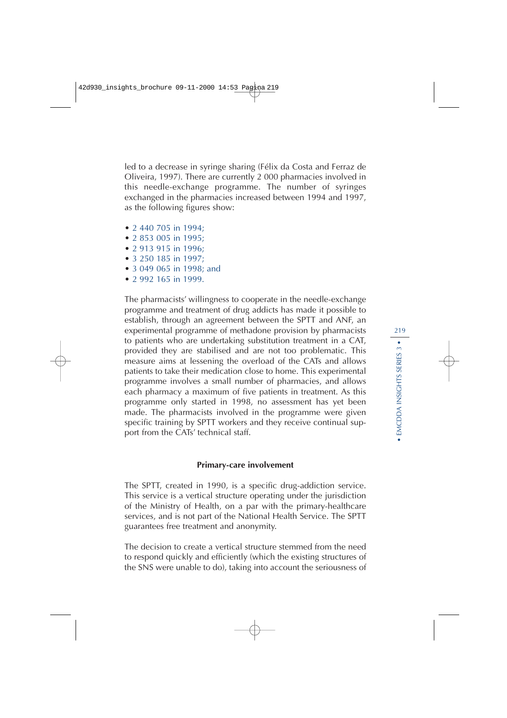led to a decrease in syringe sharing (Félix da Costa and Ferraz de Oliveira, 1997). There are currently 2 000 pharmacies involved in this needle-exchange programme. The number of syringes exchanged in the pharmacies increased between 1994 and 1997, as the following figures show:

- 2 440 705 in 1994;
- 2 853 005 in 1995;
- 2 913 915 in 1996;
- 3 250 185 in 1997;
- 3 049 065 in 1998; and
- 2 992 165 in 1999.

The pharmacists' willingness to cooperate in the needle-exchange programme and treatment of drug addicts has made it possible to establish, through an agreement between the SPTT and ANF, an experimental programme of methadone provision by pharmacists to patients who are undertaking substitution treatment in a CAT, provided they are stabilised and are not too problematic. This measure aims at lessening the overload of the CATs and allows patients to take their medication close to home. This experimental programme involves a small number of pharmacies, and allows each pharmacy a maximum of five patients in treatment. As this programme only started in 1998, no assessment has yet been made. The pharmacists involved in the programme were given specific training by SPTT workers and they receive continual support from the CATs' technical staff.

#### **Primary-care involvement**

The SPTT, created in 1990, is a specific drug-addiction service. This service is a vertical structure operating under the jurisdiction of the Ministry of Health, on a par with the primary-healthcare services, and is not part of the National Health Service. The SPTT guarantees free treatment and anonymity.

The decision to create a vertical structure stemmed from the need to respond quickly and efficiently (which the existing structures of the SNS were unable to do), taking into account the seriousness of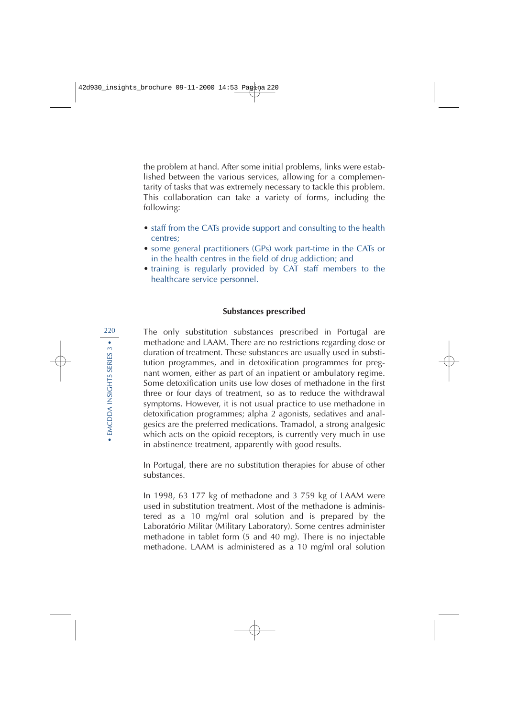the problem at hand. After some initial problems, links were established between the various services, allowing for a complementarity of tasks that was extremely necessary to tackle this problem. This collaboration can take a variety of forms, including the following:

- staff from the CATs provide support and consulting to the health centres;
- some general practitioners (GPs) work part-time in the CATs or in the health centres in the field of drug addiction; and
- training is regularly provided by CAT staff members to the healthcare service personnel.

#### **Substances prescribed**

The only substitution substances prescribed in Portugal are methadone and LAAM. There are no restrictions regarding dose or duration of treatment. These substances are usually used in substitution programmes, and in detoxification programmes for pregnant women, either as part of an inpatient or ambulatory regime. Some detoxification units use low doses of methadone in the first three or four days of treatment, so as to reduce the withdrawal symptoms. However, it is not usual practice to use methadone in detoxification programmes; alpha 2 agonists, sedatives and analgesics are the preferred medications. Tramadol, a strong analgesic which acts on the opioid receptors, is currently very much in use in abstinence treatment, apparently with good results.

In Portugal, there are no substitution therapies for abuse of other substances.

In 1998, 63 177 kg of methadone and 3 759 kg of LAAM were used in substitution treatment. Most of the methadone is administered as a 10 mg/ml oral solution and is prepared by the Laboratório Militar (Military Laboratory). Some centres administer methadone in tablet form (5 and 40 mg). There is no injectable methadone. LAAM is administered as a 10 mg/ml oral solution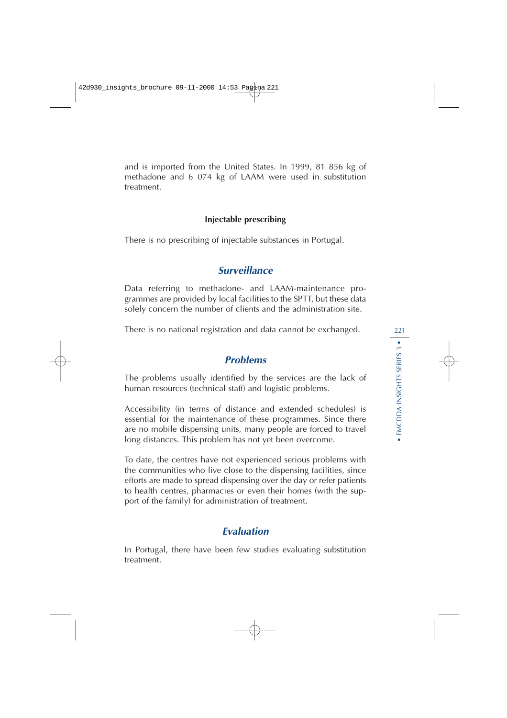and is imported from the United States. In 1999, 81 856 kg of methadone and 6 074 kg of LAAM were used in substitution treatment.

#### **Injectable prescribing**

There is no prescribing of injectable substances in Portugal.

## **Surveillance**

Data referring to methadone- and LAAM-maintenance programmes are provided by local facilities to the SPTT, but these data solely concern the number of clients and the administration site.

There is no national registration and data cannot be exchanged.

## **Problems**

The problems usually identified by the services are the lack of human resources (technical staff) and logistic problems.

Accessibility (in terms of distance and extended schedules) is essential for the maintenance of these programmes. Since there are no mobile dispensing units, many people are forced to travel long distances. This problem has not yet been overcome.

To date, the centres have not experienced serious problems with the communities who live close to the dispensing facilities, since efforts are made to spread dispensing over the day or refer patients to health centres, pharmacies or even their homes (with the support of the family) for administration of treatment.

## **Evaluation**

In Portugal, there have been few studies evaluating substitution treatment.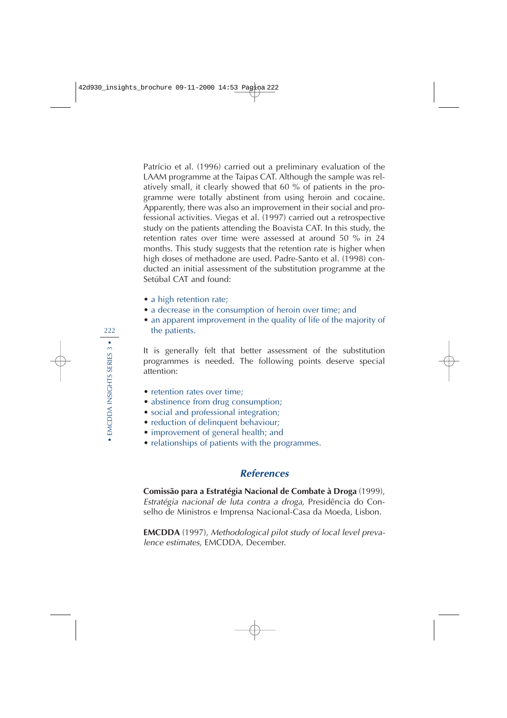Patrício et al. (1996) carried out a preliminary evaluation of the LAAM programme at the Taipas CAT. Although the sample was relatively small, it clearly showed that 60 % of patients in the programme were totally abstinent from using heroin and cocaine. Apparently, there was also an improvement in their social and professional activities. Viegas et al. (1997) carried out a retrospective study on the patients attending the Boavista CAT. In this study, the retention rates over time were assessed at around 50 % in 24 months. This study suggests that the retention rate is higher when high doses of methadone are used. Padre-Santo et al. (1998) conducted an initial assessment of the substitution programme at the Setúbal CAT and found:

- a high retention rate;
- a decrease in the consumption of heroin over time; and
- an apparent improvement in the quality of life of the majority of the patients.

It is generally felt that better assessment of the substitution programmes is needed. The following points deserve special attention:

- retention rates over time;
- abstinence from drug consumption;
- social and professional integration;
- reduction of delinquent behaviour;
- improvement of general health; and
- relationships of patients with the programmes.

## **References**

**Comissão para a Estratégia Nacional de Combate à Droga** (1999), Estratégia nacional de luta contra a droga, Presidência do Conselho de Ministros e Imprensa Nacional-Casa da Moeda, Lisbon.

**EMCDDA** (1997), Methodological pilot study of local level prevalence estimates, EMCDDA, December.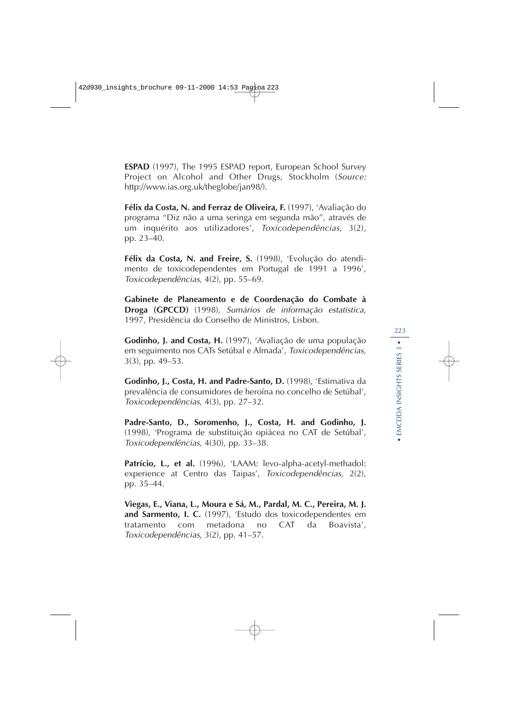**ESPAD** (1997), The 1995 ESPAD report, European School Survey Project on Alcohol and Other Drugs, Stockholm (Source: http://www.ias.org.uk/theglobe/jan98/).

**Félix da Costa, N. and Ferraz de Oliveira, F.** (1997), 'Avaliação do programa ''Diz não a uma seringa em segunda mão'', através de um inquérito aos utilizadores', Toxicodependências, 3(2), pp. 23–40.

**Félix da Costa, N. and Freire, S.** (1998), 'Evolução do atendimento de toxicodependentes em Portugal de 1991 a 1996', Toxicodependências, 4(2), pp. 55–69.

**Gabinete de Planeamento e de Coordenação do Combate à Droga (GPCCD)** (1998), Sumários de informação estatística, 1997, Presidência do Conselho de Ministros, Lisbon.

**Godinho, J. and Costa, H.** (1997), 'Avaliação de uma população em seguimento nos CATs Setúbal e Almada', Toxicodependências, 3(3), pp. 49–53.

**Godinho, J., Costa, H. and Padre-Santo, D.** (1998), 'Estimativa da prevalência de consumidores de heroína no concelho de Setúbal', Toxicodependências, 4(3), pp. 27–32.

**Padre-Santo, D., Soromenho, J., Costa, H. and Godinho, J.** (1998), 'Programa de substituição opiácea no CAT de Setúbal', Toxicodependências, 4(30), pp. 33–38.

Patrício, L., et al. (1996), 'LAAM: levo-alpha-acetyl-methadol: experience at Centro das Taipas', Toxicodependências, 2(2), pp. 35–44.

**Viegas, E., Viana, L., Moura e Sá, M., Pardal, M. C., Pereira, M. J. and Sarmento, I. C.** (1997), 'Estudo dos toxicodependentes em tratamento com metadona no CAT da Boavista', Toxicodependências, 3(2), pp. 41–57.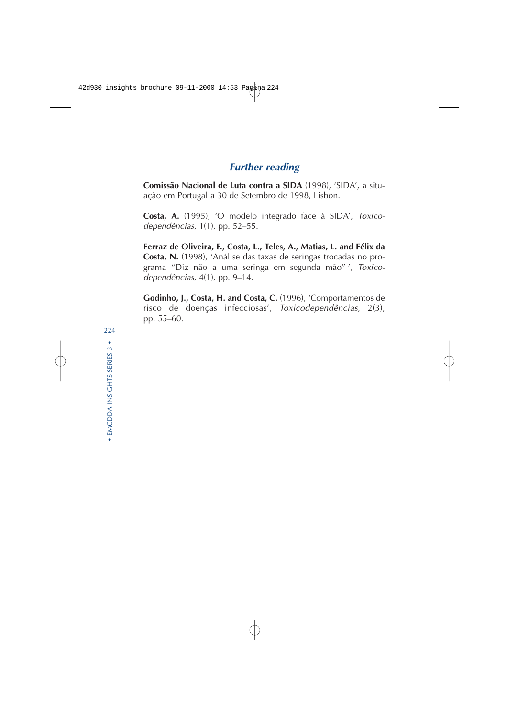## **Further reading**

**Comissão Nacional de Luta contra a SIDA** (1998), 'SIDA', a situação em Portugal a 30 de Setembro de 1998, Lisbon.

**Costa, A.** (1995), 'O modelo integrado face à SIDA', Toxicodependências, 1(1), pp. 52–55.

**Ferraz de Oliveira, F., Costa, L., Teles, A., Matias, L. and Félix da Costa, N.** (1998), 'Análise das taxas de seringas trocadas no programa ''Diz não a uma seringa em segunda mão'' ', Toxicodependências, 4(1), pp. 9–14.

**Godinho, J., Costa, H. and Costa, C.** (1996), 'Comportamentos de risco de doenças infecciosas', Toxicodependências, 2(3), pp. 55–60.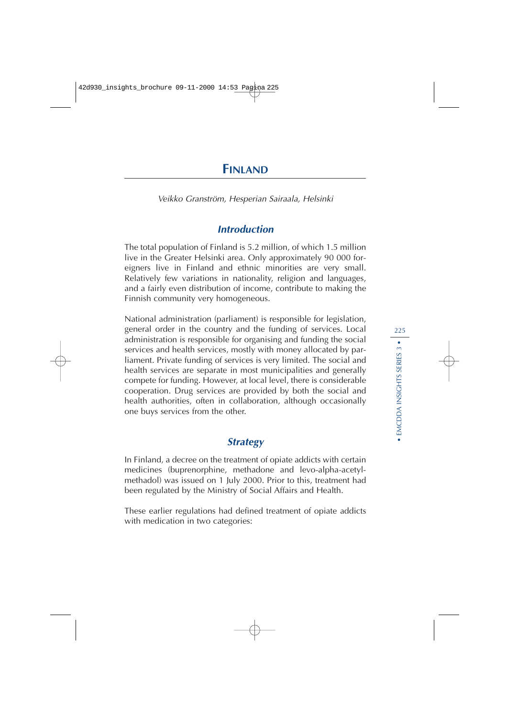## **FINLAND**

Veikko Granström, Hesperian Sairaala, Helsinki

## **Introduction**

The total population of Finland is 5.2 million, of which 1.5 million live in the Greater Helsinki area. Only approximately 90 000 foreigners live in Finland and ethnic minorities are very small. Relatively few variations in nationality, religion and languages, and a fairly even distribution of income, contribute to making the Finnish community very homogeneous.

National administration (parliament) is responsible for legislation, general order in the country and the funding of services. Local administration is responsible for organising and funding the social services and health services, mostly with money allocated by parliament. Private funding of services is very limited. The social and health services are separate in most municipalities and generally compete for funding. However, at local level, there is considerable cooperation. Drug services are provided by both the social and health authorities, often in collaboration, although occasionally one buys services from the other.

## **Strategy**

In Finland, a decree on the treatment of opiate addicts with certain medicines (buprenorphine, methadone and levo-alpha-acetylmethadol) was issued on 1 July 2000. Prior to this, treatment had been regulated by the Ministry of Social Affairs and Health.

These earlier regulations had defined treatment of opiate addicts with medication in two categories: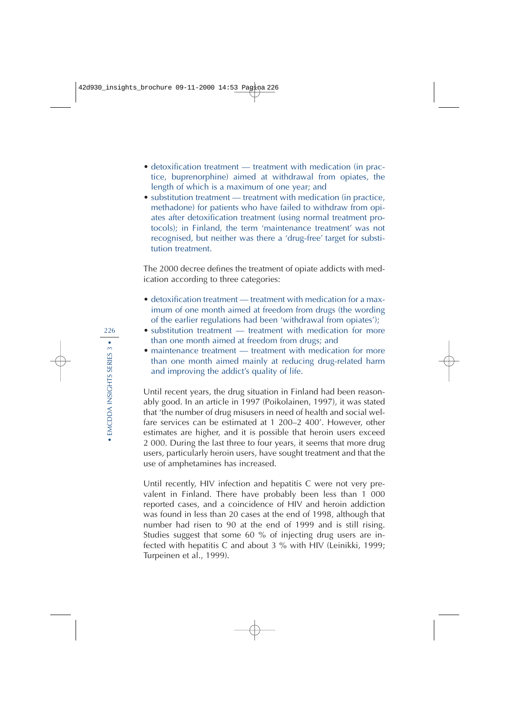- detoxification treatment treatment with medication (in practice, buprenorphine) aimed at withdrawal from opiates, the length of which is a maximum of one year; and
- substitution treatment treatment with medication (in practice, methadone) for patients who have failed to withdraw from opiates after detoxification treatment (using normal treatment protocols); in Finland, the term 'maintenance treatment' was not recognised, but neither was there a 'drug-free' target for substitution treatment.

The 2000 decree defines the treatment of opiate addicts with medication according to three categories:

- detoxification treatment treatment with medication for a maximum of one month aimed at freedom from drugs (the wording of the earlier regulations had been 'withdrawal from opiates');
- substitution treatment treatment with medication for more than one month aimed at freedom from drugs; and
- maintenance treatment treatment with medication for more than one month aimed mainly at reducing drug-related harm and improving the addict's quality of life.

Until recent years, the drug situation in Finland had been reasonably good. In an article in 1997 (Poikolainen, 1997), it was stated that 'the number of drug misusers in need of health and social welfare services can be estimated at 1 200–2 400'. However, other estimates are higher, and it is possible that heroin users exceed 2 000. During the last three to four years, it seems that more drug users, particularly heroin users, have sought treatment and that the use of amphetamines has increased.

Until recently, HIV infection and hepatitis C were not very prevalent in Finland. There have probably been less than 1 000 reported cases, and a coincidence of HIV and heroin addiction was found in less than 20 cases at the end of 1998, although that number had risen to 90 at the end of 1999 and is still rising. Studies suggest that some 60 % of injecting drug users are infected with hepatitis C and about 3 % with HIV (Leinikki, 1999; Turpeinen et al., 1999).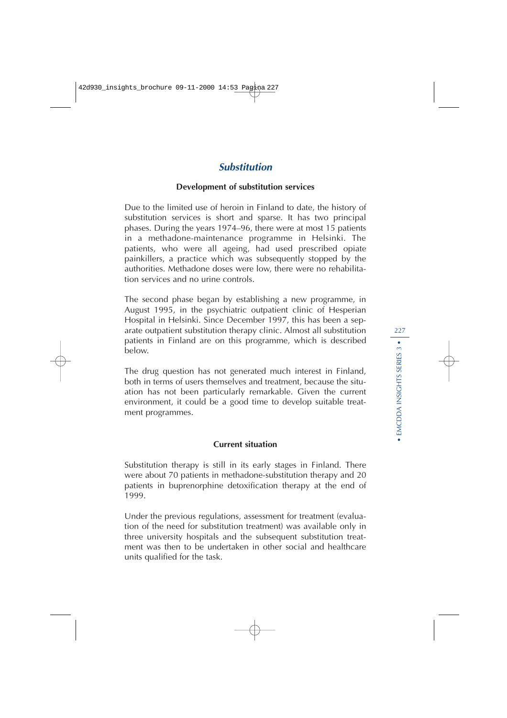## **Substitution**

#### **Development of substitution services**

Due to the limited use of heroin in Finland to date, the history of substitution services is short and sparse. It has two principal phases. During the years 1974–96, there were at most 15 patients in a methadone-maintenance programme in Helsinki. The patients, who were all ageing, had used prescribed opiate painkillers, a practice which was subsequently stopped by the authorities. Methadone doses were low, there were no rehabilitation services and no urine controls.

The second phase began by establishing a new programme, in August 1995, in the psychiatric outpatient clinic of Hesperian Hospital in Helsinki. Since December 1997, this has been a separate outpatient substitution therapy clinic. Almost all substitution patients in Finland are on this programme, which is described below.

The drug question has not generated much interest in Finland, both in terms of users themselves and treatment, because the situation has not been particularly remarkable. Given the current environment, it could be a good time to develop suitable treatment programmes.

#### **Current situation**

Substitution therapy is still in its early stages in Finland. There were about 70 patients in methadone-substitution therapy and 20 patients in buprenorphine detoxification therapy at the end of 1999.

Under the previous regulations, assessment for treatment (evaluation of the need for substitution treatment) was available only in three university hospitals and the subsequent substitution treatment was then to be undertaken in other social and healthcare units qualified for the task.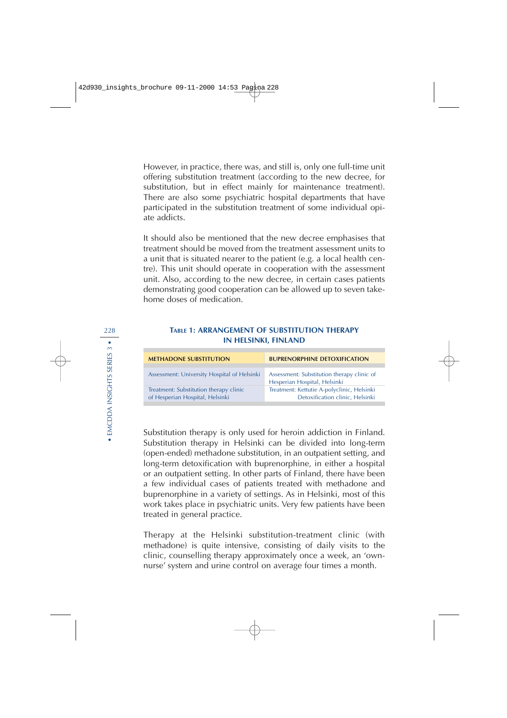However, in practice, there was, and still is, only one full-time unit offering substitution treatment (according to the new decree, for substitution, but in effect mainly for maintenance treatment). There are also some psychiatric hospital departments that have participated in the substitution treatment of some individual opiate addicts.

It should also be mentioned that the new decree emphasises that treatment should be moved from the treatment assessment units to a unit that is situated nearer to the patient (e.g. a local health centre). This unit should operate in cooperation with the assessment unit. Also, according to the new decree, in certain cases patients demonstrating good cooperation can be allowed up to seven takehome doses of medication.

#### 228 **TABLE 1: ARRANGEMENT OF SUBSTITUTION THERAPY IN HELSINKI, FINLAND**

| <b>METHADONE SUBSTITUTION</b>                                             | <b>BUPRENORPHINE DETOXIFICATION</b>                                           |
|---------------------------------------------------------------------------|-------------------------------------------------------------------------------|
|                                                                           |                                                                               |
| Assessment: University Hospital of Helsinki                               | Assessment: Substitution therapy clinic of<br>Hesperian Hospital, Helsinki    |
| Treatment: Substitution therapy clinic<br>of Hesperian Hospital, Helsinki | Treatment: Kettutie A-polyclinic, Helsinki<br>Detoxification clinic, Helsinki |

Substitution therapy is only used for heroin addiction in Finland. Substitution therapy in Helsinki can be divided into long-term (open-ended) methadone substitution, in an outpatient setting, and long-term detoxification with buprenorphine, in either a hospital or an outpatient setting. In other parts of Finland, there have been a few individual cases of patients treated with methadone and buprenorphine in a variety of settings. As in Helsinki, most of this work takes place in psychiatric units. Very few patients have been treated in general practice.

Therapy at the Helsinki substitution-treatment clinic (with methadone) is quite intensive, consisting of daily visits to the clinic, counselling therapy approximately once a week, an 'ownnurse' system and urine control on average four times a month.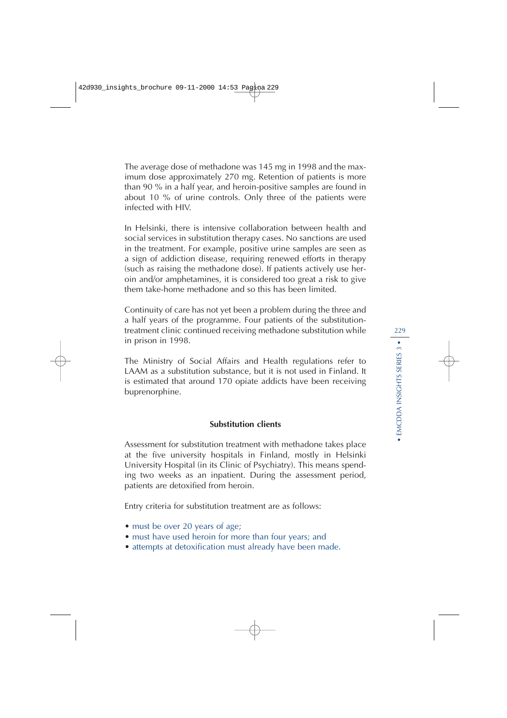The average dose of methadone was 145 mg in 1998 and the maximum dose approximately 270 mg. Retention of patients is more than 90 % in a half year, and heroin-positive samples are found in about 10 % of urine controls. Only three of the patients were infected with HIV.

In Helsinki, there is intensive collaboration between health and social services in substitution therapy cases. No sanctions are used in the treatment. For example, positive urine samples are seen as a sign of addiction disease, requiring renewed efforts in therapy (such as raising the methadone dose). If patients actively use heroin and/or amphetamines, it is considered too great a risk to give them take-home methadone and so this has been limited.

Continuity of care has not yet been a problem during the three and a half years of the programme. Four patients of the substitutiontreatment clinic continued receiving methadone substitution while in prison in 1998.

The Ministry of Social Affairs and Health regulations refer to LAAM as a substitution substance, but it is not used in Finland. It is estimated that around 170 opiate addicts have been receiving buprenorphine.

#### **Substitution clients**

Assessment for substitution treatment with methadone takes place at the five university hospitals in Finland, mostly in Helsinki University Hospital (in its Clinic of Psychiatry). This means spending two weeks as an inpatient. During the assessment period, patients are detoxified from heroin.

Entry criteria for substitution treatment are as follows:

- must be over 20 years of age;
- must have used heroin for more than four years; and
- attempts at detoxification must already have been made.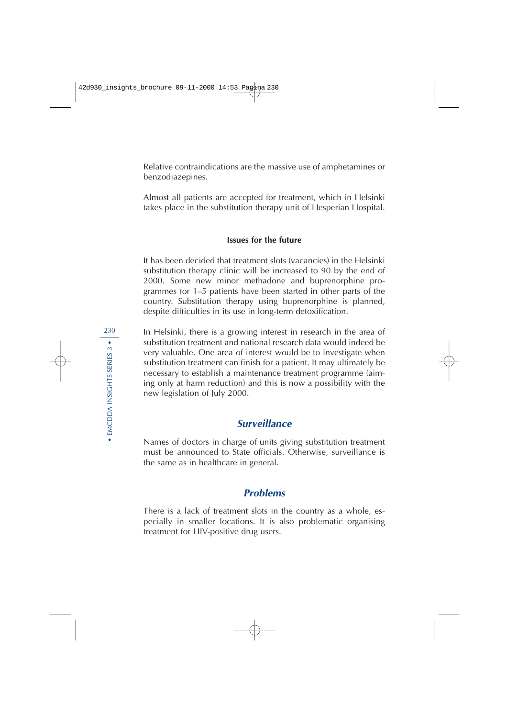Relative contraindications are the massive use of amphetamines or benzodiazepines.

Almost all patients are accepted for treatment, which in Helsinki takes place in the substitution therapy unit of Hesperian Hospital.

#### **Issues for the future**

It has been decided that treatment slots (vacancies) in the Helsinki substitution therapy clinic will be increased to 90 by the end of 2000. Some new minor methadone and buprenorphine programmes for 1–5 patients have been started in other parts of the country. Substitution therapy using buprenorphine is planned, despite difficulties in its use in long-term detoxification.

In Helsinki, there is a growing interest in research in the area of substitution treatment and national research data would indeed be very valuable. One area of interest would be to investigate when substitution treatment can finish for a patient. It may ultimately be necessary to establish a maintenance treatment programme (aiming only at harm reduction) and this is now a possibility with the new legislation of July 2000.

## **Surveillance**

Names of doctors in charge of units giving substitution treatment must be announced to State officials. Otherwise, surveillance is the same as in healthcare in general.

## **Problems**

There is a lack of treatment slots in the country as a whole, especially in smaller locations. It is also problematic organising treatment for HIV-positive drug users.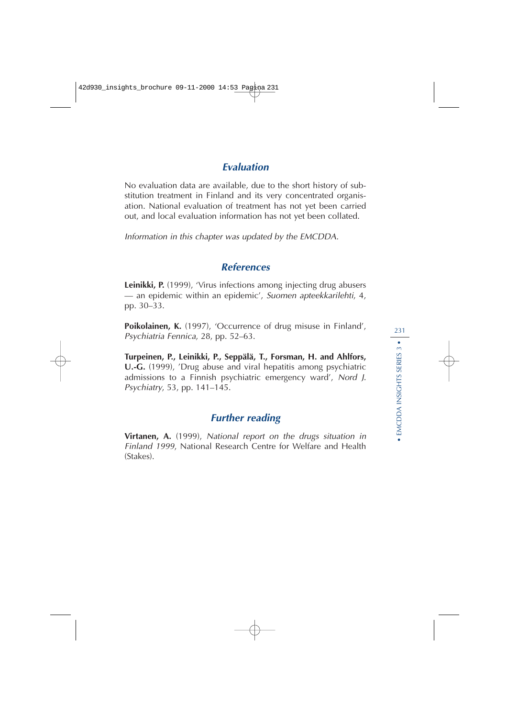## **Evaluation**

No evaluation data are available, due to the short history of substitution treatment in Finland and its very concentrated organisation. National evaluation of treatment has not yet been carried out, and local evaluation information has not yet been collated.

Information in this chapter was updated by the EMCDDA.

## **References**

**Leinikki, P.** (1999), 'Virus infections among injecting drug abusers — an epidemic within an epidemic', Suomen apteekkarilehti, 4, pp. 30–33.

**Poikolainen, K.** (1997), 'Occurrence of drug misuse in Finland', Psychiatria Fennica, 28, pp. 52–63.

**Turpeinen, P., Leinikki, P., Seppälä, T., Forsman, H. and Ahlfors, U.-G.** (1999), 'Drug abuse and viral hepatitis among psychiatric admissions to a Finnish psychiatric emergency ward', Nord J. Psychiatry, 53, pp. 141–145.

## **Further reading**

**Virtanen, A.** (1999), National report on the drugs situation in Finland 1999, National Research Centre for Welfare and Health (Stakes).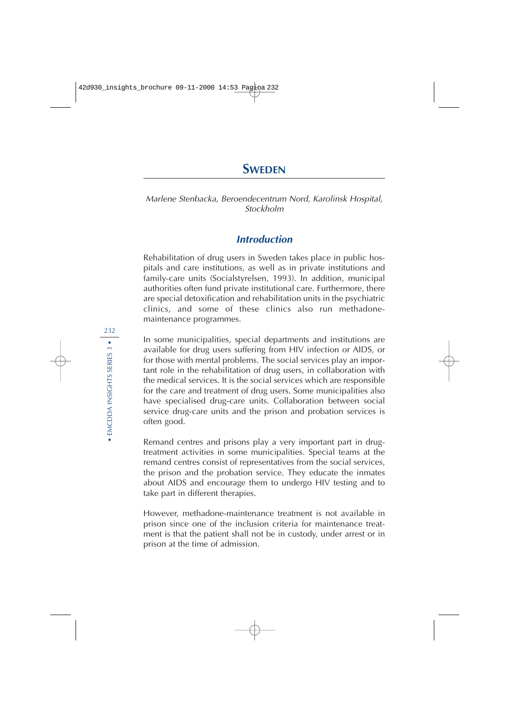Marlene Stenbacka, Beroendecentrum Nord, Karolinsk Hospital, Stockholm

## **Introduction**

Rehabilitation of drug users in Sweden takes place in public hospitals and care institutions, as well as in private institutions and family-care units (Socialstyrelsen, 1993). In addition, municipal authorities often fund private institutional care. Furthermore, there are special detoxification and rehabilitation units in the psychiatric clinics, and some of these clinics also run methadonemaintenance programmes.

In some municipalities, special departments and institutions are available for drug users suffering from HIV infection or AIDS, or for those with mental problems. The social services play an important role in the rehabilitation of drug users, in collaboration with the medical services. It is the social services which are responsible for the care and treatment of drug users. Some municipalities also have specialised drug-care units. Collaboration between social service drug-care units and the prison and probation services is often good.

Remand centres and prisons play a very important part in drugtreatment activities in some municipalities. Special teams at the remand centres consist of representatives from the social services, the prison and the probation service. They educate the inmates about AIDS and encourage them to undergo HIV testing and to take part in different therapies.

However, methadone-maintenance treatment is not available in prison since one of the inclusion criteria for maintenance treatment is that the patient shall not be in custody, under arrest or in prison at the time of admission.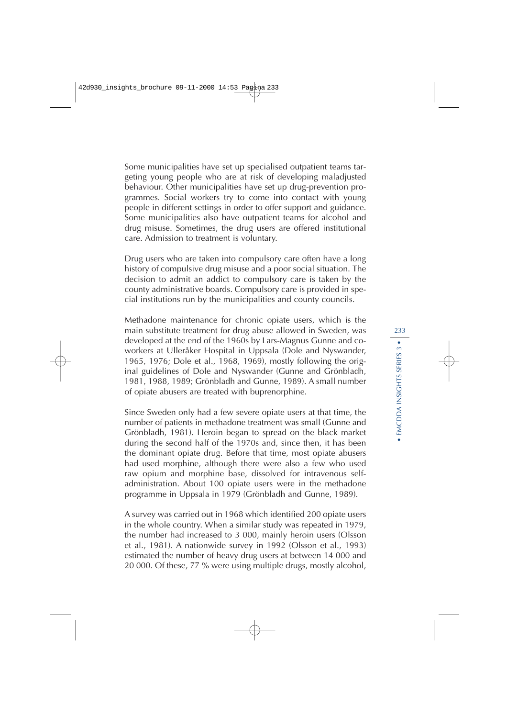Some municipalities have set up specialised outpatient teams targeting young people who are at risk of developing maladjusted behaviour. Other municipalities have set up drug-prevention programmes. Social workers try to come into contact with young people in different settings in order to offer support and guidance. Some municipalities also have outpatient teams for alcohol and drug misuse. Sometimes, the drug users are offered institutional care. Admission to treatment is voluntary.

Drug users who are taken into compulsory care often have a long history of compulsive drug misuse and a poor social situation. The decision to admit an addict to compulsory care is taken by the county administrative boards. Compulsory care is provided in special institutions run by the municipalities and county councils.

Methadone maintenance for chronic opiate users, which is the main substitute treatment for drug abuse allowed in Sweden, was developed at the end of the 1960s by Lars-Magnus Gunne and coworkers at Ulleråker Hospital in Uppsala (Dole and Nyswander, 1965, 1976; Dole et al., 1968, 1969), mostly following the original guidelines of Dole and Nyswander (Gunne and Grönbladh, 1981, 1988, 1989; Grönbladh and Gunne, 1989). A small number of opiate abusers are treated with buprenorphine.

Since Sweden only had a few severe opiate users at that time, the number of patients in methadone treatment was small (Gunne and Grönbladh, 1981). Heroin began to spread on the black market during the second half of the 1970s and, since then, it has been the dominant opiate drug. Before that time, most opiate abusers had used morphine, although there were also a few who used raw opium and morphine base, dissolved for intravenous selfadministration. About 100 opiate users were in the methadone programme in Uppsala in 1979 (Grönbladh and Gunne, 1989).

A survey was carried out in 1968 which identified 200 opiate users in the whole country. When a similar study was repeated in 1979, the number had increased to 3 000, mainly heroin users (Olsson et al., 1981). A nationwide survey in 1992 (Olsson et al., 1993) estimated the number of heavy drug users at between 14 000 and 20 000. Of these, 77 % were using multiple drugs, mostly alcohol,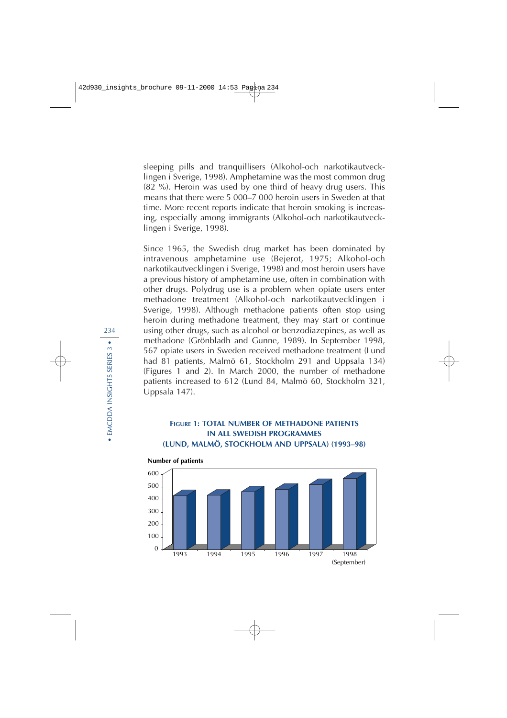sleeping pills and tranquillisers (Alkohol-och narkotikautvecklingen i Sverige, 1998). Amphetamine was the most common drug (82 %). Heroin was used by one third of heavy drug users. This means that there were 5 000–7 000 heroin users in Sweden at that time. More recent reports indicate that heroin smoking is increasing, especially among immigrants (Alkohol-och narkotikautvecklingen i Sverige, 1998).

Since 1965, the Swedish drug market has been dominated by intravenous amphetamine use (Bejerot, 1975; Alkohol-och narkotikautvecklingen i Sverige, 1998) and most heroin users have a previous history of amphetamine use, often in combination with other drugs. Polydrug use is a problem when opiate users enter methadone treatment (Alkohol-och narkotikautvecklingen i Sverige, 1998). Although methadone patients often stop using heroin during methadone treatment, they may start or continue using other drugs, such as alcohol or benzodiazepines, as well as methadone (Grönbladh and Gunne, 1989). In September 1998, 567 opiate users in Sweden received methadone treatment (Lund had 81 patients, Malmö 61, Stockholm 291 and Uppsala 134) (Figures 1 and 2). In March 2000, the number of methadone patients increased to 612 (Lund 84, Malmö 60, Stockholm 321, Uppsala 147).

#### **FIGURE 1: TOTAL NUMBER OF METHADONE PATIENTS IN ALL SWEDISH PROGRAMMES (LUND, MALMÖ, STOCKHOLM AND UPPSALA) (1993–98)**



**Number of patients**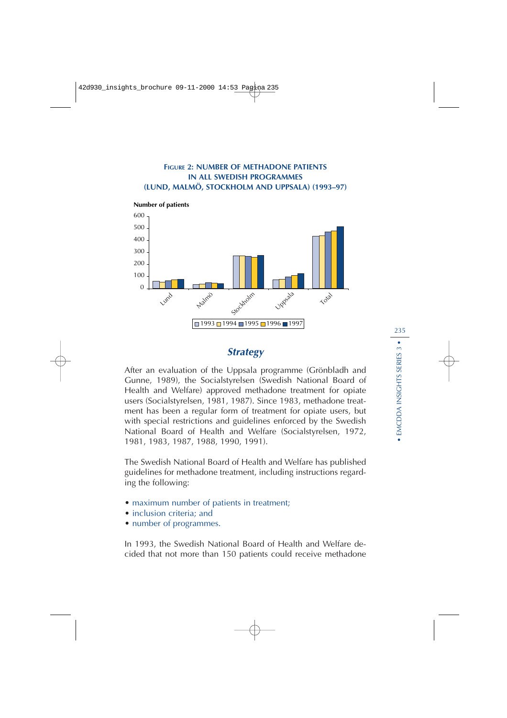



## **Strategy**

After an evaluation of the Uppsala programme (Grönbladh and Gunne, 1989), the Socialstyrelsen (Swedish National Board of Health and Welfare) approved methadone treatment for opiate users (Socialstyrelsen, 1981, 1987). Since 1983, methadone treatment has been a regular form of treatment for opiate users, but with special restrictions and guidelines enforced by the Swedish National Board of Health and Welfare (Socialstyrelsen, 1972, 1981, 1983, 1987, 1988, 1990, 1991).

The Swedish National Board of Health and Welfare has published guidelines for methadone treatment, including instructions regarding the following:

- maximum number of patients in treatment;
- inclusion criteria: and
- number of programmes.

In 1993, the Swedish National Board of Health and Welfare decided that not more than 150 patients could receive methadone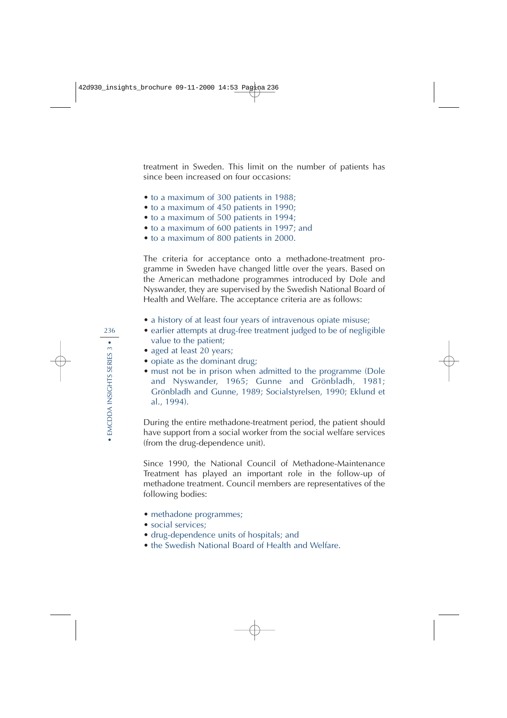treatment in Sweden. This limit on the number of patients has since been increased on four occasions:

- to a maximum of 300 patients in 1988;
- to a maximum of 450 patients in 1990;
- to a maximum of 500 patients in 1994;
- to a maximum of 600 patients in 1997; and
- to a maximum of 800 patients in 2000.

The criteria for acceptance onto a methadone-treatment programme in Sweden have changed little over the years. Based on the American methadone programmes introduced by Dole and Nyswander, they are supervised by the Swedish National Board of Health and Welfare. The acceptance criteria are as follows:

- a history of at least four years of intravenous opiate misuse;
- earlier attempts at drug-free treatment judged to be of negligible value to the patient;
- aged at least 20 years;
- opiate as the dominant drug;
- must not be in prison when admitted to the programme (Dole and Nyswander, 1965; Gunne and Grönbladh, 1981; Grönbladh and Gunne, 1989; Socialstyrelsen, 1990; Eklund et al., 1994).

During the entire methadone-treatment period, the patient should have support from a social worker from the social welfare services (from the drug-dependence unit).

Since 1990, the National Council of Methadone-Maintenance Treatment has played an important role in the follow-up of methadone treatment. Council members are representatives of the following bodies:

- methadone programmes;
- social services:
- drug-dependence units of hospitals; and
- the Swedish National Board of Health and Welfare.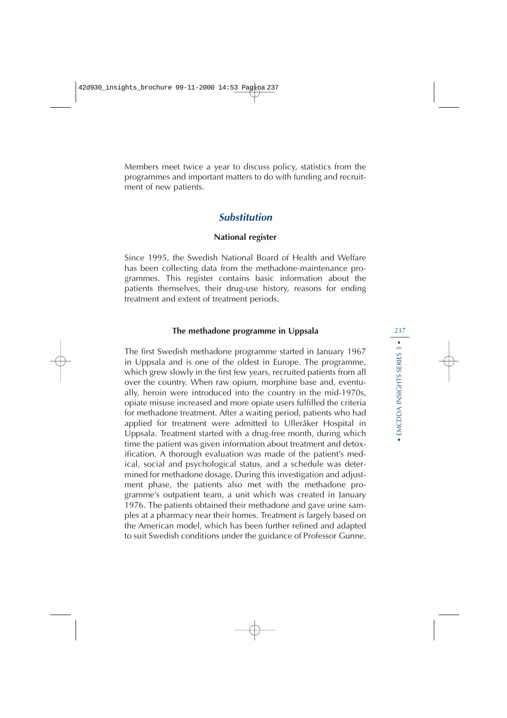Members meet twice a year to discuss policy, statistics from the programmes and important matters to do with funding and recruitment of new patients.

## **Substitution**

#### **National register**

Since 1995, the Swedish National Board of Health and Welfare has been collecting data from the methadone-maintenance programmes. This register contains basic information about the patients themselves, their drug-use history, reasons for ending treatment and extent of treatment periods.

#### **The methadone programme in Uppsala**

The first Swedish methadone programme started in January 1967 in Uppsala and is one of the oldest in Europe. The programme, which grew slowly in the first few years, recruited patients from all over the country. When raw opium, morphine base and, eventually, heroin were introduced into the country in the mid-1970s, opiate misuse increased and more opiate users fulfilled the criteria for methadone treatment. After a waiting period, patients who had applied for treatment were admitted to Ulleråker Hospital in Uppsala. Treatment started with a drug-free month, during which time the patient was given information about treatment and detoxification. A thorough evaluation was made of the patient's medical, social and psychological status, and a schedule was determined for methadone dosage. During this investigation and adjustment phase, the patients also met with the methadone programme's outpatient team, a unit which was created in January 1976. The patients obtained their methadone and gave urine samples at a pharmacy near their homes. Treatment is largely based on the American model, which has been further refined and adapted to suit Swedish conditions under the guidance of Professor Gunne.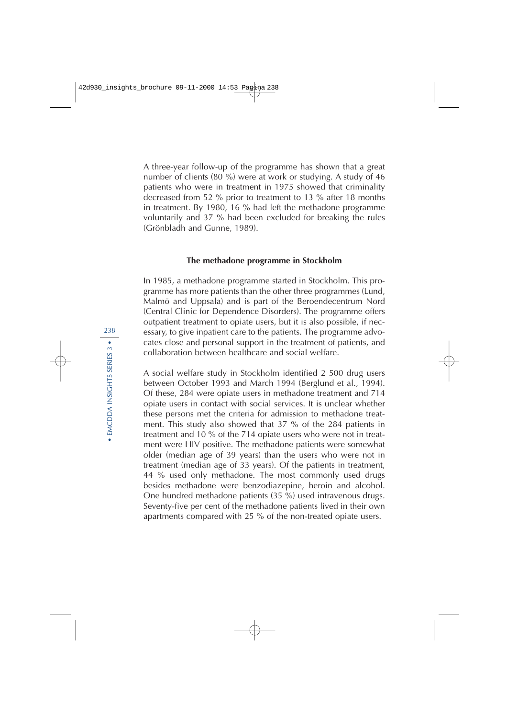A three-year follow-up of the programme has shown that a great number of clients (80 %) were at work or studying. A study of 46 patients who were in treatment in 1975 showed that criminality decreased from 52 % prior to treatment to 13 % after 18 months in treatment. By 1980, 16 % had left the methadone programme voluntarily and 37 % had been excluded for breaking the rules (Grönbladh and Gunne, 1989).

#### **The methadone programme in Stockholm**

In 1985, a methadone programme started in Stockholm. This programme has more patients than the other three programmes (Lund, Malmö and Uppsala) and is part of the Beroendecentrum Nord (Central Clinic for Dependence Disorders). The programme offers outpatient treatment to opiate users, but it is also possible, if necessary, to give inpatient care to the patients. The programme advocates close and personal support in the treatment of patients, and collaboration between healthcare and social welfare.

A social welfare study in Stockholm identified 2 500 drug users between October 1993 and March 1994 (Berglund et al., 1994). Of these, 284 were opiate users in methadone treatment and 714 opiate users in contact with social services. It is unclear whether these persons met the criteria for admission to methadone treatment. This study also showed that 37 % of the 284 patients in treatment and 10 % of the 714 opiate users who were not in treatment were HIV positive. The methadone patients were somewhat older (median age of 39 years) than the users who were not in treatment (median age of 33 years). Of the patients in treatment, 44 % used only methadone. The most commonly used drugs besides methadone were benzodiazepine, heroin and alcohol. One hundred methadone patients (35 %) used intravenous drugs. Seventy-five per cent of the methadone patients lived in their own apartments compared with 25 % of the non-treated opiate users.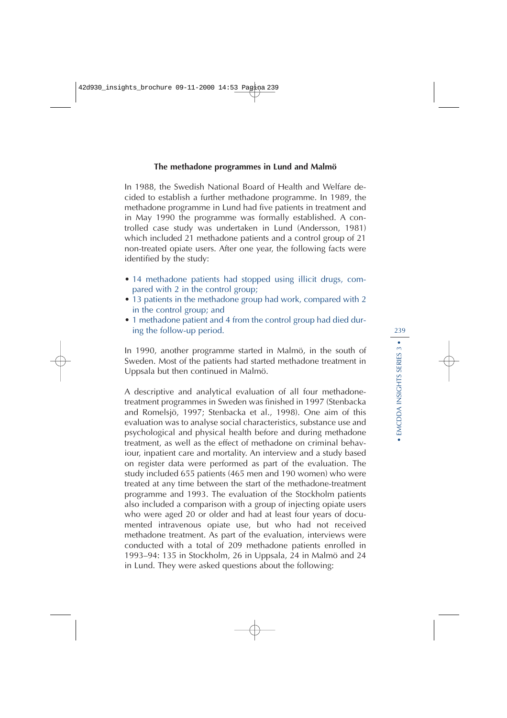#### **The methadone programmes in Lund and Malmö**

In 1988, the Swedish National Board of Health and Welfare decided to establish a further methadone programme. In 1989, the methadone programme in Lund had five patients in treatment and in May 1990 the programme was formally established. A controlled case study was undertaken in Lund (Andersson, 1981) which included 21 methadone patients and a control group of 21 non-treated opiate users. After one year, the following facts were identified by the study:

- 14 methadone patients had stopped using illicit drugs, compared with 2 in the control group;
- 13 patients in the methadone group had work, compared with 2 in the control group; and
- 1 methadone patient and 4 from the control group had died during the follow-up period.

In 1990, another programme started in Malmö, in the south of Sweden. Most of the patients had started methadone treatment in Uppsala but then continued in Malmö.

A descriptive and analytical evaluation of all four methadonetreatment programmes in Sweden was finished in 1997 (Stenbacka and Romelsjö, 1997; Stenbacka et al., 1998). One aim of this evaluation was to analyse social characteristics, substance use and psychological and physical health before and during methadone treatment, as well as the effect of methadone on criminal behaviour, inpatient care and mortality. An interview and a study based on register data were performed as part of the evaluation. The study included 655 patients (465 men and 190 women) who were treated at any time between the start of the methadone-treatment programme and 1993. The evaluation of the Stockholm patients also included a comparison with a group of injecting opiate users who were aged 20 or older and had at least four years of documented intravenous opiate use, but who had not received methadone treatment. As part of the evaluation, interviews were conducted with a total of 209 methadone patients enrolled in 1993–94: 135 in Stockholm, 26 in Uppsala, 24 in Malmö and 24 in Lund. They were asked questions about the following: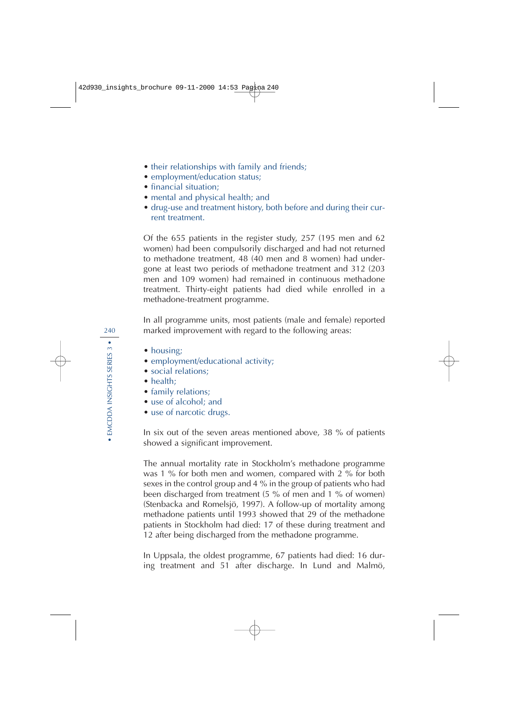- their relationships with family and friends;
- employment/education status;
- financial situation;
- mental and physical health; and
- drug-use and treatment history, both before and during their current treatment.

Of the 655 patients in the register study, 257 (195 men and 62 women) had been compulsorily discharged and had not returned to methadone treatment, 48 (40 men and 8 women) had undergone at least two periods of methadone treatment and 312 (203 men and 109 women) had remained in continuous methadone treatment. Thirty-eight patients had died while enrolled in a methadone-treatment programme.

In all programme units, most patients (male and female) reported marked improvement with regard to the following areas:

- housing;
- employment/educational activity;
- social relations:
- health:
- family relations;
- use of alcohol: and
- use of narcotic drugs.

In six out of the seven areas mentioned above, 38 % of patients showed a significant improvement.

The annual mortality rate in Stockholm's methadone programme was 1 % for both men and women, compared with 2 % for both sexes in the control group and 4 % in the group of patients who had been discharged from treatment (5 % of men and 1 % of women) (Stenbacka and Romelsjö, 1997). A follow-up of mortality among methadone patients until 1993 showed that 29 of the methadone patients in Stockholm had died: 17 of these during treatment and 12 after being discharged from the methadone programme.

In Uppsala, the oldest programme, 67 patients had died: 16 during treatment and 51 after discharge. In Lund and Malmö,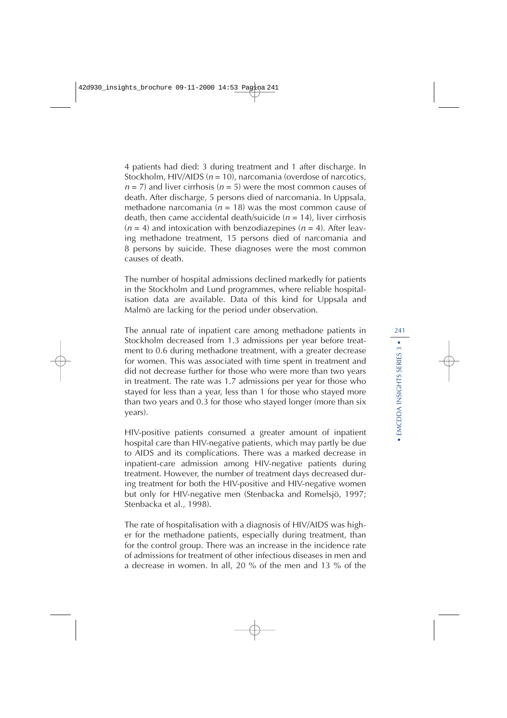4 patients had died: 3 during treatment and 1 after discharge. In Stockholm, HIV/AIDS  $(n = 10)$ , narcomania (overdose of narcotics,  $n = 7$ ) and liver cirrhosis ( $n = 5$ ) were the most common causes of death. After discharge, 5 persons died of narcomania. In Uppsala, methadone narcomania ( $n = 18$ ) was the most common cause of death, then came accidental death/suicide ( $n = 14$ ), liver cirrhosis  $(n = 4)$  and intoxication with benzodiazepines  $(n = 4)$ . After leaving methadone treatment, 15 persons died of narcomania and 8 persons by suicide. These diagnoses were the most common causes of death.

The number of hospital admissions declined markedly for patients in the Stockholm and Lund programmes, where reliable hospitalisation data are available. Data of this kind for Uppsala and Malmö are lacking for the period under observation.

The annual rate of inpatient care among methadone patients in Stockholm decreased from 1.3 admissions per year before treatment to 0.6 during methadone treatment, with a greater decrease for women. This was associated with time spent in treatment and did not decrease further for those who were more than two years in treatment. The rate was 1.7 admissions per year for those who stayed for less than a year, less than 1 for those who stayed more than two years and 0.3 for those who stayed longer (more than six years).

HIV-positive patients consumed a greater amount of inpatient hospital care than HIV-negative patients, which may partly be due to AIDS and its complications. There was a marked decrease in inpatient-care admission among HIV-negative patients during treatment. However, the number of treatment days decreased during treatment for both the HIV-positive and HIV-negative women but only for HIV-negative men (Stenbacka and Romelsjö, 1997; Stenbacka et al., 1998).

The rate of hospitalisation with a diagnosis of HIV/AIDS was higher for the methadone patients, especially during treatment, than for the control group. There was an increase in the incidence rate of admissions for treatment of other infectious diseases in men and a decrease in women. In all, 20 % of the men and 13 % of the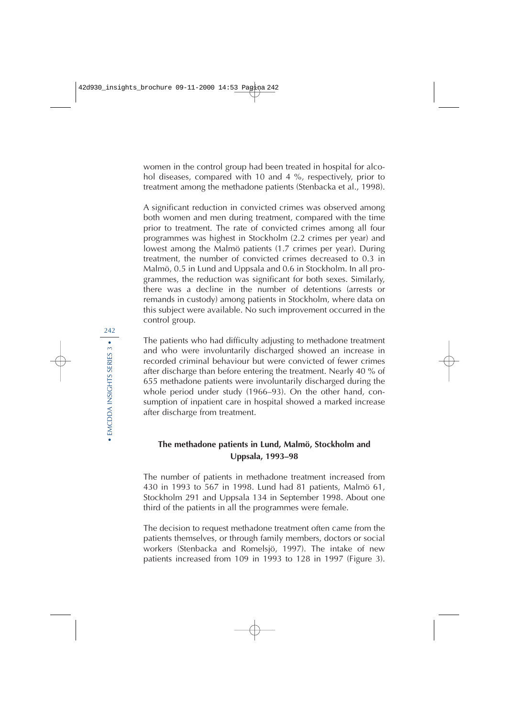women in the control group had been treated in hospital for alcohol diseases, compared with 10 and 4 %, respectively, prior to treatment among the methadone patients (Stenbacka et al., 1998).

A significant reduction in convicted crimes was observed among both women and men during treatment, compared with the time prior to treatment. The rate of convicted crimes among all four programmes was highest in Stockholm (2.2 crimes per year) and lowest among the Malmö patients (1.7 crimes per year). During treatment, the number of convicted crimes decreased to 0.3 in Malmö, 0.5 in Lund and Uppsala and 0.6 in Stockholm. In all programmes, the reduction was significant for both sexes. Similarly, there was a decline in the number of detentions (arrests or remands in custody) among patients in Stockholm, where data on this subject were available. No such improvement occurred in the control group.

The patients who had difficulty adjusting to methadone treatment and who were involuntarily discharged showed an increase in recorded criminal behaviour but were convicted of fewer crimes after discharge than before entering the treatment. Nearly 40 % of 655 methadone patients were involuntarily discharged during the whole period under study (1966–93). On the other hand, consumption of inpatient care in hospital showed a marked increase after discharge from treatment.

#### **The methadone patients in Lund, Malmö, Stockholm and Uppsala, 1993–98**

The number of patients in methadone treatment increased from 430 in 1993 to 567 in 1998. Lund had 81 patients, Malmö 61, Stockholm 291 and Uppsala 134 in September 1998. About one third of the patients in all the programmes were female.

The decision to request methadone treatment often came from the patients themselves, or through family members, doctors or social workers (Stenbacka and Romelsjö, 1997). The intake of new patients increased from 109 in 1993 to 128 in 1997 (Figure 3).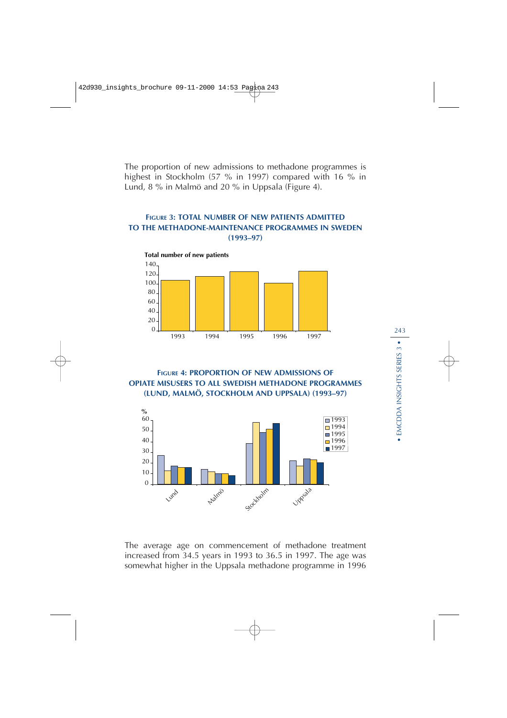The proportion of new admissions to methadone programmes is highest in Stockholm (57 % in 1997) compared with 16 % in Lund, 8 % in Malmö and 20 % in Uppsala (Figure 4).

#### **FIGURE 3: TOTAL NUMBER OF NEW PATIENTS ADMITTED TO THE METHADONE-MAINTENANCE PROGRAMMES IN SWEDEN (1993–97)**



**FIGURE 4: PROPORTION OF NEW ADMISSIONS OF OPIATE MISUSERS TO ALL SWEDISH METHADONE PROGRAMMES (LUND, MALMÖ, STOCKHOLM AND UPPSALA) (1993–97)**



The average age on commencement of methadone treatment increased from 34.5 years in 1993 to 36.5 in 1997. The age was somewhat higher in the Uppsala methadone programme in 1996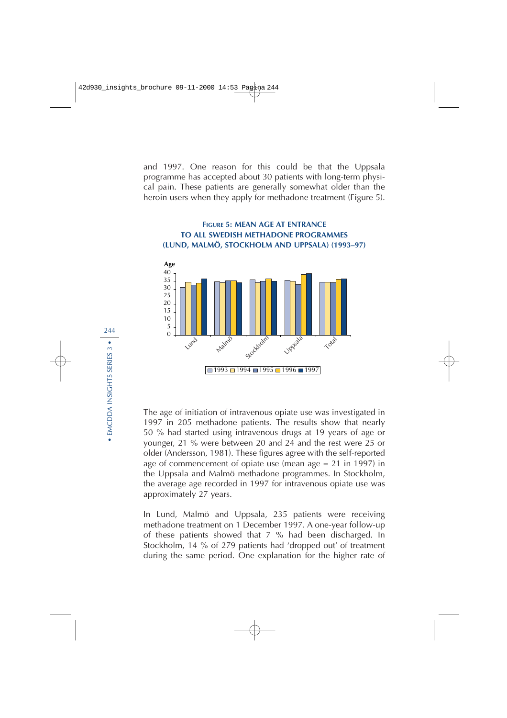and 1997. One reason for this could be that the Uppsala programme has accepted about 30 patients with long-term physical pain. These patients are generally somewhat older than the heroin users when they apply for methadone treatment (Figure 5).

#### **FIGURE 5: MEAN AGE AT ENTRANCE TO ALL SWEDISH METHADONE PROGRAMMES (LUND, MALMÖ, STOCKHOLM AND UPPSALA) (1993–97)**



The age of initiation of intravenous opiate use was investigated in 1997 in 205 methadone patients. The results show that nearly 50 % had started using intravenous drugs at 19 years of age or younger, 21 % were between 20 and 24 and the rest were 25 or older (Andersson, 1981). These figures agree with the self-reported age of commencement of opiate use (mean age = 21 in 1997) in the Uppsala and Malmö methadone programmes. In Stockholm, the average age recorded in 1997 for intravenous opiate use was approximately 27 years.

In Lund, Malmö and Uppsala, 235 patients were receiving methadone treatment on 1 December 1997. A one-year follow-up of these patients showed that 7 % had been discharged. In Stockholm, 14 % of 279 patients had 'dropped out' of treatment during the same period. One explanation for the higher rate of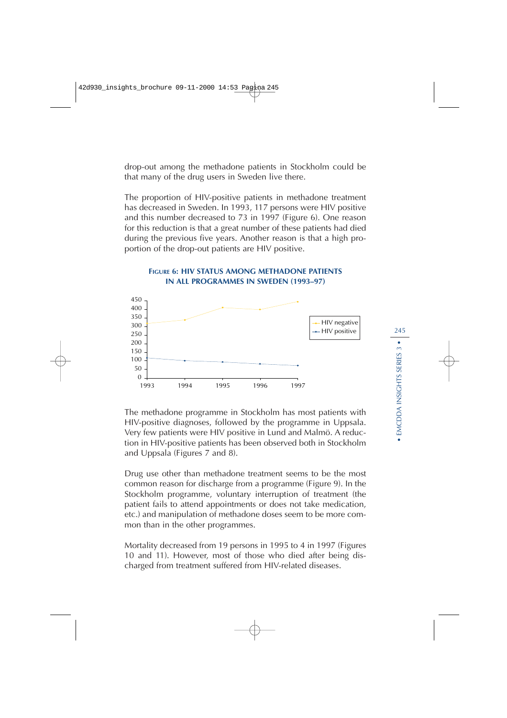drop-out among the methadone patients in Stockholm could be that many of the drug users in Sweden live there.

The proportion of HIV-positive patients in methadone treatment has decreased in Sweden. In 1993, 117 persons were HIV positive and this number decreased to 73 in 1997 (Figure 6). One reason for this reduction is that a great number of these patients had died during the previous five years. Another reason is that a high proportion of the drop-out patients are HIV positive.



# **FIGURE 6: HIV STATUS AMONG METHADONE PATIENTS**

The methadone programme in Stockholm has most patients with HIV-positive diagnoses, followed by the programme in Uppsala. Very few patients were HIV positive in Lund and Malmö. A reduction in HIV-positive patients has been observed both in Stockholm and Uppsala (Figures 7 and 8).

Drug use other than methadone treatment seems to be the most common reason for discharge from a programme (Figure 9). In the Stockholm programme, voluntary interruption of treatment (the patient fails to attend appointments or does not take medication, etc.) and manipulation of methadone doses seem to be more common than in the other programmes.

Mortality decreased from 19 persons in 1995 to 4 in 1997 (Figures 10 and 11). However, most of those who died after being discharged from treatment suffered from HIV-related diseases.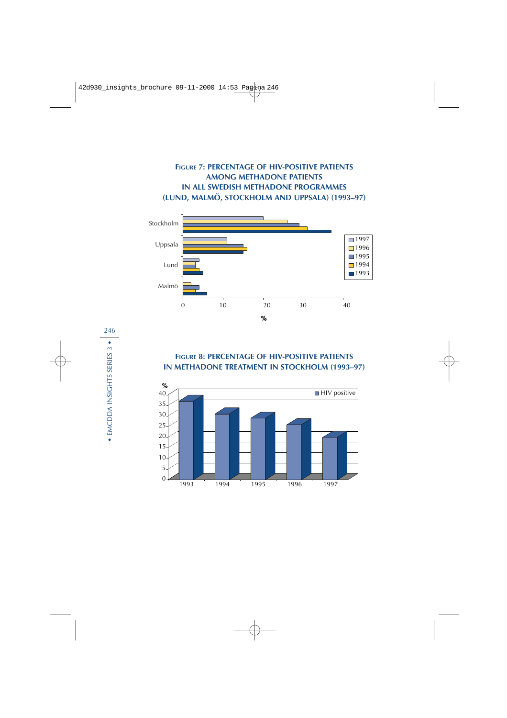#### **FIGURE 7: PERCENTAGE OF HIV-POSITIVE PATIENTS AMONG METHADONE PATIENTS IN ALL SWEDISH METHADONE PROGRAMMES (LUND, MALMÖ, STOCKHOLM AND UPPSALA) (1993–97)**



#### **FIGURE 8: PERCENTAGE OF HIV-POSITIVE PATIENTS IN METHADONE TREATMENT IN STOCKHOLM (1993–97)**

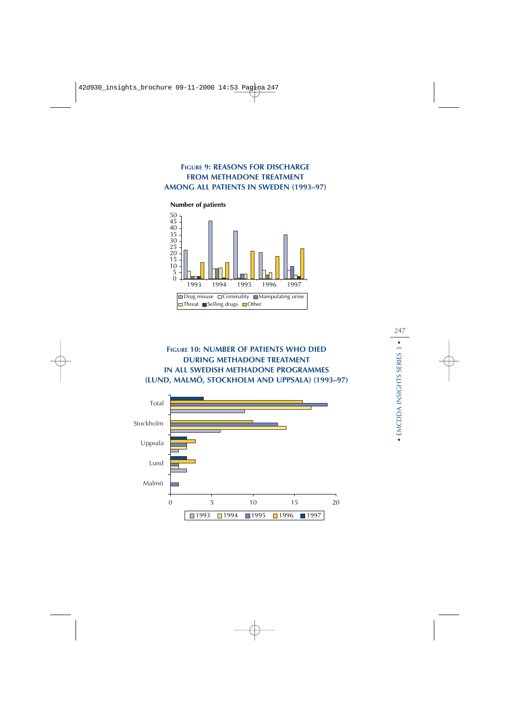#### **FIGURE 9: REASONS FOR DISCHARGE FROM METHADONE TREATMENT AMONG ALL PATIENTS IN SWEDEN (1993–97)**



## **FIGURE 10: NUMBER OF PATIENTS WHO DIED DURING METHADONE TREATMENT IN ALL SWEDISH METHADONE PROGRAMMES (LUND, MALMÖ, STOCKHOLM AND UPPSALA) (1993–97)**

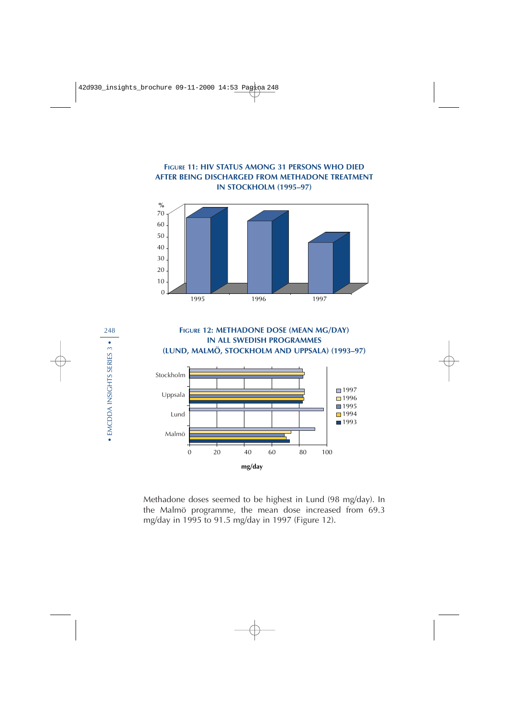#### **FIGURE 11: HIV STATUS AMONG 31 PERSONS WHO DIED AFTER BEING DISCHARGED FROM METHADONE TREATMENT IN STOCKHOLM (1995–97)**





Methadone doses seemed to be highest in Lund (98 mg/day). In the Malmö programme, the mean dose increased from 69.3 mg/day in 1995 to 91.5 mg/day in 1997 (Figure 12).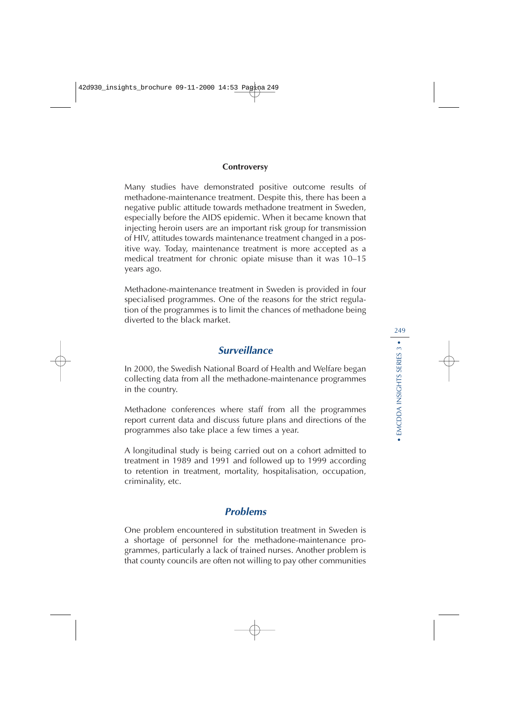#### **Controversy**

Many studies have demonstrated positive outcome results of methadone-maintenance treatment. Despite this, there has been a negative public attitude towards methadone treatment in Sweden, especially before the AIDS epidemic. When it became known that injecting heroin users are an important risk group for transmission of HIV, attitudes towards maintenance treatment changed in a positive way. Today, maintenance treatment is more accepted as a medical treatment for chronic opiate misuse than it was 10–15 years ago.

Methadone-maintenance treatment in Sweden is provided in four specialised programmes. One of the reasons for the strict regulation of the programmes is to limit the chances of methadone being diverted to the black market.

## **Surveillance**

In 2000, the Swedish National Board of Health and Welfare began collecting data from all the methadone-maintenance programmes in the country.

Methadone conferences where staff from all the programmes report current data and discuss future plans and directions of the programmes also take place a few times a year.

A longitudinal study is being carried out on a cohort admitted to treatment in 1989 and 1991 and followed up to 1999 according to retention in treatment, mortality, hospitalisation, occupation, criminality, etc.

## **Problems**

One problem encountered in substitution treatment in Sweden is a shortage of personnel for the methadone-maintenance programmes, particularly a lack of trained nurses. Another problem is that county councils are often not willing to pay other communities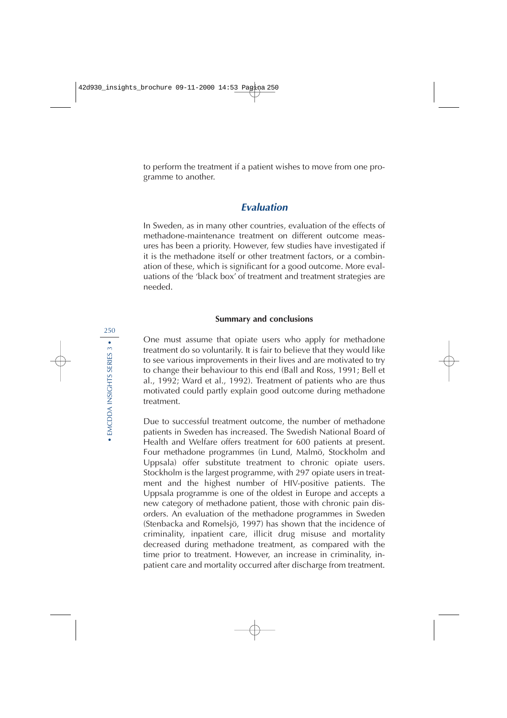to perform the treatment if a patient wishes to move from one programme to another.

## **Evaluation**

In Sweden, as in many other countries, evaluation of the effects of methadone-maintenance treatment on different outcome measures has been a priority. However, few studies have investigated if it is the methadone itself or other treatment factors, or a combination of these, which is significant for a good outcome. More evaluations of the 'black box' of treatment and treatment strategies are needed.

#### **Summary and conclusions**

One must assume that opiate users who apply for methadone treatment do so voluntarily. It is fair to believe that they would like to see various improvements in their lives and are motivated to try to change their behaviour to this end (Ball and Ross, 1991; Bell et al., 1992; Ward et al., 1992). Treatment of patients who are thus motivated could partly explain good outcome during methadone treatment.

Due to successful treatment outcome, the number of methadone patients in Sweden has increased. The Swedish National Board of Health and Welfare offers treatment for 600 patients at present. Four methadone programmes (in Lund, Malmö, Stockholm and Uppsala) offer substitute treatment to chronic opiate users. Stockholm is the largest programme, with 297 opiate users in treatment and the highest number of HIV-positive patients. The Uppsala programme is one of the oldest in Europe and accepts a new category of methadone patient, those with chronic pain disorders. An evaluation of the methadone programmes in Sweden (Stenbacka and Romelsjö, 1997) has shown that the incidence of criminality, inpatient care, illicit drug misuse and mortality decreased during methadone treatment, as compared with the time prior to treatment. However, an increase in criminality, inpatient care and mortality occurred after discharge from treatment.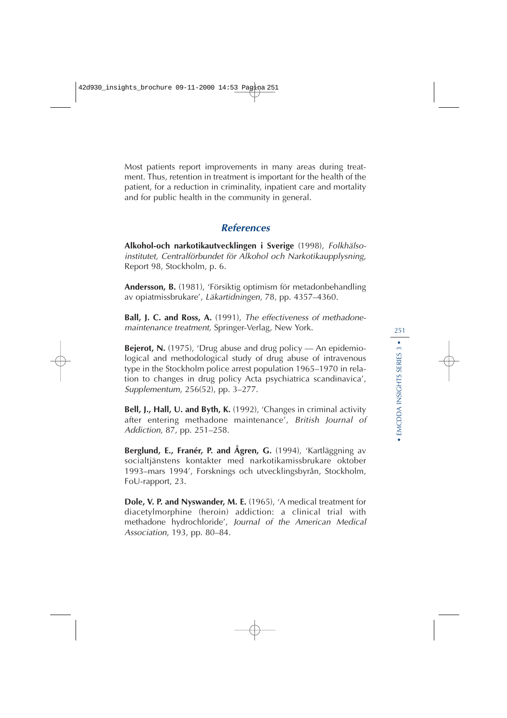Most patients report improvements in many areas during treatment. Thus, retention in treatment is important for the health of the patient, for a reduction in criminality, inpatient care and mortality and for public health in the community in general.

## **References**

**Alkohol-och narkotikautvecklingen i Sverige** (1998), Folkhälsoinstitutet, Centralförbundet för Alkohol och Narkotikaupplysning, Report 98, Stockholm, p. 6.

**Andersson, B.** (1981), 'Försiktig optimism för metadonbehandling av opiatmissbrukare', Läkartidningen, 78, pp. 4357–4360.

**Ball, J. C. and Ross, A.** (1991), The effectiveness of methadonemaintenance treatment, Springer-Verlag, New York.

**Bejerot, N.** (1975), 'Drug abuse and drug policy — An epidemiological and methodological study of drug abuse of intravenous type in the Stockholm police arrest population 1965–1970 in relation to changes in drug policy Acta psychiatrica scandinavica', Supplementum, 256(52), pp. 3–277.

**Bell, J., Hall, U. and Byth, K.** (1992), 'Changes in criminal activity after entering methadone maintenance', British Journal of Addiction, 87, pp. 251–258.

**Berglund, E., Franér, P. and Ågren, G.** (1994), 'Kartläggning av socialtjänstens kontakter med narkotikamissbrukare oktober 1993–mars 1994', Forsknings och utvecklingsbyrån, Stockholm, FoU-rapport, 23.

**Dole, V. P. and Nyswander, M. E.** (1965), 'A medical treatment for diacetylmorphine (heroin) addiction: a clinical trial with methadone hydrochloride', Journal of the American Medical Association, 193, pp. 80–84.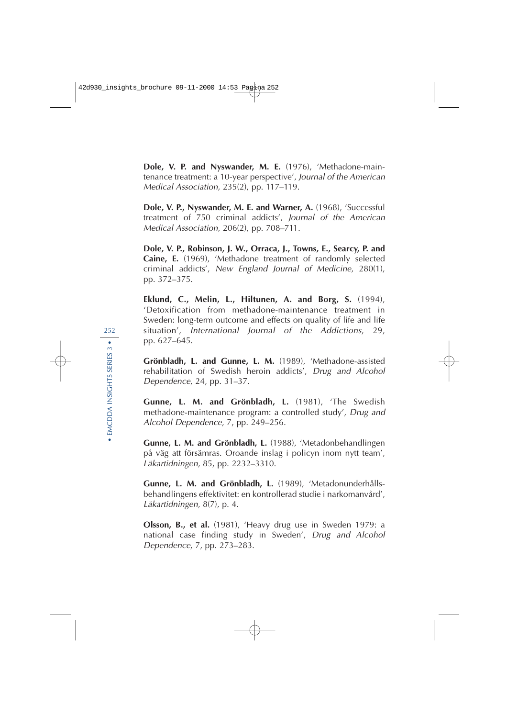**Dole, V. P. and Nyswander, M. E.** (1976), 'Methadone-maintenance treatment: a 10-year perspective', Journal of the American Medical Association, 235(2), pp. 117–119.

**Dole, V. P., Nyswander, M. E. and Warner, A.** (1968), 'Successful treatment of 750 criminal addicts', Journal of the American Medical Association, 206(2), pp. 708–711.

**Dole, V. P., Robinson, J. W., Orraca, J., Towns, E., Searcy, P. and Caine, E.** (1969), 'Methadone treatment of randomly selected criminal addicts', New England Journal of Medicine, 280(1), pp. 372–375.

**Eklund, C., Melin, L., Hiltunen, A. and Borg, S.** (1994), 'Detoxification from methadone-maintenance treatment in Sweden: long-term outcome and effects on quality of life and life situation', International Journal of the Addictions, 29, pp. 627–645.

**Grönbladh, L. and Gunne, L. M.** (1989), 'Methadone-assisted rehabilitation of Swedish heroin addicts', Drug and Alcohol Dependence, 24, pp. 31–37.

**Gunne, L. M. and Grönbladh, L.** (1981), 'The Swedish methadone-maintenance program: a controlled study', Drug and Alcohol Dependence, 7, pp. 249–256.

**Gunne, L. M. and Grönbladh, L.** (1988), 'Metadonbehandlingen på väg att försämras. Oroande inslag i policyn inom nytt team', Läkartidningen, 85, pp. 2232–3310.

**Gunne, L. M. and Grönbladh, L.** (1989), 'Metadonunderhållsbehandlingens effektivitet: en kontrollerad studie i narkomanvård', Läkartidningen, 8(7), p. 4.

**Olsson, B., et al.** (1981), 'Heavy drug use in Sweden 1979: a national case finding study in Sweden', Drug and Alcohol Dependence, 7, pp. 273–283.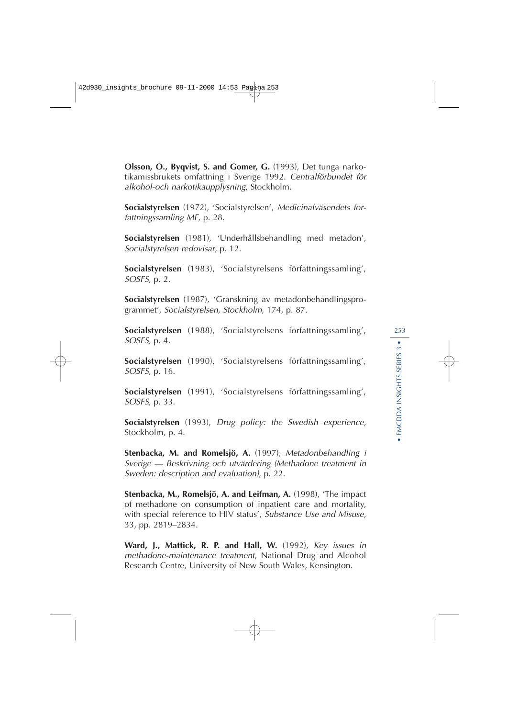**Olsson, O., Byqvist, S. and Gomer, G.** (1993), Det tunga narkotikamissbrukets omfattning i Sverige 1992. Centralförbundet för alkohol-och narkotikaupplysning, Stockholm.

**Socialstyrelsen** (1972), 'Socialstyrelsen', Medicinalväsendets författningssamling MF, p. 28.

**Socialstyrelsen** (1981), 'Underhållsbehandling med metadon', Socialstyrelsen redovisar, p. 12.

**Socialstyrelsen** (1983), 'Socialstyrelsens författningssamling', SOSFS, p. 2.

**Socialstyrelsen** (1987), 'Granskning av metadonbehandlingsprogrammet', Socialstyrelsen, Stockholm, 174, p. 87.

**Socialstyrelsen** (1988), 'Socialstyrelsens författningssamling', SOSFS, p. 4.

**Socialstyrelsen** (1990), 'Socialstyrelsens författningssamling', SOSFS, p. 16.

**Socialstyrelsen** (1991), 'Socialstyrelsens författningssamling', SOSFS, p. 33.

**Socialstyrelsen** (1993), Drug policy: the Swedish experience, Stockholm, p. 4.

**Stenbacka, M. and Romelsjö, A.** (1997), Metadonbehandling i Sverige — Beskrivning och utvärdering (Methadone treatment in Sweden: description and evaluation), p. 22.

**Stenbacka, M., Romelsjö, A. and Leifman, A.** (1998), 'The impact of methadone on consumption of inpatient care and mortality, with special reference to HIV status', Substance Use and Misuse, 33, pp. 2819–2834.

**Ward, J., Mattick, R. P. and Hall, W.** (1992), Key issues in methadone-maintenance treatment, National Drug and Alcohol Research Centre, University of New South Wales, Kensington.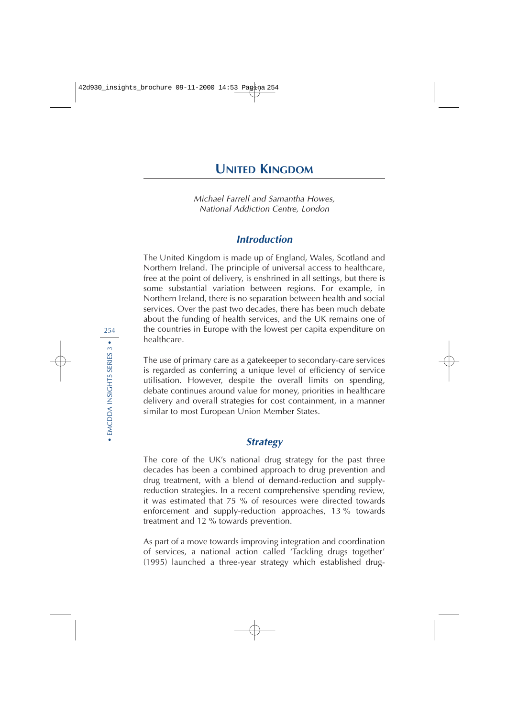Michael Farrell and Samantha Howes, National Addiction Centre, London

# **Introduction**

The United Kingdom is made up of England, Wales, Scotland and Northern Ireland. The principle of universal access to healthcare, free at the point of delivery, is enshrined in all settings, but there is some substantial variation between regions. For example, in Northern Ireland, there is no separation between health and social services. Over the past two decades, there has been much debate about the funding of health services, and the UK remains one of the countries in Europe with the lowest per capita expenditure on healthcare.

The use of primary care as a gatekeeper to secondary-care services is regarded as conferring a unique level of efficiency of service utilisation. However, despite the overall limits on spending, debate continues around value for money, priorities in healthcare delivery and overall strategies for cost containment, in a manner similar to most European Union Member States.

# **Strategy**

The core of the UK's national drug strategy for the past three decades has been a combined approach to drug prevention and drug treatment, with a blend of demand-reduction and supplyreduction strategies. In a recent comprehensive spending review, it was estimated that 75 % of resources were directed towards enforcement and supply-reduction approaches, 13 % towards treatment and 12 % towards prevention.

As part of a move towards improving integration and coordination of services, a national action called 'Tackling drugs together' (1995) launched a three-year strategy which established drug-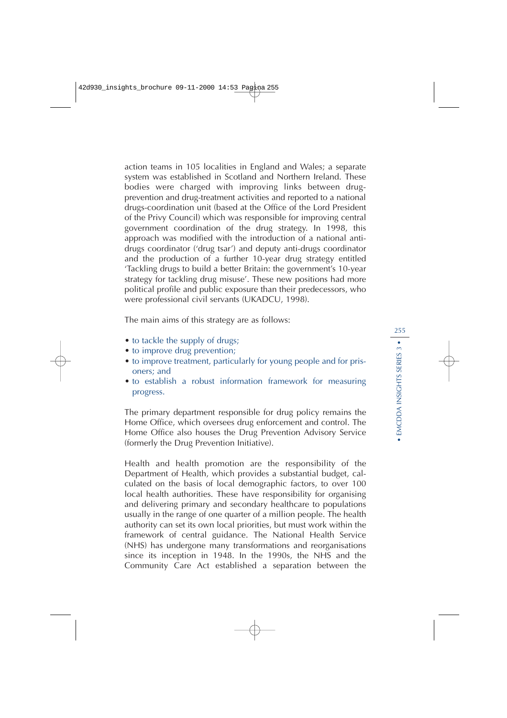action teams in 105 localities in England and Wales; a separate system was established in Scotland and Northern Ireland. These bodies were charged with improving links between drugprevention and drug-treatment activities and reported to a national drugs-coordination unit (based at the Office of the Lord President of the Privy Council) which was responsible for improving central government coordination of the drug strategy. In 1998, this approach was modified with the introduction of a national antidrugs coordinator ('drug tsar') and deputy anti-drugs coordinator and the production of a further 10-year drug strategy entitled 'Tackling drugs to build a better Britain: the government's 10-year strategy for tackling drug misuse'. These new positions had more political profile and public exposure than their predecessors, who were professional civil servants (UKADCU, 1998).

The main aims of this strategy are as follows:

- to tackle the supply of drugs;
- to improve drug prevention;
- to improve treatment, particularly for young people and for prisoners; and
- to establish a robust information framework for measuring progress.

The primary department responsible for drug policy remains the Home Office, which oversees drug enforcement and control. The Home Office also houses the Drug Prevention Advisory Service (formerly the Drug Prevention Initiative).

Health and health promotion are the responsibility of the Department of Health, which provides a substantial budget, calculated on the basis of local demographic factors, to over 100 local health authorities. These have responsibility for organising and delivering primary and secondary healthcare to populations usually in the range of one quarter of a million people. The health authority can set its own local priorities, but must work within the framework of central guidance. The National Health Service (NHS) has undergone many transformations and reorganisations since its inception in 1948. In the 1990s, the NHS and the Community Care Act established a separation between the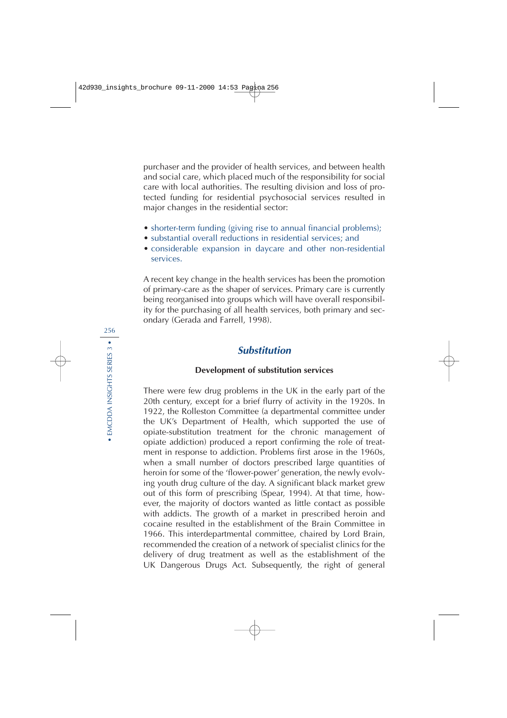purchaser and the provider of health services, and between health and social care, which placed much of the responsibility for social care with local authorities. The resulting division and loss of protected funding for residential psychosocial services resulted in major changes in the residential sector:

- shorter-term funding (giving rise to annual financial problems);
- substantial overall reductions in residential services; and
- considerable expansion in daycare and other non-residential services.

A recent key change in the health services has been the promotion of primary-care as the shaper of services. Primary care is currently being reorganised into groups which will have overall responsibility for the purchasing of all health services, both primary and secondary (Gerada and Farrell, 1998).

# **Substitution**

# **Development of substitution services**

There were few drug problems in the UK in the early part of the 20th century, except for a brief flurry of activity in the 1920s. In 1922, the Rolleston Committee (a departmental committee under the UK's Department of Health, which supported the use of opiate-substitution treatment for the chronic management of opiate addiction) produced a report confirming the role of treatment in response to addiction. Problems first arose in the 1960s, when a small number of doctors prescribed large quantities of heroin for some of the 'flower-power' generation, the newly evolving youth drug culture of the day. A significant black market grew out of this form of prescribing (Spear, 1994). At that time, however, the majority of doctors wanted as little contact as possible with addicts. The growth of a market in prescribed heroin and cocaine resulted in the establishment of the Brain Committee in 1966. This interdepartmental committee, chaired by Lord Brain, recommended the creation of a network of specialist clinics for the delivery of drug treatment as well as the establishment of the UK Dangerous Drugs Act. Subsequently, the right of general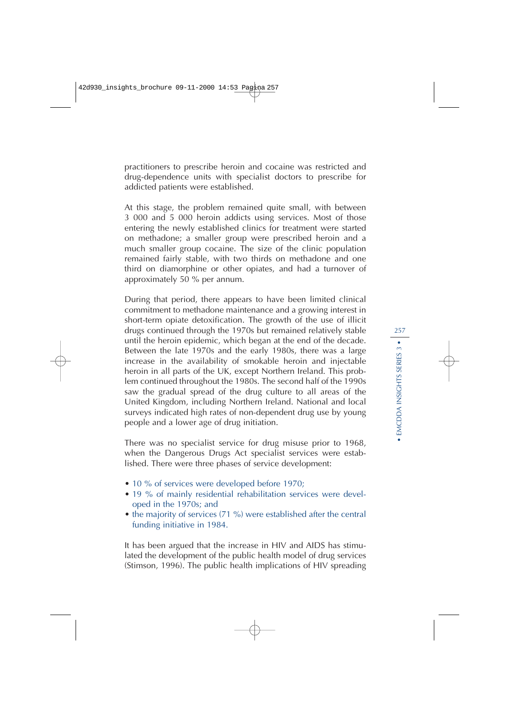practitioners to prescribe heroin and cocaine was restricted and drug-dependence units with specialist doctors to prescribe for addicted patients were established.

At this stage, the problem remained quite small, with between 3 000 and 5 000 heroin addicts using services. Most of those entering the newly established clinics for treatment were started on methadone; a smaller group were prescribed heroin and a much smaller group cocaine. The size of the clinic population remained fairly stable, with two thirds on methadone and one third on diamorphine or other opiates, and had a turnover of approximately 50 % per annum.

During that period, there appears to have been limited clinical commitment to methadone maintenance and a growing interest in short-term opiate detoxification. The growth of the use of illicit drugs continued through the 1970s but remained relatively stable until the heroin epidemic, which began at the end of the decade. Between the late 1970s and the early 1980s, there was a large increase in the availability of smokable heroin and injectable heroin in all parts of the UK, except Northern Ireland. This problem continued throughout the 1980s. The second half of the 1990s saw the gradual spread of the drug culture to all areas of the United Kingdom, including Northern Ireland. National and local surveys indicated high rates of non-dependent drug use by young people and a lower age of drug initiation.

There was no specialist service for drug misuse prior to 1968, when the Dangerous Drugs Act specialist services were established. There were three phases of service development:

- 10 % of services were developed before 1970;
- 19 % of mainly residential rehabilitation services were developed in the 1970s; and
- the majority of services (71 %) were established after the central funding initiative in 1984.

It has been argued that the increase in HIV and AIDS has stimulated the development of the public health model of drug services (Stimson, 1996). The public health implications of HIV spreading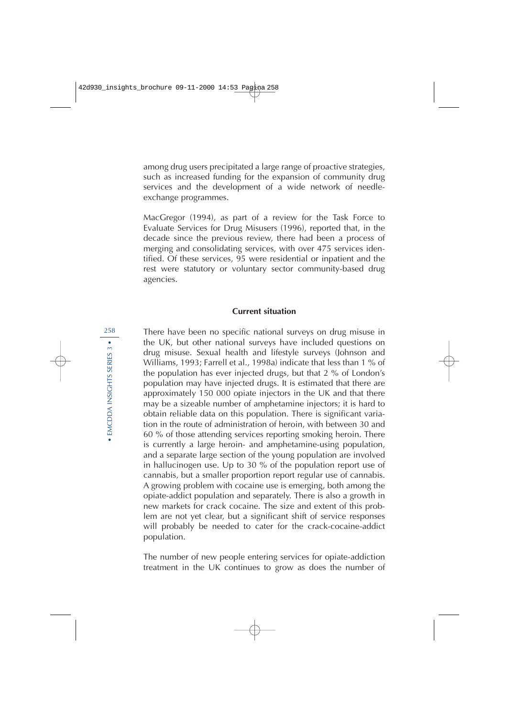among drug users precipitated a large range of proactive strategies, such as increased funding for the expansion of community drug services and the development of a wide network of needleexchange programmes.

MacGregor (1994), as part of a review for the Task Force to Evaluate Services for Drug Misusers (1996), reported that, in the decade since the previous review, there had been a process of merging and consolidating services, with over 475 services identified. Of these services, 95 were residential or inpatient and the rest were statutory or voluntary sector community-based drug agencies.

#### **Current situation**

There have been no specific national surveys on drug misuse in the UK, but other national surveys have included questions on drug misuse. Sexual health and lifestyle surveys (Johnson and Williams, 1993; Farrell et al., 1998a) indicate that less than 1 % of the population has ever injected drugs, but that 2 % of London's population may have injected drugs. It is estimated that there are approximately 150 000 opiate injectors in the UK and that there may be a sizeable number of amphetamine injectors; it is hard to obtain reliable data on this population. There is significant variation in the route of administration of heroin, with between 30 and 60 % of those attending services reporting smoking heroin. There is currently a large heroin- and amphetamine-using population, and a separate large section of the young population are involved in hallucinogen use. Up to 30 % of the population report use of cannabis, but a smaller proportion report regular use of cannabis. A growing problem with cocaine use is emerging, both among the opiate-addict population and separately. There is also a growth in new markets for crack cocaine. The size and extent of this problem are not yet clear, but a significant shift of service responses will probably be needed to cater for the crack-cocaine-addict population.

The number of new people entering services for opiate-addiction treatment in the UK continues to grow as does the number of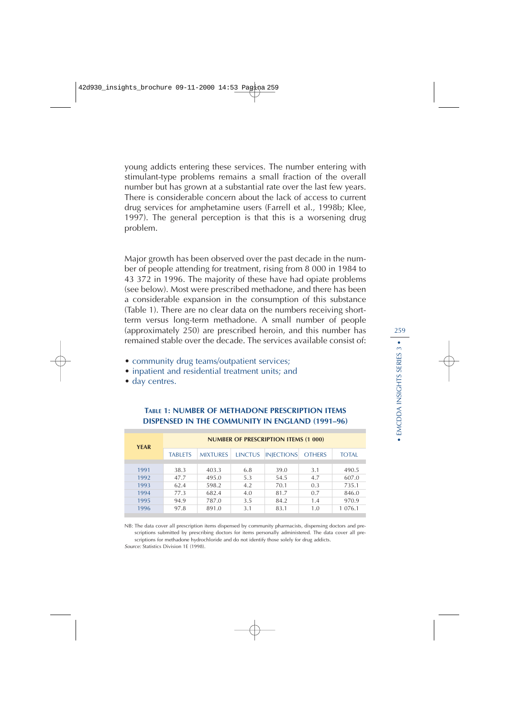young addicts entering these services. The number entering with stimulant-type problems remains a small fraction of the overall number but has grown at a substantial rate over the last few years. There is considerable concern about the lack of access to current drug services for amphetamine users (Farrell et al., 1998b; Klee, 1997). The general perception is that this is a worsening drug problem.

Major growth has been observed over the past decade in the number of people attending for treatment, rising from 8 000 in 1984 to 43 372 in 1996. The majority of these have had opiate problems (see below). Most were prescribed methadone, and there has been a considerable expansion in the consumption of this substance (Table 1). There are no clear data on the numbers receiving shortterm versus long-term methadone. A small number of people (approximately 250) are prescribed heroin, and this number has remained stable over the decade. The services available consist of:

- community drug teams/outpatient services;
- inpatient and residential treatment units; and
- day centres.

| <b>YEAR</b> | <b>NUMBER OF PRESCRIPTION ITEMS (1 000)</b> |                 |                |                   |               |              |  |
|-------------|---------------------------------------------|-----------------|----------------|-------------------|---------------|--------------|--|
|             | <b>TABLETS</b>                              | <b>MIXTURES</b> | <b>LINCTUS</b> | <b>INJECTIONS</b> | <b>OTHERS</b> | <b>TOTAL</b> |  |
|             |                                             |                 |                |                   |               |              |  |
| 1991        | 38.3                                        | 403.3           | 6.8            | 39.0              | 3.1           | 490.5        |  |
| 1992        | 47.7                                        | 495.0           | 5.3            | 54.5              | 4.7           | 607.0        |  |
| 1993        | 62.4                                        | 598.2           | 4.2            | 70.1              | 0.3           | 735.1        |  |
| 1994        | 77.3                                        | 682.4           | 4.0            | 81.7              | 0.7           | 846.0        |  |
| 1995        | 94.9                                        | 787.0           | 3.5            | 84.2              | 1.4           | 970.9        |  |
| 1996        | 97.8                                        | 891.0           | 3.1            | 83.1              | 1.0           | 1 0 7 6 .1   |  |
|             |                                             |                 |                |                   |               |              |  |

#### **TABLE 1: NUMBER OF METHADONE PRESCRIPTION ITEMS DISPENSED IN THE COMMUNITY IN ENGLAND (1991–96)**

NB: The data cover all prescription items dispensed by community pharmacists, dispensing doctors and prescriptions submitted by prescribing doctors for items personally administered. The data cover all prescriptions for methadone hydrochloride and do not identify those solely for drug addicts.

Source: Statistics Division 1E (1998).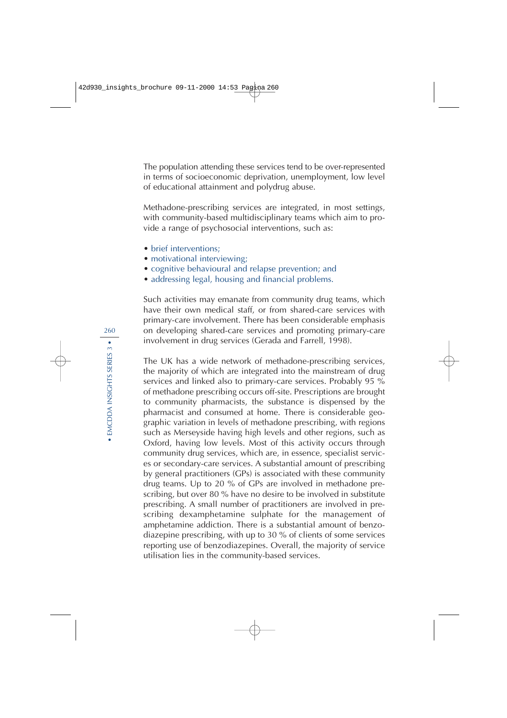The population attending these services tend to be over-represented in terms of socioeconomic deprivation, unemployment, low level of educational attainment and polydrug abuse.

Methadone-prescribing services are integrated, in most settings, with community-based multidisciplinary teams which aim to provide a range of psychosocial interventions, such as:

- brief interventions:
- motivational interviewing;
- cognitive behavioural and relapse prevention; and
- addressing legal, housing and financial problems.

Such activities may emanate from community drug teams, which have their own medical staff, or from shared-care services with primary-care involvement. There has been considerable emphasis on developing shared-care services and promoting primary-care involvement in drug services (Gerada and Farrell, 1998).

The UK has a wide network of methadone-prescribing services, the majority of which are integrated into the mainstream of drug services and linked also to primary-care services. Probably 95 % of methadone prescribing occurs off-site. Prescriptions are brought to community pharmacists, the substance is dispensed by the pharmacist and consumed at home. There is considerable geographic variation in levels of methadone prescribing, with regions such as Merseyside having high levels and other regions, such as Oxford, having low levels. Most of this activity occurs through community drug services, which are, in essence, specialist services or secondary-care services. A substantial amount of prescribing by general practitioners (GPs) is associated with these community drug teams. Up to 20 % of GPs are involved in methadone prescribing, but over 80 % have no desire to be involved in substitute prescribing. A small number of practitioners are involved in prescribing dexamphetamine sulphate for the management of amphetamine addiction. There is a substantial amount of benzodiazepine prescribing, with up to 30 % of clients of some services reporting use of benzodiazepines. Overall, the majority of service utilisation lies in the community-based services.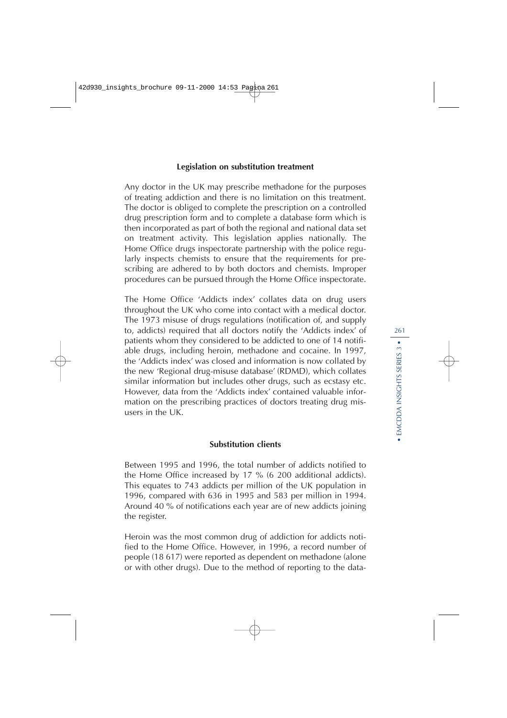#### **Legislation on substitution treatment**

Any doctor in the UK may prescribe methadone for the purposes of treating addiction and there is no limitation on this treatment. The doctor is obliged to complete the prescription on a controlled drug prescription form and to complete a database form which is then incorporated as part of both the regional and national data set on treatment activity. This legislation applies nationally. The Home Office drugs inspectorate partnership with the police regularly inspects chemists to ensure that the requirements for prescribing are adhered to by both doctors and chemists. Improper procedures can be pursued through the Home Office inspectorate.

The Home Office 'Addicts index' collates data on drug users throughout the UK who come into contact with a medical doctor. The 1973 misuse of drugs regulations (notification of, and supply to, addicts) required that all doctors notify the 'Addicts index' of patients whom they considered to be addicted to one of 14 notifiable drugs, including heroin, methadone and cocaine. In 1997, the 'Addicts index' was closed and information is now collated by the new 'Regional drug-misuse database' (RDMD), which collates similar information but includes other drugs, such as ecstasy etc. However, data from the 'Addicts index' contained valuable information on the prescribing practices of doctors treating drug misusers in the UK.

#### **Substitution clients**

Between 1995 and 1996, the total number of addicts notified to the Home Office increased by 17 % (6 200 additional addicts). This equates to 743 addicts per million of the UK population in 1996, compared with 636 in 1995 and 583 per million in 1994. Around 40 % of notifications each year are of new addicts joining the register.

Heroin was the most common drug of addiction for addicts notified to the Home Office. However, in 1996, a record number of people (18 617) were reported as dependent on methadone (alone or with other drugs). Due to the method of reporting to the data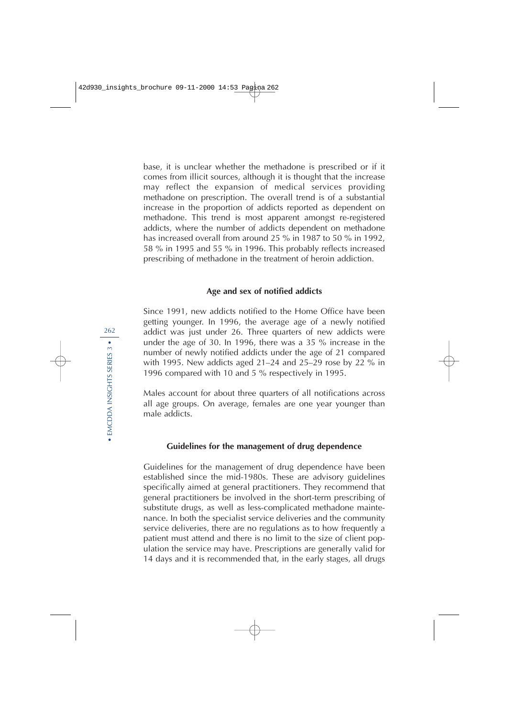base, it is unclear whether the methadone is prescribed or if it comes from illicit sources, although it is thought that the increase may reflect the expansion of medical services providing methadone on prescription. The overall trend is of a substantial increase in the proportion of addicts reported as dependent on methadone. This trend is most apparent amongst re-registered addicts, where the number of addicts dependent on methadone has increased overall from around 25 % in 1987 to 50 % in 1992, 58 % in 1995 and 55 % in 1996. This probably reflects increased prescribing of methadone in the treatment of heroin addiction.

#### **Age and sex of notified addicts**

Since 1991, new addicts notified to the Home Office have been getting younger. In 1996, the average age of a newly notified addict was just under 26. Three quarters of new addicts were under the age of 30. In 1996, there was a 35 % increase in the number of newly notified addicts under the age of 21 compared with 1995. New addicts aged 21–24 and 25–29 rose by 22 % in 1996 compared with 10 and 5 % respectively in 1995.

Males account for about three quarters of all notifications across all age groups. On average, females are one year younger than male addicts.

#### **Guidelines for the management of drug dependence**

Guidelines for the management of drug dependence have been established since the mid-1980s. These are advisory guidelines specifically aimed at general practitioners. They recommend that general practitioners be involved in the short-term prescribing of substitute drugs, as well as less-complicated methadone maintenance. In both the specialist service deliveries and the community service deliveries, there are no regulations as to how frequently a patient must attend and there is no limit to the size of client population the service may have. Prescriptions are generally valid for 14 days and it is recommended that, in the early stages, all drugs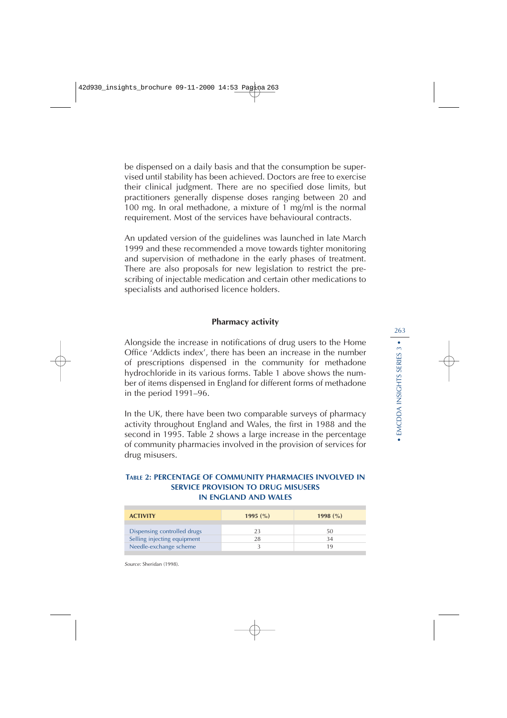be dispensed on a daily basis and that the consumption be supervised until stability has been achieved. Doctors are free to exercise their clinical judgment. There are no specified dose limits, but practitioners generally dispense doses ranging between 20 and 100 mg. In oral methadone, a mixture of 1 mg/ml is the normal requirement. Most of the services have behavioural contracts.

An updated version of the guidelines was launched in late March 1999 and these recommended a move towards tighter monitoring and supervision of methadone in the early phases of treatment. There are also proposals for new legislation to restrict the prescribing of injectable medication and certain other medications to specialists and authorised licence holders.

## **Pharmacy activity**

Alongside the increase in notifications of drug users to the Home Office 'Addicts index', there has been an increase in the number of prescriptions dispensed in the community for methadone hydrochloride in its various forms. Table 1 above shows the number of items dispensed in England for different forms of methadone in the period 1991–96.

In the UK, there have been two comparable surveys of pharmacy activity throughout England and Wales, the first in 1988 and the second in 1995. Table 2 shows a large increase in the percentage of community pharmacies involved in the provision of services for drug misusers.

#### **TABLE 2: PERCENTAGE OF COMMUNITY PHARMACIES INVOLVED IN SERVICE PROVISION TO DRUG MISUSERS IN ENGLAND AND WALES**

| <b>ACTIVITY</b>             | 1995 $(\% )$ | 1998 $(\% )$ |
|-----------------------------|--------------|--------------|
|                             |              |              |
| Dispensing controlled drugs |              | 50           |
| Selling injecting equipment |              | 34           |
| Needle-exchange scheme      |              | 1 Q          |

Source: Sheridan (1998).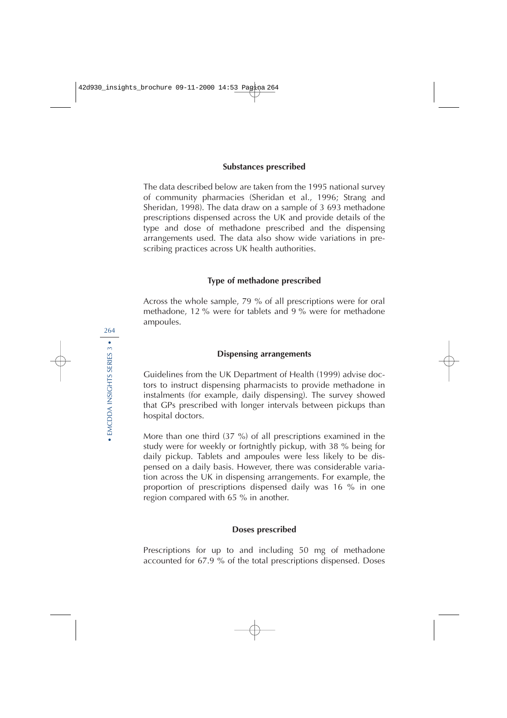#### **Substances prescribed**

The data described below are taken from the 1995 national survey of community pharmacies (Sheridan et al., 1996; Strang and Sheridan, 1998). The data draw on a sample of 3 693 methadone prescriptions dispensed across the UK and provide details of the type and dose of methadone prescribed and the dispensing arrangements used. The data also show wide variations in prescribing practices across UK health authorities.

# **Type of methadone prescribed**

Across the whole sample, 79 % of all prescriptions were for oral methadone, 12 % were for tablets and 9 % were for methadone ampoules.

#### **Dispensing arrangements**

Guidelines from the UK Department of Health (1999) advise doctors to instruct dispensing pharmacists to provide methadone in instalments (for example, daily dispensing). The survey showed that GPs prescribed with longer intervals between pickups than hospital doctors.

More than one third (37 %) of all prescriptions examined in the study were for weekly or fortnightly pickup, with 38 % being for daily pickup. Tablets and ampoules were less likely to be dispensed on a daily basis. However, there was considerable variation across the UK in dispensing arrangements. For example, the proportion of prescriptions dispensed daily was 16 % in one region compared with 65 % in another.

#### **Doses prescribed**

Prescriptions for up to and including 50 mg of methadone accounted for 67.9 % of the total prescriptions dispensed. Doses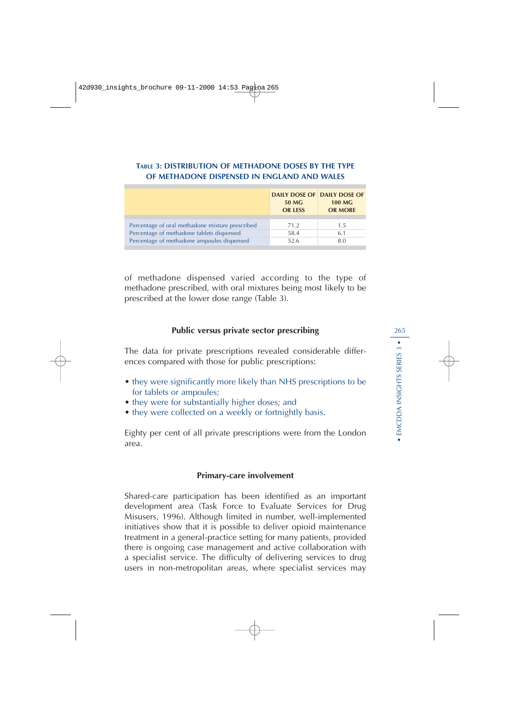# **TABLE 3: DISTRIBUTION OF METHADONE DOSES BY THE TYPE OF METHADONE DISPENSED IN ENGLAND AND WALES**

|                                                 | 50 MG<br><b>OR LESS</b> | <b>DAILY DOSE OF DAILY DOSE OF</b><br><b>100 MG</b><br><b>OR MORE</b> |
|-------------------------------------------------|-------------------------|-----------------------------------------------------------------------|
| Percentage of oral methadone mixture prescribed | 71.2                    | 15                                                                    |
| Percentage of methadone tablets dispensed       | 58.4                    | 6.1                                                                   |
| Percentage of methadone ampoules dispensed      | 52.6                    | 8.0                                                                   |

of methadone dispensed varied according to the type of methadone prescribed, with oral mixtures being most likely to be prescribed at the lower dose range (Table 3).

# **Public versus private sector prescribing**

The data for private prescriptions revealed considerable differences compared with those for public prescriptions:

- they were significantly more likely than NHS prescriptions to be for tablets or ampoules;
- they were for substantially higher doses; and
- they were collected on a weekly or fortnightly basis.

Eighty per cent of all private prescriptions were from the London area.

#### **Primary-care involvement**

Shared-care participation has been identified as an important development area (Task Force to Evaluate Services for Drug Misusers, 1996). Although limited in number, well-implemented initiatives show that it is possible to deliver opioid maintenance treatment in a general-practice setting for many patients, provided there is ongoing case management and active collaboration with a specialist service. The difficulty of delivering services to drug users in non-metropolitan areas, where specialist services may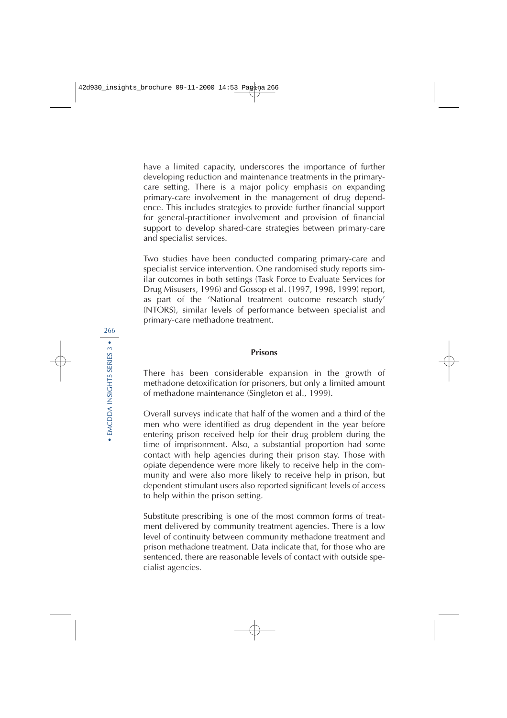have a limited capacity, underscores the importance of further developing reduction and maintenance treatments in the primarycare setting. There is a major policy emphasis on expanding primary-care involvement in the management of drug dependence. This includes strategies to provide further financial support for general-practitioner involvement and provision of financial support to develop shared-care strategies between primary-care and specialist services.

Two studies have been conducted comparing primary-care and specialist service intervention. One randomised study reports similar outcomes in both settings (Task Force to Evaluate Services for Drug Misusers, 1996) and Gossop et al. (1997, 1998, 1999) report, as part of the 'National treatment outcome research study' (NTORS), similar levels of performance between specialist and primary-care methadone treatment.

### **Prisons**

There has been considerable expansion in the growth of methadone detoxification for prisoners, but only a limited amount of methadone maintenance (Singleton et al., 1999).

Overall surveys indicate that half of the women and a third of the men who were identified as drug dependent in the year before entering prison received help for their drug problem during the time of imprisonment. Also, a substantial proportion had some contact with help agencies during their prison stay. Those with opiate dependence were more likely to receive help in the community and were also more likely to receive help in prison, but dependent stimulant users also reported significant levels of access to help within the prison setting.

Substitute prescribing is one of the most common forms of treatment delivered by community treatment agencies. There is a low level of continuity between community methadone treatment and prison methadone treatment. Data indicate that, for those who are sentenced, there are reasonable levels of contact with outside specialist agencies.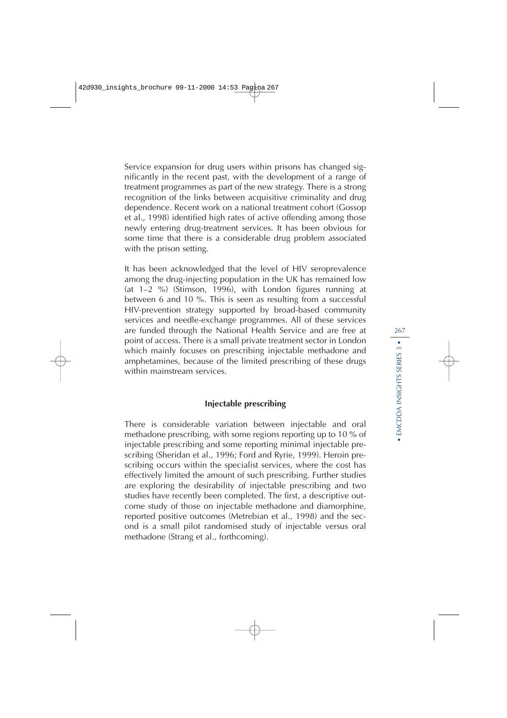Service expansion for drug users within prisons has changed significantly in the recent past, with the development of a range of treatment programmes as part of the new strategy. There is a strong recognition of the links between acquisitive criminality and drug dependence. Recent work on a national treatment cohort (Gossop et al., 1998) identified high rates of active offending among those newly entering drug-treatment services. It has been obvious for some time that there is a considerable drug problem associated with the prison setting.

It has been acknowledged that the level of HIV seroprevalence among the drug-injecting population in the UK has remained low (at 1–2 %) (Stimson, 1996), with London figures running at between 6 and 10 %. This is seen as resulting from a successful HIV-prevention strategy supported by broad-based community services and needle-exchange programmes. All of these services are funded through the National Health Service and are free at point of access. There is a small private treatment sector in London which mainly focuses on prescribing injectable methadone and amphetamines, because of the limited prescribing of these drugs within mainstream services.

# **Injectable prescribing**

There is considerable variation between injectable and oral methadone prescribing, with some regions reporting up to 10 % of injectable prescribing and some reporting minimal injectable prescribing (Sheridan et al., 1996; Ford and Ryrie, 1999). Heroin prescribing occurs within the specialist services, where the cost has effectively limited the amount of such prescribing. Further studies are exploring the desirability of injectable prescribing and two studies have recently been completed. The first, a descriptive outcome study of those on injectable methadone and diamorphine, reported positive outcomes (Metrebian et al., 1998) and the second is a small pilot randomised study of injectable versus oral methadone (Strang et al., forthcoming).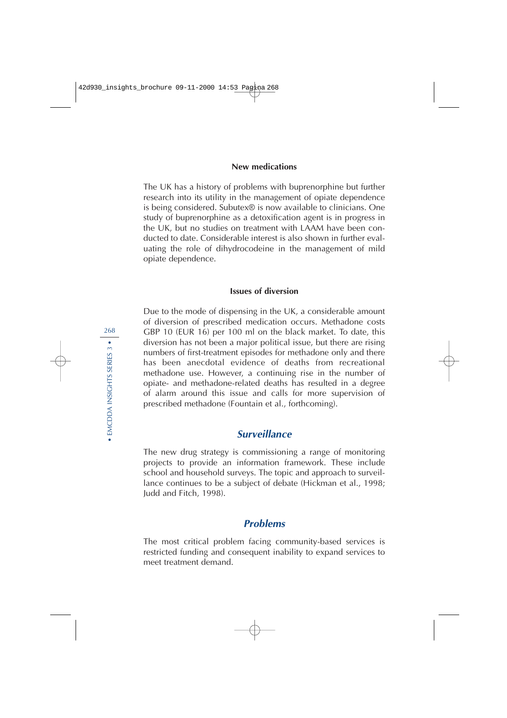#### **New medications**

The UK has a history of problems with buprenorphine but further research into its utility in the management of opiate dependence is being considered. Subutex® is now available to clinicians. One study of buprenorphine as a detoxification agent is in progress in the UK, but no studies on treatment with LAAM have been conducted to date. Considerable interest is also shown in further evaluating the role of dihydrocodeine in the management of mild opiate dependence.

#### **Issues of diversion**

Due to the mode of dispensing in the UK, a considerable amount of diversion of prescribed medication occurs. Methadone costs GBP 10 (EUR 16) per 100 ml on the black market. To date, this diversion has not been a major political issue, but there are rising numbers of first-treatment episodes for methadone only and there has been anecdotal evidence of deaths from recreational methadone use. However, a continuing rise in the number of opiate- and methadone-related deaths has resulted in a degree of alarm around this issue and calls for more supervision of prescribed methadone (Fountain et al., forthcoming).

# **Surveillance**

The new drug strategy is commissioning a range of monitoring projects to provide an information framework. These include school and household surveys. The topic and approach to surveillance continues to be a subject of debate (Hickman et al., 1998; Judd and Fitch, 1998).

# **Problems**

The most critical problem facing community-based services is restricted funding and consequent inability to expand services to meet treatment demand.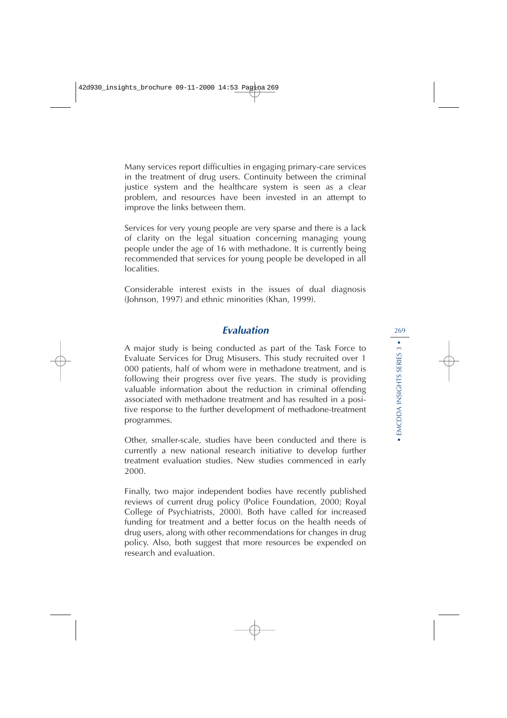Many services report difficulties in engaging primary-care services in the treatment of drug users. Continuity between the criminal justice system and the healthcare system is seen as a clear problem, and resources have been invested in an attempt to improve the links between them.

Services for very young people are very sparse and there is a lack of clarity on the legal situation concerning managing young people under the age of 16 with methadone. It is currently being recommended that services for young people be developed in all localities.

Considerable interest exists in the issues of dual diagnosis (Johnson, 1997) and ethnic minorities (Khan, 1999).

# **Evaluation**

A major study is being conducted as part of the Task Force to Evaluate Services for Drug Misusers. This study recruited over 1 000 patients, half of whom were in methadone treatment, and is following their progress over five years. The study is providing valuable information about the reduction in criminal offending associated with methadone treatment and has resulted in a positive response to the further development of methadone-treatment programmes.

Other, smaller-scale, studies have been conducted and there is currently a new national research initiative to develop further treatment evaluation studies. New studies commenced in early 2000.

Finally, two major independent bodies have recently published reviews of current drug policy (Police Foundation, 2000; Royal College of Psychiatrists, 2000). Both have called for increased funding for treatment and a better focus on the health needs of drug users, along with other recommendations for changes in drug policy. Also, both suggest that more resources be expended on research and evaluation.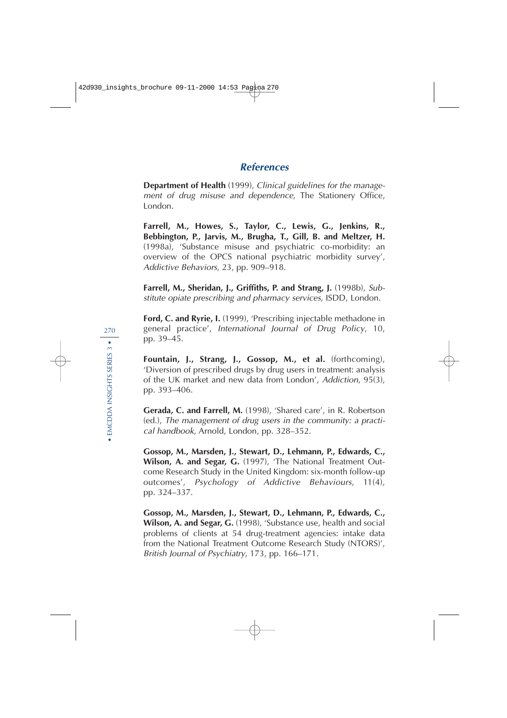# **References**

**Department of Health** (1999), Clinical guidelines for the management of drug misuse and dependence, The Stationery Office, London.

**Farrell, M., Howes, S., Taylor, C., Lewis, G., Jenkins, R., Bebbington, P., Jarvis, M., Brugha, T., Gill, B. and Meltzer, H.** (1998a), 'Substance misuse and psychiatric co-morbidity: an overview of the OPCS national psychiatric morbidity survey', Addictive Behaviors, 23, pp. 909–918.

**Farrell, M., Sheridan, J., Griffiths, P. and Strang, J.** (1998b), Substitute opiate prescribing and pharmacy services, ISDD, London.

**Ford, C. and Ryrie, I.** (1999), 'Prescribing injectable methadone in general practice', International Journal of Drug Policy, 10, pp. 39–45.

**Fountain, J., Strang, J., Gossop, M., et al.** (forthcoming), 'Diversion of prescribed drugs by drug users in treatment: analysis of the UK market and new data from London', Addiction, 95(3), pp. 393–406.

**Gerada, C. and Farrell, M.** (1998), 'Shared care', in R. Robertson (ed.), The management of drug users in the community: a practical handbook, Arnold, London, pp. 328–352.

**Gossop, M., Marsden, J., Stewart, D., Lehmann, P., Edwards, C., Wilson, A. and Segar, G.** (1997), 'The National Treatment Outcome Research Study in the United Kingdom: six-month follow-up outcomes', Psychology of Addictive Behaviours, 11(4), pp. 324–337.

**Gossop, M., Marsden, J., Stewart, D., Lehmann, P., Edwards, C., Wilson, A. and Segar, G.** (1998), 'Substance use, health and social problems of clients at 54 drug-treatment agencies: intake data from the National Treatment Outcome Research Study (NTORS)', British Journal of Psychiatry, 173, pp. 166–171.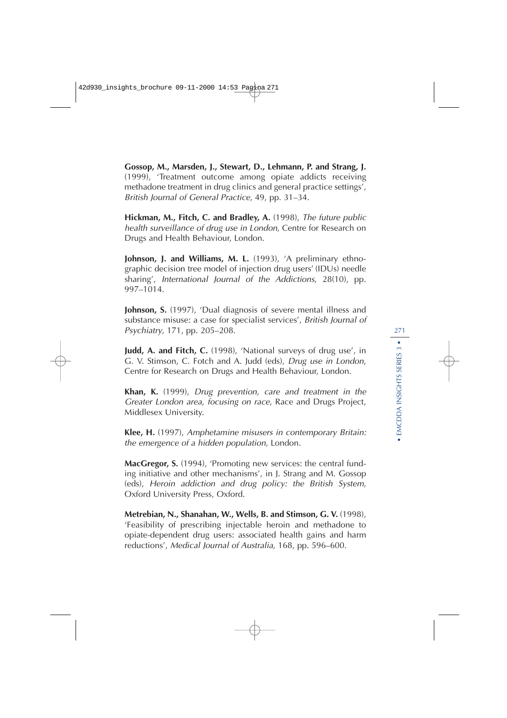**Gossop, M., Marsden, J., Stewart, D., Lehmann, P. and Strang, J.** (1999), 'Treatment outcome among opiate addicts receiving methadone treatment in drug clinics and general practice settings', British Journal of General Practice, 49, pp. 31–34.

**Hickman, M., Fitch, C. and Bradley, A.** (1998), The future public health surveillance of drug use in London, Centre for Research on Drugs and Health Behaviour, London.

**Johnson, J. and Williams, M. L.** (1993), 'A preliminary ethnographic decision tree model of injection drug users' (IDUs) needle sharing', International Journal of the Addictions, 28(10), pp. 997–1014.

**Johnson, S.** (1997), 'Dual diagnosis of severe mental illness and substance misuse: a case for specialist services', British Journal of Psychiatry, 171, pp. 205–208.

**Judd, A. and Fitch, C.** (1998), 'National surveys of drug use', in G. V. Stimson, C. Fotch and A. Judd (eds), Drug use in London, Centre for Research on Drugs and Health Behaviour, London.

**Khan, K.** (1999), Drug prevention, care and treatment in the Greater London area, focusing on race, Race and Drugs Project, Middlesex University.

**Klee, H.** (1997), Amphetamine misusers in contemporary Britain: the emergence of a hidden population, London.

**MacGregor, S.** (1994), 'Promoting new services: the central funding initiative and other mechanisms', in J. Strang and M. Gossop (eds), Heroin addiction and drug policy: the British System, Oxford University Press, Oxford.

**Metrebian, N., Shanahan, W., Wells, B. and Stimson, G. V.** (1998), 'Feasibility of prescribing injectable heroin and methadone to opiate-dependent drug users: associated health gains and harm reductions', Medical Journal of Australia, 168, pp. 596–600.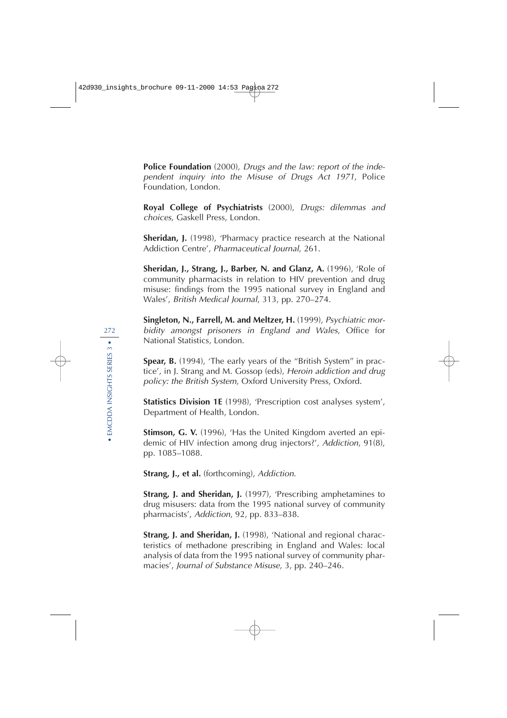**Police Foundation** (2000), Drugs and the law: report of the independent inquiry into the Misuse of Drugs Act 1971, Police Foundation, London.

**Royal College of Psychiatrists** (2000), Drugs: dilemmas and choices, Gaskell Press, London.

**Sheridan, J.** (1998), 'Pharmacy practice research at the National Addiction Centre', Pharmaceutical Journal, 261.

**Sheridan, J., Strang, J., Barber, N. and Glanz, A.** (1996), 'Role of community pharmacists in relation to HIV prevention and drug misuse: findings from the 1995 national survey in England and Wales', British Medical Journal, 313, pp. 270–274.

**Singleton, N., Farrell, M. and Meltzer, H.** (1999), Psychiatric morbidity amongst prisoners in England and Wales, Office for National Statistics, London.

**Spear, B.** (1994), 'The early years of the "British System" in practice', in J. Strang and M. Gossop (eds), Heroin addiction and drug policy: the British System, Oxford University Press, Oxford.

**Statistics Division 1E** (1998), 'Prescription cost analyses system', Department of Health, London.

**Stimson, G. V.** (1996), 'Has the United Kingdom averted an epidemic of HIV infection among drug injectors?', Addiction, 91(8), pp. 1085–1088.

**Strang, J., et al.** (forthcoming), Addiction.

**Strang, J. and Sheridan, J.** (1997), 'Prescribing amphetamines to drug misusers: data from the 1995 national survey of community pharmacists', Addiction, 92, pp. 833–838.

**Strang, J. and Sheridan, J.** (1998), 'National and regional characteristics of methadone prescribing in England and Wales: local analysis of data from the 1995 national survey of community pharmacies', Journal of Substance Misuse, 3, pp. 240–246.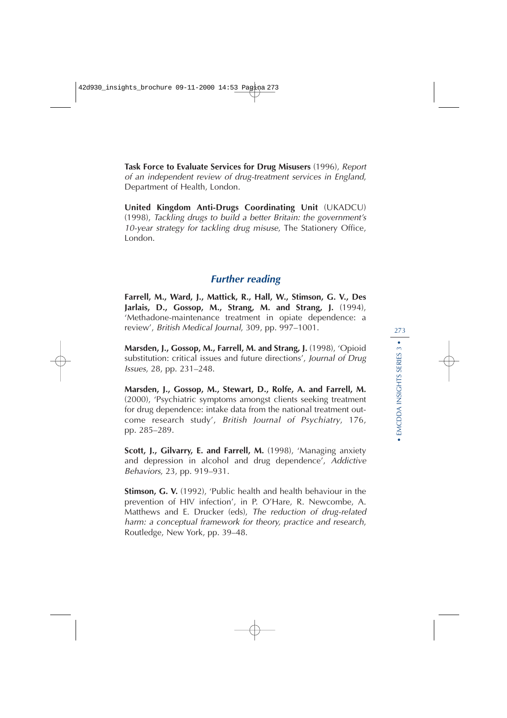**Task Force to Evaluate Services for Drug Misusers** (1996), Report of an independent review of drug-treatment services in England, Department of Health, London.

**United Kingdom Anti-Drugs Coordinating Unit** (UKADCU) (1998), Tackling drugs to build a better Britain: the government's 10-year strategy for tackling drug misuse, The Stationery Office, London.

# **Further reading**

**Farrell, M., Ward, J., Mattick, R., Hall, W., Stimson, G. V., Des Jarlais, D., Gossop, M., Strang, M. and Strang, J.** (1994), 'Methadone-maintenance treatment in opiate dependence: a review', British Medical Journal, 309, pp. 997–1001.

**Marsden, J., Gossop, M., Farrell, M. and Strang, J.** (1998), 'Opioid substitution: critical issues and future directions', Journal of Drug Issues, 28, pp. 231–248.

**Marsden, J., Gossop, M., Stewart, D., Rolfe, A. and Farrell, M.** (2000), 'Psychiatric symptoms amongst clients seeking treatment for drug dependence: intake data from the national treatment outcome research study', British Journal of Psychiatry, 176, pp. 285–289.

**Scott, J., Gilvarry, E. and Farrell, M.** (1998), 'Managing anxiety and depression in alcohol and drug dependence', Addictive Behaviors, 23, pp. 919–931.

**Stimson, G. V.** (1992), 'Public health and health behaviour in the prevention of HIV infection', in P. O'Hare, R. Newcombe, A. Matthews and E. Drucker (eds), The reduction of drug-related harm: a conceptual framework for theory, practice and research, Routledge, New York, pp. 39–48.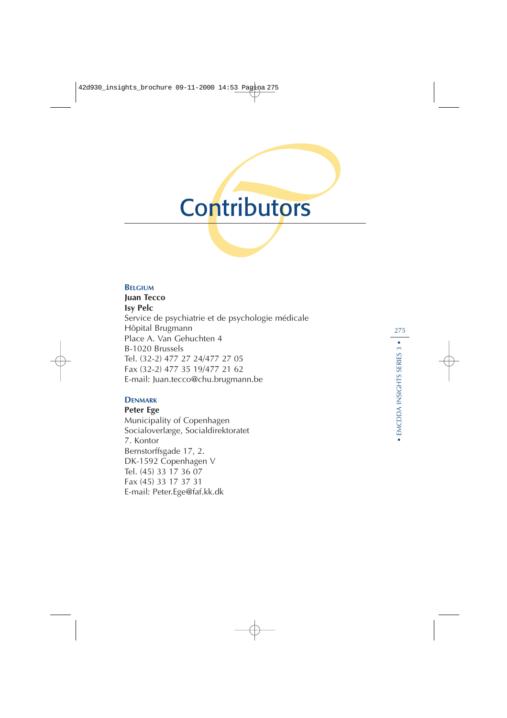# **Contributors**

#### **B ELGIUM**

**Juan T ecco Isy Pelc** Service de psychiatrie et de psychologie médicale Hôpital Brugmann Place A. Van Gehuchten 4 B-1020 Brussels Tel. (32-2) 477 27 24/477 27 05 Fax (32-2) 477 35 19/477 21 62 E-mail: Juan.tecco@chu.brugmann.be

# **DENMARK**

**Peter Ege** Municipality of Copenhagen Socialoverlæge, Socialdirektoratet 7. Kontor Bernstorffsgade 17, 2. DK-1592 Copenhagen V Tel. (45) 33 17 36 07 Fax (45) 33 17 37 31 E-mail: Peter.Ege@faf.kk.dk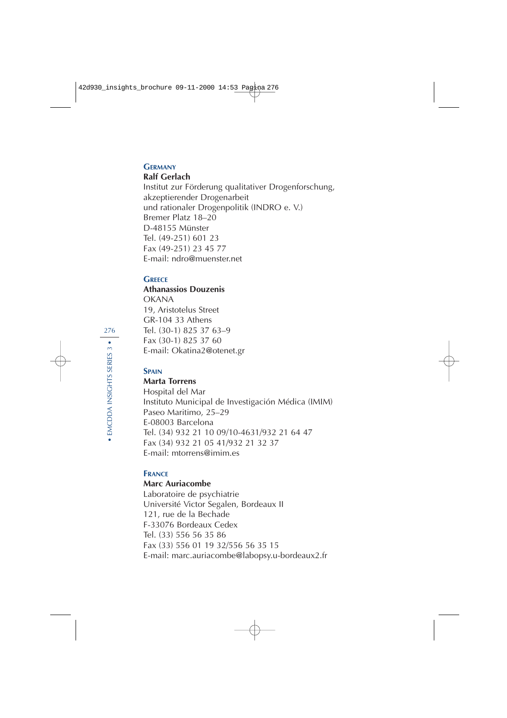#### **GERMANY**

## **Ralf Gerlach**

Institut zur Förderung qualitativer Drogenforschung, akzeptierender Drogenarbeit und rationaler Drogenpolitik (INDRO e. V.) Bremer Platz 18–20 D-48155 Münster Tel. (49-251) 601 23 Fax (49-251) 23 45 77 E-mail: ndro@muenster.net

# **GREECE**

# **Athanassios Douzenis**

OKANA 19, Aristotelus Street GR-104 33 Athens Tel. (30-1) 825 37 63–9 Fax (30-1) 825 37 60 E-mail: Okatina2@otenet.gr

## **SPAIN**

## **Marta Torrens**

Hospital del Mar Instituto Municipal de Investigación Médica (IMIM) Paseo Maritimo, 25–29 E-08003 Barcelona Tel. (34) 932 21 10 09/10-4631/932 21 64 47 Fax (34) 932 21 05 41/932 21 32 37 E-mail: mtorrens@imim.es

## **FRANCE**

#### **Marc Auriacombe**

Laboratoire de psychiatrie Université Victor Segalen, Bordeaux II 121, rue de la Bechade F-33076 Bordeaux Cedex Tel. (33) 556 56 35 86 Fax (33) 556 01 19 32/556 56 35 15 E-mail: marc.auriacombe@labopsy.u-bordeaux2.fr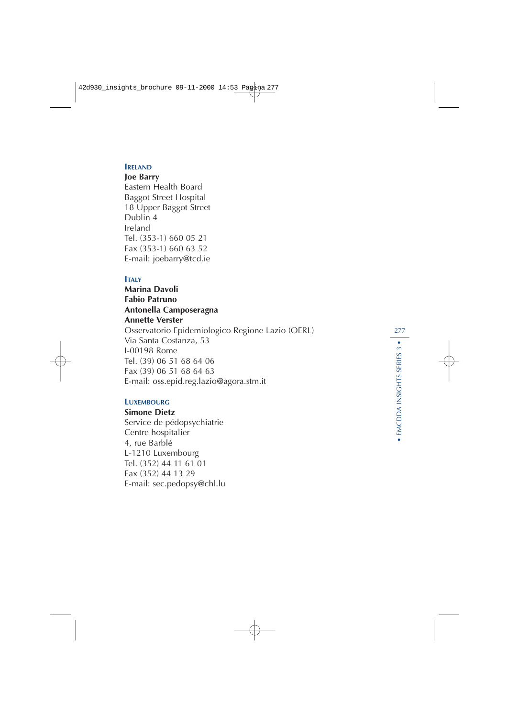#### **IRELAND**

#### **Joe Barry**

Eastern Health Board Baggot Street Hospital 18 Upper Baggot Street Dublin 4 Ireland Tel. (353-1) 660 05 21 Fax (353-1) 660 63 52 E-mail: joebarry@tcd.ie

#### **ITALY**

**Marina Davoli Fabio Patruno Antonella Camposeragna Annette Verster** Osservatorio Epidemiologico Regione Lazio (OERL) Via Santa Costanza, 53 I-00198 Rome Tel. (39) 06 51 68 64 06 Fax (39) 06 51 68 64 63 E-mail: oss.epid.reg.lazio@agora.stm.it

#### **LUXEMBOURG**

**Simone Dietz** Service de pédopsychiatrie Centre hospitalier 4, rue Barblé L-1210 Luxembourg Tel. (352) 44 11 61 01 Fax (352) 44 13 29 E-mail: sec.pedopsy@chl.lu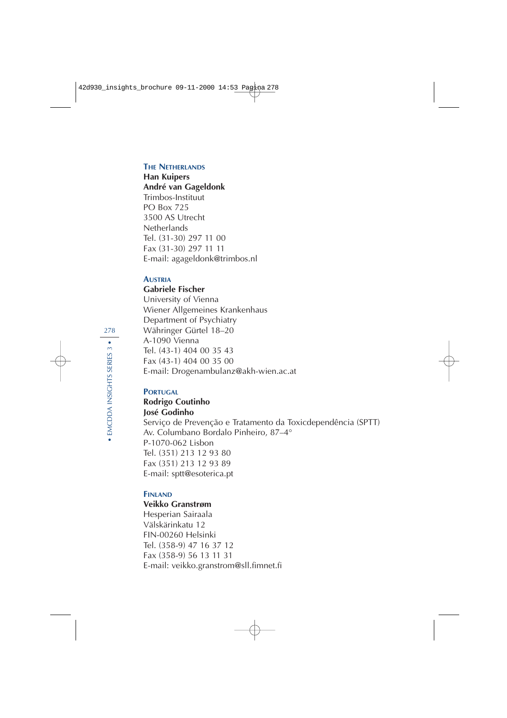#### **THE NETHERLANDS**

**Han Kuipers André van Gageldonk** Trimbos-Instituut PO Box 725 3500 AS Utrecht **Netherlands** Tel. (31-30) 297 11 00 Fax (31-30) 297 11 11 E-mail: agageldonk@trimbos.nl

# **AUSTRIA**

# **Gabriele Fischer**

University of Vienna Wiener Allgemeines Krankenhaus Department of Psychiatry Währinger Gürtel 18–20 A-1090 Vienna Tel. (43-1) 404 00 35 43 Fax (43-1) 404 00 35 00 E-mail: Drogenambulanz@akh-wien.ac.at

# **PORTUGAL**

# **Rodrigo Coutinho José Godinho**

Serviço de Prevenção e Tratamento da Toxicdependência (SPTT) Av. Columbano Bordalo Pinheiro, 87–4° P-1070-062 Lisbon Tel. (351) 213 12 93 80 Fax (351) 213 12 93 89 E-mail: sptt@esoterica.pt

## **FINLAND**

## **Veikko Granstrøm**

Hesperian Sairaala Välskärinkatu 12 FIN-00260 Helsinki Tel. (358-9) 47 16 37 12 Fax (358-9) 56 13 11 31 E-mail: veikko.granstrom@sll.fimnet.fi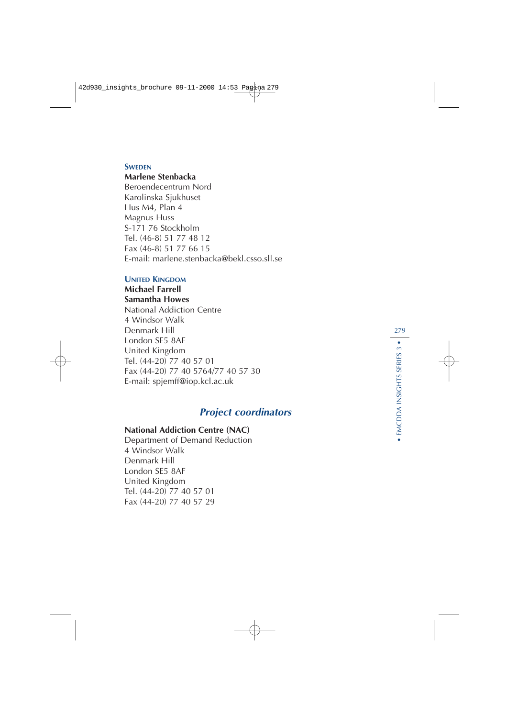#### **SWEDEN**

#### **Marlene Stenbacka**

Beroendecentrum Nord Karolinska Sjukhuset Hus M4, Plan 4 Magnus Huss S-171 76 Stockholm Tel. (46-8) 51 77 48 12 Fax (46-8) 51 77 66 15 E-mail: marlene.stenbacka@bekl.csso.sll.se

# **UNITED KINGDOM**

# **Michael Farrell**

# **Samantha Howes**

National Addiction Centre 4 Windsor Walk Denmark Hill London SE5 8AF United Kingdom Tel. (44-20) 77 40 57 01 Fax (44-20) 77 40 5764/77 40 57 30 E-mail: spjemff@iop.kcl.ac.uk

# **Project coordinators**

# **National Addiction Centre (NAC)**

Department of Demand Reduction 4 Windsor Walk Denmark Hill London SE5 8AF United Kingdom Tel. (44-20) 77 40 57 01 Fax (44-20) 77 40 57 29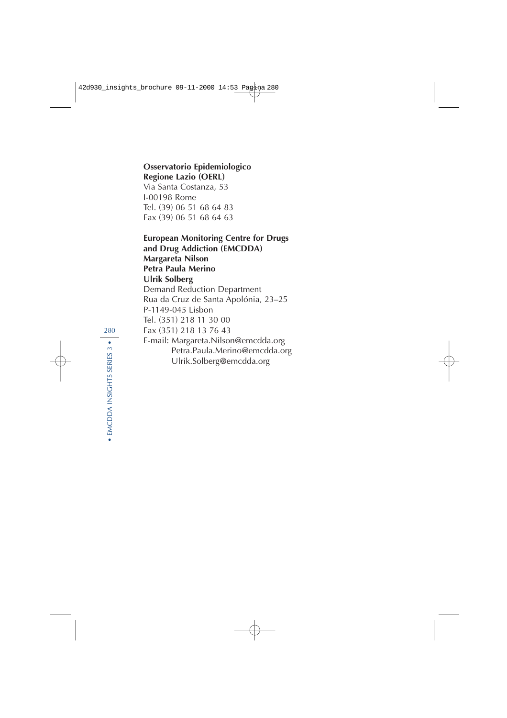# **Osservatorio Epidemiologico Regione Lazio (OERL)**

Via Santa Costanza, 53 I-00198 Rome Tel. (39) 06 51 68 64 83 Fax (39) 06 51 68 64 63

**European Monitoring Centre for Drugs and Drug Addiction (EMCDDA) Margareta Nilson Petra Paula Merino Ulrik Solberg** Demand Reduction Department Rua da Cruz de Santa Apolónia, 23–25 P-1149-045 Lisbon Tel. (351) 218 11 30 00 Fax (351) 218 13 76 43 E-mail: Margareta.Nilson@emcdda.org Petra.Paula.Merino@emcdda.org Ulrik.Solberg@emcdda.org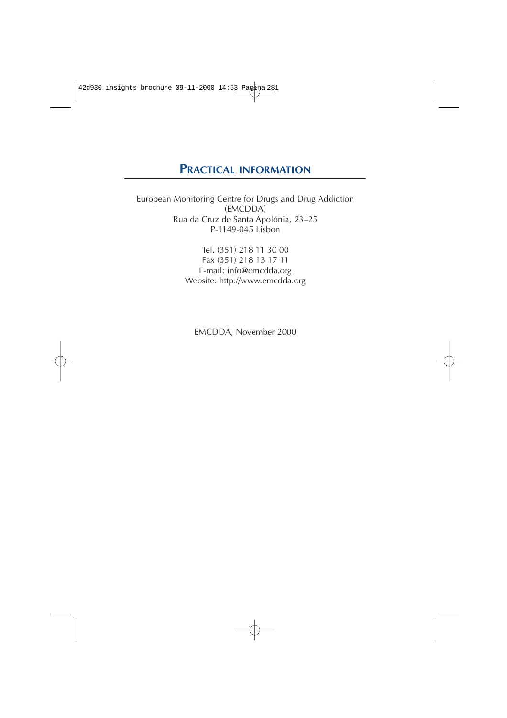# **PRACTICAL INFORMATION**

European Monitoring Centre for Drugs and Drug Addiction (EMCDDA) Rua da Cruz de Santa Apolónia, 23–25 P-1149-045 Lisbon

> Tel. (351) 218 11 30 00 Fax (351) 218 13 17 11 E-mail: info@emcdda.org Website: http://www.emcdda.org

EMCDDA, November 2000